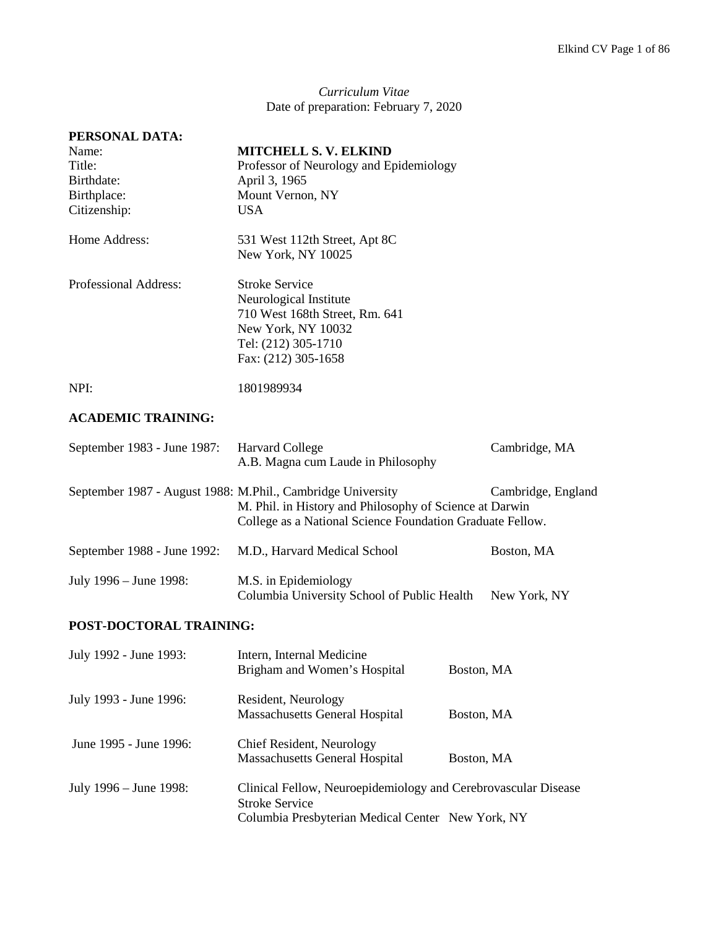*Curriculum Vitae* Date of preparation: February 7, 2020

| PERSONAL DATA:<br>Name:<br>Title:<br>Birthdate:<br>Birthplace:<br>Citizenship: | <b>MITCHELL S. V. ELKIND</b><br>Professor of Neurology and Epidemiology<br>April 3, 1965<br>Mount Vernon, NY<br><b>USA</b>                            |            |                    |
|--------------------------------------------------------------------------------|-------------------------------------------------------------------------------------------------------------------------------------------------------|------------|--------------------|
| Home Address:                                                                  | 531 West 112th Street, Apt 8C<br>New York, NY 10025                                                                                                   |            |                    |
| Professional Address:                                                          | <b>Stroke Service</b><br>Neurological Institute<br>710 West 168th Street, Rm. 641<br>New York, NY 10032<br>Tel: (212) 305-1710<br>Fax: (212) 305-1658 |            |                    |
| NPI:                                                                           | 1801989934                                                                                                                                            |            |                    |
| <b>ACADEMIC TRAINING:</b>                                                      |                                                                                                                                                       |            |                    |
| September 1983 - June 1987:                                                    | <b>Harvard College</b><br>A.B. Magna cum Laude in Philosophy                                                                                          |            | Cambridge, MA      |
| September 1987 - August 1988: M.Phil., Cambridge University                    | M. Phil. in History and Philosophy of Science at Darwin<br>College as a National Science Foundation Graduate Fellow.                                  |            | Cambridge, England |
| September 1988 - June 1992:                                                    | M.D., Harvard Medical School                                                                                                                          |            | Boston, MA         |
| July 1996 – June 1998:                                                         | M.S. in Epidemiology<br>Columbia University School of Public Health                                                                                   |            | New York, NY       |
| POST-DOCTORAL TRAINING:                                                        |                                                                                                                                                       |            |                    |
| July 1992 - June 1993:                                                         | Intern, Internal Medicine<br>Brigham and Women's Hospital                                                                                             | Boston, MA |                    |
| July 1993 - June 1996:                                                         | Resident, Neurology<br>Massachusetts General Hospital                                                                                                 | Boston, MA |                    |
| June 1995 - June 1996:                                                         | Chief Resident, Neurology<br>Massachusetts General Hospital                                                                                           | Boston, MA |                    |
| July 1996 – June 1998:                                                         | Clinical Fellow, Neuroepidemiology and Cerebrovascular Disease<br><b>Stroke Service</b><br>Columbia Presbyterian Medical Center New York, NY          |            |                    |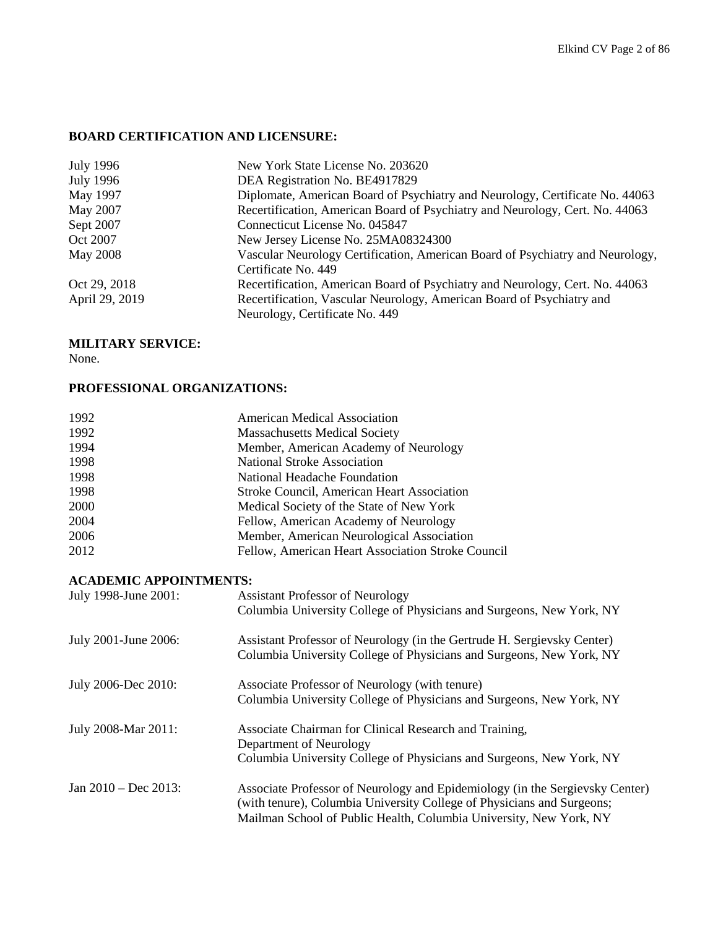## **BOARD CERTIFICATION AND LICENSURE:**

| July 1996        | New York State License No. 203620                                             |
|------------------|-------------------------------------------------------------------------------|
| <b>July 1996</b> | DEA Registration No. BE4917829                                                |
| May 1997         | Diplomate, American Board of Psychiatry and Neurology, Certificate No. 44063  |
| May 2007         | Recertification, American Board of Psychiatry and Neurology, Cert. No. 44063  |
| Sept 2007        | Connecticut License No. 045847                                                |
| Oct 2007         | New Jersey License No. 25MA08324300                                           |
| <b>May 2008</b>  | Vascular Neurology Certification, American Board of Psychiatry and Neurology, |
|                  | Certificate No. 449                                                           |
| Oct 29, 2018     | Recertification, American Board of Psychiatry and Neurology, Cert. No. 44063  |
| April 29, 2019   | Recertification, Vascular Neurology, American Board of Psychiatry and         |
|                  | Neurology, Certificate No. 449                                                |

## **MILITARY SERVICE:**

None.

## **PROFESSIONAL ORGANIZATIONS:**

| 1992 | <b>American Medical Association</b>               |
|------|---------------------------------------------------|
| 1992 | <b>Massachusetts Medical Society</b>              |
| 1994 | Member, American Academy of Neurology             |
| 1998 | <b>National Stroke Association</b>                |
| 1998 | National Headache Foundation                      |
| 1998 | Stroke Council, American Heart Association        |
| 2000 | Medical Society of the State of New York          |
| 2004 | Fellow, American Academy of Neurology             |
| 2006 | Member, American Neurological Association         |
| 2012 | Fellow, American Heart Association Stroke Council |

## **ACADEMIC APPOINTMENTS:**

| July 1998-June 2001:    | <b>Assistant Professor of Neurology</b>                                                                                                         |
|-------------------------|-------------------------------------------------------------------------------------------------------------------------------------------------|
|                         | Columbia University College of Physicians and Surgeons, New York, NY                                                                            |
| July 2001-June 2006:    | Assistant Professor of Neurology (in the Gertrude H. Sergievsky Center)<br>Columbia University College of Physicians and Surgeons, New York, NY |
| July 2006-Dec 2010:     | Associate Professor of Neurology (with tenure)                                                                                                  |
|                         | Columbia University College of Physicians and Surgeons, New York, NY                                                                            |
| July 2008-Mar 2011:     | Associate Chairman for Clinical Research and Training,                                                                                          |
|                         | Department of Neurology                                                                                                                         |
|                         | Columbia University College of Physicians and Surgeons, New York, NY                                                                            |
| Jan $2010 - Dec 2013$ : | Associate Professor of Neurology and Epidemiology (in the Sergievsky Center)                                                                    |
|                         | (with tenure), Columbia University College of Physicians and Surgeons;                                                                          |
|                         | Mailman School of Public Health, Columbia University, New York, NY                                                                              |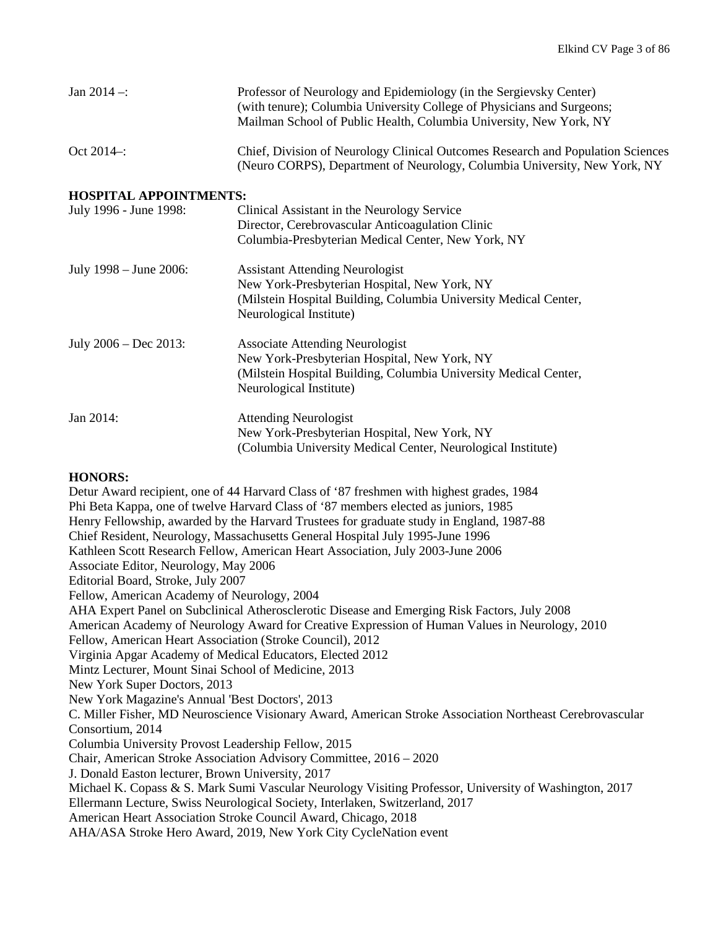| Jan $2014 -$ :                | Professor of Neurology and Epidemiology (in the Sergievsky Center)<br>(with tenure); Columbia University College of Physicians and Surgeons;<br>Mailman School of Public Health, Columbia University, New York, NY |
|-------------------------------|--------------------------------------------------------------------------------------------------------------------------------------------------------------------------------------------------------------------|
| Oct 2014-:                    | Chief, Division of Neurology Clinical Outcomes Research and Population Sciences<br>(Neuro CORPS), Department of Neurology, Columbia University, New York, NY                                                       |
| <b>HOSPITAL APPOINTMENTS:</b> |                                                                                                                                                                                                                    |
| July 1996 - June 1998:        | Clinical Assistant in the Neurology Service                                                                                                                                                                        |
|                               | Director, Cerebrovascular Anticoagulation Clinic                                                                                                                                                                   |
|                               | Columbia-Presbyterian Medical Center, New York, NY                                                                                                                                                                 |
| July 1998 – June 2006:        | <b>Assistant Attending Neurologist</b>                                                                                                                                                                             |
|                               | New York-Presbyterian Hospital, New York, NY                                                                                                                                                                       |
|                               | (Milstein Hospital Building, Columbia University Medical Center,<br>Neurological Institute)                                                                                                                        |
| July $2006 - Dec 2013$ :      | <b>Associate Attending Neurologist</b>                                                                                                                                                                             |
|                               | New York-Presbyterian Hospital, New York, NY                                                                                                                                                                       |
|                               | (Milstein Hospital Building, Columbia University Medical Center,                                                                                                                                                   |
|                               | Neurological Institute)                                                                                                                                                                                            |
| Jan 2014:                     | <b>Attending Neurologist</b>                                                                                                                                                                                       |
|                               | New York-Presbyterian Hospital, New York, NY                                                                                                                                                                       |
|                               | (Columbia University Medical Center, Neurological Institute)                                                                                                                                                       |

### **HONORS:**

Detur Award recipient, one of 44 Harvard Class of '87 freshmen with highest grades, 1984 Phi Beta Kappa, one of twelve Harvard Class of '87 members elected as juniors, 1985 Henry Fellowship, awarded by the Harvard Trustees for graduate study in England, 1987-88 Chief Resident, Neurology, Massachusetts General Hospital July 1995-June 1996 Kathleen Scott Research Fellow, American Heart Association, July 2003-June 2006 Associate Editor, Neurology, May 2006 Editorial Board, Stroke, July 2007 Fellow, American Academy of Neurology, 2004 AHA Expert Panel on Subclinical Atherosclerotic Disease and Emerging Risk Factors, July 2008 American Academy of Neurology Award for Creative Expression of Human Values in Neurology, 2010 Fellow, American Heart Association (Stroke Council), 2012 Virginia Apgar Academy of Medical Educators, Elected 2012 Mintz Lecturer, Mount Sinai School of Medicine, 2013 New York Super Doctors, 2013 New York Magazine's Annual 'Best Doctors', 2013 C. Miller Fisher, MD Neuroscience Visionary Award, American Stroke Association Northeast Cerebrovascular Consortium, 2014 Columbia University Provost Leadership Fellow, 2015 Chair, American Stroke Association Advisory Committee, 2016 – 2020 J. Donald Easton lecturer, Brown University, 2017 Michael K. Copass & S. Mark Sumi Vascular Neurology Visiting Professor, University of Washington, 2017 Ellermann Lecture, Swiss Neurological Society, Interlaken, Switzerland, 2017 American Heart Association Stroke Council Award, Chicago, 2018 AHA/ASA Stroke Hero Award, 2019, New York City CycleNation event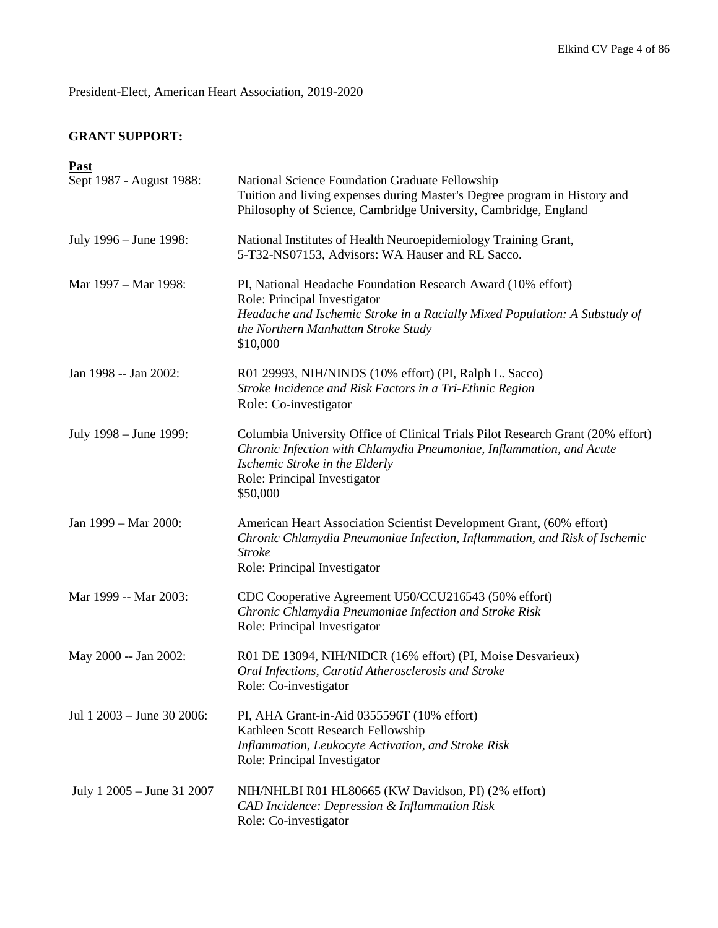President-Elect, American Heart Association, 2019-2020

# **GRANT SUPPORT:**

| Past                       |                                                                                                                                                                                                                                       |
|----------------------------|---------------------------------------------------------------------------------------------------------------------------------------------------------------------------------------------------------------------------------------|
| Sept 1987 - August 1988:   | National Science Foundation Graduate Fellowship<br>Tuition and living expenses during Master's Degree program in History and<br>Philosophy of Science, Cambridge University, Cambridge, England                                       |
| July 1996 - June 1998:     | National Institutes of Health Neuroepidemiology Training Grant,<br>5-T32-NS07153, Advisors: WA Hauser and RL Sacco.                                                                                                                   |
| Mar 1997 – Mar 1998:       | PI, National Headache Foundation Research Award (10% effort)<br>Role: Principal Investigator<br>Headache and Ischemic Stroke in a Racially Mixed Population: A Substudy of<br>the Northern Manhattan Stroke Study<br>\$10,000         |
| Jan 1998 -- Jan 2002:      | R01 29993, NIH/NINDS (10% effort) (PI, Ralph L. Sacco)<br>Stroke Incidence and Risk Factors in a Tri-Ethnic Region<br>Role: Co-investigator                                                                                           |
| July 1998 – June 1999:     | Columbia University Office of Clinical Trials Pilot Research Grant (20% effort)<br>Chronic Infection with Chlamydia Pneumoniae, Inflammation, and Acute<br>Ischemic Stroke in the Elderly<br>Role: Principal Investigator<br>\$50,000 |
| Jan 1999 - Mar 2000:       | American Heart Association Scientist Development Grant, (60% effort)<br>Chronic Chlamydia Pneumoniae Infection, Inflammation, and Risk of Ischemic<br><b>Stroke</b><br>Role: Principal Investigator                                   |
| Mar 1999 -- Mar 2003:      | CDC Cooperative Agreement U50/CCU216543 (50% effort)<br>Chronic Chlamydia Pneumoniae Infection and Stroke Risk<br>Role: Principal Investigator                                                                                        |
| May 2000 -- Jan 2002:      | R01 DE 13094, NIH/NIDCR (16% effort) (PI, Moise Desvarieux)<br>Oral Infections, Carotid Atherosclerosis and Stroke<br>Role: Co-investigator                                                                                           |
| Jul 1 2003 - June 30 2006: | PI, AHA Grant-in-Aid 0355596T (10% effort)<br>Kathleen Scott Research Fellowship<br>Inflammation, Leukocyte Activation, and Stroke Risk<br>Role: Principal Investigator                                                               |
| July 1 2005 – June 31 2007 | NIH/NHLBI R01 HL80665 (KW Davidson, PI) (2% effort)<br>CAD Incidence: Depression & Inflammation Risk<br>Role: Co-investigator                                                                                                         |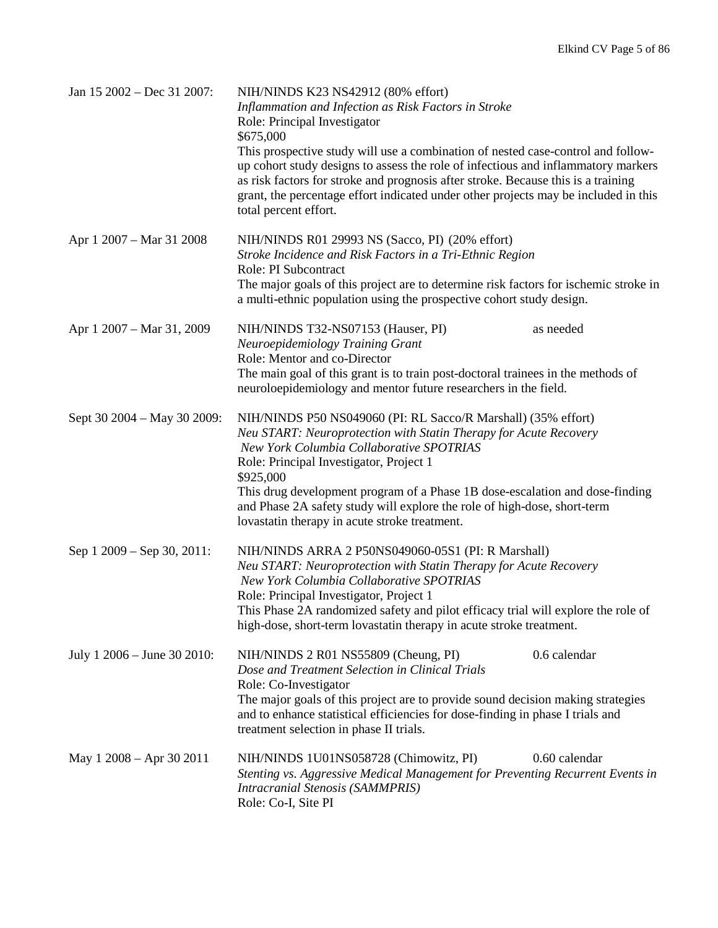| Jan 15 2002 – Dec 31 2007:  | NIH/NINDS K23 NS42912 (80% effort)<br>Inflammation and Infection as Risk Factors in Stroke<br>Role: Principal Investigator<br>\$675,000<br>This prospective study will use a combination of nested case-control and follow-<br>up cohort study designs to assess the role of infectious and inflammatory markers<br>as risk factors for stroke and prognosis after stroke. Because this is a training<br>grant, the percentage effort indicated under other projects may be included in this<br>total percent effort. |
|-----------------------------|-----------------------------------------------------------------------------------------------------------------------------------------------------------------------------------------------------------------------------------------------------------------------------------------------------------------------------------------------------------------------------------------------------------------------------------------------------------------------------------------------------------------------|
| Apr 1 2007 – Mar 31 2008    | NIH/NINDS R01 29993 NS (Sacco, PI) (20% effort)<br>Stroke Incidence and Risk Factors in a Tri-Ethnic Region<br>Role: PI Subcontract<br>The major goals of this project are to determine risk factors for ischemic stroke in<br>a multi-ethnic population using the prospective cohort study design.                                                                                                                                                                                                                   |
| Apr 1 2007 – Mar 31, 2009   | NIH/NINDS T32-NS07153 (Hauser, PI)<br>as needed<br>Neuroepidemiology Training Grant<br>Role: Mentor and co-Director<br>The main goal of this grant is to train post-doctoral trainees in the methods of<br>neuroloepidemiology and mentor future researchers in the field.                                                                                                                                                                                                                                            |
| Sept 30 2004 – May 30 2009: | NIH/NINDS P50 NS049060 (PI: RL Sacco/R Marshall) (35% effort)<br>Neu START: Neuroprotection with Statin Therapy for Acute Recovery<br>New York Columbia Collaborative SPOTRIAS<br>Role: Principal Investigator, Project 1<br>\$925,000<br>This drug development program of a Phase 1B dose-escalation and dose-finding<br>and Phase 2A safety study will explore the role of high-dose, short-term<br>lovastatin therapy in acute stroke treatment.                                                                   |
| Sep 1 2009 – Sep 30, 2011:  | NIH/NINDS ARRA 2 P50NS049060-05S1 (PI: R Marshall)<br>Neu START: Neuroprotection with Statin Therapy for Acute Recovery<br>New York Columbia Collaborative SPOTRIAS<br>Role: Principal Investigator, Project 1<br>This Phase 2A randomized safety and pilot efficacy trial will explore the role of<br>high-dose, short-term lovastatin therapy in acute stroke treatment.                                                                                                                                            |
| July 1 2006 – June 30 2010: | NIH/NINDS 2 R01 NS55809 (Cheung, PI)<br>0.6 calendar<br>Dose and Treatment Selection in Clinical Trials<br>Role: Co-Investigator<br>The major goals of this project are to provide sound decision making strategies<br>and to enhance statistical efficiencies for dose-finding in phase I trials and<br>treatment selection in phase II trials.                                                                                                                                                                      |
| May 1 2008 – Apr 30 2011    | 0.60 calendar<br>NIH/NINDS 1U01NS058728 (Chimowitz, PI)<br>Stenting vs. Aggressive Medical Management for Preventing Recurrent Events in<br><b>Intracranial Stenosis (SAMMPRIS)</b><br>Role: Co-I, Site PI                                                                                                                                                                                                                                                                                                            |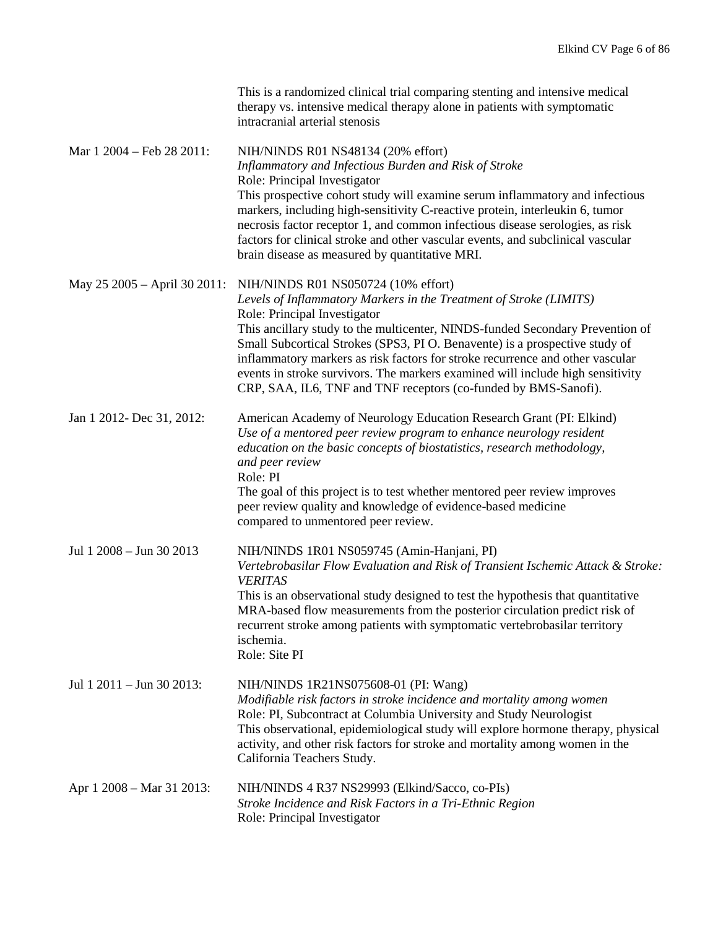|                                  | This is a randomized clinical trial comparing stenting and intensive medical<br>therapy vs. intensive medical therapy alone in patients with symptomatic<br>intracranial arterial stenosis                                                                                                                                                                                                                                                                                                                                                      |
|----------------------------------|-------------------------------------------------------------------------------------------------------------------------------------------------------------------------------------------------------------------------------------------------------------------------------------------------------------------------------------------------------------------------------------------------------------------------------------------------------------------------------------------------------------------------------------------------|
| Mar 1 2004 – Feb 28 2011:        | NIH/NINDS R01 NS48134 (20% effort)<br>Inflammatory and Infectious Burden and Risk of Stroke<br>Role: Principal Investigator<br>This prospective cohort study will examine serum inflammatory and infectious<br>markers, including high-sensitivity C-reactive protein, interleukin 6, tumor<br>necrosis factor receptor 1, and common infectious disease serologies, as risk<br>factors for clinical stroke and other vascular events, and subclinical vascular<br>brain disease as measured by quantitative MRI.                               |
| May 25 2005 – April 30 2011:     | NIH/NINDS R01 NS050724 (10% effort)<br>Levels of Inflammatory Markers in the Treatment of Stroke (LIMITS)<br>Role: Principal Investigator<br>This ancillary study to the multicenter, NINDS-funded Secondary Prevention of<br>Small Subcortical Strokes (SPS3, PI O. Benavente) is a prospective study of<br>inflammatory markers as risk factors for stroke recurrence and other vascular<br>events in stroke survivors. The markers examined will include high sensitivity<br>CRP, SAA, IL6, TNF and TNF receptors (co-funded by BMS-Sanofi). |
| Jan 1 2012- Dec 31, 2012:        | American Academy of Neurology Education Research Grant (PI: Elkind)<br>Use of a mentored peer review program to enhance neurology resident<br>education on the basic concepts of biostatistics, research methodology,<br>and peer review<br>Role: PI<br>The goal of this project is to test whether mentored peer review improves<br>peer review quality and knowledge of evidence-based medicine<br>compared to unmentored peer review.                                                                                                        |
| Jul 1 2008 - Jun 30 2013         | NIH/NINDS 1R01 NS059745 (Amin-Hanjani, PI)<br>Vertebrobasilar Flow Evaluation and Risk of Transient Ischemic Attack & Stroke:<br><b>VERITAS</b><br>This is an observational study designed to test the hypothesis that quantitative<br>MRA-based flow measurements from the posterior circulation predict risk of<br>recurrent stroke among patients with symptomatic vertebrobasilar territory<br>ischemia.<br>Role: Site PI                                                                                                                   |
| Jul $1\ 2011 -$ Jun $30\ 2013$ : | NIH/NINDS 1R21NS075608-01 (PI: Wang)<br>Modifiable risk factors in stroke incidence and mortality among women<br>Role: PI, Subcontract at Columbia University and Study Neurologist<br>This observational, epidemiological study will explore hormone therapy, physical<br>activity, and other risk factors for stroke and mortality among women in the<br>California Teachers Study.                                                                                                                                                           |
| Apr 1 2008 – Mar 31 2013:        | NIH/NINDS 4 R37 NS29993 (Elkind/Sacco, co-PIs)<br>Stroke Incidence and Risk Factors in a Tri-Ethnic Region<br>Role: Principal Investigator                                                                                                                                                                                                                                                                                                                                                                                                      |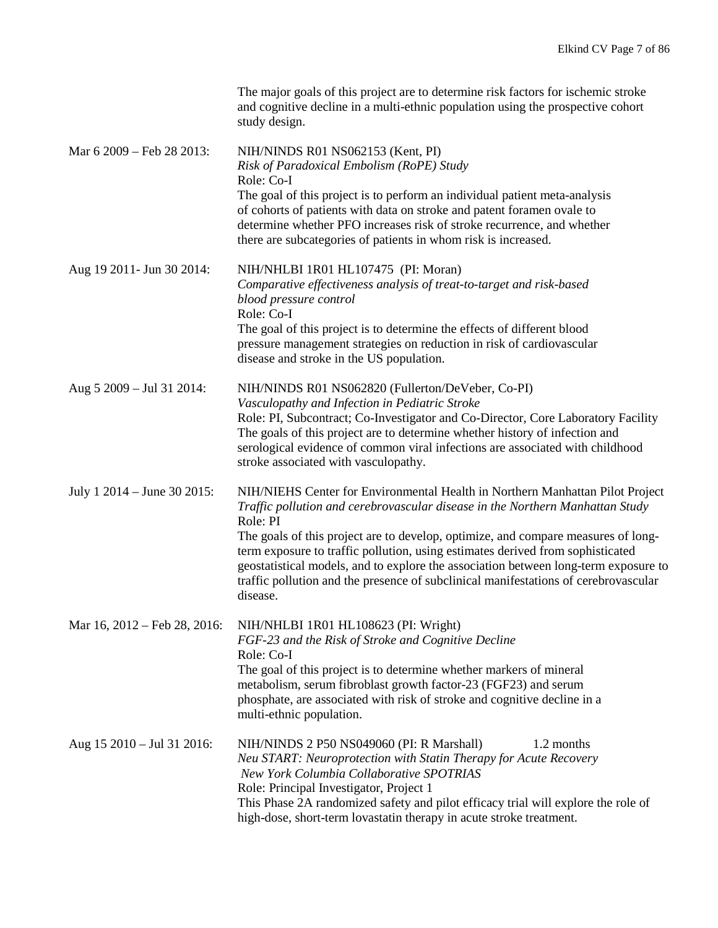|                              | The major goals of this project are to determine risk factors for ischemic stroke<br>and cognitive decline in a multi-ethnic population using the prospective cohort<br>study design.                                                                                                                                                                                                                                                                                                                                                       |
|------------------------------|---------------------------------------------------------------------------------------------------------------------------------------------------------------------------------------------------------------------------------------------------------------------------------------------------------------------------------------------------------------------------------------------------------------------------------------------------------------------------------------------------------------------------------------------|
| Mar 6 2009 – Feb 28 2013:    | NIH/NINDS R01 NS062153 (Kent, PI)<br>Risk of Paradoxical Embolism (RoPE) Study<br>Role: Co-I<br>The goal of this project is to perform an individual patient meta-analysis<br>of cohorts of patients with data on stroke and patent foramen ovale to<br>determine whether PFO increases risk of stroke recurrence, and whether<br>there are subcategories of patients in whom risk is increased.                                                                                                                                            |
| Aug 19 2011- Jun 30 2014:    | NIH/NHLBI 1R01 HL107475 (PI: Moran)<br>Comparative effectiveness analysis of treat-to-target and risk-based<br>blood pressure control<br>Role: Co-I<br>The goal of this project is to determine the effects of different blood<br>pressure management strategies on reduction in risk of cardiovascular<br>disease and stroke in the US population.                                                                                                                                                                                         |
| Aug 5 2009 – Jul 31 2014:    | NIH/NINDS R01 NS062820 (Fullerton/DeVeber, Co-PI)<br>Vasculopathy and Infection in Pediatric Stroke<br>Role: PI, Subcontract; Co-Investigator and Co-Director, Core Laboratory Facility<br>The goals of this project are to determine whether history of infection and<br>serological evidence of common viral infections are associated with childhood<br>stroke associated with vasculopathy.                                                                                                                                             |
| July 1 2014 – June 30 2015:  | NIH/NIEHS Center for Environmental Health in Northern Manhattan Pilot Project<br>Traffic pollution and cerebrovascular disease in the Northern Manhattan Study<br>Role: PI<br>The goals of this project are to develop, optimize, and compare measures of long-<br>term exposure to traffic pollution, using estimates derived from sophisticated<br>geostatistical models, and to explore the association between long-term exposure to<br>traffic pollution and the presence of subclinical manifestations of cerebrovascular<br>disease. |
| Mar 16, 2012 – Feb 28, 2016: | NIH/NHLBI 1R01 HL108623 (PI: Wright)<br>FGF-23 and the Risk of Stroke and Cognitive Decline<br>Role: Co-I<br>The goal of this project is to determine whether markers of mineral<br>metabolism, serum fibroblast growth factor-23 (FGF23) and serum<br>phosphate, are associated with risk of stroke and cognitive decline in a<br>multi-ethnic population.                                                                                                                                                                                 |
| Aug 15 2010 - Jul 31 2016:   | NIH/NINDS 2 P50 NS049060 (PI: R Marshall)<br>1.2 months<br>Neu START: Neuroprotection with Statin Therapy for Acute Recovery<br>New York Columbia Collaborative SPOTRIAS<br>Role: Principal Investigator, Project 1<br>This Phase 2A randomized safety and pilot efficacy trial will explore the role of<br>high-dose, short-term lovastatin therapy in acute stroke treatment.                                                                                                                                                             |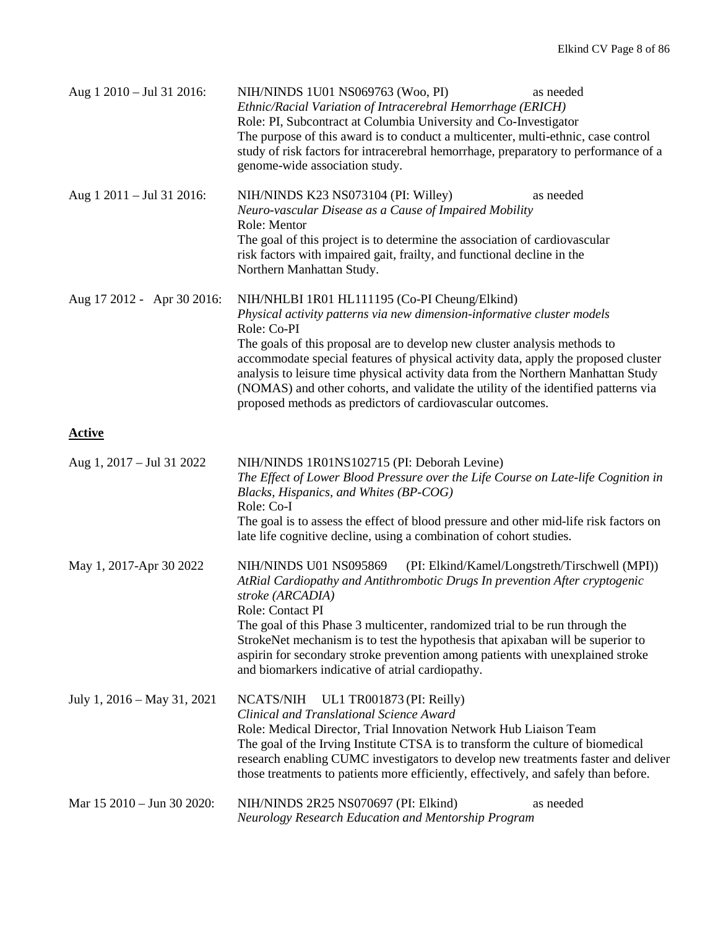| Aug 1 2010 - Jul 31 2016:   | NIH/NINDS 1U01 NS069763 (Woo, PI)<br>as needed<br>Ethnic/Racial Variation of Intracerebral Hemorrhage (ERICH)<br>Role: PI, Subcontract at Columbia University and Co-Investigator<br>The purpose of this award is to conduct a multicenter, multi-ethnic, case control<br>study of risk factors for intracerebral hemorrhage, preparatory to performance of a<br>genome-wide association study.                                                                                                                                                     |  |
|-----------------------------|-----------------------------------------------------------------------------------------------------------------------------------------------------------------------------------------------------------------------------------------------------------------------------------------------------------------------------------------------------------------------------------------------------------------------------------------------------------------------------------------------------------------------------------------------------|--|
| Aug 1 2011 - Jul 31 2016:   | NIH/NINDS K23 NS073104 (PI: Willey)<br>as needed<br>Neuro-vascular Disease as a Cause of Impaired Mobility<br>Role: Mentor<br>The goal of this project is to determine the association of cardiovascular<br>risk factors with impaired gait, frailty, and functional decline in the<br>Northern Manhattan Study.                                                                                                                                                                                                                                    |  |
| Aug 17 2012 - Apr 30 2016:  | NIH/NHLBI 1R01 HL111195 (Co-PI Cheung/Elkind)<br>Physical activity patterns via new dimension-informative cluster models<br>Role: Co-PI<br>The goals of this proposal are to develop new cluster analysis methods to<br>accommodate special features of physical activity data, apply the proposed cluster<br>analysis to leisure time physical activity data from the Northern Manhattan Study<br>(NOMAS) and other cohorts, and validate the utility of the identified patterns via<br>proposed methods as predictors of cardiovascular outcomes. |  |
| <b>Active</b>               |                                                                                                                                                                                                                                                                                                                                                                                                                                                                                                                                                     |  |
| Aug 1, 2017 – Jul 31 2022   | NIH/NINDS 1R01NS102715 (PI: Deborah Levine)<br>The Effect of Lower Blood Pressure over the Life Course on Late-life Cognition in<br>Blacks, Hispanics, and Whites (BP-COG)<br>Role: Co-I<br>The goal is to assess the effect of blood pressure and other mid-life risk factors on<br>late life cognitive decline, using a combination of cohort studies.                                                                                                                                                                                            |  |
| May 1, 2017-Apr 30 2022     | (PI: Elkind/Kamel/Longstreth/Tirschwell (MPI))<br>NIH/NINDS U01 NS095869<br>AtRial Cardiopathy and Antithrombotic Drugs In prevention After cryptogenic<br>stroke (ARCADIA)<br>Role: Contact PI<br>The goal of this Phase 3 multicenter, randomized trial to be run through the<br>StrokeNet mechanism is to test the hypothesis that apixaban will be superior to<br>aspirin for secondary stroke prevention among patients with unexplained stroke<br>and biomarkers indicative of atrial cardiopathy.                                            |  |
| July 1, 2016 – May 31, 2021 | NCATS/NIH<br>UL1 TR001873 (PI: Reilly)<br>Clinical and Translational Science Award<br>Role: Medical Director, Trial Innovation Network Hub Liaison Team<br>The goal of the Irving Institute CTSA is to transform the culture of biomedical<br>research enabling CUMC investigators to develop new treatments faster and deliver<br>those treatments to patients more efficiently, effectively, and safely than before.                                                                                                                              |  |
| Mar 15 2010 - Jun 30 2020:  | NIH/NINDS 2R25 NS070697 (PI: Elkind)<br>as needed<br>Neurology Research Education and Mentorship Program                                                                                                                                                                                                                                                                                                                                                                                                                                            |  |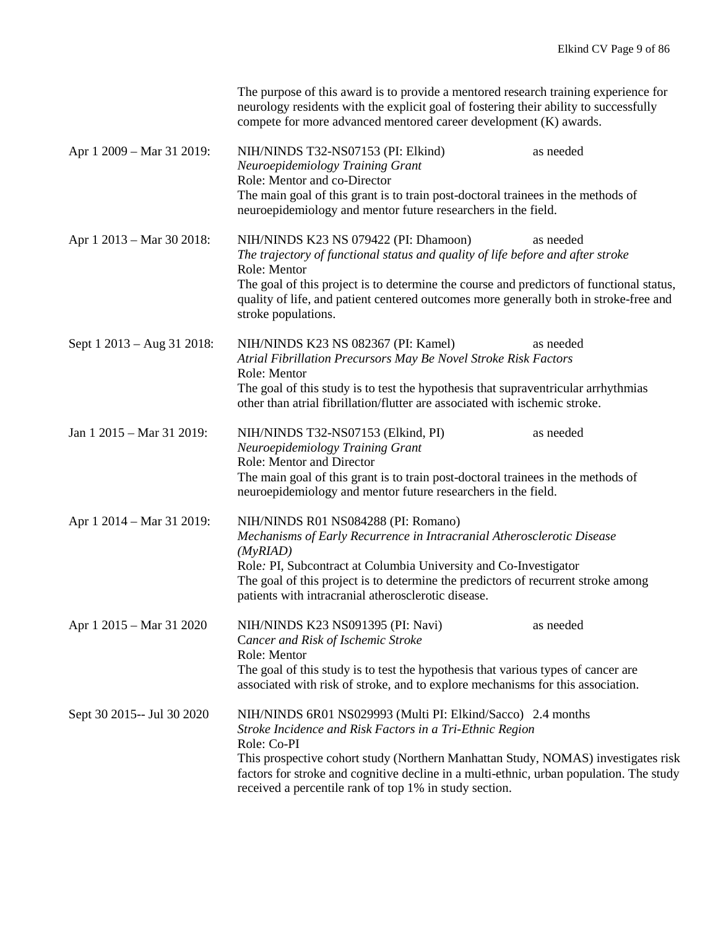|                            | The purpose of this award is to provide a mentored research training experience for<br>neurology residents with the explicit goal of fostering their ability to successfully<br>compete for more advanced mentored career development (K) awards.                                                                                                                                |           |
|----------------------------|----------------------------------------------------------------------------------------------------------------------------------------------------------------------------------------------------------------------------------------------------------------------------------------------------------------------------------------------------------------------------------|-----------|
| Apr 1 2009 – Mar 31 2019:  | NIH/NINDS T32-NS07153 (PI: Elkind)<br>Neuroepidemiology Training Grant<br>Role: Mentor and co-Director<br>The main goal of this grant is to train post-doctoral trainees in the methods of<br>neuroepidemiology and mentor future researchers in the field.                                                                                                                      | as needed |
| Apr 1 2013 – Mar 30 2018:  | NIH/NINDS K23 NS 079422 (PI: Dhamoon)<br>The trajectory of functional status and quality of life before and after stroke<br>Role: Mentor<br>The goal of this project is to determine the course and predictors of functional status,<br>quality of life, and patient centered outcomes more generally both in stroke-free and<br>stroke populations.                             | as needed |
| Sept 1 2013 – Aug 31 2018: | NIH/NINDS K23 NS 082367 (PI: Kamel)<br>Atrial Fibrillation Precursors May Be Novel Stroke Risk Factors<br>Role: Mentor<br>The goal of this study is to test the hypothesis that supraventricular arrhythmias<br>other than atrial fibrillation/flutter are associated with ischemic stroke.                                                                                      | as needed |
| Jan 1 2015 – Mar 31 2019:  | NIH/NINDS T32-NS07153 (Elkind, PI)<br>Neuroepidemiology Training Grant<br><b>Role: Mentor and Director</b><br>The main goal of this grant is to train post-doctoral trainees in the methods of<br>neuroepidemiology and mentor future researchers in the field.                                                                                                                  | as needed |
| Apr 1 2014 – Mar 31 2019:  | NIH/NINDS R01 NS084288 (PI: Romano)<br>Mechanisms of Early Recurrence in Intracranial Atherosclerotic Disease<br>(MyRIAD)<br>Role: PI, Subcontract at Columbia University and Co-Investigator<br>The goal of this project is to determine the predictors of recurrent stroke among<br>patients with intracranial atherosclerotic disease.                                        |           |
| Apr 1 2015 – Mar 31 2020   | NIH/NINDS K23 NS091395 (PI: Navi)<br>Cancer and Risk of Ischemic Stroke<br>Role: Mentor<br>The goal of this study is to test the hypothesis that various types of cancer are<br>associated with risk of stroke, and to explore mechanisms for this association.                                                                                                                  | as needed |
| Sept 30 2015-- Jul 30 2020 | NIH/NINDS 6R01 NS029993 (Multi PI: Elkind/Sacco) 2.4 months<br>Stroke Incidence and Risk Factors in a Tri-Ethnic Region<br>Role: Co-PI<br>This prospective cohort study (Northern Manhattan Study, NOMAS) investigates risk<br>factors for stroke and cognitive decline in a multi-ethnic, urban population. The study<br>received a percentile rank of top 1% in study section. |           |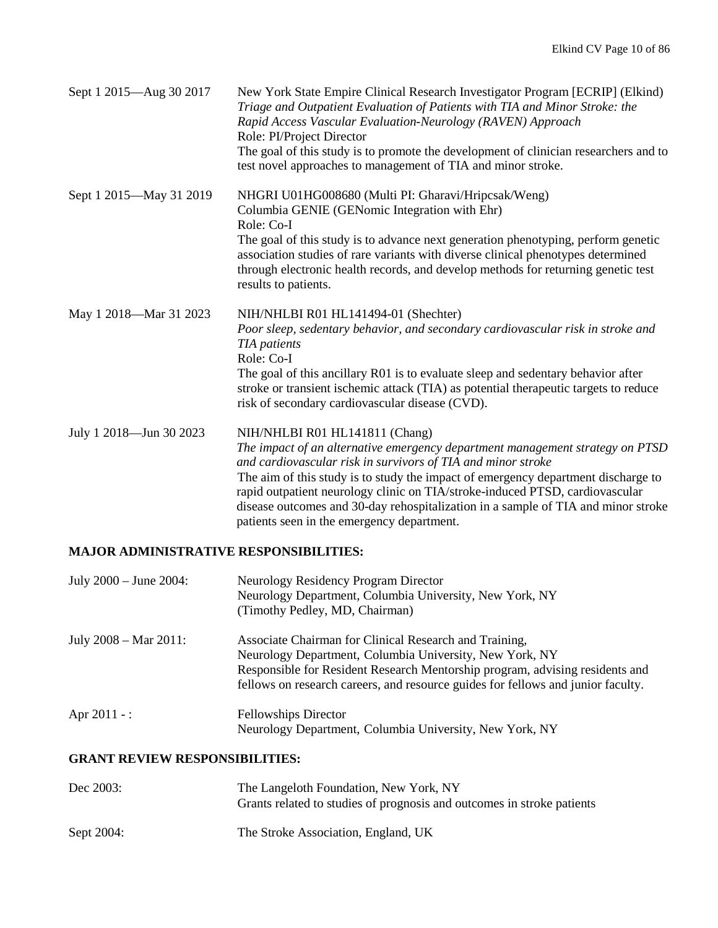| Sept 1 2015—Aug 30 2017 | New York State Empire Clinical Research Investigator Program [ECRIP] (Elkind)<br>Triage and Outpatient Evaluation of Patients with TIA and Minor Stroke: the<br>Rapid Access Vascular Evaluation-Neurology (RAVEN) Approach<br>Role: PI/Project Director<br>The goal of this study is to promote the development of clinician researchers and to<br>test novel approaches to management of TIA and minor stroke.                                                                        |
|-------------------------|-----------------------------------------------------------------------------------------------------------------------------------------------------------------------------------------------------------------------------------------------------------------------------------------------------------------------------------------------------------------------------------------------------------------------------------------------------------------------------------------|
| Sept 1 2015—May 31 2019 | NHGRI U01HG008680 (Multi PI: Gharavi/Hripcsak/Weng)<br>Columbia GENIE (GENomic Integration with Ehr)<br>Role: Co-I<br>The goal of this study is to advance next generation phenotyping, perform genetic<br>association studies of rare variants with diverse clinical phenotypes determined<br>through electronic health records, and develop methods for returning genetic test<br>results to patients.                                                                                |
| May 1 2018-Mar 31 2023  | NIH/NHLBI R01 HL141494-01 (Shechter)<br>Poor sleep, sedentary behavior, and secondary cardiovascular risk in stroke and<br><b>TIA</b> patients<br>Role: Co-I<br>The goal of this ancillary R01 is to evaluate sleep and sedentary behavior after<br>stroke or transient ischemic attack (TIA) as potential therapeutic targets to reduce<br>risk of secondary cardiovascular disease (CVD).                                                                                             |
| July 1 2018-Jun 30 2023 | NIH/NHLBI R01 HL141811 (Chang)<br>The impact of an alternative emergency department management strategy on PTSD<br>and cardiovascular risk in survivors of TIA and minor stroke<br>The aim of this study is to study the impact of emergency department discharge to<br>rapid outpatient neurology clinic on TIA/stroke-induced PTSD, cardiovascular<br>disease outcomes and 30-day rehospitalization in a sample of TIA and minor stroke<br>patients seen in the emergency department. |

# **MAJOR ADMINISTRATIVE RESPONSIBILITIES:**

| July $2000 -$ June $2004$ :      | Neurology Residency Program Director<br>Neurology Department, Columbia University, New York, NY<br>(Timothy Pedley, MD, Chairman)                                                                                                                                                     |
|----------------------------------|---------------------------------------------------------------------------------------------------------------------------------------------------------------------------------------------------------------------------------------------------------------------------------------|
| July $2008 - \text{Mar } 2011$ : | Associate Chairman for Clinical Research and Training,<br>Neurology Department, Columbia University, New York, NY<br>Responsible for Resident Research Mentorship program, advising residents and<br>fellows on research careers, and resource guides for fellows and junior faculty. |
| Apr $2011 -$ :                   | <b>Fellowships Director</b><br>Neurology Department, Columbia University, New York, NY                                                                                                                                                                                                |

# **GRANT REVIEW RESPONSIBILITIES:**

| Dec 2003:  | The Langeloth Foundation, New York, NY<br>Grants related to studies of prognosis and outcomes in stroke patients |
|------------|------------------------------------------------------------------------------------------------------------------|
| Sept 2004: | The Stroke Association, England, UK                                                                              |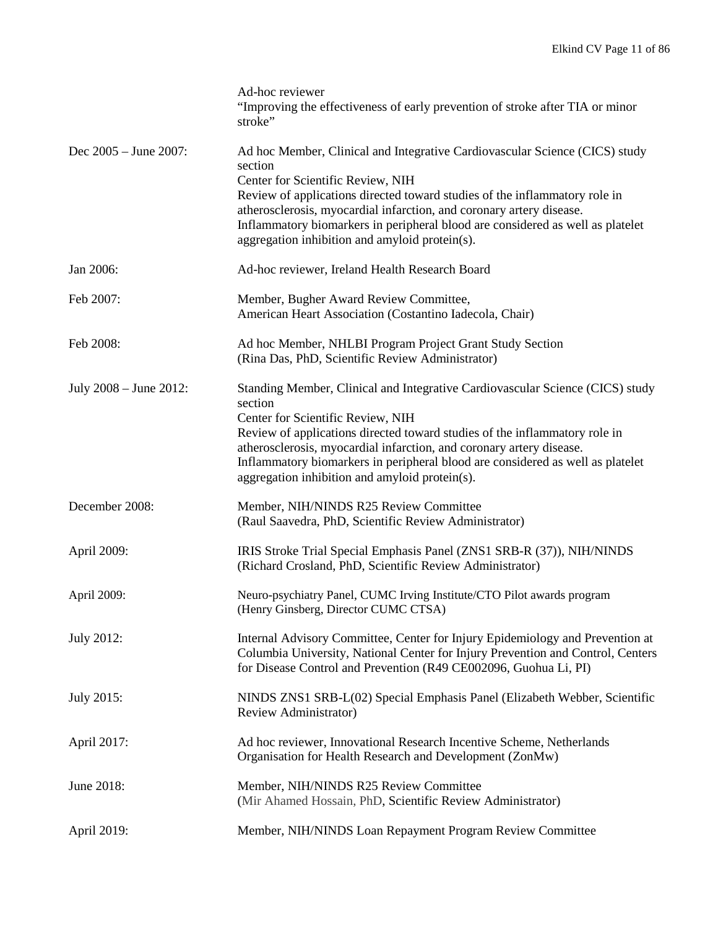|                        | Ad-hoc reviewer<br>"Improving the effectiveness of early prevention of stroke after TIA or minor<br>stroke"                                                                                                                                                                                                                                                                                                             |
|------------------------|-------------------------------------------------------------------------------------------------------------------------------------------------------------------------------------------------------------------------------------------------------------------------------------------------------------------------------------------------------------------------------------------------------------------------|
| Dec 2005 - June 2007:  | Ad hoc Member, Clinical and Integrative Cardiovascular Science (CICS) study<br>section<br>Center for Scientific Review, NIH<br>Review of applications directed toward studies of the inflammatory role in<br>atherosclerosis, myocardial infarction, and coronary artery disease.<br>Inflammatory biomarkers in peripheral blood are considered as well as platelet<br>aggregation inhibition and amyloid protein(s).   |
| Jan 2006:              | Ad-hoc reviewer, Ireland Health Research Board                                                                                                                                                                                                                                                                                                                                                                          |
| Feb 2007:              | Member, Bugher Award Review Committee,<br>American Heart Association (Costantino Iadecola, Chair)                                                                                                                                                                                                                                                                                                                       |
| Feb 2008:              | Ad hoc Member, NHLBI Program Project Grant Study Section<br>(Rina Das, PhD, Scientific Review Administrator)                                                                                                                                                                                                                                                                                                            |
| July 2008 - June 2012: | Standing Member, Clinical and Integrative Cardiovascular Science (CICS) study<br>section<br>Center for Scientific Review, NIH<br>Review of applications directed toward studies of the inflammatory role in<br>atherosclerosis, myocardial infarction, and coronary artery disease.<br>Inflammatory biomarkers in peripheral blood are considered as well as platelet<br>aggregation inhibition and amyloid protein(s). |
| December 2008:         | Member, NIH/NINDS R25 Review Committee<br>(Raul Saavedra, PhD, Scientific Review Administrator)                                                                                                                                                                                                                                                                                                                         |
| April 2009:            | IRIS Stroke Trial Special Emphasis Panel (ZNS1 SRB-R (37)), NIH/NINDS<br>(Richard Crosland, PhD, Scientific Review Administrator)                                                                                                                                                                                                                                                                                       |
| April 2009:            | Neuro-psychiatry Panel, CUMC Irving Institute/CTO Pilot awards program<br>(Henry Ginsberg, Director CUMC CTSA)                                                                                                                                                                                                                                                                                                          |
| July 2012:             | Internal Advisory Committee, Center for Injury Epidemiology and Prevention at<br>Columbia University, National Center for Injury Prevention and Control, Centers<br>for Disease Control and Prevention (R49 CE002096, Guohua Li, PI)                                                                                                                                                                                    |
| July 2015:             | NINDS ZNS1 SRB-L(02) Special Emphasis Panel (Elizabeth Webber, Scientific<br>Review Administrator)                                                                                                                                                                                                                                                                                                                      |
| April 2017:            | Ad hoc reviewer, Innovational Research Incentive Scheme, Netherlands<br>Organisation for Health Research and Development (ZonMw)                                                                                                                                                                                                                                                                                        |
| June 2018:             | Member, NIH/NINDS R25 Review Committee<br>(Mir Ahamed Hossain, PhD, Scientific Review Administrator)                                                                                                                                                                                                                                                                                                                    |
| April 2019:            | Member, NIH/NINDS Loan Repayment Program Review Committee                                                                                                                                                                                                                                                                                                                                                               |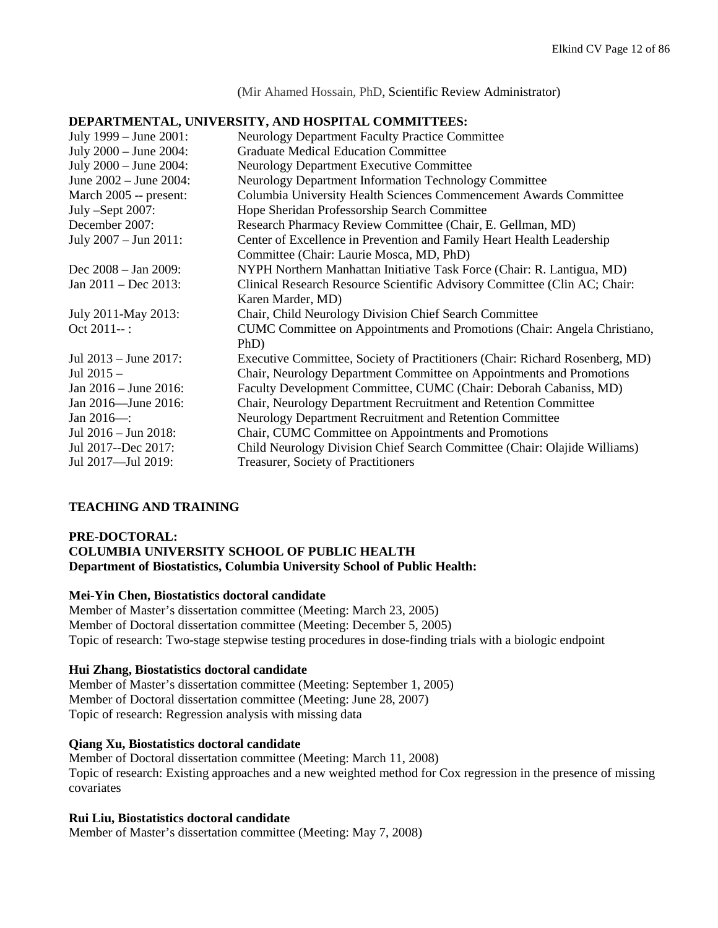(Mir Ahamed Hossain, PhD, Scientific Review Administrator)

#### **DEPARTMENTAL, UNIVERSITY, AND HOSPITAL COMMITTEES:**

| July 1999 – June 2001:     | Neurology Department Faculty Practice Committee                              |
|----------------------------|------------------------------------------------------------------------------|
| July 2000 - June 2004:     | <b>Graduate Medical Education Committee</b>                                  |
| July 2000 - June 2004:     | <b>Neurology Department Executive Committee</b>                              |
| June 2002 - June 2004:     | Neurology Department Information Technology Committee                        |
| March 2005 -- present:     | Columbia University Health Sciences Commencement Awards Committee            |
| July -Sept 2007:           | Hope Sheridan Professorship Search Committee                                 |
| December 2007:             | Research Pharmacy Review Committee (Chair, E. Gellman, MD)                   |
| July 2007 - Jun 2011:      | Center of Excellence in Prevention and Family Heart Health Leadership        |
|                            | Committee (Chair: Laurie Mosca, MD, PhD)                                     |
| Dec $2008 - Jan 2009$ :    | NYPH Northern Manhattan Initiative Task Force (Chair: R. Lantigua, MD)       |
| Jan $2011 - Dec 2013$ :    | Clinical Research Resource Scientific Advisory Committee (Clin AC; Chair:    |
|                            | Karen Marder, MD)                                                            |
| July 2011-May 2013:        | Chair, Child Neurology Division Chief Search Committee                       |
| Oct 2011--:                | CUMC Committee on Appointments and Promotions (Chair: Angela Christiano,     |
|                            | PhD)                                                                         |
| Jul 2013 – June 2017:      | Executive Committee, Society of Practitioners (Chair: Richard Rosenberg, MD) |
| Jul $2015 -$               | Chair, Neurology Department Committee on Appointments and Promotions         |
| Jan $2016 -$ June $2016$ : | Faculty Development Committee, CUMC (Chair: Deborah Cabaniss, MD)            |
| Jan 2016—June 2016:        | Chair, Neurology Department Recruitment and Retention Committee              |
| Jan $2016$ -:              | Neurology Department Recruitment and Retention Committee                     |
| Jul 2016 - Jun 2018:       | Chair, CUMC Committee on Appointments and Promotions                         |
| Jul 2017--Dec 2017:        | Child Neurology Division Chief Search Committee (Chair: Olajide Williams)    |
| Jul 2017-Jul 2019:         | <b>Treasurer, Society of Practitioners</b>                                   |

### **TEACHING AND TRAINING**

#### **PRE-DOCTORAL: COLUMBIA UNIVERSITY SCHOOL OF PUBLIC HEALTH Department of Biostatistics, Columbia University School of Public Health:**

### **Mei-Yin Chen, Biostatistics doctoral candidate**

Member of Master's dissertation committee (Meeting: March 23, 2005) Member of Doctoral dissertation committee (Meeting: December 5, 2005) Topic of research: Two-stage stepwise testing procedures in dose-finding trials with a biologic endpoint

#### **Hui Zhang, Biostatistics doctoral candidate**

Member of Master's dissertation committee (Meeting: September 1, 2005) Member of Doctoral dissertation committee (Meeting: June 28, 2007) Topic of research: Regression analysis with missing data

### **Qiang Xu, Biostatistics doctoral candidate**

Member of Doctoral dissertation committee (Meeting: March 11, 2008) Topic of research: Existing approaches and a new weighted method for Cox regression in the presence of missing covariates

### **Rui Liu, Biostatistics doctoral candidate**

Member of Master's dissertation committee (Meeting: May 7, 2008)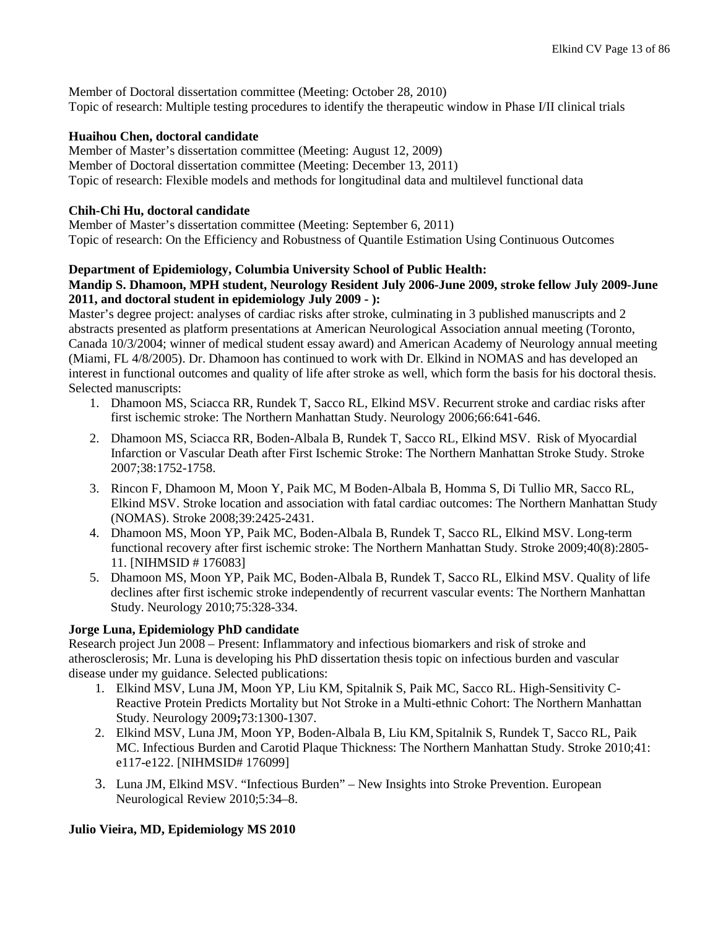Member of Doctoral dissertation committee (Meeting: October 28, 2010) Topic of research: Multiple testing procedures to identify the therapeutic window in Phase I/II clinical trials

### **Huaihou Chen, doctoral candidate**

Member of Master's dissertation committee (Meeting: August 12, 2009) Member of Doctoral dissertation committee (Meeting: December 13, 2011) Topic of research: Flexible models and methods for longitudinal data and multilevel functional data

### **Chih-Chi Hu, doctoral candidate**

Member of Master's dissertation committee (Meeting: September 6, 2011) Topic of research: On the Efficiency and Robustness of Quantile Estimation Using Continuous Outcomes

### **Department of Epidemiology, Columbia University School of Public Health:**

### **Mandip S. Dhamoon, MPH student, Neurology Resident July 2006-June 2009, stroke fellow July 2009-June 2011, and doctoral student in epidemiology July 2009 - ):**

Master's degree project: analyses of cardiac risks after stroke, culminating in 3 published manuscripts and 2 abstracts presented as platform presentations at American Neurological Association annual meeting (Toronto, Canada 10/3/2004; winner of medical student essay award) and American Academy of Neurology annual meeting (Miami, FL 4/8/2005). Dr. Dhamoon has continued to work with Dr. Elkind in NOMAS and has developed an interest in functional outcomes and quality of life after stroke as well, which form the basis for his doctoral thesis. Selected manuscripts:

- 1. Dhamoon MS, Sciacca RR, Rundek T, Sacco RL, Elkind MSV. Recurrent stroke and cardiac risks after first ischemic stroke: The Northern Manhattan Study. Neurology 2006;66:641-646.
- 2. Dhamoon MS, Sciacca RR, Boden-Albala B, Rundek T, Sacco RL, Elkind MSV. Risk of Myocardial Infarction or Vascular Death after First Ischemic Stroke: The Northern Manhattan Stroke Study. Stroke 2007;38:1752-1758.
- 3. Rincon F, Dhamoon M, Moon Y, Paik MC, M Boden-Albala B, Homma S, Di Tullio MR, Sacco RL, Elkind MSV. Stroke location and association with fatal cardiac outcomes: The Northern Manhattan Study (NOMAS). Stroke 2008;39:2425-2431.
- 4. Dhamoon MS, Moon YP, Paik MC, Boden-Albala B, Rundek T, Sacco RL, Elkind MSV. Long-term functional recovery after first ischemic stroke: The Northern Manhattan Study. Stroke 2009;40(8):2805- 11. [NIHMSID # 176083]
- 5. Dhamoon MS, Moon YP, Paik MC, Boden-Albala B, Rundek T, Sacco RL, Elkind MSV. Quality of life declines after first ischemic stroke independently of recurrent vascular events: The Northern Manhattan Study. Neurology 2010;75:328-334.

## **Jorge Luna, Epidemiology PhD candidate**

Research project Jun 2008 – Present: Inflammatory and infectious biomarkers and risk of stroke and atherosclerosis; Mr. Luna is developing his PhD dissertation thesis topic on infectious burden and vascular disease under my guidance. Selected publications:

- 1. Elkind MSV, Luna JM, Moon YP, Liu KM, Spitalnik S, Paik MC, Sacco RL. High-Sensitivity C-Reactive Protein Predicts Mortality but Not Stroke in a Multi-ethnic Cohort: The Northern Manhattan Study. Neurology 2009**;**73:1300-1307.
- 2. Elkind MSV, Luna JM, Moon YP, Boden-Albala B, Liu KM, Spitalnik S, Rundek T, Sacco RL, Paik MC. Infectious Burden and Carotid Plaque Thickness: The Northern Manhattan Study. Stroke 2010;41: e117-e122. [NIHMSID# 176099]
- 3. Luna JM, Elkind MSV. "Infectious Burden" New Insights into Stroke Prevention. European Neurological Review 2010;5:34–8.

## **Julio Vieira, MD, Epidemiology MS 2010**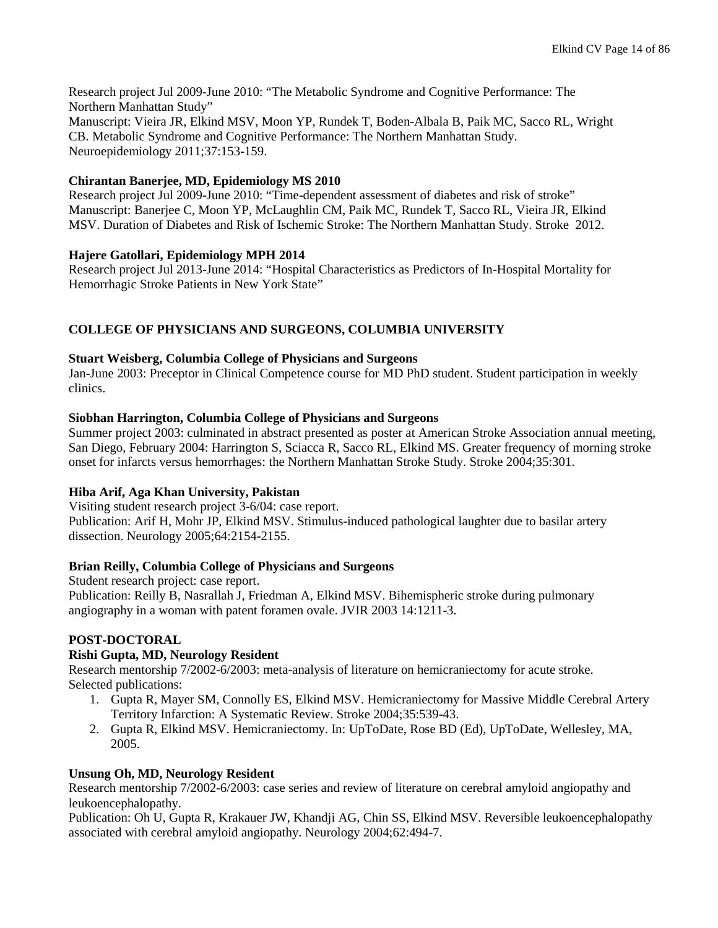Research project Jul 2009-June 2010: "The Metabolic Syndrome and Cognitive Performance: The Northern Manhattan Study" Manuscript: Vieira JR, Elkind MSV, Moon YP, Rundek T, Boden-Albala B, Paik MC, Sacco RL, Wright CB. Metabolic Syndrome and Cognitive Performance: The Northern Manhattan Study. Neuroepidemiology 2011;37:153-159.

### **Chirantan Banerjee, MD, Epidemiology MS 2010**

Research project Jul 2009-June 2010: "Time-dependent assessment of diabetes and risk of stroke" Manuscript: Banerjee C, Moon YP, McLaughlin CM, Paik MC, Rundek T, Sacco RL, Vieira JR, Elkind MSV. Duration of Diabetes and Risk of Ischemic Stroke: The Northern Manhattan Study. Stroke 2012.

### **Hajere Gatollari, Epidemiology MPH 2014**

Research project Jul 2013-June 2014: "Hospital Characteristics as Predictors of In-Hospital Mortality for Hemorrhagic Stroke Patients in New York State"

## **COLLEGE OF PHYSICIANS AND SURGEONS, COLUMBIA UNIVERSITY**

### **Stuart Weisberg, Columbia College of Physicians and Surgeons**

Jan-June 2003: Preceptor in Clinical Competence course for MD PhD student. Student participation in weekly clinics.

### **Siobhan Harrington, Columbia College of Physicians and Surgeons**

Summer project 2003: culminated in abstract presented as poster at American Stroke Association annual meeting, San Diego, February 2004: Harrington S, Sciacca R, Sacco RL, Elkind MS. Greater frequency of morning stroke onset for infarcts versus hemorrhages: the Northern Manhattan Stroke Study. Stroke 2004;35:301.

## **Hiba Arif, Aga Khan University, Pakistan**

Visiting student research project 3-6/04: case report. Publication: Arif H, Mohr JP, Elkind MSV. Stimulus-induced pathological laughter due to basilar artery dissection. Neurology 2005;64:2154-2155.

### **Brian Reilly, Columbia College of Physicians and Surgeons**

Student research project: case report.

Publication: Reilly B, Nasrallah J, Friedman A, Elkind MSV. Bihemispheric stroke during pulmonary angiography in a woman with patent foramen ovale. JVIR 2003 14:1211-3.

## **POST-DOCTORAL**

## **Rishi Gupta, MD, Neurology Resident**

Research mentorship 7/2002-6/2003: meta-analysis of literature on hemicraniectomy for acute stroke. Selected publications:

- 1. Gupta R, Mayer SM, Connolly ES, Elkind MSV. Hemicraniectomy for Massive Middle Cerebral Artery Territory Infarction: A Systematic Review. Stroke 2004;35:539-43.
- 2. Gupta R, Elkind MSV. Hemicraniectomy. In: UpToDate, Rose BD (Ed), UpToDate, Wellesley, MA, 2005.

### **Unsung Oh, MD, Neurology Resident**

Research mentorship 7/2002-6/2003: case series and review of literature on cerebral amyloid angiopathy and leukoencephalopathy.

Publication: Oh U, Gupta R, Krakauer JW, Khandji AG, Chin SS, Elkind MSV. Reversible leukoencephalopathy associated with cerebral amyloid angiopathy. Neurology 2004;62:494-7.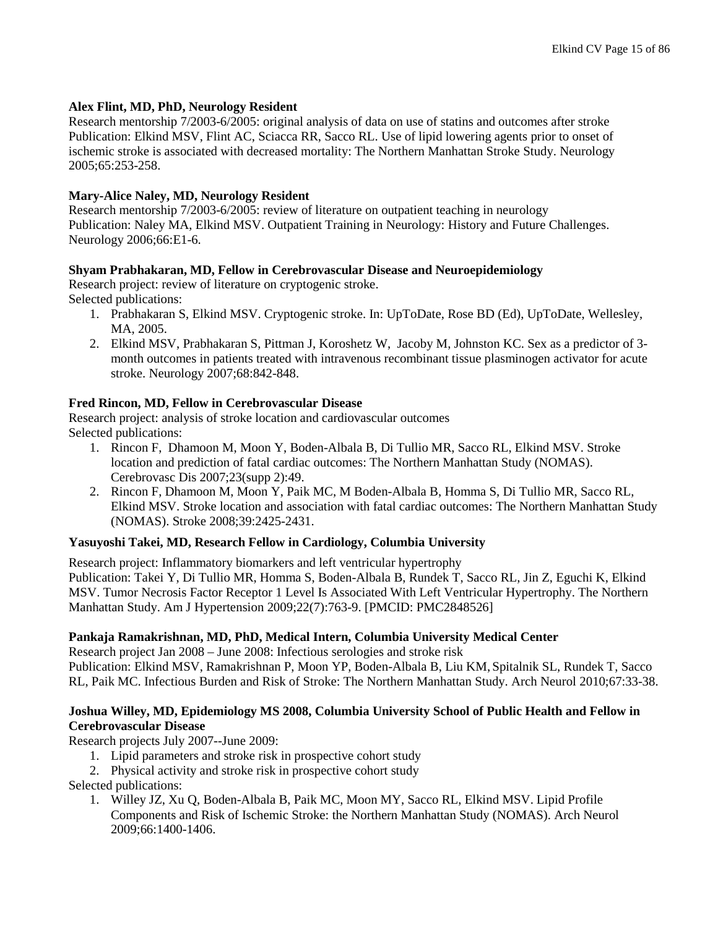#### **Alex Flint, MD, PhD, Neurology Resident**

Research mentorship 7/2003-6/2005: original analysis of data on use of statins and outcomes after stroke Publication: Elkind MSV, Flint AC, Sciacca RR, Sacco RL. Use of lipid lowering agents prior to onset of ischemic stroke is associated with decreased mortality: The Northern Manhattan Stroke Study. Neurology 2005;65:253-258.

#### **Mary-Alice Naley, MD, Neurology Resident**

Research mentorship 7/2003-6/2005: review of literature on outpatient teaching in neurology Publication: Naley MA, Elkind MSV. Outpatient Training in Neurology: History and Future Challenges. Neurology 2006;66:E1-6.

#### **Shyam Prabhakaran, MD, Fellow in Cerebrovascular Disease and Neuroepidemiology**

Research project: review of literature on cryptogenic stroke. Selected publications:

- 1. Prabhakaran S, Elkind MSV. Cryptogenic stroke. In: UpToDate, Rose BD (Ed), UpToDate, Wellesley, MA, 2005.
- 2. Elkind MSV, Prabhakaran S, Pittman J, Koroshetz W, Jacoby M, Johnston KC. Sex as a predictor of 3 month outcomes in patients treated with intravenous recombinant tissue plasminogen activator for acute stroke. Neurology 2007;68:842-848.

### **Fred Rincon, MD, Fellow in Cerebrovascular Disease**

Research project: analysis of stroke location and cardiovascular outcomes Selected publications:

- 1. Rincon F, Dhamoon M, Moon Y, Boden-Albala B, Di Tullio MR, Sacco RL, Elkind MSV. Stroke location and prediction of fatal cardiac outcomes: The Northern Manhattan Study (NOMAS). Cerebrovasc Dis 2007;23(supp 2):49.
- 2. Rincon F, Dhamoon M, Moon Y, Paik MC, M Boden-Albala B, Homma S, Di Tullio MR, Sacco RL, Elkind MSV. Stroke location and association with fatal cardiac outcomes: The Northern Manhattan Study (NOMAS). Stroke 2008;39:2425-2431.

### **Yasuyoshi Takei, MD, Research Fellow in Cardiology, Columbia University**

Research project: Inflammatory biomarkers and left ventricular hypertrophy

Publication: Takei Y, Di Tullio MR, Homma S, Boden-Albala B, Rundek T, Sacco RL, Jin Z, Eguchi K, Elkind MSV. Tumor Necrosis Factor Receptor 1 Level Is Associated With Left Ventricular Hypertrophy. The Northern Manhattan Study. Am J Hypertension 2009;22(7):763-9. [PMCID: PMC2848526]

#### **Pankaja Ramakrishnan, MD, PhD, Medical Intern, Columbia University Medical Center**

Research project Jan 2008 – June 2008: Infectious serologies and stroke risk

Publication: Elkind MSV, Ramakrishnan P, Moon YP, Boden-Albala B, Liu KM, Spitalnik SL, Rundek T, Sacco RL, Paik MC. Infectious Burden and Risk of Stroke: The Northern Manhattan Study. Arch Neurol 2010;67:33-38.

### **Joshua Willey, MD, Epidemiology MS 2008, Columbia University School of Public Health and Fellow in Cerebrovascular Disease**

Research projects July 2007--June 2009:

- 1. Lipid parameters and stroke risk in prospective cohort study
- 2. Physical activity and stroke risk in prospective cohort study

Selected publications:

1. Willey JZ, Xu Q, Boden-Albala B, Paik MC, Moon MY, Sacco RL, Elkind MSV. Lipid Profile Components and Risk of Ischemic Stroke: the Northern Manhattan Study (NOMAS). Arch Neurol 2009;66:1400-1406.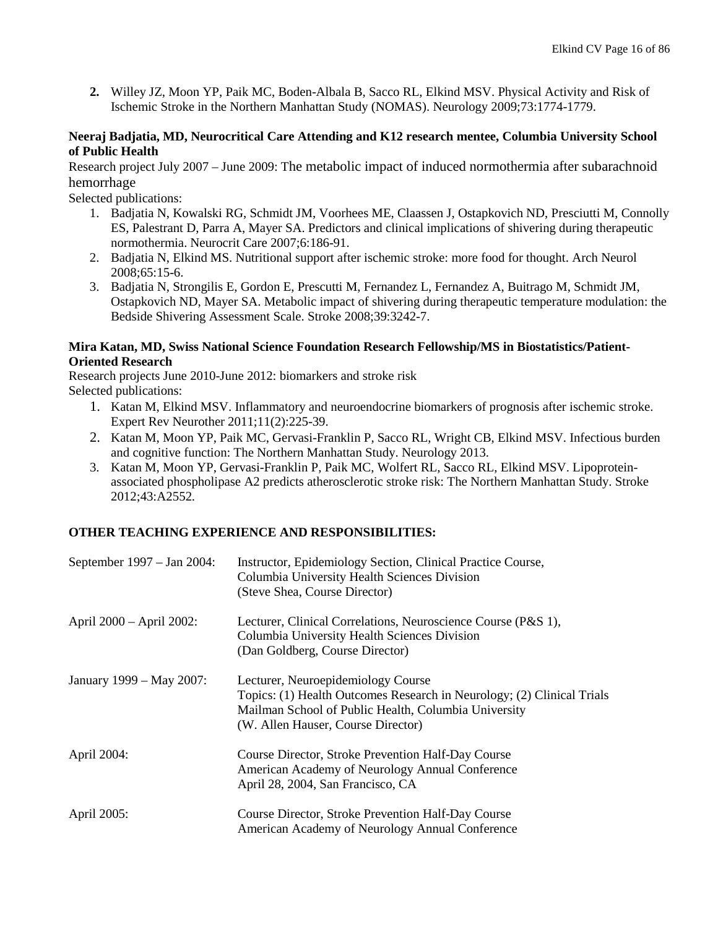**2.** Willey JZ, Moon YP, Paik MC, Boden-Albala B, Sacco RL, Elkind MSV. Physical Activity and Risk of Ischemic Stroke in the Northern Manhattan Study (NOMAS). Neurology 2009;73:1774-1779.

### **Neeraj Badjatia, MD, Neurocritical Care Attending and K12 research mentee, Columbia University School of Public Health**

Research project July 2007 – June 2009: The metabolic impact of induced normothermia after subarachnoid hemorrhage

Selected publications:

- 1. Badjatia N, Kowalski RG, Schmidt JM, Voorhees ME, Claassen J, Ostapkovich ND, Presciutti M, Connolly ES, Palestrant D, Parra A, Mayer SA. [Predictors and clinical implications of shivering during therapeutic](http://www.ncbi.nlm.nih.gov/pubmed/17534584?ordinalpos=12&itool=EntrezSystem2.PEntrez.Pubmed.Pubmed_ResultsPanel.Pubmed_DefaultReportPanel.Pubmed_RVDocSum)  [normothermia.](http://www.ncbi.nlm.nih.gov/pubmed/17534584?ordinalpos=12&itool=EntrezSystem2.PEntrez.Pubmed.Pubmed_ResultsPanel.Pubmed_DefaultReportPanel.Pubmed_RVDocSum) Neurocrit Care 2007;6:186-91.
- 2. Badjatia N, Elkind MS. [Nutritional support after ischemic stroke: more food for thought.](http://www.ncbi.nlm.nih.gov/pubmed/18195135?ordinalpos=11&itool=EntrezSystem2.PEntrez.Pubmed.Pubmed_ResultsPanel.Pubmed_DefaultReportPanel.Pubmed_RVDocSum) Arch Neurol 2008;65:15-6.
- 3. Badjatia N, Strongilis E, Gordon E, Prescutti M, Fernandez L, Fernandez A, Buitrago M, Schmidt JM, Ostapkovich ND, Mayer SA. [Metabolic impact of shivering during therapeutic temperature modulation: the](http://www.ncbi.nlm.nih.gov/pubmed/18927450?ordinalpos=5&itool=EntrezSystem2.PEntrez.Pubmed.Pubmed_ResultsPanel.Pubmed_DefaultReportPanel.Pubmed_RVDocSum)  [Bedside Shivering Assessment Scale.](http://www.ncbi.nlm.nih.gov/pubmed/18927450?ordinalpos=5&itool=EntrezSystem2.PEntrez.Pubmed.Pubmed_ResultsPanel.Pubmed_DefaultReportPanel.Pubmed_RVDocSum) Stroke 2008;39:3242-7.

### **Mira Katan, MD, Swiss National Science Foundation Research Fellowship/MS in Biostatistics/Patient-Oriented Research**

Research projects June 2010-June 2012: biomarkers and stroke risk Selected publications:

- 1. Katan M, Elkind MSV. Inflammatory and neuroendocrine biomarkers of prognosis after ischemic stroke. Expert Rev Neurother 2011;11(2):225-39.
- 2. Katan M, Moon YP, Paik MC, Gervasi-Franklin P, Sacco RL, Wright CB, Elkind MSV. Infectious burden and cognitive function: The Northern Manhattan Study. Neurology 2013.
- 3. Katan M, Moon YP, Gervasi-Franklin P, Paik MC, Wolfert RL, Sacco RL, Elkind MSV. Lipoproteinassociated phospholipase A2 predicts atherosclerotic stroke risk: The Northern Manhattan Study. Stroke 2012;43:A2552.

## **OTHER TEACHING EXPERIENCE AND RESPONSIBILITIES:**

| September 1997 – Jan 2004: | Instructor, Epidemiology Section, Clinical Practice Course,<br>Columbia University Health Sciences Division<br>(Steve Shea, Course Director)                                                               |
|----------------------------|------------------------------------------------------------------------------------------------------------------------------------------------------------------------------------------------------------|
| April 2000 - April 2002:   | Lecturer, Clinical Correlations, Neuroscience Course (P&S 1),<br>Columbia University Health Sciences Division<br>(Dan Goldberg, Course Director)                                                           |
| January 1999 – May 2007:   | Lecturer, Neuroepidemiology Course<br>Topics: (1) Health Outcomes Research in Neurology; (2) Clinical Trials<br>Mailman School of Public Health, Columbia University<br>(W. Allen Hauser, Course Director) |
| April 2004:                | Course Director, Stroke Prevention Half-Day Course<br>American Academy of Neurology Annual Conference<br>April 28, 2004, San Francisco, CA                                                                 |
| April 2005:                | Course Director, Stroke Prevention Half-Day Course<br>American Academy of Neurology Annual Conference                                                                                                      |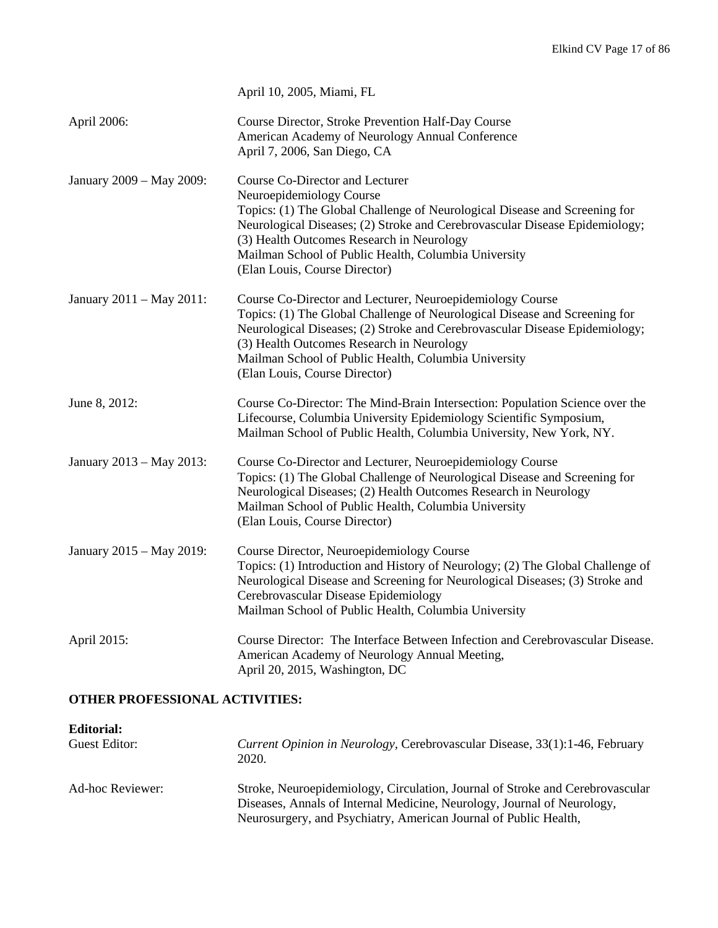|                          | April 10, 2005, Miami, FL                                                                                                                                                                                                                                                                                                                                      |
|--------------------------|----------------------------------------------------------------------------------------------------------------------------------------------------------------------------------------------------------------------------------------------------------------------------------------------------------------------------------------------------------------|
| April 2006:              | Course Director, Stroke Prevention Half-Day Course<br>American Academy of Neurology Annual Conference<br>April 7, 2006, San Diego, CA                                                                                                                                                                                                                          |
| January 2009 - May 2009: | Course Co-Director and Lecturer<br>Neuroepidemiology Course<br>Topics: (1) The Global Challenge of Neurological Disease and Screening for<br>Neurological Diseases; (2) Stroke and Cerebrovascular Disease Epidemiology;<br>(3) Health Outcomes Research in Neurology<br>Mailman School of Public Health, Columbia University<br>(Elan Louis, Course Director) |
| January 2011 - May 2011: | Course Co-Director and Lecturer, Neuroepidemiology Course<br>Topics: (1) The Global Challenge of Neurological Disease and Screening for<br>Neurological Diseases; (2) Stroke and Cerebrovascular Disease Epidemiology;<br>(3) Health Outcomes Research in Neurology<br>Mailman School of Public Health, Columbia University<br>(Elan Louis, Course Director)   |
| June 8, 2012:            | Course Co-Director: The Mind-Brain Intersection: Population Science over the<br>Lifecourse, Columbia University Epidemiology Scientific Symposium,<br>Mailman School of Public Health, Columbia University, New York, NY.                                                                                                                                      |
| January 2013 - May 2013: | Course Co-Director and Lecturer, Neuroepidemiology Course<br>Topics: (1) The Global Challenge of Neurological Disease and Screening for<br>Neurological Diseases; (2) Health Outcomes Research in Neurology<br>Mailman School of Public Health, Columbia University<br>(Elan Louis, Course Director)                                                           |
| January 2015 - May 2019: | Course Director, Neuroepidemiology Course<br>Topics: (1) Introduction and History of Neurology; (2) The Global Challenge of<br>Neurological Disease and Screening for Neurological Diseases; (3) Stroke and<br>Cerebrovascular Disease Epidemiology<br>Mailman School of Public Health, Columbia University                                                    |
| April 2015:              | Course Director: The Interface Between Infection and Cerebrovascular Disease.<br>American Academy of Neurology Annual Meeting,<br>April 20, 2015, Washington, DC                                                                                                                                                                                               |

## **OTHER PROFESSIONAL ACTIVITIES:**

| <b>Editorial:</b> |                                                                                              |
|-------------------|----------------------------------------------------------------------------------------------|
| Guest Editor:     | <i>Current Opinion in Neurology</i> , Cerebrovascular Disease, 33(1):1-46, February<br>2020. |
| Ad-hoc Reviewer:  | Stroke, Neuroepidemiology, Circulation, Journal of Stroke and Cerebrovascular                |
|                   | Diseases, Annals of Internal Medicine, Neurology, Journal of Neurology,                      |
|                   | Neurosurgery, and Psychiatry, American Journal of Public Health,                             |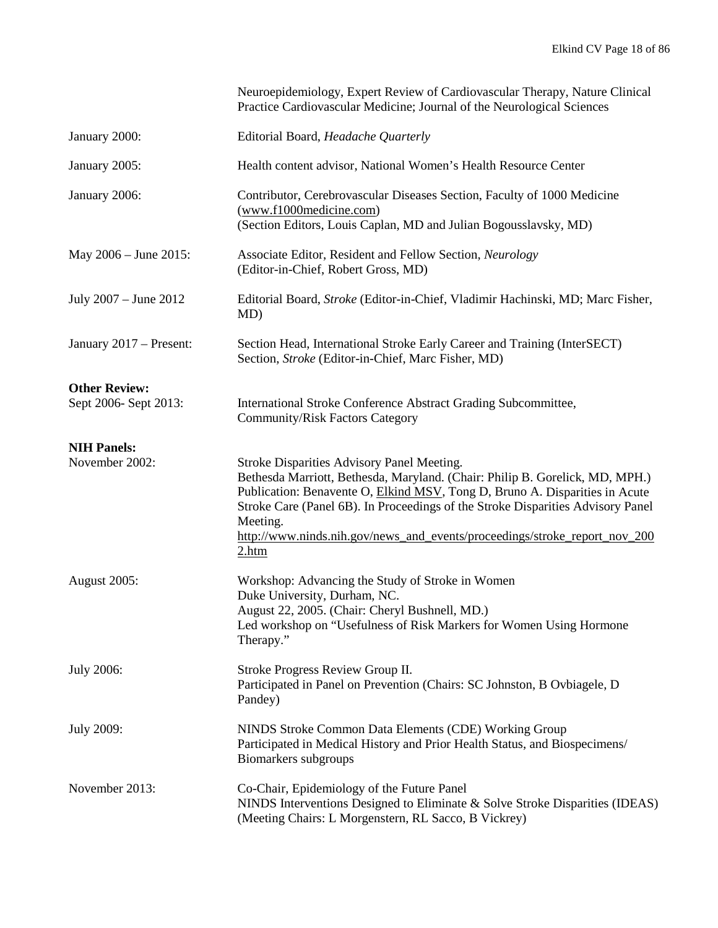|                                               | Neuroepidemiology, Expert Review of Cardiovascular Therapy, Nature Clinical<br>Practice Cardiovascular Medicine; Journal of the Neurological Sciences                                                                                                                                                                                                                                           |
|-----------------------------------------------|-------------------------------------------------------------------------------------------------------------------------------------------------------------------------------------------------------------------------------------------------------------------------------------------------------------------------------------------------------------------------------------------------|
| January 2000:                                 | Editorial Board, Headache Quarterly                                                                                                                                                                                                                                                                                                                                                             |
| January 2005:                                 | Health content advisor, National Women's Health Resource Center                                                                                                                                                                                                                                                                                                                                 |
| January 2006:                                 | Contributor, Cerebrovascular Diseases Section, Faculty of 1000 Medicine<br>$(www.f1000$ medicine.com)<br>(Section Editors, Louis Caplan, MD and Julian Bogousslavsky, MD)                                                                                                                                                                                                                       |
| May $2006 -$ June $2015$ :                    | Associate Editor, Resident and Fellow Section, Neurology<br>(Editor-in-Chief, Robert Gross, MD)                                                                                                                                                                                                                                                                                                 |
| July 2007 – June 2012                         | Editorial Board, Stroke (Editor-in-Chief, Vladimir Hachinski, MD; Marc Fisher,<br>MD)                                                                                                                                                                                                                                                                                                           |
| January 2017 - Present:                       | Section Head, International Stroke Early Career and Training (InterSECT)<br>Section, Stroke (Editor-in-Chief, Marc Fisher, MD)                                                                                                                                                                                                                                                                  |
| <b>Other Review:</b><br>Sept 2006- Sept 2013: | International Stroke Conference Abstract Grading Subcommittee,<br><b>Community/Risk Factors Category</b>                                                                                                                                                                                                                                                                                        |
| <b>NIH Panels:</b><br>November 2002:          | Stroke Disparities Advisory Panel Meeting.<br>Bethesda Marriott, Bethesda, Maryland. (Chair: Philip B. Gorelick, MD, MPH.)<br>Publication: Benavente O, Elkind MSV, Tong D, Bruno A. Disparities in Acute<br>Stroke Care (Panel 6B). In Proceedings of the Stroke Disparities Advisory Panel<br>Meeting.<br>http://www.ninds.nih.gov/news_and_events/proceedings/stroke_report_nov_200<br>2.htm |
| <b>August 2005:</b>                           | Workshop: Advancing the Study of Stroke in Women<br>Duke University, Durham, NC.<br>August 22, 2005. (Chair: Cheryl Bushnell, MD.)<br>Led workshop on "Usefulness of Risk Markers for Women Using Hormone<br>Therapy."                                                                                                                                                                          |
| <b>July 2006:</b>                             | Stroke Progress Review Group II.<br>Participated in Panel on Prevention (Chairs: SC Johnston, B Ovbiagele, D<br>Pandey)                                                                                                                                                                                                                                                                         |
| <b>July 2009:</b>                             | NINDS Stroke Common Data Elements (CDE) Working Group<br>Participated in Medical History and Prior Health Status, and Biospecimens/<br>Biomarkers subgroups                                                                                                                                                                                                                                     |
| November 2013:                                | Co-Chair, Epidemiology of the Future Panel<br>NINDS Interventions Designed to Eliminate & Solve Stroke Disparities (IDEAS)<br>(Meeting Chairs: L Morgenstern, RL Sacco, B Vickrey)                                                                                                                                                                                                              |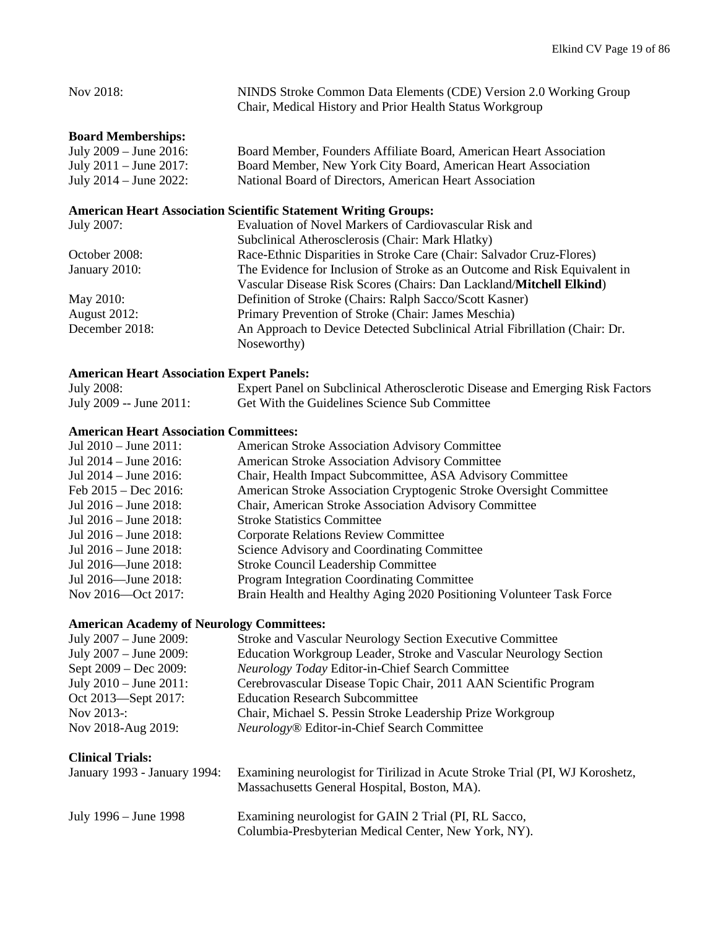| Nov 2018:                                                              | NINDS Stroke Common Data Elements (CDE) Version 2.0 Working Group<br>Chair, Medical History and Prior Health Status Workgroup |  |
|------------------------------------------------------------------------|-------------------------------------------------------------------------------------------------------------------------------|--|
| <b>Board Memberships:</b>                                              |                                                                                                                               |  |
| July $2009 -$ June $2016$ :                                            | Board Member, Founders Affiliate Board, American Heart Association                                                            |  |
| July $2011 -$ June $2017$ :                                            | Board Member, New York City Board, American Heart Association                                                                 |  |
| July $2014 -$ June $2022$ :                                            | National Board of Directors, American Heart Association                                                                       |  |
| <b>American Heart Association Scientific Statement Writing Groups:</b> |                                                                                                                               |  |
| July 2007:                                                             | Evaluation of Novel Markers of Cardiovascular Risk and                                                                        |  |
|                                                                        | Subclinical Atherosclerosis (Chair: Mark Hlatky)                                                                              |  |
| October 2008:                                                          | Race-Ethnic Disparities in Stroke Care (Chair: Salvador Cruz-Flores)                                                          |  |
| January 2010:                                                          | The Evidence for Inclusion of Stroke as an Outcome and Risk Equivalent in                                                     |  |
|                                                                        | Vascular Disease Risk Scores (Chairs: Dan Lackland/Mitchell Elkind)                                                           |  |
| May 2010:                                                              | Definition of Stroke (Chairs: Ralph Sacco/Scott Kasner)                                                                       |  |
| <b>August 2012:</b>                                                    | Primary Prevention of Stroke (Chair: James Meschia)                                                                           |  |
| December 2018:                                                         | An Approach to Device Detected Subclinical Atrial Fibrillation (Chair: Dr.                                                    |  |
|                                                                        | Noseworthy)                                                                                                                   |  |

# **American Heart Association Expert Panels:**

| July 2008:              | Expert Panel on Subclinical Atherosclerotic Disease and Emerging Risk Factors |
|-------------------------|-------------------------------------------------------------------------------|
| July 2009 -- June 2011: | Get With the Guidelines Science Sub Committee                                 |

## **American Heart Association Committees:**

| Jul $2010 -$ June $2011$ : | <b>American Stroke Association Advisory Committee</b>                |
|----------------------------|----------------------------------------------------------------------|
| Jul $2014 -$ June $2016$ : | American Stroke Association Advisory Committee                       |
| Jul $2014 -$ June $2016$ : | Chair, Health Impact Subcommittee, ASA Advisory Committee            |
| Feb $2015 - Dec 2016$ :    | American Stroke Association Cryptogenic Stroke Oversight Committee   |
| Jul $2016 -$ June $2018$ : | Chair, American Stroke Association Advisory Committee                |
| Jul $2016 -$ June $2018$ : | <b>Stroke Statistics Committee</b>                                   |
| Jul $2016 -$ June $2018$ : | <b>Corporate Relations Review Committee</b>                          |
| Jul $2016 -$ June $2018$ : | Science Advisory and Coordinating Committee                          |
| Jul 2016—June 2018:        | <b>Stroke Council Leadership Committee</b>                           |
| Jul 2016—June 2018:        | <b>Program Integration Coordinating Committee</b>                    |
| Nov 2016—Oct 2017:         | Brain Health and Healthy Aging 2020 Positioning Volunteer Task Force |

# **American Academy of Neurology Committees:**

| July $2007 -$ June $2009$ : | Stroke and Vascular Neurology Section Executive Committee         |
|-----------------------------|-------------------------------------------------------------------|
| July 2007 – June 2009:      | Education Workgroup Leader, Stroke and Vascular Neurology Section |
| Sept 2009 – Dec 2009:       | Neurology Today Editor-in-Chief Search Committee                  |
| July $2010 -$ June $2011$ : | Cerebrovascular Disease Topic Chair, 2011 AAN Scientific Program  |
| Oct 2013—Sept 2017:         | <b>Education Research Subcommittee</b>                            |
| Nov $2013$ -:               | Chair, Michael S. Pessin Stroke Leadership Prize Workgroup        |
| Nov 2018-Aug 2019:          | <i>Neurology</i> <sup>®</sup> Editor-in-Chief Search Committee    |

# **Clinical Trials:**

| January 1993 - January 1994: | Examining neurologist for Tirilizad in Acute Stroke Trial (PI, WJ Koroshetz,<br>Massachusetts General Hospital, Boston, MA). |
|------------------------------|------------------------------------------------------------------------------------------------------------------------------|
| July $1996 -$ June $1998$    | Examining neurologist for GAIN 2 Trial (PI, RL Sacco,<br>Columbia-Presbyterian Medical Center, New York, NY).                |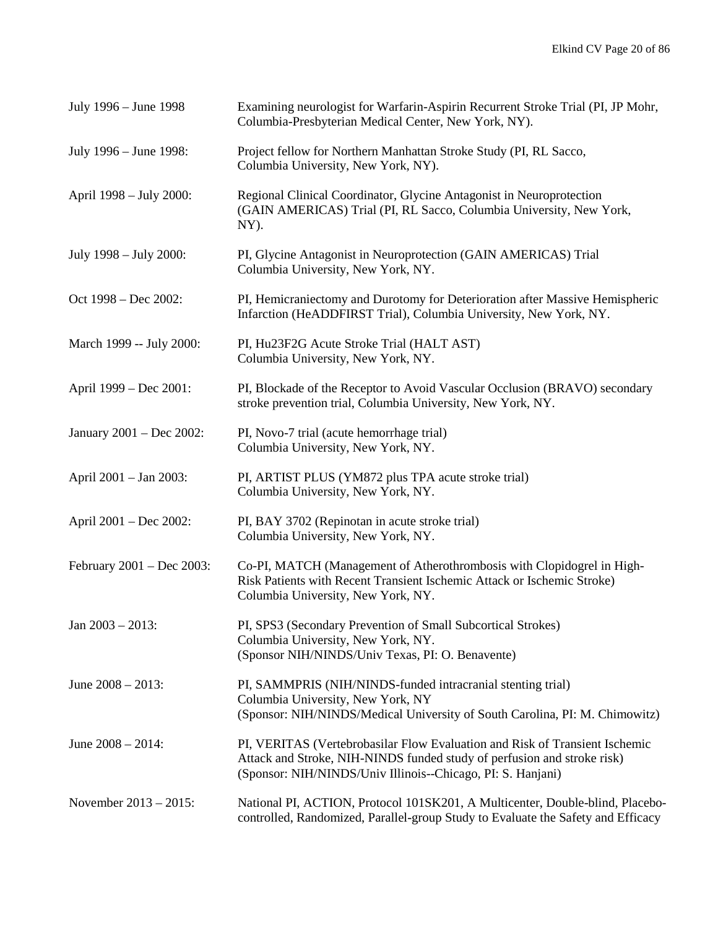| July 1996 – June 1998     | Examining neurologist for Warfarin-Aspirin Recurrent Stroke Trial (PI, JP Mohr,<br>Columbia-Presbyterian Medical Center, New York, NY).                                                                               |
|---------------------------|-----------------------------------------------------------------------------------------------------------------------------------------------------------------------------------------------------------------------|
| July 1996 – June 1998:    | Project fellow for Northern Manhattan Stroke Study (PI, RL Sacco,<br>Columbia University, New York, NY).                                                                                                              |
| April 1998 – July 2000:   | Regional Clinical Coordinator, Glycine Antagonist in Neuroprotection<br>(GAIN AMERICAS) Trial (PI, RL Sacco, Columbia University, New York,<br>NY).                                                                   |
| July 1998 – July 2000:    | PI, Glycine Antagonist in Neuroprotection (GAIN AMERICAS) Trial<br>Columbia University, New York, NY.                                                                                                                 |
| Oct 1998 – Dec 2002:      | PI, Hemicraniectomy and Durotomy for Deterioration after Massive Hemispheric<br>Infarction (HeADDFIRST Trial), Columbia University, New York, NY.                                                                     |
| March 1999 -- July 2000:  | PI, Hu23F2G Acute Stroke Trial (HALT AST)<br>Columbia University, New York, NY.                                                                                                                                       |
| April 1999 – Dec 2001:    | PI, Blockade of the Receptor to Avoid Vascular Occlusion (BRAVO) secondary<br>stroke prevention trial, Columbia University, New York, NY.                                                                             |
| January 2001 – Dec 2002:  | PI, Novo-7 trial (acute hemorrhage trial)<br>Columbia University, New York, NY.                                                                                                                                       |
| April 2001 – Jan 2003:    | PI, ARTIST PLUS (YM872 plus TPA acute stroke trial)<br>Columbia University, New York, NY.                                                                                                                             |
| April 2001 – Dec 2002:    | PI, BAY 3702 (Repinotan in acute stroke trial)<br>Columbia University, New York, NY.                                                                                                                                  |
| February 2001 – Dec 2003: | Co-PI, MATCH (Management of Atherothrombosis with Clopidogrel in High-<br>Risk Patients with Recent Transient Ischemic Attack or Ischemic Stroke)<br>Columbia University, New York, NY.                               |
| Jan $2003 - 2013$ :       | PI, SPS3 (Secondary Prevention of Small Subcortical Strokes)<br>Columbia University, New York, NY.<br>(Sponsor NIH/NINDS/Univ Texas, PI: O. Benavente)                                                                |
| June $2008 - 2013$ :      | PI, SAMMPRIS (NIH/NINDS-funded intracranial stenting trial)<br>Columbia University, New York, NY<br>(Sponsor: NIH/NINDS/Medical University of South Carolina, PI: M. Chimowitz)                                       |
| June $2008 - 2014$ :      | PI, VERITAS (Vertebrobasilar Flow Evaluation and Risk of Transient Ischemic<br>Attack and Stroke, NIH-NINDS funded study of perfusion and stroke risk)<br>(Sponsor: NIH/NINDS/Univ Illinois--Chicago, PI: S. Hanjani) |
| November 2013 – 2015:     | National PI, ACTION, Protocol 101SK201, A Multicenter, Double-blind, Placebo-<br>controlled, Randomized, Parallel-group Study to Evaluate the Safety and Efficacy                                                     |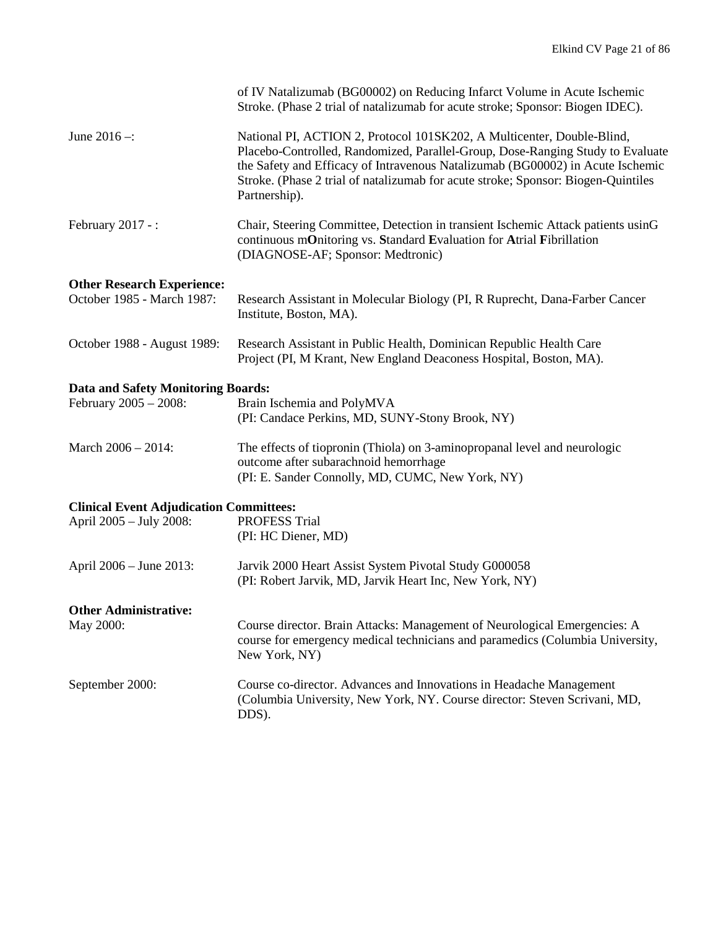|                                                                    | of IV Natalizumab (BG00002) on Reducing Infarct Volume in Acute Ischemic<br>Stroke. (Phase 2 trial of natalizumab for acute stroke; Sponsor: Biogen IDEC).                                                                                                                                                                                       |  |
|--------------------------------------------------------------------|--------------------------------------------------------------------------------------------------------------------------------------------------------------------------------------------------------------------------------------------------------------------------------------------------------------------------------------------------|--|
| June $2016 -$ :                                                    | National PI, ACTION 2, Protocol 101SK202, A Multicenter, Double-Blind,<br>Placebo-Controlled, Randomized, Parallel-Group, Dose-Ranging Study to Evaluate<br>the Safety and Efficacy of Intravenous Natalizumab (BG00002) in Acute Ischemic<br>Stroke. (Phase 2 trial of natalizumab for acute stroke; Sponsor: Biogen-Quintiles<br>Partnership). |  |
| February $2017 -$ :                                                | Chair, Steering Committee, Detection in transient Ischemic Attack patients usinG<br>continuous mOnitoring vs. Standard Evaluation for Atrial Fibrillation<br>(DIAGNOSE-AF; Sponsor: Medtronic)                                                                                                                                                   |  |
| <b>Other Research Experience:</b><br>October 1985 - March 1987:    | Research Assistant in Molecular Biology (PI, R Ruprecht, Dana-Farber Cancer<br>Institute, Boston, MA).                                                                                                                                                                                                                                           |  |
| October 1988 - August 1989:                                        | Research Assistant in Public Health, Dominican Republic Health Care<br>Project (PI, M Krant, New England Deaconess Hospital, Boston, MA).                                                                                                                                                                                                        |  |
|                                                                    |                                                                                                                                                                                                                                                                                                                                                  |  |
| <b>Data and Safety Monitoring Boards:</b><br>February 2005 - 2008: | Brain Ischemia and PolyMVA<br>(PI: Candace Perkins, MD, SUNY-Stony Brook, NY)                                                                                                                                                                                                                                                                    |  |
| March 2006 - 2014:                                                 | The effects of tiopronin (Thiola) on 3-aminopropanal level and neurologic<br>outcome after subarachnoid hemorrhage<br>(PI: E. Sander Connolly, MD, CUMC, New York, NY)                                                                                                                                                                           |  |
| <b>Clinical Event Adjudication Committees:</b>                     |                                                                                                                                                                                                                                                                                                                                                  |  |
| April 2005 - July 2008:                                            | <b>PROFESS Trial</b><br>(PI: HC Diener, MD)                                                                                                                                                                                                                                                                                                      |  |
| April 2006 - June 2013:                                            | Jarvik 2000 Heart Assist System Pivotal Study G000058<br>(PI: Robert Jarvik, MD, Jarvik Heart Inc, New York, NY)                                                                                                                                                                                                                                 |  |
|                                                                    |                                                                                                                                                                                                                                                                                                                                                  |  |
| <b>Other Administrative:</b><br>May 2000:                          | Course director. Brain Attacks: Management of Neurological Emergencies: A<br>course for emergency medical technicians and paramedics (Columbia University,<br>New York, NY)                                                                                                                                                                      |  |
| September 2000:                                                    | Course co-director. Advances and Innovations in Headache Management<br>(Columbia University, New York, NY. Course director: Steven Scrivani, MD,<br>DDS).                                                                                                                                                                                        |  |
|                                                                    |                                                                                                                                                                                                                                                                                                                                                  |  |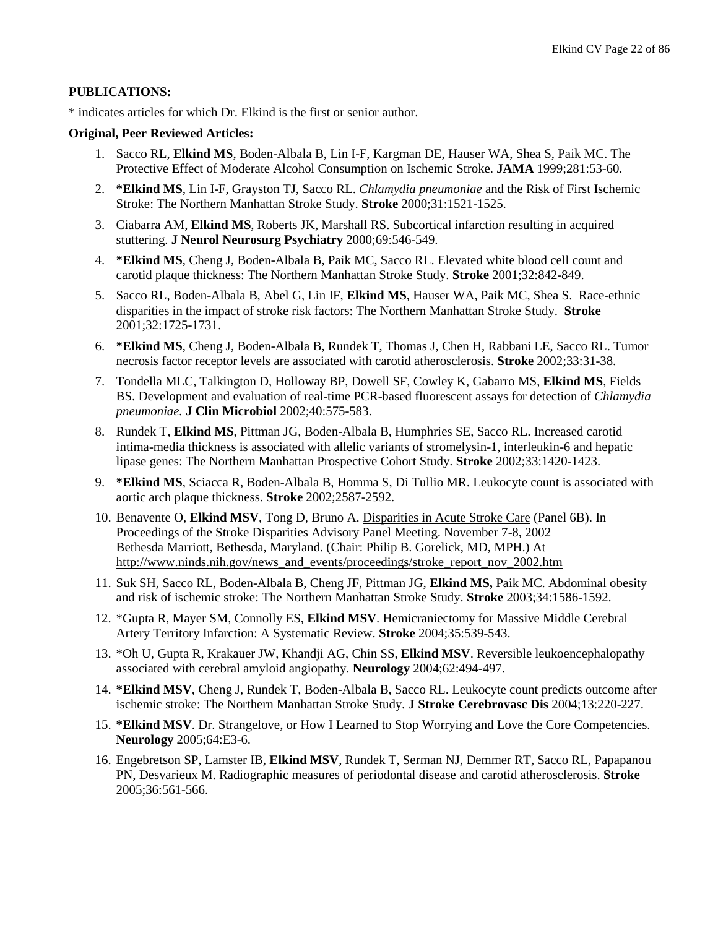#### **PUBLICATIONS:**

\* indicates articles for which Dr. Elkind is the first or senior author.

#### **Original, Peer Reviewed Articles:**

- 1. Sacco RL, **Elkind MS**, Boden-Albala B, Lin I-F, Kargman DE, Hauser WA, Shea S, Paik MC. The Protective Effect of Moderate Alcohol Consumption on Ischemic Stroke. **JAMA** 1999;281:53-60.
- 2. **\*Elkind MS**, Lin I-F, Grayston TJ, Sacco RL. *Chlamydia pneumoniae* and the Risk of First Ischemic Stroke: The Northern Manhattan Stroke Study. **Stroke** 2000;31:1521-1525.
- 3. Ciabarra AM, **Elkind MS**, Roberts JK, Marshall RS. Subcortical infarction resulting in acquired stuttering. **J Neurol Neurosurg Psychiatry** 2000;69:546-549.
- 4. **\*Elkind MS**, Cheng J, Boden-Albala B, Paik MC, Sacco RL. Elevated white blood cell count and carotid plaque thickness: The Northern Manhattan Stroke Study. **Stroke** 2001;32:842-849.
- 5. Sacco RL, Boden-Albala B, Abel G, Lin IF, **Elkind MS**, Hauser WA, Paik MC, Shea S. Race-ethnic disparities in the impact of stroke risk factors: The Northern Manhattan Stroke Study. **Stroke** 2001;32:1725-1731.
- 6. **\*Elkind MS**, Cheng J, Boden-Albala B, Rundek T, Thomas J, Chen H, Rabbani LE, Sacco RL. Tumor necrosis factor receptor levels are associated with carotid atherosclerosis. **Stroke** 2002;33:31-38.
- 7. Tondella MLC, Talkington D, Holloway BP, Dowell SF, Cowley K, Gabarro MS, **Elkind MS**, Fields BS. Development and evaluation of real-time PCR-based fluorescent assays for detection of *Chlamydia pneumoniae.* **J Clin Microbiol** 2002;40:575-583.
- 8. Rundek T, **Elkind MS**, Pittman JG, Boden-Albala B, Humphries SE, Sacco RL. Increased carotid intima-media thickness is associated with allelic variants of stromelysin-1, interleukin-6 and hepatic lipase genes: The Northern Manhattan Prospective Cohort Study. **Stroke** 2002;33:1420-1423.
- 9. **\*Elkind MS**, Sciacca R, Boden-Albala B, Homma S, Di Tullio MR. Leukocyte count is associated with aortic arch plaque thickness. **Stroke** 2002;2587-2592.
- 10. Benavente O, **Elkind MSV**, Tong D, Bruno A. [Disparities in Acute Stroke Care](http://www.ninds.nih.gov/news_and_events/proceedings/stroke_report_nov_2002.htm#Panel6B#Panel6B) (Panel 6B). In Proceedings of the Stroke Disparities Advisory Panel Meeting. November 7-8, 2002 Bethesda Marriott, Bethesda, Maryland. (Chair: Philip B. Gorelick, MD, MPH.) At [http://www.ninds.nih.gov/news\\_and\\_events/proceedings/stroke\\_report\\_nov\\_2002.htm](http://www.ninds.nih.gov/news_and_events/proceedings/stroke_report_nov_2002.htm)
- 11. Suk SH, Sacco RL, Boden-Albala B, Cheng JF, Pittman JG, **Elkind MS,** Paik MC. Abdominal obesity and risk of ischemic stroke: The Northern Manhattan Stroke Study. **Stroke** 2003;34:1586-1592.
- 12. \*Gupta R, Mayer SM, Connolly ES, **Elkind MSV**. Hemicraniectomy for Massive Middle Cerebral Artery Territory Infarction: A Systematic Review. **Stroke** 2004;35:539-543.
- 13. \*Oh U, Gupta R, Krakauer JW, Khandji AG, Chin SS, **Elkind MSV**. Reversible leukoencephalopathy associated with cerebral amyloid angiopathy. **Neurology** 2004;62:494-497.
- 14. **\*Elkind MSV**, Cheng J, Rundek T, Boden-Albala B, Sacco RL. Leukocyte count predicts outcome after ischemic stroke: The Northern Manhattan Stroke Study. **J Stroke Cerebrovasc Dis** 2004;13:220-227.
- 15. **\*Elkind MSV**. Dr. Strangelove, or How I Learned to Stop Worrying and Love the Core Competencies. **Neurology** 2005;64:E3-6.
- 16. Engebretson SP, Lamster IB, **Elkind MSV**, Rundek T, Serman NJ, Demmer RT, Sacco RL, Papapanou PN, Desvarieux M. Radiographic measures of periodontal disease and carotid atherosclerosis. **Stroke** 2005;36:561-566.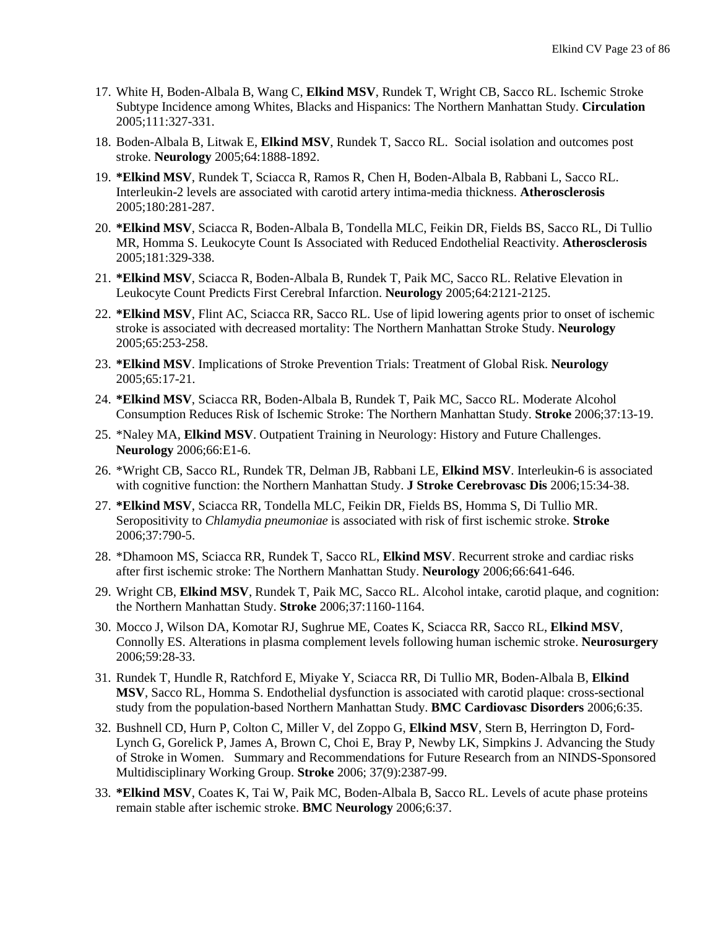- 17. White H, Boden-Albala B, Wang C, **Elkind MSV**, Rundek T, Wright CB, Sacco RL. Ischemic Stroke Subtype Incidence among Whites, Blacks and Hispanics: The Northern Manhattan Study. **Circulation** 2005;111:327-331.
- 18. Boden-Albala B, Litwak E, **Elkind MSV**, Rundek T, Sacco RL. Social isolation and outcomes post stroke. **Neurology** 2005;64:1888-1892.
- 19. **\*Elkind MSV**, Rundek T, Sciacca R, Ramos R, Chen H, Boden-Albala B, Rabbani L, Sacco RL. Interleukin-2 levels are associated with carotid artery intima-media thickness. **Atherosclerosis** 2005;180:281-287.
- 20. **\*Elkind MSV**, Sciacca R, Boden-Albala B, Tondella MLC, Feikin DR, Fields BS, Sacco RL, Di Tullio MR, Homma S. Leukocyte Count Is Associated with Reduced Endothelial Reactivity. **Atherosclerosis** 2005;181:329-338.
- 21. **\*Elkind MSV**, Sciacca R, Boden-Albala B, Rundek T, Paik MC, Sacco RL. Relative Elevation in Leukocyte Count Predicts First Cerebral Infarction. **Neurology** 2005;64:2121-2125.
- 22. **\*Elkind MSV**, Flint AC, Sciacca RR, Sacco RL. Use of lipid lowering agents prior to onset of ischemic stroke is associated with decreased mortality: The Northern Manhattan Stroke Study. **Neurology** 2005;65:253-258.
- 23. **\*Elkind MSV**. Implications of Stroke Prevention Trials: Treatment of Global Risk. **Neurology** 2005;65:17-21.
- 24. **\*Elkind MSV**, Sciacca RR, Boden-Albala B, Rundek T, Paik MC, Sacco RL. Moderate Alcohol Consumption Reduces Risk of Ischemic Stroke: The Northern Manhattan Study. **Stroke** 2006;37:13-19.
- 25. \*Naley MA, **Elkind MSV**. Outpatient Training in Neurology: History and Future Challenges. **Neurology** 2006;66:E1-6.
- 26. \*Wright CB, Sacco RL, Rundek TR, Delman JB, Rabbani LE, **Elkind MSV**. Interleukin-6 is associated with cognitive function: the Northern Manhattan Study. **J Stroke Cerebrovasc Dis** 2006;15:34-38.
- 27. **\*Elkind MSV**, Sciacca RR, Tondella MLC, Feikin DR, Fields BS, Homma S, Di Tullio MR. Seropositivity to *Chlamydia pneumoniae* is associated with risk of first ischemic stroke. **Stroke** 2006;37:790-5.
- 28. \*Dhamoon MS, Sciacca RR, Rundek T, Sacco RL, **Elkind MSV**. Recurrent stroke and cardiac risks after first ischemic stroke: The Northern Manhattan Study. **Neurology** 2006;66:641-646.
- 29. Wright CB, **Elkind MSV**, Rundek T, Paik MC, Sacco RL. Alcohol intake, carotid plaque, and cognition: the Northern Manhattan Study. **Stroke** 2006;37:1160-1164.
- 30. Mocco J, Wilson DA, Komotar RJ, Sughrue ME, Coates K, Sciacca RR, Sacco RL, **Elkind MSV**, Connolly ES. Alterations in plasma complement levels following human ischemic stroke. **Neurosurgery** 2006;59:28-33.
- 31. Rundek T, Hundle R, Ratchford E, Miyake Y, Sciacca RR, Di Tullio MR, Boden-Albala B, **Elkind MSV**, Sacco RL, Homma S. Endothelial dysfunction is associated with carotid plaque: cross-sectional study from the population-based Northern Manhattan Study. **BMC Cardiovasc Disorders** 2006;6:35.
- 32. Bushnell CD, Hurn P, Colton C, Miller V, del Zoppo G, **Elkind MSV**, Stern B, Herrington D, Ford-Lynch G, Gorelick P, James A, Brown C, Choi E, Bray P, Newby LK, Simpkins J. Advancing the Study of Stroke in Women. Summary and Recommendations for Future Research from an NINDS-Sponsored Multidisciplinary Working Group. **Stroke** 2006; 37(9):2387-99.
- 33. **\*Elkind MSV**, Coates K, Tai W, Paik MC, Boden-Albala B, Sacco RL. Levels of acute phase proteins remain stable after ischemic stroke. **BMC Neurology** 2006;6:37.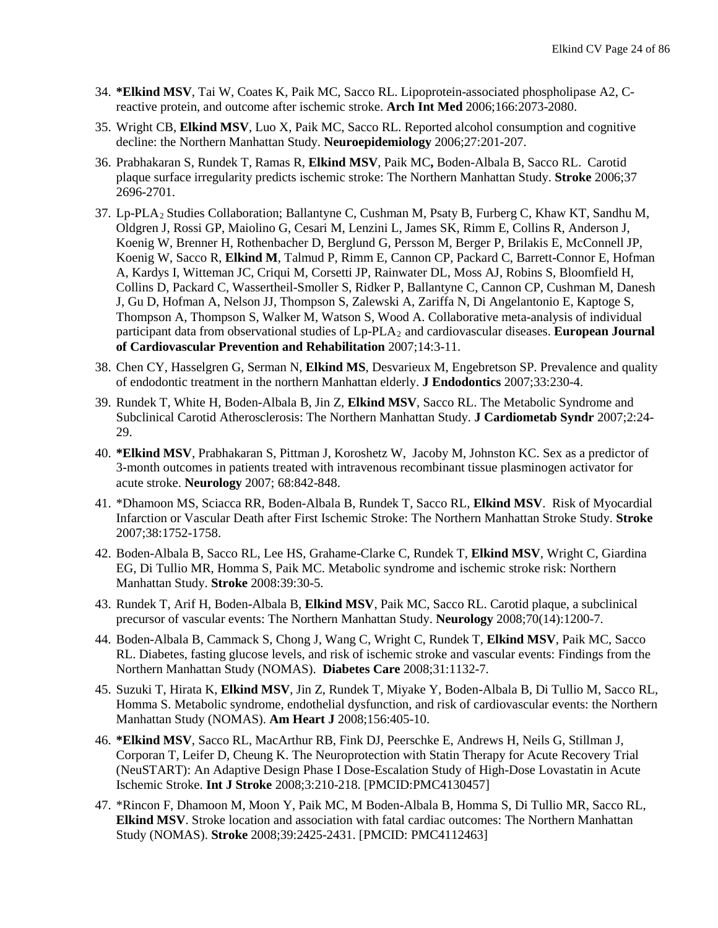- 34. **\*Elkind MSV**, Tai W, Coates K, Paik MC, Sacco RL. Lipoprotein-associated phospholipase A2, Creactive protein, and outcome after ischemic stroke. **Arch Int Med** 2006;166:2073-2080.
- 35. Wright CB, **Elkind MSV**, Luo X, Paik MC, Sacco RL. Reported alcohol consumption and cognitive decline: the Northern Manhattan Study. **Neuroepidemiology** 2006;27:201-207.
- 36. Prabhakaran S, Rundek T, Ramas R, **Elkind MSV**, Paik MC**,** Boden-Albala B, Sacco RL. Carotid plaque surface irregularity predicts ischemic stroke: The Northern Manhattan Study. **Stroke** 2006;37 2696-2701.
- 37. Lp-PLA2 Studies Collaboratio[n; Ballantyne C, Cushman M, Psaty B, Furberg C, Khaw KT, Sandhu M,](http://www.ncbi.nlm.nih.gov/entrez/query.fcgi?db=pubmed&cmd=Retrieve&dopt=AbstractPlus&list_uids=17301621&query_hl=13&itool=pubmed_docsum)  [Oldgren J, Rossi GP, Maiolino G, Cesari M, Lenzini L, James SK, Rimm E, Collins R, Anderson J,](http://www.ncbi.nlm.nih.gov/entrez/query.fcgi?db=pubmed&cmd=Retrieve&dopt=AbstractPlus&list_uids=17301621&query_hl=13&itool=pubmed_docsum)  [Koenig W, Brenner H, Rothenbacher D, Berglund G, Persson M, Berger P, Brilakis E, McConnell JP,](http://www.ncbi.nlm.nih.gov/entrez/query.fcgi?db=pubmed&cmd=Retrieve&dopt=AbstractPlus&list_uids=17301621&query_hl=13&itool=pubmed_docsum)  Koenig W, Sacco R, **Elkind M**[, Talmud P, Rimm E, Cannon CP, Packard C, Barrett-Connor E, Hofman](http://www.ncbi.nlm.nih.gov/entrez/query.fcgi?db=pubmed&cmd=Retrieve&dopt=AbstractPlus&list_uids=17301621&query_hl=13&itool=pubmed_docsum)  [A, Kardys I, Witteman JC, Criqui M, Corsetti JP, Rainwater DL, Moss AJ, Robins S, Bloomfield H,](http://www.ncbi.nlm.nih.gov/entrez/query.fcgi?db=pubmed&cmd=Retrieve&dopt=AbstractPlus&list_uids=17301621&query_hl=13&itool=pubmed_docsum)  [Collins D, Packard C, Wassertheil-Smoller S, Ridker P, Ballantyne C, Cannon CP, Cushman M, Danesh](http://www.ncbi.nlm.nih.gov/entrez/query.fcgi?db=pubmed&cmd=Retrieve&dopt=AbstractPlus&list_uids=17301621&query_hl=13&itool=pubmed_docsum)  [J, Gu D, Hofman A, Nelson JJ, Thompson S, Zalewski A, Zariffa N, Di Angelantonio E, Kaptoge S,](http://www.ncbi.nlm.nih.gov/entrez/query.fcgi?db=pubmed&cmd=Retrieve&dopt=AbstractPlus&list_uids=17301621&query_hl=13&itool=pubmed_docsum)  [Thompson A, Thompson S, Walker M, Watson S, Wood A.](http://www.ncbi.nlm.nih.gov/entrez/query.fcgi?db=pubmed&cmd=Retrieve&dopt=AbstractPlus&list_uids=17301621&query_hl=13&itool=pubmed_docsum) Collaborative meta-analysis of individual participant data from observational studies of Lp-PLA2 and cardiovascular diseases. **European Journal of Cardiovascular Prevention and Rehabilitation** 2007;14:3-11.
- 38. Chen CY, Hasselgren G, Serman N, **Elkind MS**, Desvarieux M, Engebretson SP. Prevalence and quality of endodontic treatment in the northern Manhattan elderly. **J Endodontics** 2007;33:230-4.
- 39. Rundek T, White H, Boden-Albala B, Jin Z, **Elkind MSV**, Sacco RL. The Metabolic Syndrome and Subclinical Carotid Atherosclerosis: The Northern Manhattan Study. **J Cardiometab Syndr** 2007;2:24- 29.
- 40. **\*Elkind MSV**, Prabhakaran S, Pittman J, Koroshetz W, Jacoby M, Johnston KC. Sex as a predictor of 3-month outcomes in patients treated with intravenous recombinant tissue plasminogen activator for acute stroke. **Neurology** 2007; 68:842-848.
- 41. \*Dhamoon MS, Sciacca RR, Boden-Albala B, Rundek T, Sacco RL, **Elkind MSV**. Risk of Myocardial Infarction or Vascular Death after First Ischemic Stroke: The Northern Manhattan Stroke Study. **Stroke** 2007;38:1752-1758.
- 42. Boden-Albala B, Sacco RL, Lee HS, Grahame-Clarke C, Rundek T, **Elkind MSV**, Wright C, Giardina EG, Di Tullio MR, Homma S, Paik MC. Metabolic syndrome and ischemic stroke risk: Northern Manhattan Study. **Stroke** 2008:39:30-5.
- 43. Rundek T, Arif H, Boden-Albala B, **Elkind MSV**, Paik MC, Sacco RL. Carotid plaque, a subclinical precursor of vascular events: The Northern Manhattan Study. **Neurology** 2008;70(14):1200-7.
- 44. Boden-Albala B, Cammack S, Chong J, Wang C, Wright C, Rundek T, **Elkind MSV**, Paik MC, Sacco RL. Diabetes, fasting glucose levels, and risk of ischemic stroke and vascular events: Findings from the Northern Manhattan Study (NOMAS). **Diabetes Care** 2008;31:1132-7.
- 45. Suzuki T, Hirata K, **Elkind MSV**, Jin Z, Rundek T, Miyake Y, Boden-Albala B, Di Tullio M, Sacco RL, Homma S. Metabolic syndrome, endothelial dysfunction, and risk of cardiovascular events: the Northern Manhattan Study (NOMAS). **Am Heart J** 2008;156:405-10.
- 46. **\*Elkind MSV**, Sacco RL, MacArthur RB, Fink DJ, Peerschke E, Andrews H, Neils G, Stillman J, Corporan T, Leifer D, Cheung K. The Neuroprotection with Statin Therapy for Acute Recovery Trial (NeuSTART): An Adaptive Design Phase I Dose-Escalation Study of High-Dose Lovastatin in Acute Ischemic Stroke. **Int J Stroke** 2008;3:210-218. [PMCID:PMC4130457]
- 47. \*Rincon F, Dhamoon M, Moon Y, Paik MC, M Boden-Albala B, Homma S, Di Tullio MR, Sacco RL, **Elkind MSV**. Stroke location and association with fatal cardiac outcomes: The Northern Manhattan Study (NOMAS). **Stroke** 2008;39:2425-2431. [PMCID: PMC4112463]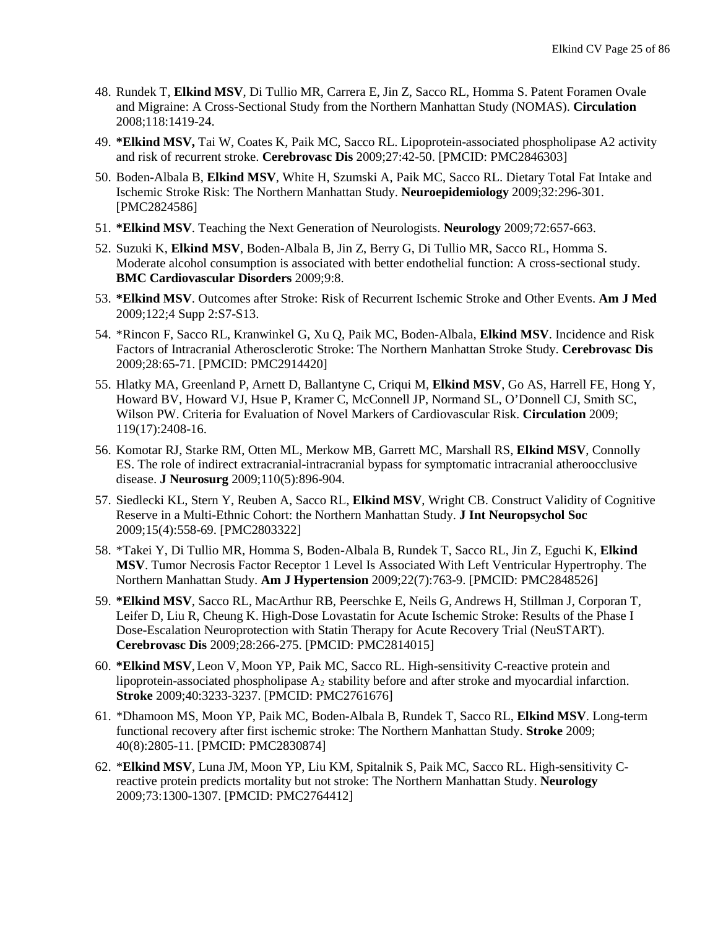- 48. Rundek T, **Elkind MSV**, Di Tullio MR, Carrera E, Jin Z, Sacco RL, Homma S. Patent Foramen Ovale and Migraine: A Cross-Sectional Study from the Northern Manhattan Study (NOMAS). **Circulation** 2008;118:1419-24.
- 49. **\*Elkind MSV,** Tai W, Coates K, Paik MC, Sacco RL. Lipoprotein-associated phospholipase A2 activity and risk of recurrent stroke. **Cerebrovasc Dis** 2009;27:42-50. [PMCID: PMC2846303]
- 50. Boden-Albala B, **Elkind MSV**, White H, Szumski A, Paik MC, Sacco RL. Dietary Total Fat Intake and Ischemic Stroke Risk: The Northern Manhattan Study. **Neuroepidemiology** 2009;32:296-301. [PMC2824586]
- 51. **\*Elkind MSV**. Teaching the Next Generation of Neurologists. **Neurology** 2009;72:657-663.
- 52. Suzuki K, **Elkind MSV**, Boden-Albala B, Jin Z, Berry G, Di Tullio MR, Sacco RL, Homma S. Moderate alcohol consumption is associated with better endothelial function: A cross-sectional study. **BMC Cardiovascular Disorders** 2009;9:8.
- 53. **\*Elkind MSV**. Outcomes after Stroke: Risk of Recurrent Ischemic Stroke and Other Events. **Am J Med** 2009;122;4 Supp 2:S7-S13.
- 54. \*Rincon F, Sacco RL, Kranwinkel G, Xu Q, Paik MC, Boden-Albala, **Elkind MSV**. Incidence and Risk Factors of Intracranial Atherosclerotic Stroke: The Northern Manhattan Stroke Study. **Cerebrovasc Dis** 2009;28:65-71. [PMCID: PMC2914420]
- 55. Hlatky MA, Greenland P, Arnett D, Ballantyne C, Criqui M, **Elkind MSV**, Go AS, Harrell FE, Hong Y, Howard BV, Howard VJ, Hsue P, Kramer C, McConnell JP, Normand SL, O'Donnell CJ, Smith SC, Wilson PW. Criteria for Evaluation of Novel Markers of Cardiovascular Risk. **Circulation** 2009; 119(17):2408-16.
- 56. Komotar RJ, Starke RM, Otten ML, Merkow MB, Garrett MC, Marshall RS, **Elkind MSV**, Connolly ES. The role of indirect extracranial-intracranial bypass for symptomatic intracranial atheroocclusive disease. **J Neurosurg** 2009;110(5):896-904.
- 57. Siedlecki KL, Stern Y, Reuben A, Sacco RL, **Elkind MSV**, Wright CB. Construct Validity of Cognitive Reserve in a Multi-Ethnic Cohort: the Northern Manhattan Study. **J Int Neuropsychol Soc** 2009;15(4):558-69. [PMC2803322]
- 58. \*Takei Y, Di Tullio MR, Homma S, Boden-Albala B, Rundek T, Sacco RL, Jin Z, Eguchi K, **Elkind MSV**. Tumor Necrosis Factor Receptor 1 Level Is Associated With Left Ventricular Hypertrophy. The Northern Manhattan Study. **Am J Hypertension** 2009;22(7):763-9. [PMCID: PMC2848526]
- 59. **\*Elkind MSV**, Sacco RL, MacArthur RB, Peerschke E, Neils G, Andrews H, Stillman J, Corporan T, Leifer D, Liu R, Cheung K. High-Dose Lovastatin for Acute Ischemic Stroke: Results of the Phase I Dose-Escalation Neuroprotection with Statin Therapy for Acute Recovery Trial (NeuSTART). **Cerebrovasc Dis** 2009;28:266-275. [PMCID: PMC2814015]
- 60. **\*Elkind MSV**, Leon V, Moon YP, Paik MC, Sacco RL. High-sensitivity C-reactive protein and lipoprotein-associated phospholipase  $A_2$  stability before and after stroke and myocardial infarction. **Stroke** 2009;40:3233-3237. [PMCID: PMC2761676]
- 61. \*Dhamoon MS, Moon YP, Paik MC, Boden-Albala B, Rundek T, Sacco RL, **Elkind MSV**. Long-term functional recovery after first ischemic stroke: The Northern Manhattan Study. **Stroke** 2009; 40(8):2805-11. [PMCID: PMC2830874]
- 62. \***Elkind MSV**, Luna JM, Moon YP, Liu KM, Spitalnik S, Paik MC, Sacco RL. High-sensitivity Creactive protein predicts mortality but not stroke: The Northern Manhattan Study. **Neurology** 2009;73:1300-1307. [PMCID: PMC2764412]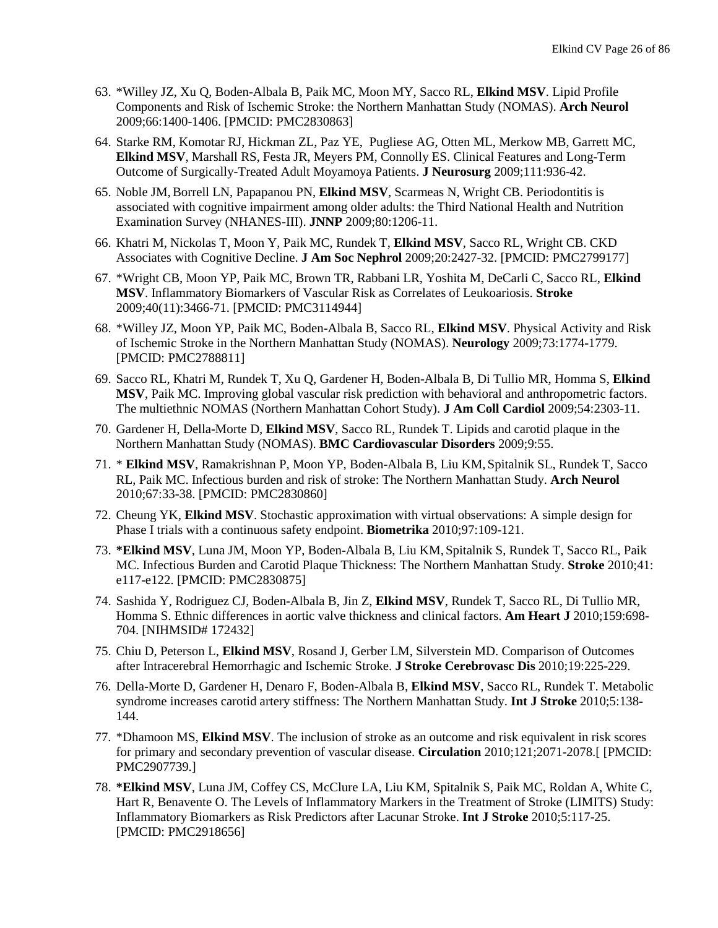- 63. \*Willey JZ, Xu Q, Boden-Albala B, Paik MC, Moon MY, Sacco RL, **Elkind MSV**. Lipid Profile Components and Risk of Ischemic Stroke: the Northern Manhattan Study (NOMAS). **Arch Neurol** 2009;66:1400-1406. [PMCID: PMC2830863]
- 64. Starke RM, Komotar RJ, Hickman ZL, Paz YE, Pugliese AG, Otten ML, Merkow MB, Garrett MC, **Elkind MSV**, Marshall RS, Festa JR, Meyers PM, Connolly ES. Clinical Features and Long-Term Outcome of Surgically-Treated Adult Moyamoya Patients. **J Neurosurg** 2009;111:936-42.
- 65. Noble JM,Borrell LN, Papapanou PN, **Elkind MSV**, Scarmeas N, Wright CB. Periodontitis is associated with cognitive impairment among older adults: the Third National Health and Nutrition Examination Survey (NHANES-III). **JNNP** 2009;80:1206-11.
- 66. Khatri M, Nickolas T, Moon Y, Paik MC, Rundek T, **Elkind MSV**, Sacco RL, Wright CB. CKD Associates with Cognitive Decline. **J Am Soc Nephrol** 2009;20:2427-32. [PMCID: PMC2799177]
- 67. \*Wright CB, Moon YP, Paik MC, Brown TR, Rabbani LR, Yoshita M, DeCarli C, Sacco RL, **Elkind MSV**. [Inflammatory Biomarkers of Vascular Risk as Correlates of Leukoariosis.](http://www.ncbi.nlm.nih.gov/pubmed/19696417?ordinalpos=2&itool=EntrezSystem2.PEntrez.Pubmed.Pubmed_ResultsPanel.Pubmed_DefaultReportPanel.Pubmed_RVDocSum) **Stroke** 2009;40(11):3466-71. [PMCID: PMC3114944]
- 68. \*Willey JZ, Moon YP, Paik MC, Boden-Albala B, Sacco RL, **Elkind MSV**. Physical Activity and Risk of Ischemic Stroke in the Northern Manhattan Study (NOMAS). **Neurology** 2009;73:1774-1779. [PMCID: PMC2788811]
- 69. Sacco RL, Khatri M, Rundek T, Xu Q, Gardener H, Boden-Albala B, Di Tullio MR, Homma S, **Elkind MSV**, Paik MC. [Improving global vascular risk prediction with behavioral and anthropometric factors.](http://www.ncbi.nlm.nih.gov/pubmed/19958966?itool=EntrezSystem2.PEntrez.Pubmed.Pubmed_ResultsPanel.Pubmed_RVDocSum&ordinalpos=2)  [The multiethnic NOMAS \(Northern Manhattan Cohort Study\).](http://www.ncbi.nlm.nih.gov/pubmed/19958966?itool=EntrezSystem2.PEntrez.Pubmed.Pubmed_ResultsPanel.Pubmed_RVDocSum&ordinalpos=2) **J Am Coll Cardiol** 2009;54:2303-11.
- 70. Gardener H, Della-Morte D, **Elkind MSV**, Sacco RL, Rundek T. Lipids and carotid plaque in the Northern Manhattan Study (NOMAS). **BMC Cardiovascular Disorders** 2009;9:55.
- 71. \* **Elkind MSV**, Ramakrishnan P, Moon YP, Boden-Albala B, Liu KM, Spitalnik SL, Rundek T, Sacco RL, Paik MC. Infectious burden and risk of stroke: The Northern Manhattan Study. **Arch Neurol** 2010;67:33-38. [PMCID: PMC2830860]
- 72. Cheung YK, **Elkind MSV**. Stochastic approximation with virtual observations: A simple design for Phase I trials with a continuous safety endpoint. **Biometrika** 2010;97:109-121.
- 73. **\*Elkind MSV**, Luna JM, Moon YP, Boden-Albala B, Liu KM, Spitalnik S, Rundek T, Sacco RL, Paik MC. Infectious Burden and Carotid Plaque Thickness: The Northern Manhattan Study. **Stroke** 2010;41: e117-e122. [PMCID: PMC2830875]
- 74. Sashida Y, Rodriguez CJ, Boden-Albala B, Jin Z, **Elkind MSV**, Rundek T, Sacco RL, Di Tullio MR, Homma S. Ethnic differences in aortic valve thickness and clinical factors. **Am Heart J** 2010;159:698- 704. [NIHMSID# 172432]
- 75. Chiu D, Peterson L, **Elkind MSV**, Rosand J, Gerber LM, Silverstein MD. Comparison of Outcomes after Intracerebral Hemorrhagic and Ischemic Stroke. **J Stroke Cerebrovasc Dis** 2010;19:225-229.
- 76. Della-Morte D, Gardener H, Denaro F, Boden-Albala B, **Elkind MSV**, Sacco RL, Rundek T. Metabolic syndrome increases carotid artery stiffness: The Northern Manhattan Study. **Int J Stroke** 2010;5:138- 144.
- 77. \*Dhamoon MS, **Elkind MSV**. The inclusion of stroke as an outcome and risk equivalent in risk scores for primary and secondary prevention of vascular disease. **Circulation** 2010;121;2071-2078.[ [PMCID: PMC2907739.]
- 78. **\*Elkind MSV**, Luna JM, Coffey CS, McClure LA, Liu KM, Spitalnik S, Paik MC, Roldan A, White C, Hart R, Benavente O. The Levels of Inflammatory Markers in the Treatment of Stroke (LIMITS) Study: Inflammatory Biomarkers as Risk Predictors after Lacunar Stroke. **Int J Stroke** 2010;5:117-25. [PMCID: PMC2918656]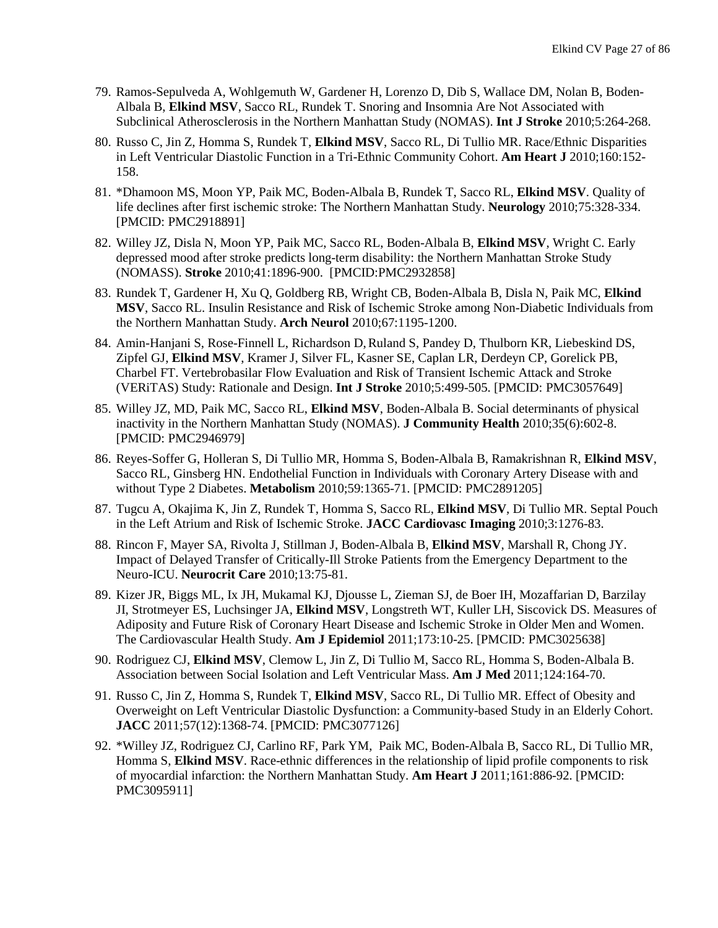- 79. Ramos-Sepulveda A, Wohlgemuth W, Gardener H, Lorenzo D, Dib S, Wallace DM, Nolan B, Boden-Albala B, **Elkind MSV**, Sacco RL, Rundek T. Snoring and Insomnia Are Not Associated with Subclinical Atherosclerosis in the Northern Manhattan Study (NOMAS). **Int J Stroke** 2010;5:264-268.
- 80. Russo C, Jin Z, Homma S, Rundek T, **Elkind MSV**, Sacco RL, Di Tullio MR. Race/Ethnic Disparities in Left Ventricular Diastolic Function in a Tri-Ethnic Community Cohort. **Am Heart J** 2010;160:152- 158.
- 81. \*Dhamoon MS, Moon YP, Paik MC, Boden-Albala B, Rundek T, Sacco RL, **Elkind MSV**. Quality of life declines after first ischemic stroke: The Northern Manhattan Study. **Neurology** 2010;75:328-334. [PMCID: PMC2918891]
- 82. Willey JZ, Disla N, Moon YP, Paik MC, Sacco RL, Boden-Albala B, **Elkind MSV**, Wright C. Early depressed mood after stroke predicts long-term disability: the Northern Manhattan Stroke Study (NOMASS). **Stroke** 2010;41:1896-900. [PMCID:PMC2932858]
- 83. Rundek T, Gardener H, Xu Q, Goldberg RB, Wright CB, Boden-Albala B, Disla N, Paik MC, **Elkind MSV**, Sacco RL. Insulin Resistance and Risk of Ischemic Stroke among Non-Diabetic Individuals from the Northern Manhattan Study. **Arch Neurol** 2010;67:1195-1200.
- 84. Amin-Hanjani S, Rose-Finnell L, Richardson D, Ruland S, Pandey D, Thulborn KR, Liebeskind DS, Zipfel GJ, **Elkind MSV**, Kramer J, Silver FL, Kasner SE, Caplan LR, Derdeyn CP, Gorelick PB, Charbel FT. Vertebrobasilar Flow Evaluation and Risk of Transient Ischemic Attack and Stroke (VERiTAS) Study: Rationale and Design. **Int J Stroke** 2010;5:499-505. [PMCID: PMC3057649]
- 85. Willey JZ, MD, Paik MC, Sacco RL, **Elkind MSV**, Boden-Albala B. Social determinants of physical inactivity in the Northern Manhattan Study (NOMAS). **J Community Health** 2010;35(6):602-8. [PMCID: PMC2946979]
- 86. Reyes-Soffer G, Holleran S, Di Tullio MR, Homma S, Boden-Albala B, Ramakrishnan R, **Elkind MSV**, Sacco RL, Ginsberg HN. Endothelial Function in Individuals with Coronary Artery Disease with and without Type 2 Diabetes. **Metabolism** 2010;59:1365-71. [PMCID: PMC2891205]
- 87. Tugcu A, Okajima K, Jin Z, Rundek T, Homma S, Sacco RL, **Elkind MSV**, Di Tullio MR. Septal Pouch in the Left Atrium and Risk of Ischemic Stroke. **JACC Cardiovasc Imaging** 2010;3:1276-83.
- 88. Rincon F, Mayer SA, Rivolta J, Stillman J, Boden-Albala B, **Elkind MSV**, Marshall R, Chong JY. Impact of Delayed Transfer of Critically-Ill Stroke Patients from the Emergency Department to the Neuro-ICU. **Neurocrit Care** 2010;13:75-81.
- 89. Kizer JR, Biggs ML, Ix JH, Mukamal KJ, Djousse L, Zieman SJ, de Boer IH, Mozaffarian D, Barzilay JI, Strotmeyer ES, Luchsinger JA, **Elkind MSV**, Longstreth WT, Kuller LH, Siscovick DS. Measures of Adiposity and Future Risk of Coronary Heart Disease and Ischemic Stroke in Older Men and Women. The Cardiovascular Health Study. **Am J Epidemiol** 2011;173:10-25. [PMCID: PMC3025638]
- 90. Rodriguez CJ, **Elkind MSV**, Clemow L, Jin Z, Di Tullio M, Sacco RL, Homma S, Boden-Albala B. [Association between Social Isolation and Left Ventricular Mass.](http://www.ncbi.nlm.nih.gov/pubmed/21295196) **Am J Med** 2011;124:164-70.
- 91. Russo C, Jin Z, Homma S, Rundek T, **Elkind MSV**, Sacco RL, Di Tullio MR. Effect of Obesity and Overweight on Left Ventricular Diastolic Dysfunction: a Community-based Study in an Elderly Cohort. **JACC** 2011;57(12):1368-74. [PMCID: PMC3077126]
- 92. \*Willey JZ, Rodriguez CJ, Carlino RF, Park YM, Paik MC, Boden-Albala B, Sacco RL, Di Tullio MR, Homma S, **Elkind MSV**. Race-ethnic differences in the relationship of lipid profile components to risk of myocardial infarction: the Northern Manhattan Study. **Am Heart J** 2011;161:886-92. [PMCID: PMC3095911]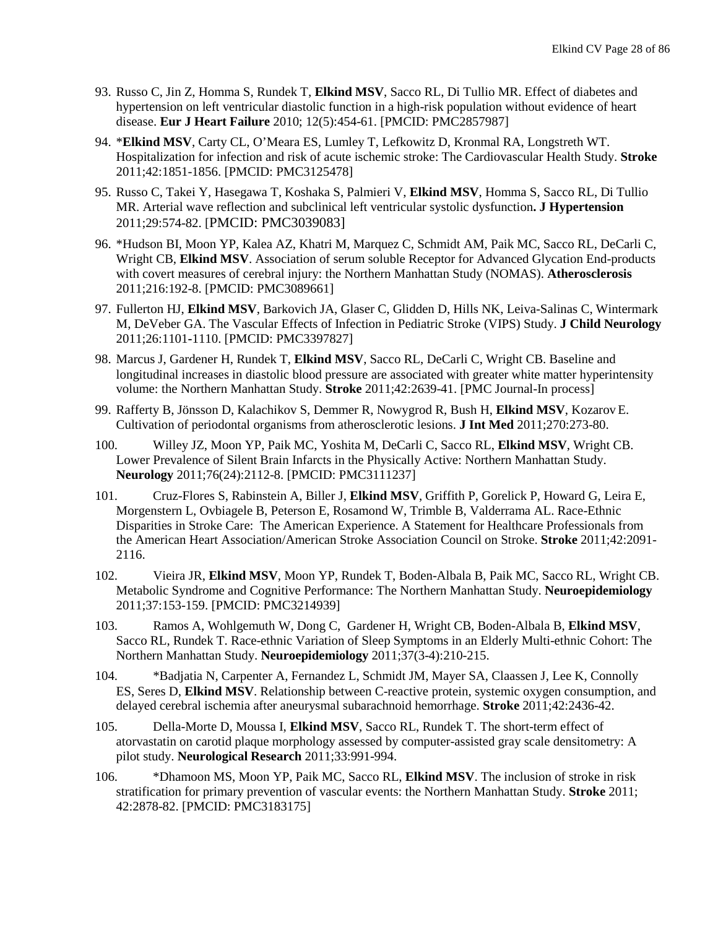- 93. Russo C, Jin Z, Homma S, Rundek T, **Elkind MSV**, Sacco RL, Di Tullio MR. [Effect of diabetes and](http://www.ncbi.nlm.nih.gov/pubmed/20211851)  [hypertension on left ventricular diastolic function in a high-risk population without evidence of heart](http://www.ncbi.nlm.nih.gov/pubmed/20211851)  [disease.](http://www.ncbi.nlm.nih.gov/pubmed/20211851) **Eur J Heart Failure** 2010; 12(5):454-61. [PMCID: PMC2857987]
- 94. \***Elkind MSV**, Carty CL, O'Meara ES, Lumley T, Lefkowitz D, Kronmal RA, Longstreth WT. Hospitalization for infection and risk of acute ischemic stroke: The Cardiovascular Health Study. **Stroke** 2011;42:1851-1856. [PMCID: PMC3125478]
- 95. Russo C, Takei Y, Hasegawa T, Koshaka S, Palmieri V, **Elkind MSV**, Homma S, Sacco RL, Di Tullio MR. Arterial wave reflection and subclinical left ventricular systolic dysfunction**. J Hypertension** 2011;29:574-82. [PMCID: PMC3039083]
- 96. \*Hudson BI, Moon YP, Kalea AZ, Khatri M, Marquez C, Schmidt AM, Paik MC, Sacco RL, DeCarli C, Wright CB, **Elkind MSV**. Association of serum soluble Receptor for Advanced Glycation End-products with covert measures of cerebral injury: the Northern Manhattan Study (NOMAS). **Atherosclerosis** 2011;216:192-8. [PMCID: PMC3089661]
- 97. Fullerton HJ, **Elkind MSV**, Barkovich JA, Glaser C, Glidden D, Hills NK, Leiva-Salinas C, Wintermark M, DeVeber GA. The Vascular Effects of Infection in Pediatric Stroke (VIPS) Study. **J Child Neurology** 2011;26:1101**-**1110. [PMCID: PMC3397827]
- 98. Marcus J, Gardener H, Rundek T, **Elkind MSV**, Sacco RL, DeCarli C, Wright CB. Baseline and longitudinal increases in diastolic blood pressure are associated with greater white matter hyperintensity volume: the Northern Manhattan Study. **Stroke** 2011;42:2639-41. [PMC Journal-In process]
- 99. Rafferty B, Jönsson D, Kalachikov S, Demmer R, Nowygrod R, Bush H, **Elkind MSV**, Kozarov E. Cultivation of periodontal organisms from atherosclerotic lesions. **J Int Med** 2011;270:273-80.
- 100. Willey JZ, Moon YP, Paik MC, Yoshita M, DeCarli C, Sacco RL, **Elkind MSV**, Wright CB. Lower Prevalence of Silent Brain Infarcts in the Physically Active: Northern Manhattan Study. **Neurology** 2011;76(24):2112-8. [PMCID: PMC3111237]
- 101. Cruz-Flores S, Rabinstein A, Biller J, **Elkind MSV**, Griffith P, Gorelick P, Howard G, Leira E, Morgenstern L, Ovbiagele B, Peterson E, Rosamond W, Trimble B, Valderrama AL. Race-Ethnic Disparities in Stroke Care: The American Experience. A Statement for Healthcare Professionals from the American Heart Association/American Stroke Association Council on Stroke. **Stroke** 2011;42:2091- 2116.
- 102. Vieira JR, **Elkind MSV**, Moon YP, Rundek T, Boden-Albala B, Paik MC, Sacco RL, Wright CB. Metabolic Syndrome and Cognitive Performance: The Northern Manhattan Study. **Neuroepidemiology** 2011;37:153-159. [PMCID: PMC3214939]
- 103. Ramos A, Wohlgemuth W, Dong C, Gardener H, Wright CB, Boden-Albala B, **Elkind MSV**, Sacco RL, Rundek T. Race-ethnic Variation of Sleep Symptoms in an Elderly Multi-ethnic Cohort: The Northern Manhattan Study. **Neuroepidemiology** 2011;37(3-4):210-215.
- 104. \*Badjatia N, Carpenter A, Fernandez L, Schmidt JM, Mayer SA, Claassen J, Lee K, Connolly ES, Seres D, **Elkind MSV**. Relationship between C-reactive protein, systemic oxygen consumption, and delayed cerebral ischemia after aneurysmal subarachnoid hemorrhage. **Stroke** 2011;42:2436-42.
- 105. Della-Morte D, Moussa I, **Elkind MSV**, Sacco RL, Rundek T. The short-term effect of atorvastatin on carotid plaque morphology assessed by computer-assisted gray scale densitometry: A pilot study. **Neurological Research** 2011;33:991-994.
- 106. \*Dhamoon MS, Moon YP, Paik MC, Sacco RL, **Elkind MSV**. The inclusion of stroke in risk stratification for primary prevention of vascular events: the Northern Manhattan Study. **Stroke** 2011; 42:2878-82. [PMCID: PMC3183175]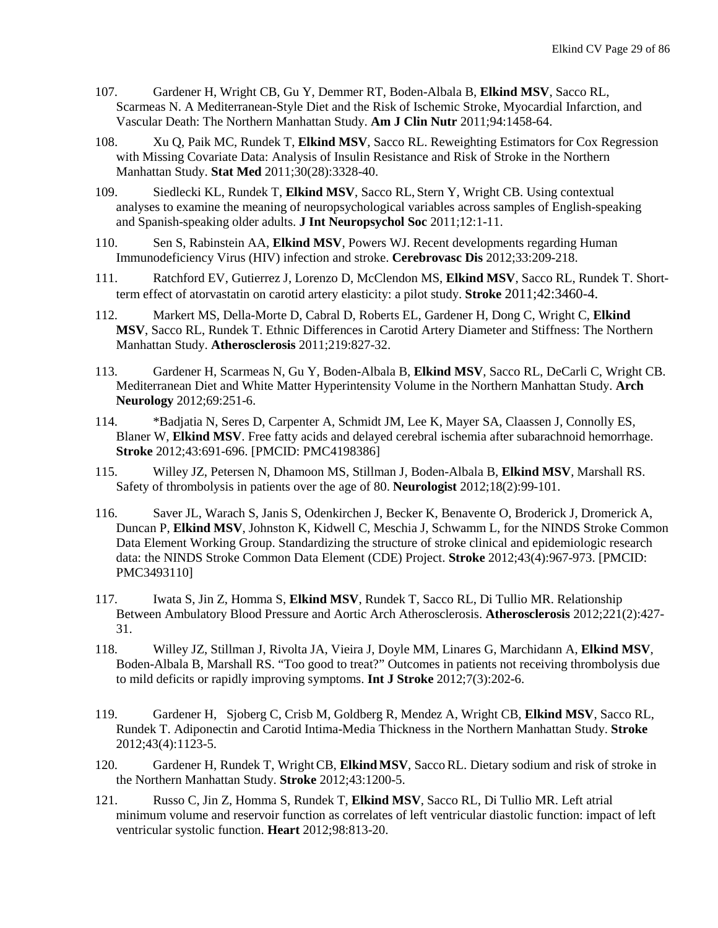- 107. Gardener H, Wright CB, Gu Y, Demmer RT, Boden-Albala B, **Elkind MSV**, Sacco RL, Scarmeas N. A Mediterranean-Style Diet and the Risk of Ischemic Stroke, Myocardial Infarction, and Vascular Death: The Northern Manhattan Study. **Am J Clin Nutr** 2011;94:1458-64.
- 108. Xu Q, Paik MC, Rundek T, **Elkind MSV**, Sacco RL. Reweighting Estimators for Cox Regression with Missing Covariate Data: Analysis of Insulin Resistance and Risk of Stroke in the Northern Manhattan Study. **Stat Med** 2011;30(28):3328-40.
- 109. Siedlecki KL, Rundek T, **Elkind MSV**, Sacco RL, Stern Y, Wright CB. Using contextual analyses to examine the meaning of neuropsychological variables across samples of English-speaking and Spanish-speaking older adults. **J Int Neuropsychol Soc** 2011;12:1-11.
- 110. Sen S, Rabinstein AA, **Elkind MSV**, Powers WJ. Recent developments regarding Human Immunodeficiency Virus (HIV) infection and stroke. **Cerebrovasc Dis** 2012;33:209-218.
- 111. Ratchford EV, Gutierrez J, Lorenzo D, McClendon MS, **Elkind MSV**, Sacco RL, Rundek T. Shortterm effect of atorvastatin on carotid artery elasticity: a pilot study. **Stroke** 2011;42:3460-4.
- 112. Markert MS, Della-Morte D, Cabral D, Roberts EL, Gardener H, Dong C, Wright C, **Elkind MSV**, Sacco RL, Rundek T. Ethnic Differences in Carotid Artery Diameter and Stiffness: The Northern Manhattan Study. **Atherosclerosis** 2011;219:827-32.
- 113. Gardener H, Scarmeas N, Gu Y, Boden-Albala B, **Elkind MSV**, Sacco RL, DeCarli C, Wright CB. Mediterranean Diet and White Matter Hyperintensity Volume in the Northern Manhattan Study. **Arch Neurology** 2012;69:251-6.
- 114. \*Badjatia N, Seres D, Carpenter A, Schmidt JM, Lee K, Mayer SA, Claassen J, Connolly ES, Blaner W, **Elkind MSV**. Free fatty acids and delayed cerebral ischemia after subarachnoid hemorrhage. **Stroke** 2012;43:691-696. [PMCID: PMC4198386]
- 115. Willey JZ, Petersen N, Dhamoon MS, Stillman J, Boden-Albala B, **Elkind MSV**, Marshall RS. Safety of thrombolysis in patients over the age of 80. **Neurologist** 2012;18(2):99-101.
- 116. Saver JL, Warach S, Janis S, Odenkirchen J, Becker K, Benavente O, Broderick J, Dromerick A, Duncan P, **Elkind MSV**, Johnston K, Kidwell C, Meschia J, Schwamm L, for the NINDS Stroke Common Data Element Working Group. Standardizing the structure of stroke clinical and epidemiologic research data: the NINDS Stroke Common Data Element (CDE) Project. **Stroke** 2012;43(4):967-973. [PMCID: PMC3493110]
- 117. Iwata S, Jin Z, Homma S, **Elkind MSV**, Rundek T, Sacco RL, Di Tullio MR. Relationship Between Ambulatory Blood Pressure and Aortic Arch Atherosclerosis. **Atherosclerosis** 2012;221(2):427- 31.
- 118. Willey JZ, Stillman J, Rivolta JA, Vieira J, Doyle MM, Linares G, Marchidann A, **Elkind MSV**, Boden-Albala B, Marshall RS. "Too good to treat?" Outcomes in patients not receiving thrombolysis due to mild deficits or rapidly improving symptoms. **Int J Stroke** 2012;7(3):202-6.
- 119. Gardener H, Sjoberg C, Crisb M, Goldberg R, Mendez A, Wright CB, **Elkind MSV**, Sacco RL, Rundek T. Adiponectin and Carotid Intima-Media Thickness in the Northern Manhattan Study. **Stroke** 2012;43(4):1123-5.
- 120. Gardener H, Rundek T, WrightCB, **ElkindMSV**, SaccoRL. Dietary sodium and risk of stroke in the Northern Manhattan Study. **Stroke** 2012;43:1200-5.
- 121. Russo C, Jin Z, Homma S, Rundek T, **Elkind MSV**, Sacco RL, Di Tullio MR. [Left atrial](http://www.ncbi.nlm.nih.gov/pubmed/22543839)  [minimum volume and reservoir function as correlates of left ventricular diastolic function: impact of left](http://www.ncbi.nlm.nih.gov/pubmed/22543839)  [ventricular systolic function.](http://www.ncbi.nlm.nih.gov/pubmed/22543839) **Heart** 2012;98:813-20.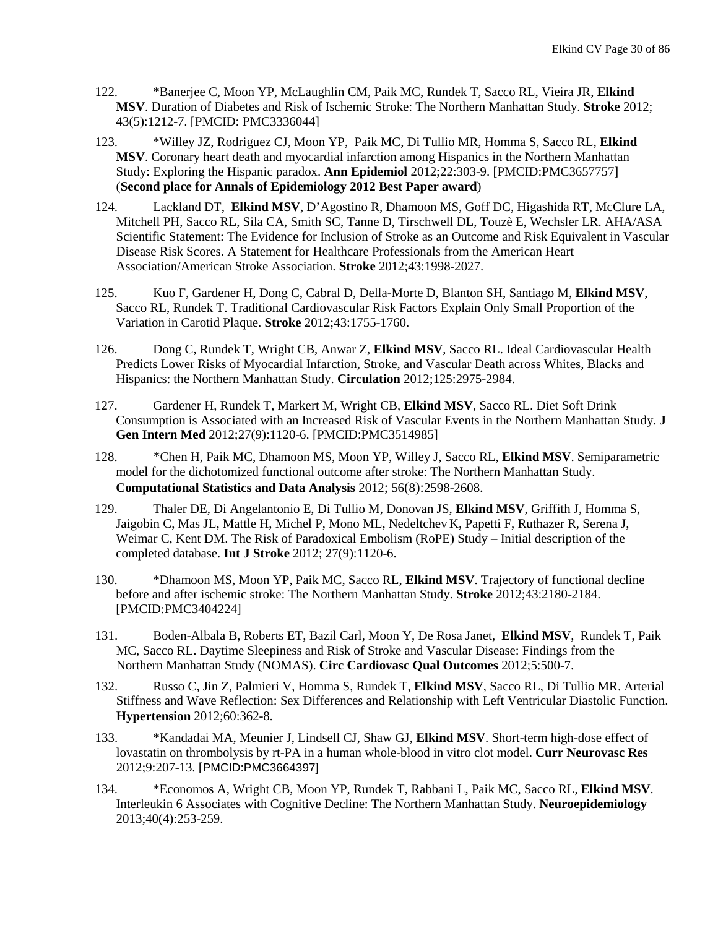- 122. \*Banerjee C, Moon YP, McLaughlin CM, Paik MC, Rundek T, Sacco RL, Vieira JR, **Elkind MSV**. Duration of Diabetes and Risk of Ischemic Stroke: The Northern Manhattan Study. **Stroke** 2012; 43(5):1212-7. [PMCID: PMC3336044]
- 123. \*Willey JZ, Rodriguez CJ, Moon YP, Paik MC, Di Tullio MR, Homma S, Sacco RL, **Elkind MSV**. Coronary heart death and myocardial infarction among Hispanics in the Northern Manhattan Study: Exploring the Hispanic paradox. **Ann Epidemiol** 2012;22:303-9. [PMCID:PMC3657757] (**Second place for Annals of Epidemiology 2012 Best Paper award**)
- 124. Lackland DT, **Elkind MSV**, D'Agostino R, Dhamoon MS, Goff DC, Higashida RT, McClure LA, Mitchell PH, Sacco RL, Sila CA, Smith SC, Tanne D, Tirschwell DL, Touzè E, Wechsler LR. AHA/ASA Scientific Statement: The Evidence for Inclusion of Stroke as an Outcome and Risk Equivalent in Vascular Disease Risk Scores. A Statement for Healthcare Professionals from the American Heart Association/American Stroke Association. **Stroke** 2012;43:1998-2027.
- 125. Kuo F, Gardener H, Dong C, Cabral D, Della-Morte D, Blanton SH, Santiago M, **Elkind MSV**, Sacco RL, Rundek T. Traditional Cardiovascular Risk Factors Explain Only Small Proportion of the Variation in Carotid Plaque. **Stroke** 2012;43:1755-1760.
- 126. Dong C, Rundek T, Wright CB, Anwar Z, **Elkind MSV**, Sacco RL. Ideal Cardiovascular Health Predicts Lower Risks of Myocardial Infarction, Stroke, and Vascular Death across Whites, Blacks and Hispanics: the Northern Manhattan Study. **Circulation** 2012;125:2975-2984.
- 127. Gardener H, Rundek T, Markert M, Wright CB, **Elkind MSV**, Sacco RL. Diet Soft Drink Consumption is Associated with an Increased Risk of Vascular Events in the Northern Manhattan Study. **J Gen Intern Med** 2012;27(9):1120-6. [PMCID:PMC3514985]
- 128. \*Chen H, Paik MC, Dhamoon MS, Moon YP, Willey J, Sacco RL, **Elkind MSV**. [Semiparametric](http://journals.ohiolink.edu/ejc/article.cgi?issn=01679473&issue=v56i0008&article=2598_smftdfastnms)  [model for the dichotomized functional outcome after stroke: The Northern Manhattan Study.](http://journals.ohiolink.edu/ejc/article.cgi?issn=01679473&issue=v56i0008&article=2598_smftdfastnms)  **Computational Statistics and Data Analysis** 2012; 56(8):2598-2608.
- 129. Thaler DE, Di Angelantonio E, Di Tullio M, Donovan JS, **Elkind MSV**, Griffith J, Homma S, Jaigobin C, Mas JL, Mattle H, Michel P, Mono ML, Nedeltchev K, Papetti F, Ruthazer R, Serena J, Weimar C, Kent DM. The Risk of Paradoxical Embolism (RoPE) Study – Initial description of the completed database. **Int J Stroke** 2012; 27(9):1120-6.
- 130. \*Dhamoon MS, Moon YP, Paik MC, Sacco RL, **Elkind MSV**. Trajectory of functional decline before and after ischemic stroke: The Northern Manhattan Study. **Stroke** 2012;43:2180-2184. [PMCID:PMC3404224]
- 131. Boden-Albala B, Roberts ET, Bazil Carl, Moon Y, De Rosa Janet, **Elkind MSV**, Rundek T, Paik MC, Sacco RL. Daytime Sleepiness and Risk of Stroke and Vascular Disease: Findings from the Northern Manhattan Study (NOMAS). **Circ Cardiovasc Qual Outcomes** 2012;5:500-7.
- 132. Russo C, Jin Z, Palmieri V, Homma S, Rundek T, **Elkind MSV**, Sacco RL, Di Tullio MR. Arterial Stiffness and Wave Reflection: Sex Differences and Relationship with Left Ventricular Diastolic Function. **Hypertension** 2012;60:362-8.
- 133. \*Kandadai MA, Meunier J, Lindsell CJ, Shaw GJ, **Elkind MSV**. Short-term high-dose effect of lovastatin on thrombolysis by rt-PA in a human whole-blood in vitro clot model. **Curr Neurovasc Res** 2012;9:207-13. [PMCID:PMC3664397]
- 134. \*Economos A, Wright CB, Moon YP, Rundek T, Rabbani L, Paik MC, Sacco RL, **Elkind MSV**. Interleukin 6 Associates with Cognitive Decline: The Northern Manhattan Study. **Neuroepidemiology** 2013;40(4):253-259.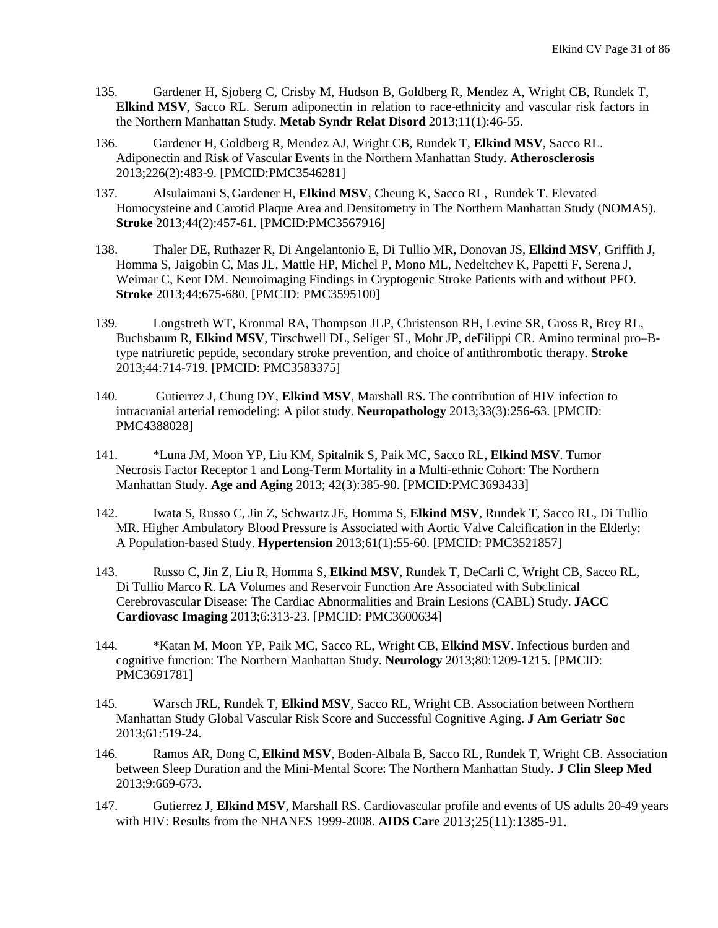- 135. Gardener H, Sjoberg C, Crisby M, Hudson B, Goldberg R, Mendez A, Wright CB, Rundek T, **Elkind MSV**, Sacco RL. Serum adiponectin in relation to race-ethnicity and vascular risk factors in the Northern Manhattan Study. **Metab Syndr Relat Disord** 2013;11(1):46-55.
- 136. Gardener H, Goldberg R, Mendez AJ, Wright CB, Rundek T, **Elkind MSV**, Sacco RL. Adiponectin and Risk of Vascular Events in the Northern Manhattan Study. **Atherosclerosis** 2013;226(2):483-9. [PMCID:PMC3546281]
- 137. Alsulaimani S, Gardener H, **Elkind MSV**, Cheung K, Sacco RL, Rundek T. Elevated Homocysteine and Carotid Plaque Area and Densitometry in The Northern Manhattan Study (NOMAS). **Stroke** 2013;44(2):457-61. [PMCID:PMC3567916]
- 138. Thaler DE, Ruthazer R, Di Angelantonio E, Di Tullio MR, Donovan JS, **Elkind MSV**, Griffith J, Homma S, Jaigobin C, Mas JL, Mattle HP, Michel P, Mono ML, Nedeltchev K, Papetti F, Serena J, Weimar C, Kent DM. Neuroimaging Findings in Cryptogenic Stroke Patients with and without PFO. **Stroke** 2013;44:675-680. [PMCID: PMC3595100]
- 139. Longstreth WT, Kronmal RA, Thompson JLP, Christenson RH, Levine SR, Gross R, Brey RL, Buchsbaum R, **Elkind MSV**, Tirschwell DL, Seliger SL, Mohr JP, deFilippi CR. Amino terminal pro–Btype natriuretic peptide, secondary stroke prevention, and choice of antithrombotic therapy. **Stroke** 2013;44:714-719. [PMCID: [PMC3583375\]](https://www.ncbi.nlm.nih.gov/pmc/articles/PMC3583375/)
- 140. Gutierrez J, Chung DY, **Elkind MSV**, Marshall RS. The contribution of HIV infection to intracranial arterial remodeling: A pilot study. **Neuropathology** 2013;33(3):256-63. [PMCID: PMC4388028]
- 141. \*Luna JM, Moon YP, Liu KM, Spitalnik S, Paik MC, Sacco RL, **Elkind MSV**. Tumor Necrosis Factor Receptor 1 and Long-Term Mortality in a Multi-ethnic Cohort: The Northern Manhattan Study. **Age and Aging** 2013; 42(3):385-90. [PMCID:PMC3693433]
- 142. Iwata S, Russo C, Jin Z, Schwartz JE, Homma S, **Elkind MSV**, Rundek T, Sacco RL, Di Tullio MR. Higher Ambulatory Blood Pressure is Associated with Aortic Valve Calcification in the Elderly: A Population-based Study. **Hypertension** 2013;61(1):55-60. [PMCID: PMC3521857]
- 143. Russo C, Jin Z, Liu R, Homma S, **Elkind MSV**, Rundek T, DeCarli C, Wright CB, Sacco RL, Di Tullio Marco R. LA Volumes and Reservoir Function Are Associated with Subclinical Cerebrovascular Disease: The Cardiac Abnormalities and Brain Lesions (CABL) Study. **JACC Cardiovasc Imaging** 2013;6:313-23. [PMCID: PMC3600634]
- 144. \*Katan M, Moon YP, Paik MC, Sacco RL, Wright CB, **Elkind MSV**. Infectious burden and cognitive function: The Northern Manhattan Study. **Neurology** 2013;80:1209-1215. [PMCID: PMC3691781]
- 145. Warsch JRL, Rundek T, **Elkind MSV**, Sacco RL, Wright CB. Association between Northern Manhattan Study Global Vascular Risk Score and Successful Cognitive Aging. **J Am Geriatr Soc** 2013;61:519-24.
- 146. Ramos AR, Dong C,**Elkind MSV**, Boden-Albala B, Sacco RL, Rundek T, Wright CB. Association between Sleep Duration and the Mini-Mental Score: The Northern Manhattan Study. **J Clin Sleep Med** 2013;9:669-673.
- 147. Gutierrez J, **Elkind MSV**, Marshall RS. Cardiovascular profile and events of US adults 20-49 years with HIV: Results from the NHANES 1999-2008. **AIDS Care** 2013;25(11):1385-91.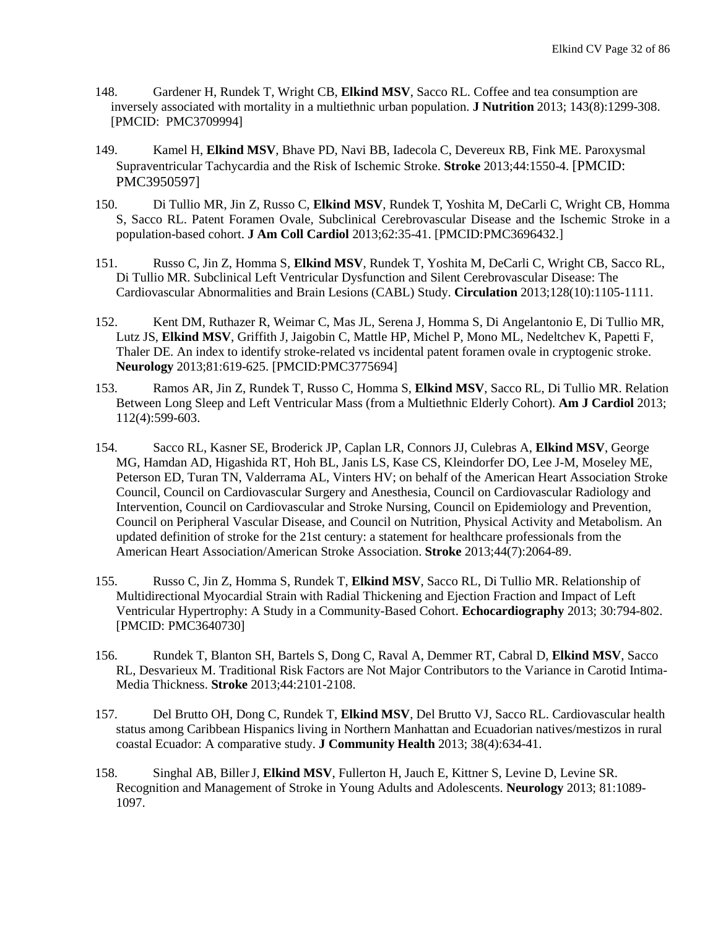- 148. Gardener H, Rundek T, Wright CB, **Elkind MSV**, Sacco RL. Coffee and tea consumption are inversely associated with mortality in a multiethnic urban population. **J Nutrition** 2013; 143(8):1299-308. [PMCID: PMC3709994]
- 149. Kamel H, **Elkind MSV**, Bhave PD, Navi BB, Iadecola C, Devereux RB, Fink ME. Paroxysmal Supraventricular Tachycardia and the Risk of Ischemic Stroke. **Stroke** 2013;44:1550-4. [PMCID: PMC3950597]
- 150. Di Tullio MR, Jin Z, Russo C, **Elkind MSV**, Rundek T, Yoshita M, DeCarli C, Wright CB, Homma S, Sacco RL. Patent Foramen Ovale, Subclinical Cerebrovascular Disease and the Ischemic Stroke in a population-based cohort. **J Am Coll Cardiol** 2013;62:35-41. [PMCID:PMC3696432.]
- 151. Russo C, Jin Z, Homma S, **Elkind MSV**, Rundek T, Yoshita M, DeCarli C, Wright CB, Sacco RL, Di Tullio MR. Subclinical Left Ventricular Dysfunction and Silent Cerebrovascular Disease: The Cardiovascular Abnormalities and Brain Lesions (CABL) Study. **Circulation** 2013;128(10):1105-1111.
- 152. Kent DM, Ruthazer R, Weimar C, Mas JL, Serena J, Homma S, Di Angelantonio E, Di Tullio MR, Lutz JS, **Elkind MSV**, Griffith J, Jaigobin C, Mattle HP, Michel P, Mono ML, Nedeltchev K, Papetti F, Thaler DE. An index to identify stroke-related vs incidental patent foramen ovale in cryptogenic stroke. **Neurology** 2013;81:619-625. [PMCID:PMC3775694]
- 153. Ramos AR, Jin Z, Rundek T, Russo C, Homma S, **Elkind MSV**, Sacco RL, Di Tullio MR. Relation Between Long Sleep and Left Ventricular Mass (from a Multiethnic Elderly Cohort). **Am J Cardiol** 2013; 112(4):599-603.
- 154. Sacco RL, Kasner SE, Broderick JP, Caplan LR, Connors JJ, Culebras A, **Elkind MSV**, George MG, Hamdan AD, Higashida RT, Hoh BL, Janis LS, Kase CS, Kleindorfer DO, Lee J-M, Moseley ME, Peterson ED, Turan TN, Valderrama AL, Vinters HV; on behalf of the American Heart Association Stroke Council, Council on Cardiovascular Surgery and Anesthesia, Council on Cardiovascular Radiology and Intervention, Council on Cardiovascular and Stroke Nursing, Council on Epidemiology and Prevention, Council on Peripheral Vascular Disease, and Council on Nutrition, Physical Activity and Metabolism. An updated definition of stroke for the 21st century: a statement for healthcare professionals from the American Heart Association/American Stroke Association. **Stroke** 2013;44(7):2064-89.
- 155. Russo C, Jin Z, Homma S, Rundek T, **Elkind MSV**, Sacco RL, Di Tullio MR. Relationship of Multidirectional Myocardial Strain with Radial Thickening and Ejection Fraction and Impact of Left Ventricular Hypertrophy: A Study in a Community-Based Cohort. **Echocardiography** 2013; 30:794-802. [PMCID: PMC3640730]
- 156. Rundek T, Blanton SH, Bartels S, Dong C, Raval A, Demmer RT, Cabral D, **Elkind MSV**, Sacco RL, Desvarieux M. Traditional Risk Factors are Not Major Contributors to the Variance in Carotid Intima-Media Thickness. **Stroke** 2013;44:2101-2108.
- 157. Del Brutto OH, Dong C, Rundek T, **Elkind MSV**, Del Brutto VJ, Sacco RL. Cardiovascular health status among Caribbean Hispanics living in Northern Manhattan and Ecuadorian natives/mestizos in rural coastal Ecuador: A comparative study. **J Community Health** 2013; 38(4):634-41.
- 158. Singhal AB, BillerJ, **Elkind MSV**, Fullerton H, Jauch E, Kittner S, Levine D, Levine SR. Recognition and Management of Stroke in Young Adults and Adolescents. **Neurology** 2013; 81:1089- 1097.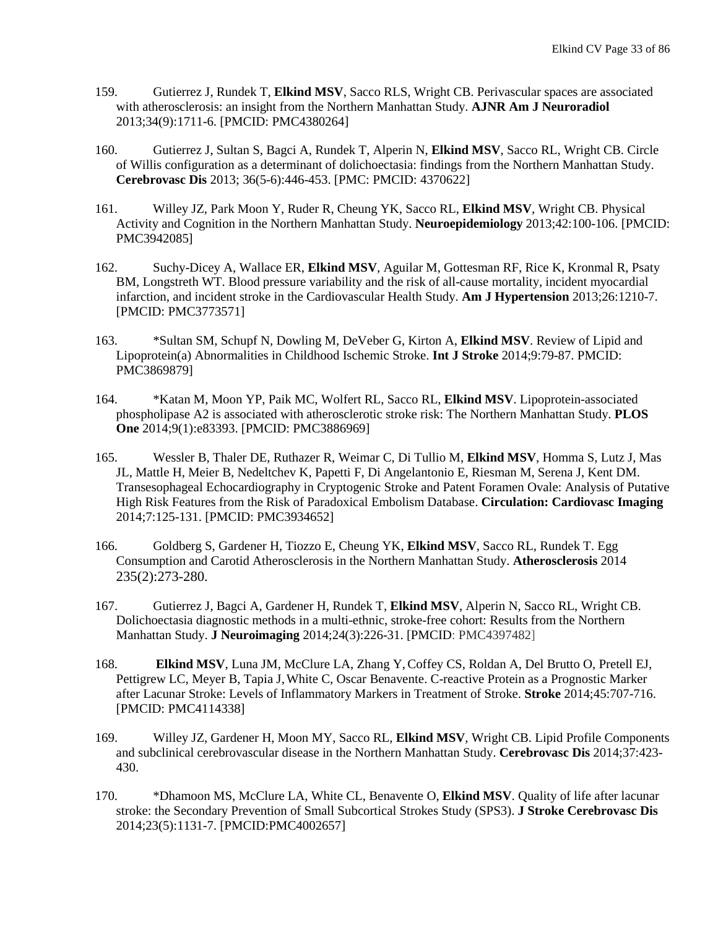- 159. Gutierrez J, Rundek T, **Elkind MSV**, Sacco RLS, Wright CB. Perivascular spaces are associated with atherosclerosis: an insight from the Northern Manhattan Study. **AJNR Am J Neuroradiol** 2013;34(9):1711-6. [PMCID: PMC4380264]
- 160. Gutierrez J, Sultan S, Bagci A, Rundek T, Alperin N, **Elkind MSV**, Sacco RL, Wright CB. Circle of Willis configuration as a determinant of dolichoectasia: findings from the Northern Manhattan Study. **Cerebrovasc Dis** 2013; 36(5-6):446-453. [PMC: PMCID: 4370622]
- 161. Willey JZ, Park Moon Y, Ruder R, Cheung YK, Sacco RL, **Elkind MSV**, Wright CB. [Physical](http://www.ncbi.nlm.nih.gov/pubmed/24335048)  [Activity and Cognition in the Northern Manhattan Study.](http://www.ncbi.nlm.nih.gov/pubmed/24335048) **Neuroepidemiology** 2013;42:100-106. [PMCID: PMC3942085]
- 162. Suchy-Dicey A, Wallace ER, **Elkind MSV**, Aguilar M, Gottesman RF, Rice K, Kronmal R, Psaty BM, Longstreth WT. Blood pressure variability and the risk of all-cause mortality, incident myocardial infarction, and incident stroke in the Cardiovascular Health Study. **Am J Hypertension** 2013;26:1210-7. [PMCID: PMC3773571]
- 163. \*Sultan SM, Schupf N, Dowling M, DeVeber G, Kirton A, **Elkind MSV**. Review of Lipid and Lipoprotein(a) Abnormalities in Childhood Ischemic Stroke. **Int J Stroke** 2014;9:79-87. PMCID: PMC3869879]
- 164. \*Katan M, Moon YP, Paik MC, Wolfert RL, Sacco RL, **Elkind MSV**. Lipoprotein-associated phospholipase A2 is associated with atherosclerotic stroke risk: The Northern Manhattan Study. **PLOS One** 2014;9(1):e83393. [PMCID: PMC3886969]
- 165. Wessler B, Thaler DE, Ruthazer R, Weimar C, Di Tullio M, **Elkind MSV**, Homma S, Lutz J, Mas JL, Mattle H, Meier B, Nedeltchev K, Papetti F, Di Angelantonio E, Riesman M, Serena J, Kent DM. Transesophageal Echocardiography in Cryptogenic Stroke and Patent Foramen Ovale: Analysis of Putative High Risk Features from the Risk of Paradoxical Embolism Database. **Circulation: Cardiovasc Imaging** 2014;7:125-131. [PMCID: PMC3934652]
- 166. Goldberg S, Gardener H, Tiozzo E, Cheung YK, **Elkind MSV**, Sacco RL, Rundek T. Egg Consumption and Carotid Atherosclerosis in the Northern Manhattan Study. **Atherosclerosis** 2014 235(2):273-280.
- 167. Gutierrez J, Bagci A, Gardener H, Rundek T, **Elkind MSV**, Alperin N, Sacco RL, Wright CB. Dolichoectasia diagnostic methods in a multi-ethnic, stroke-free cohort: Results from the Northern Manhattan Study. **J Neuroimaging** 2014;24(3):226-31. [PMCID: [PMC4397482\]](https://www.ncbi.nlm.nih.gov/pmc/articles/PMC4397482/)
- 168. **Elkind MSV**, Luna JM, McClure LA, Zhang Y,Coffey CS, Roldan A, Del Brutto O, Pretell EJ, Pettigrew LC, Meyer B, Tapia J,White C, Oscar Benavente. C-reactive Protein as a Prognostic Marker after Lacunar Stroke: Levels of Inflammatory Markers in Treatment of Stroke. **Stroke** 2014;45:707-716. [PMCID: PMC4114338]
- 169. Willey JZ, Gardener H, Moon MY, Sacco RL, **Elkind MSV**, Wright CB. Lipid Profile Components and subclinical cerebrovascular disease in the Northern Manhattan Study. **Cerebrovasc Dis** 2014;37:423- 430.
- 170. \*Dhamoon MS, McClure LA, White CL, Benavente O, **Elkind MSV**. Quality of life after lacunar stroke: the Secondary Prevention of Small Subcortical Strokes Study (SPS3). **J Stroke Cerebrovasc Dis** 2014;23(5):1131-7. [PMCID:PMC4002657]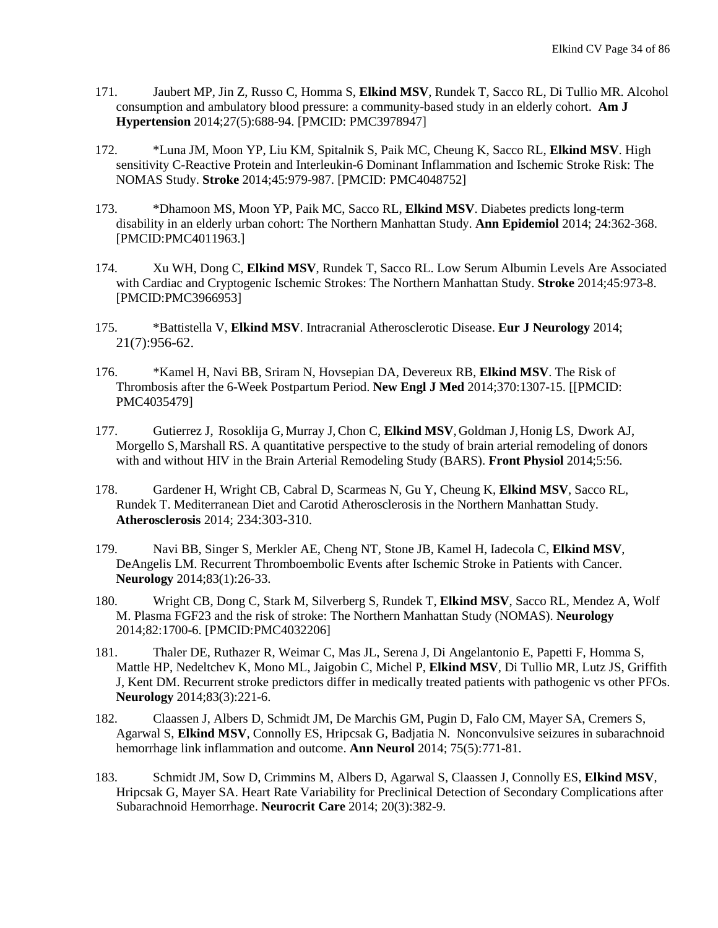- 171. Jaubert MP, Jin Z, Russo C, Homma S, **Elkind MSV**, Rundek T, Sacco RL, Di Tullio MR. Alcohol consumption and ambulatory blood pressure: a community-based study in an elderly cohort. **Am J Hypertension** 2014;27(5):688-94. [PMCID: PMC3978947]
- 172. \*Luna JM, Moon YP, Liu KM, Spitalnik S, Paik MC, Cheung K, Sacco RL, **Elkind MSV**. High sensitivity C-Reactive Protein and Interleukin-6 Dominant Inflammation and Ischemic Stroke Risk: The NOMAS Study. **Stroke** 2014;45:979-987. [PMCID: PMC4048752]
- 173. \*Dhamoon MS, Moon YP, Paik MC, Sacco RL, **Elkind MSV**. Diabetes predicts long-term disability in an elderly urban cohort: The Northern Manhattan Study. **Ann Epidemiol** 2014; 24:362-368. [PMCID:PMC4011963.]
- 174. Xu WH, Dong C, **Elkind MSV**, Rundek T, Sacco RL. Low Serum Albumin Levels Are Associated with Cardiac and Cryptogenic Ischemic Strokes: The Northern Manhattan Study. **Stroke** 2014;45:973-8. [PMCID:PMC3966953]
- 175. \*Battistella V, **Elkind MSV**. Intracranial Atherosclerotic Disease. **Eur J Neurology** 2014; 21(7):956-62.
- 176. \*Kamel H, Navi BB, Sriram N, Hovsepian DA, Devereux RB, **Elkind MSV**. The Risk of Thrombosis after the 6-Week Postpartum Period. **New Engl J Med** 2014;370:1307-15. [[PMCID: PMC4035479]
- 177. Gutierrez J, Rosoklija G, Murray J, Chon C, Elkind MSV, Goldman J, Honig LS, Dwork AJ, Morgello S, Marshall RS. A quantitative perspective to the study of brain arterial remodeling of donors with and without HIV in the Brain Arterial Remodeling Study (BARS). **Front Physiol** 2014;5:56.
- 178. Gardener H, Wright CB, Cabral D, Scarmeas N, Gu Y, Cheung K, **Elkind MSV**, Sacco RL, Rundek T. Mediterranean Diet and Carotid Atherosclerosis in the Northern Manhattan Study. **Atherosclerosis** 2014; 234:303-310.
- 179. Navi BB, Singer S, Merkler AE, Cheng NT, Stone JB, Kamel H, Iadecola C, **Elkind MSV**, DeAngelis LM. Recurrent Thromboembolic Events after Ischemic Stroke in Patients with Cancer. **Neurology** 2014;83(1):26-33.
- 180. Wright CB, Dong C, Stark M, Silverberg S, Rundek T, **Elkind MSV**, Sacco RL, Mendez A, Wolf M. Plasma FGF23 and the risk of stroke: The Northern Manhattan Study (NOMAS). **Neurology** 2014;82:1700-6. [PMCID:PMC4032206]
- 181. Thaler DE, Ruthazer R, Weimar C, Mas JL, Serena J, Di Angelantonio E, Papetti F, Homma S, Mattle HP, Nedeltchev K, Mono ML, Jaigobin C, Michel P, **Elkind MSV**, Di Tullio MR, Lutz JS, Griffith J, Kent DM. [Recurrent stroke predictors differ in medically treated patients with pathogenic vs other PFOs.](http://www.ncbi.nlm.nih.gov/pubmed/24928123) **Neurology** 2014;83(3):221-6.
- 182. Claassen J, Albers D, Schmidt JM, De Marchis GM, Pugin D, Falo CM, Mayer SA, Cremers S, Agarwal S, **Elkind MSV**, Connolly ES, Hripcsak G, Badjatia N. Nonconvulsive seizures in subarachnoid hemorrhage link inflammation and outcome. **Ann Neurol** 2014; 75(5):771-81.
- 183. Schmidt JM, Sow D, Crimmins M, Albers D, Agarwal S, Claassen J, Connolly ES, **Elkind MSV**, Hripcsak G, Mayer SA. Heart Rate Variability for Preclinical Detection of Secondary Complications after Subarachnoid Hemorrhage. **Neurocrit Care** 2014; 20(3):382-9.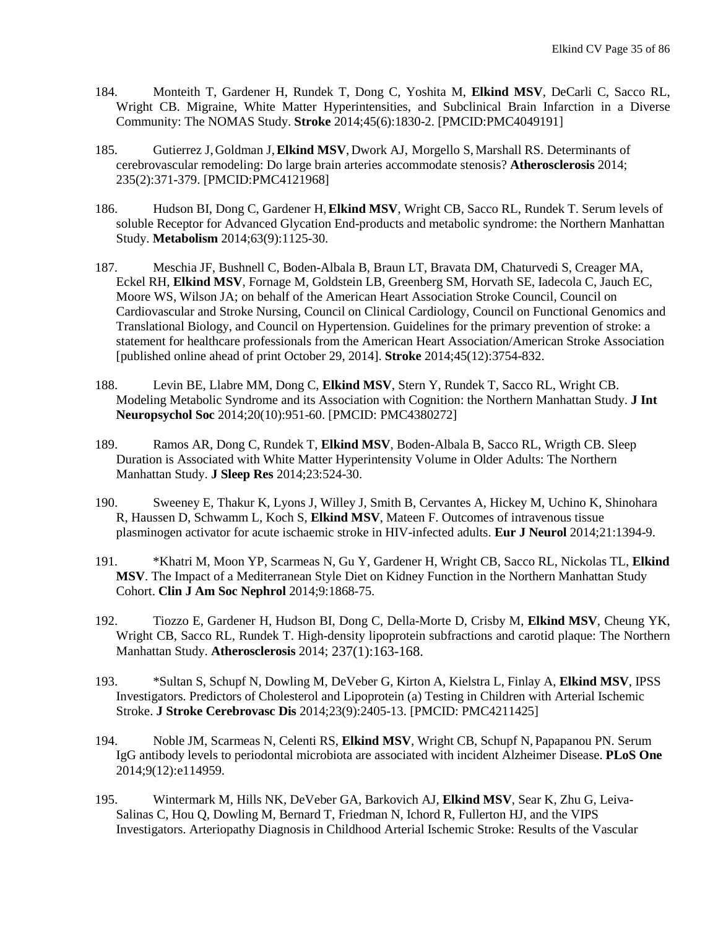- 184. Monteith T, Gardener H, Rundek T, Dong C, Yoshita M, **Elkind MSV**, DeCarli C, Sacco RL, Wright CB. Migraine, White Matter Hyperintensities, and Subclinical Brain Infarction in a Diverse Community: The NOMAS Study. **Stroke** 2014;45(6):1830-2. [PMCID:PMC4049191]
- 185. Gutierrez J,Goldman J,**Elkind MSV**, Dwork AJ, Morgello S, Marshall RS. Determinants of cerebrovascular remodeling: Do large brain arteries accommodate stenosis? **Atherosclerosis** 2014; 235(2):371-379. [PMCID:PMC4121968]
- 186. Hudson BI, Dong C, Gardener H,**Elkind MSV**, Wright CB, Sacco RL, Rundek T. Serum levels of soluble Receptor for Advanced Glycation End-products and metabolic syndrome: the Northern Manhattan Study. **Metabolism** 2014;63(9):1125-30.
- 187. Meschia JF, Bushnell C, Boden-Albala B, Braun LT, Bravata DM, Chaturvedi S, Creager MA, Eckel RH, **Elkind MSV**, Fornage M, Goldstein LB, Greenberg SM, Horvath SE, Iadecola C, Jauch EC, Moore WS, Wilson JA; on behalf of the American Heart Association Stroke Council, Council on Cardiovascular and Stroke Nursing, Council on Clinical Cardiology, Council on Functional Genomics and Translational Biology, and Council on Hypertension. Guidelines for the primary prevention of stroke: a statement for healthcare professionals from the American Heart Association/American Stroke Association [published online ahead of print October 29, 2014]. **Stroke** 2014;45(12):3754-832.
- 188. Levin BE, Llabre MM, Dong C, **Elkind MSV**, Stern Y, Rundek T, Sacco RL, Wright CB. Modeling Metabolic Syndrome and its Association with Cognition: the Northern Manhattan Study. **J Int Neuropsychol Soc** 2014;20(10):951-60. [PMCID: PMC4380272]
- 189. Ramos AR, Dong C, Rundek T, **Elkind MSV**, Boden-Albala B, Sacco RL, Wrigth CB. Sleep Duration is Associated with White Matter Hyperintensity Volume in Older Adults: The Northern Manhattan Study. **J Sleep Res** 2014;23:524-30.
- 190. Sweeney E, Thakur K, Lyons J, Willey J, Smith B, Cervantes A, Hickey M, Uchino K, Shinohara R, Haussen D, Schwamm L, Koch S, **Elkind MSV**, Mateen F. Outcomes of intravenous tissue plasminogen activator for acute ischaemic stroke in HIV-infected adults. **Eur J Neurol** 2014;21:1394-9.
- 191. \*Khatri M, Moon YP, Scarmeas N, Gu Y, Gardener H, Wright CB, Sacco RL, Nickolas TL, **Elkind MSV**. The Impact of a Mediterranean Style Diet on Kidney Function in the Northern Manhattan Study Cohort. **Clin J Am Soc Nephrol** 2014;9:1868-75.
- 192. Tiozzo E, Gardener H, Hudson BI, Dong C, Della-Morte D, Crisby M, **Elkind MSV**, Cheung YK, Wright CB, Sacco RL, Rundek T. High-density lipoprotein subfractions and carotid plaque: The Northern Manhattan Study. **Atherosclerosis** 2014; 237(1):163-168.
- 193. \*Sultan S, Schupf N, Dowling M, DeVeber G, Kirton A, Kielstra L, Finlay A, **Elkind MSV**, IPSS Investigators. Predictors of Cholesterol and Lipoprotein (a) Testing in Children with Arterial Ischemic Stroke. **J Stroke Cerebrovasc Dis** 2014;23(9):2405-13. [PMCID: PMC4211425]
- 194. Noble JM, Scarmeas N, Celenti RS, **Elkind MSV**, Wright CB, Schupf N, Papapanou PN. Serum IgG antibody levels to periodontal microbiota are associated with incident Alzheimer Disease. **PLoS One** 2014;9(12):e114959.
- 195. Wintermark M, Hills NK, DeVeber GA, Barkovich AJ, **Elkind MSV**, Sear K, Zhu G, Leiva-Salinas C, Hou Q, Dowling M, Bernard T, Friedman N, Ichord R, Fullerton HJ, and the VIPS Investigators. Arteriopathy Diagnosis in Childhood Arterial Ischemic Stroke: Results of the Vascular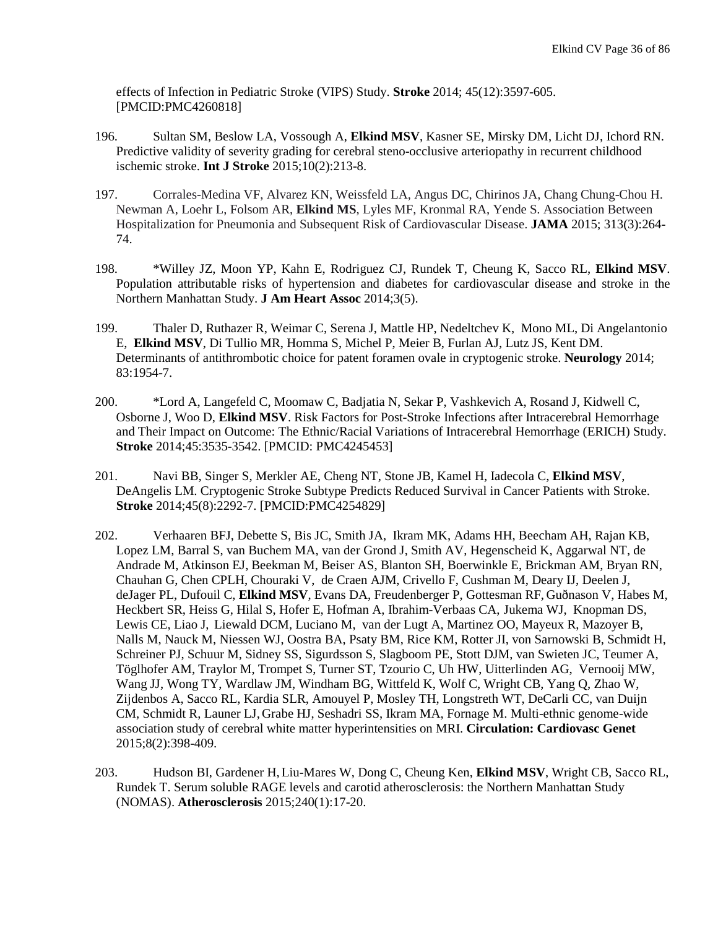effects of Infection in Pediatric Stroke (VIPS) Study. **Stroke** 2014; 45(12):3597-605. [PMCID:PMC4260818]

- 196. Sultan SM, Beslow LA, Vossough A, **Elkind MSV**, Kasner SE, Mirsky DM, Licht DJ, Ichord RN. [Predictive validity of severity grading for cerebral steno-occlusive arteriopathy in recurrent childhood](http://www.ncbi.nlm.nih.gov/pubmed/25104397)  [ischemic stroke.](http://www.ncbi.nlm.nih.gov/pubmed/25104397) **Int J Stroke** 2015;10(2):213-8.
- 197. Corrales-Medina VF, Alvarez KN, Weissfeld LA, Angus DC, Chirinos JA, Chang Chung-Chou H. Newman A, Loehr L, Folsom AR, **Elkind MS**, Lyles MF, Kronmal RA, Yende S. Association Between Hospitalization for Pneumonia and Subsequent Risk of Cardiovascular Disease. **JAMA** 2015; 313(3):264- 74.
- 198. \*Willey JZ, Moon YP, Kahn E, Rodriguez CJ, Rundek T, Cheung K, Sacco RL, **Elkind MSV**. Population attributable risks of hypertension and diabetes for cardiovascular disease and stroke in the Northern Manhattan Study. **J Am Heart Assoc** 2014;3(5).
- 199. Thaler D, Ruthazer R, Weimar C, Serena J, Mattle HP, Nedeltchev K, Mono ML, Di Angelantonio E, **Elkind MSV**, Di Tullio MR, Homma S, Michel P, Meier B, Furlan AJ, Lutz JS, Kent DM. Determinants of antithrombotic choice for patent foramen ovale in cryptogenic stroke. **Neurology** 2014; 83:1954-7.
- 200. \*Lord A, Langefeld C, Moomaw C, Badjatia N, Sekar P, Vashkevich A, Rosand J, Kidwell C, Osborne J, Woo D, **Elkind MSV**. Risk Factors for Post-Stroke Infections after Intracerebral Hemorrhage and Their Impact on Outcome: The Ethnic/Racial Variations of Intracerebral Hemorrhage (ERICH) Study. **Stroke** 2014;45:3535-3542. [PMCID: PMC4245453]
- 201. Navi BB, Singer S, Merkler AE, Cheng NT, Stone JB, Kamel H, Iadecola C, **Elkind MSV**, DeAngelis LM. Cryptogenic Stroke Subtype Predicts Reduced Survival in Cancer Patients with Stroke. **Stroke** 2014;45(8):2292-7. [PMCID:PMC4254829]
- 202. Verhaaren BFJ, Debette S, Bis JC, Smith JA, Ikram MK, Adams HH, Beecham AH, Rajan KB, Lopez LM, Barral S, van Buchem MA, van der Grond J, Smith AV, Hegenscheid K, Aggarwal NT, de Andrade M, Atkinson EJ, Beekman M, Beiser AS, Blanton SH, Boerwinkle E, Brickman AM, Bryan RN, Chauhan G, Chen CPLH, Chouraki V, de Craen AJM, Crivello F, Cushman M, Deary IJ, Deelen J, deJager PL, Dufouil C, **Elkind MSV**, Evans DA, Freudenberger P, Gottesman RF, Guðnason V, Habes M, Heckbert SR, Heiss G, Hilal S, Hofer E, Hofman A, Ibrahim-Verbaas CA, Jukema WJ, Knopman DS, Lewis CE, Liao J, Liewald DCM, Luciano M, van der Lugt A, Martinez OO, Mayeux R, Mazoyer B, Nalls M, Nauck M, Niessen WJ, Oostra BA, Psaty BM, Rice KM, Rotter JI, von Sarnowski B, Schmidt H, Schreiner PJ, Schuur M, Sidney SS, Sigurdsson S, Slagboom PE, Stott DJM, van Swieten JC, Teumer A, Töglhofer AM, Traylor M, Trompet S, Turner ST, Tzourio C, Uh HW, Uitterlinden AG, Vernooij MW, Wang JJ, Wong TY, Wardlaw JM, Windham BG, Wittfeld K, Wolf C, Wright CB, Yang Q, Zhao W, Zijdenbos A, Sacco RL, Kardia SLR, Amouyel P, Mosley TH, Longstreth WT, DeCarli CC, van Duijn CM, Schmidt R, Launer LJ, Grabe HJ, Seshadri SS, Ikram MA, Fornage M. Multi-ethnic genome-wide association study of cerebral white matter hyperintensities on MRI. **Circulation: Cardiovasc Genet** 2015;8(2):398-409.
- 203. Hudson BI, Gardener H,Liu-Mares W, Dong C, Cheung Ken, **Elkind MSV**, Wright CB, Sacco RL, Rundek T. Serum soluble RAGE levels and carotid atherosclerosis: the Northern Manhattan Study (NOMAS). **Atherosclerosis** 2015;240(1):17-20.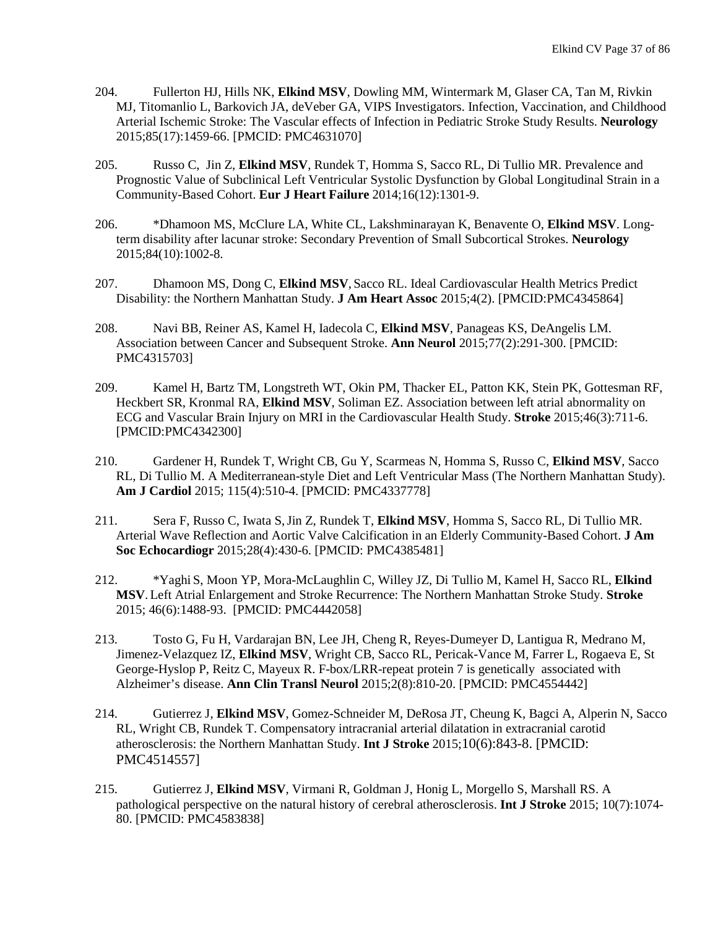- 204. Fullerton HJ, Hills NK, **Elkind MSV**, Dowling MM, Wintermark M, Glaser CA, Tan M, Rivkin MJ, Titomanlio L, Barkovich JA, deVeber GA, VIPS Investigators. Infection, Vaccination, and Childhood Arterial Ischemic Stroke: The Vascular effects of Infection in Pediatric Stroke Study Results. **Neurology** 2015;85(17):1459-66. [PMCID: PMC4631070]
- 205. Russo C, Jin Z, **Elkind MSV**, Rundek T, Homma S, Sacco RL, Di Tullio MR. Prevalence and Prognostic Value of Subclinical Left Ventricular Systolic Dysfunction by Global Longitudinal Strain in a Community-Based Cohort. **Eur J Heart Failure** 2014;16(12):1301-9.
- 206. \*Dhamoon MS, McClure LA, White CL, Lakshminarayan K, Benavente O, **Elkind MSV**. Longterm disability after lacunar stroke: Secondary Prevention of Small Subcortical Strokes. **Neurology** 2015;84(10):1002-8.
- 207. Dhamoon MS, Dong C, **Elkind MSV**, Sacco RL. Ideal Cardiovascular Health Metrics Predict Disability: the Northern Manhattan Study. **J Am Heart Assoc** 2015;4(2). [PMCID:PMC4345864]
- 208. Navi BB, Reiner AS, Kamel H, Iadecola C, **Elkind MSV**, Panageas KS, DeAngelis LM. Association between Cancer and Subsequent Stroke. **Ann Neurol** 2015;77(2):291-300. [PMCID: PMC4315703]
- 209. Kamel H, Bartz TM, Longstreth WT, Okin PM, Thacker EL, Patton KK, Stein PK, Gottesman RF, Heckbert SR, Kronmal RA, **Elkind MSV**, Soliman EZ. Association between left atrial abnormality on ECG and Vascular Brain Injury on MRI in the Cardiovascular Health Study. **Stroke** 2015;46(3):711-6. [PMCID:PMC4342300]
- 210. Gardener H, Rundek T, Wright CB, Gu Y, Scarmeas N, Homma S, Russo C, **Elkind MSV**, Sacco RL, Di Tullio M. A Mediterranean-style Diet and Left Ventricular Mass (The Northern Manhattan Study). **Am J Cardiol** 2015; 115(4):510-4. [PMCID: PMC4337778]
- 211. Sera F, Russo C, Iwata S,Jin Z, Rundek T, **Elkind MSV**, Homma S, Sacco RL, Di Tullio MR. Arterial Wave Reflection and Aortic Valve Calcification in an Elderly Community-Based Cohort. **J Am Soc Echocardiogr** 2015;28(4):430-6. [PMCID: PMC4385481]
- 212. \*Yaghi S, Moon YP, Mora-McLaughlin C, Willey JZ, Di Tullio M, Kamel H, Sacco RL, **Elkind MSV**.Left Atrial Enlargement and Stroke Recurrence: The Northern Manhattan Stroke Study. **Stroke** 2015; 46(6):1488-93. [PMCID: PMC4442058]
- 213. Tosto G, Fu H, Vardarajan BN, Lee JH, Cheng R, Reyes-Dumeyer D, Lantigua R, Medrano M, Jimenez-Velazquez IZ, **Elkind MSV**, Wright CB, Sacco RL, Pericak-Vance M, Farrer L, Rogaeva E, St George-Hyslop P, Reitz C, Mayeux R. F-box/LRR-repeat protein 7 is genetically associated with Alzheimer's disease. **Ann Clin Transl Neurol** 2015;2(8):810-20. [PMCID: PMC4554442]
- 214. Gutierrez J, **Elkind MSV**, Gomez-Schneider M, DeRosa JT, Cheung K, Bagci A, Alperin N, Sacco RL, Wright CB, Rundek T. Compensatory intracranial arterial dilatation in extracranial carotid atherosclerosis: the Northern Manhattan Study. **Int J Stroke** 2015;10(6):843-8. [PMCID: PMC4514557]
- 215. Gutierrez J, **Elkind MSV**, Virmani R, Goldman J, Honig L, Morgello S, Marshall RS. A pathological perspective on the natural history of cerebral atherosclerosis. **Int J Stroke** 2015; 10(7):1074- 80. [PMCID: PMC4583838]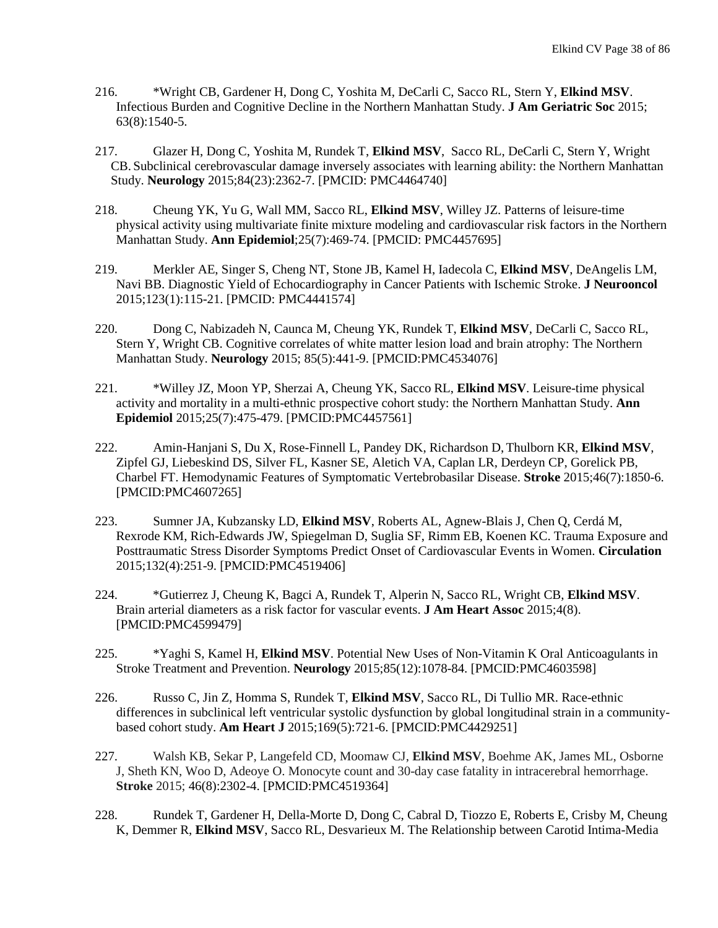- 216. \*Wright CB, Gardener H, Dong C, Yoshita M, DeCarli C, Sacco RL, Stern Y, **Elkind MSV**. Infectious Burden and Cognitive Decline in the Northern Manhattan Study. **J Am Geriatric Soc** 2015; 63(8):1540-5.
- 217. Glazer H, Dong C, Yoshita M, Rundek T, **Elkind MSV**, Sacco RL, DeCarli C, Stern Y, Wright CB. Subclinical cerebrovascular damage inversely associates with learning ability: the Northern Manhattan Study. **Neurology** 2015;84(23):2362-7. [PMCID: PMC4464740]
- 218. Cheung YK, Yu G, Wall MM, Sacco RL, **Elkind MSV**, Willey JZ. Patterns of leisure-time physical activity using multivariate finite mixture modeling and cardiovascular risk factors in the Northern Manhattan Study. **Ann Epidemiol**;25(7):469-74. [PMCID: PMC4457695]
- 219. Merkler AE, Singer S, Cheng NT, Stone JB, Kamel H, Iadecola C, **Elkind MSV**, DeAngelis LM, Navi BB. Diagnostic Yield of Echocardiography in Cancer Patients with Ischemic Stroke. **J Neurooncol** 2015;123(1):115-21. [PMCID: PMC4441574]
- 220. Dong C, Nabizadeh N, Caunca M, Cheung YK, Rundek T, **Elkind MSV**, DeCarli C, Sacco RL, Stern Y, Wright CB. Cognitive correlates of white matter lesion load and brain atrophy: The Northern Manhattan Study. **Neurology** 2015; 85(5):441-9. [PMCID:PMC4534076]
- 221. \*Willey JZ, Moon YP, Sherzai A, Cheung YK, Sacco RL, **Elkind MSV**. Leisure-time physical activity and mortality in a multi-ethnic prospective cohort study: the Northern Manhattan Study. **Ann Epidemiol** 2015;25(7):475-479. [PMCID:PMC4457561]
- 222. Amin-Hanjani S, Du X, Rose-Finnell L, Pandey DK, Richardson D, Thulborn KR, **Elkind MSV**, Zipfel GJ, Liebeskind DS, Silver FL, Kasner SE, Aletich VA, Caplan LR, Derdeyn CP, Gorelick PB, Charbel FT. Hemodynamic Features of Symptomatic Vertebrobasilar Disease. **Stroke** 2015;46(7):1850-6. [PMCID:PMC4607265]
- 223. Sumner JA, Kubzansky LD, **Elkind MSV**, Roberts AL, Agnew-Blais J, Chen Q, Cerdá M, Rexrode KM, Rich-Edwards JW, Spiegelman D, Suglia SF, Rimm EB, Koenen KC. Trauma Exposure and Posttraumatic Stress Disorder Symptoms Predict Onset of Cardiovascular Events in Women. **Circulation** 2015;132(4):251-9. [PMCID:PMC4519406]
- 224. \*Gutierrez J, Cheung K, Bagci A, Rundek T, Alperin N, Sacco RL, Wright CB, **Elkind MSV**. Brain arterial diameters as a risk factor for vascular events. **J Am Heart Assoc** 2015;4(8). [PMCID:PMC4599479]
- 225. \*Yaghi S, Kamel H, **Elkind MSV**. Potential New Uses of Non-Vitamin K Oral Anticoagulants in Stroke Treatment and Prevention. **Neurology** 2015;85(12):1078-84. [PMCID:PMC4603598]
- 226. Russo C, Jin Z, Homma S, Rundek T, **Elkind MSV**, Sacco RL, Di Tullio MR. Race-ethnic differences in subclinical left ventricular systolic dysfunction by global longitudinal strain in a communitybased cohort study. **Am Heart J** 2015;169(5):721-6. [PMCID:PMC4429251]
- 227. Walsh KB, Sekar P, Langefeld CD, Moomaw CJ, **Elkind MSV**, Boehme AK, James ML, Osborne J, Sheth KN, Woo D, Adeoye O. Monocyte count and 30-day case fatality in intracerebral hemorrhage. **Stroke** 2015; 46(8):2302-4. [PMCID:PMC4519364]
- 228. Rundek T, Gardener H, Della-Morte D, Dong C, Cabral D, Tiozzo E, Roberts E, Crisby M, Cheung K, Demmer R, **Elkind MSV**, Sacco RL, Desvarieux M. The Relationship between Carotid Intima-Media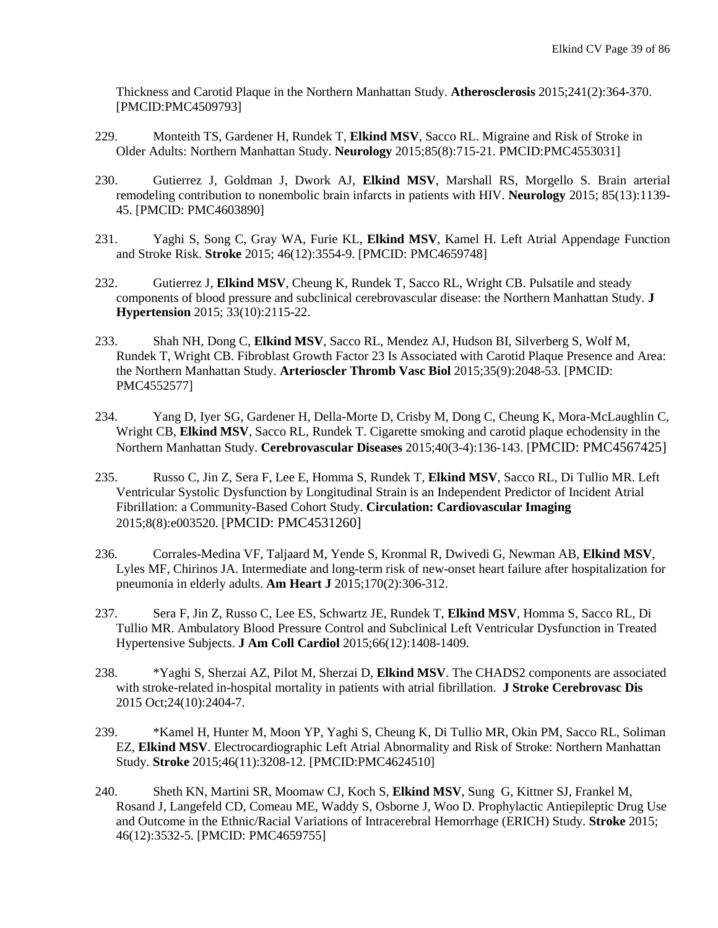Thickness and Carotid Plaque in the Northern Manhattan Study. **Atherosclerosis** 2015;241(2):364-370. [PMCID:PMC4509793]

- 229. Monteith TS, Gardener H, Rundek T, **Elkind MSV**, Sacco RL. Migraine and Risk of Stroke in Older Adults: Northern Manhattan Study. **Neurology** 2015;85(8):715-21. PMCID:PMC4553031]
- 230. Gutierrez J, Goldman J, Dwork AJ, **Elkind MSV**, Marshall RS, Morgello S. Brain arterial remodeling contribution to nonembolic brain infarcts in patients with HIV. **Neurology** 2015; 85(13):1139- 45. [PMCID: PMC4603890]
- 231. Yaghi S, Song C, Gray WA, Furie KL, **Elkind MSV**, Kamel H. Left Atrial Appendage Function and Stroke Risk. **Stroke** 2015; 46(12):3554-9. [PMCID: PMC4659748]
- 232. Gutierrez J, **Elkind MSV**, Cheung K, Rundek T, Sacco RL, Wright CB. Pulsatile and steady components of blood pressure and subclinical cerebrovascular disease: the Northern Manhattan Study. **J Hypertension** 2015; 33(10):2115-22.
- 233. Shah NH, Dong C, **Elkind MSV**, Sacco RL, Mendez AJ, Hudson BI, Silverberg S, Wolf M, Rundek T, Wright CB. Fibroblast Growth Factor 23 Is Associated with Carotid Plaque Presence and Area: the Northern Manhattan Study. **Arterioscler Thromb Vasc Biol** 2015;35(9):2048-53. [PMCID: PMC4552577]
- 234. Yang D, Iyer SG, Gardener H, Della-Morte D, Crisby M, Dong C, Cheung K, Mora-McLaughlin C, Wright CB, **Elkind MSV**, Sacco RL, Rundek T. Cigarette smoking and carotid plaque echodensity in the Northern Manhattan Study. **Cerebrovascular Diseases** 2015;40(3-4):136-143. [PMCID: PMC4567425]
- 235. Russo C, Jin Z, Sera F, Lee E, Homma S, Rundek T, **Elkind MSV**, Sacco RL, Di Tullio MR. Left Ventricular Systolic Dysfunction by Longitudinal Strain is an Independent Predictor of Incident Atrial Fibrillation: a Community-Based Cohort Study. **Circulation: Cardiovascular Imaging** 2015;8(8):e003520. [PMCID: PMC4531260]
- 236. Corrales-Medina VF, Taljaard M, Yende S, Kronmal R, Dwivedi G, Newman AB, **Elkind MSV**, Lyles MF, Chirinos JA. [Intermediate and long-term risk of new-onset heart failure after hospitalization for](http://www.ncbi.nlm.nih.gov/pubmed/26299228)  [pneumonia in elderly adults.](http://www.ncbi.nlm.nih.gov/pubmed/26299228) **Am Heart J** 2015;170(2):306-312.
- 237. Sera F, Jin Z, Russo C, Lee ES, Schwartz JE, Rundek T, **Elkind MSV**, Homma S, Sacco RL, Di Tullio MR. Ambulatory Blood Pressure Control and Subclinical Left Ventricular Dysfunction in Treated Hypertensive Subjects. **J Am Coll Cardiol** 2015;66(12):1408-1409.
- 238. \*Yaghi S, Sherzai AZ, Pilot M, Sherzai D, **Elkind MSV**. The CHADS2 components are associated with stroke-related in-hospital mortality in patients with atrial fibrillation. **J Stroke Cerebrovasc Dis** 2015 Oct;24(10):2404-7.
- 239. \*Kamel H, Hunter M, Moon YP, Yaghi S, Cheung K, Di Tullio MR, Okin PM, Sacco RL, Soliman EZ, **Elkind MSV**. Electrocardiographic Left Atrial Abnormality and Risk of Stroke: Northern Manhattan Study. **Stroke** 2015;46(11):3208-12. [PMCID:PMC4624510]
- 240. Sheth KN, Martini SR, Moomaw CJ, Koch S, **Elkind MSV**, Sung G, Kittner SJ, Frankel M, Rosand J, Langefeld CD, Comeau ME, Waddy S, Osborne J, Woo D. Prophylactic Antiepileptic Drug Use and Outcome in the Ethnic/Racial Variations of Intracerebral Hemorrhage (ERICH) Study. **Stroke** 2015; 46(12):3532-5. [PMCID: PMC4659755]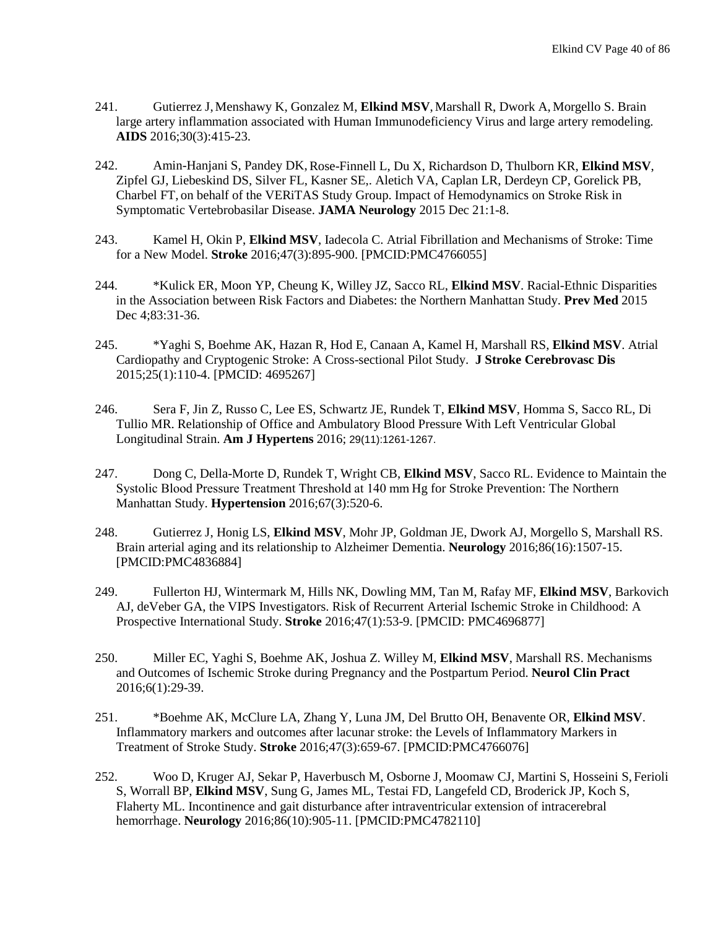- 241. Gutierrez J,Menshawy K, Gonzalez M, **Elkind MSV**, Marshall R, Dwork A, Morgello S. Brain large artery inflammation associated with Human Immunodeficiency Virus and large artery remodeling. **AIDS** 2016;30(3):415-23.
- 242. Amin-Hanjani S, Pandey DK,Rose-Finnell L, Du X, Richardson D, Thulborn KR, **Elkind MSV**, Zipfel GJ, Liebeskind DS, Silver FL, Kasner SE,. Aletich VA, Caplan LR, Derdeyn CP, Gorelick PB, Charbel FT, on behalf of the VERiTAS Study Group. Impact of Hemodynamics on Stroke Risk in Symptomatic Vertebrobasilar Disease. **JAMA Neurology** 2015 Dec 21:1-8.
- 243. Kamel H, Okin P, **Elkind MSV**, Iadecola C[. Atrial Fibrillation and Mechanisms of Stroke: Time](http://www.ncbi.nlm.nih.gov/pubmed/26786114)  [for a New Model.](http://www.ncbi.nlm.nih.gov/pubmed/26786114) **Stroke** 2016;47(3):895-900. [PMCID:PMC4766055]
- 244. \*Kulick ER, Moon YP, Cheung K, Willey JZ, Sacco RL, **Elkind MSV**. Racial-Ethnic Disparities in the Association between Risk Factors and Diabetes: the Northern Manhattan Study. **Prev Med** 2015 Dec 4;83:31-36.
- 245. \*Yaghi S, Boehme AK, Hazan R, Hod E, Canaan A, Kamel H, Marshall RS, **Elkind MSV**. Atrial Cardiopathy and Cryptogenic Stroke: A Cross-sectional Pilot Study. **J Stroke Cerebrovasc Dis** 2015;25(1):110-4. [PMCID: 4695267]
- 246. Sera F, Jin Z, Russo C, Lee ES, Schwartz JE, Rundek T, **Elkind MSV**, Homma S, Sacco RL, Di Tullio MR. [Relationship of Office and Ambulatory Blood Pressure With Left Ventricular Global](http://www.ncbi.nlm.nih.gov/pubmed/26643689)  [Longitudinal Strain.](http://www.ncbi.nlm.nih.gov/pubmed/26643689) **Am J Hypertens** 2016; 29(11):1261-1267.
- 247. Dong C, Della-Morte D, Rundek T, Wright CB, **Elkind MSV**, Sacco RL. [Evidence to Maintain the](http://www.ncbi.nlm.nih.gov/pubmed/26831192)  [Systolic Blood Pressure Treatment Threshold at 140 mm](http://www.ncbi.nlm.nih.gov/pubmed/26831192)Hg for Stroke Prevention: The Northern [Manhattan Study.](http://www.ncbi.nlm.nih.gov/pubmed/26831192) **Hypertension** 2016;67(3):520-6.
- 248. Gutierrez J, Honig LS, **Elkind MSV**, Mohr JP, Goldman JE, Dwork AJ, Morgello S, Marshall RS. Brain arterial aging and its relationship to Alzheimer Dementia. **Neurology** 2016;86(16):1507-15. [PMCID:PMC4836884]
- 249. Fullerton HJ, Wintermark M, Hills NK, Dowling MM, Tan M, Rafay MF, **Elkind MSV**, Barkovich AJ, deVeber GA, the VIPS Investigators. Risk of Recurrent Arterial Ischemic Stroke in Childhood: A Prospective International Study. **Stroke** 2016;47(1):53-9. [PMCID: PMC4696877]
- 250. Miller EC, Yaghi S, Boehme AK, Joshua Z. Willey M, **Elkind MSV**, Marshall RS. Mechanisms and Outcomes of Ischemic Stroke during Pregnancy and the Postpartum Period. **Neurol Clin Pract** 2016;6(1):29-39.
- 251. \*Boehme AK, McClure LA, Zhang Y, Luna JM, Del Brutto OH, Benavente OR, **Elkind MSV**. Inflammatory markers and outcomes after lacunar stroke: the Levels of Inflammatory Markers in Treatment of Stroke Study. **Stroke** 2016;47(3):659-67. [PMCID:PMC4766076]
- 252. Woo D, Kruger AJ, Sekar P, Haverbusch M, Osborne J, Moomaw CJ, Martini S, Hosseini S, Ferioli S, Worrall BP, **Elkind MSV**, Sung G, James ML, Testai FD, Langefeld CD, Broderick JP, Koch S, Flaherty ML. Incontinence and gait disturbance after intraventricular extension of intracerebral hemorrhage. **Neurology** 2016;86(10):905-11. [PMCID:PMC4782110]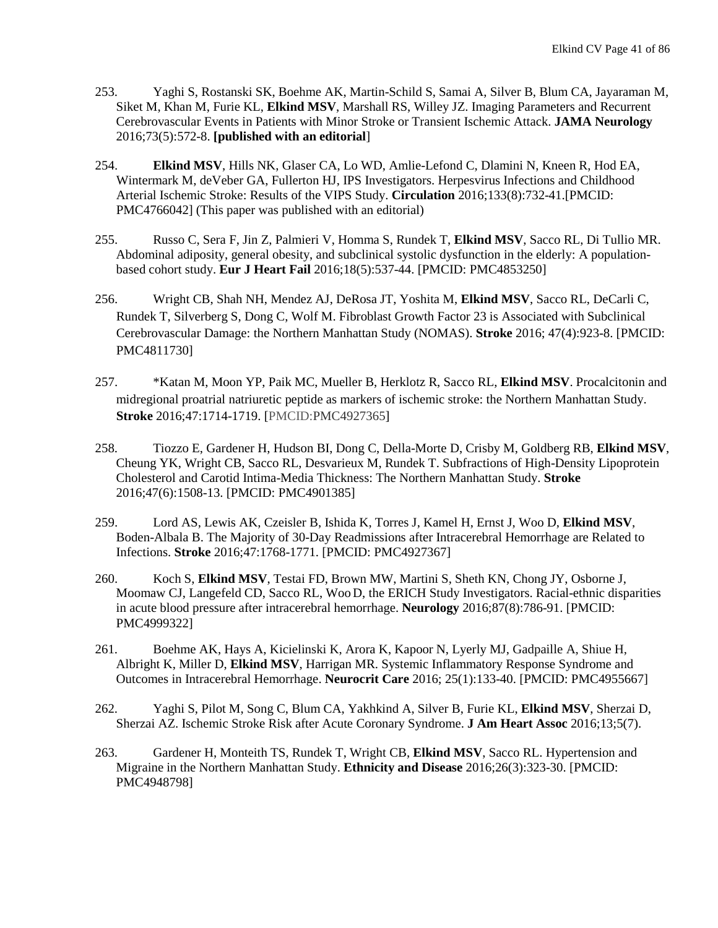- 253. Yaghi S, Rostanski SK, Boehme AK, Martin-Schild S, Samai A, Silver B, Blum CA, Jayaraman M, Siket M, Khan M, Furie KL, **Elkind MSV**, Marshall RS, Willey JZ. Imaging Parameters and Recurrent Cerebrovascular Events in Patients with Minor Stroke or Transient Ischemic Attack. **JAMA Neurology** 2016;73(5):572-8. **[published with an editorial**]
- 254. **Elkind MSV**, Hills NK, Glaser CA, Lo WD, Amlie-Lefond C, Dlamini N, Kneen R, Hod EA, Wintermark M, deVeber GA, Fullerton HJ, IPS Investigators. Herpesvirus Infections and Childhood Arterial Ischemic Stroke: Results of the VIPS Study. **Circulation** 2016;133(8):732-41.[PMCID: PMC4766042] (This paper was published with an editorial)
- 255. Russo C, Sera F, Jin Z, Palmieri V, Homma S, Rundek T, **Elkind MSV**, Sacco RL, Di Tullio MR. [Abdominal adiposity, general obesity, and subclinical systolic dysfunction in the elderly: A population](http://www.ncbi.nlm.nih.gov/pubmed/27109744)[based cohort study.](http://www.ncbi.nlm.nih.gov/pubmed/27109744) **Eur J Heart Fail** 2016;18(5):537-44. [PMCID: PMC4853250]
- 256. Wright CB, Shah NH, Mendez AJ, DeRosa JT, Yoshita M, **Elkind MSV**, Sacco RL, DeCarli C, Rundek T, Silverberg S, Dong C, Wolf M. Fibroblast Growth Factor 23 is Associated with Subclinical Cerebrovascular Damage: the Northern Manhattan Study (NOMAS). **Stroke** 2016; 47(4):923-8. [PMCID: PMC4811730]
- 257. \*Katan M, Moon YP, Paik MC, Mueller B, Herklotz R, Sacco RL, **Elkind MSV**. Procalcitonin and midregional proatrial natriuretic peptide as markers of ischemic stroke: the Northern Manhattan Study. **Stroke** 2016;47:1714-1719. [PMCID[:PMC4927365\]](https://www.ncbi.nlm.nih.gov/pmc/articles/PMC4927365/)
- 258. Tiozzo E, Gardener H, Hudson BI, Dong C, Della-Morte D, Crisby M, Goldberg RB, **Elkind MSV**, Cheung YK, Wright CB, Sacco RL, Desvarieux M, Rundek T. Subfractions of High-Density Lipoprotein Cholesterol and Carotid Intima-Media Thickness: The Northern Manhattan Study. **Stroke** 2016;47(6):1508-13. [PMCID: [PMC4901385\]](http://www.ncbi.nlm.nih.gov/pmc/articles/PMC4901385/)
- 259. Lord AS, Lewis AK, Czeisler B, Ishida K, Torres J, Kamel H, Ernst J, Woo D, **Elkind MSV**, Boden-Albala B. The Majority of 30-Day Readmissions after Intracerebral Hemorrhage are Related to Infections. **Stroke** 2016;47:1768-1771. [PMCID: PMC4927367]
- 260. Koch S, **Elkind MSV**, Testai FD, Brown MW, Martini S, Sheth KN, Chong JY, Osborne J, Moomaw CJ, Langefeld CD, Sacco RL, Woo D, the ERICH Study Investigators. Racial-ethnic disparities in acute blood pressure after intracerebral hemorrhage. **Neurology** 2016;87(8):786-91. [PMCID: PMC4999322]
- 261. Boehme AK, Hays A, Kicielinski K, Arora K, Kapoor N, Lyerly MJ, Gadpaille A, Shiue H, Albright K, Miller D, **Elkind MSV**, Harrigan MR. Systemic Inflammatory Response Syndrome and Outcomes in Intracerebral Hemorrhage. **Neurocrit Care** 2016; 25(1):133-40. [PMCID: PMC4955667]
- 262. Yaghi S, Pilot M, Song C, Blum CA, Yakhkind A, Silver B, Furie KL, **Elkind MSV**, Sherzai D, Sherzai AZ. Ischemic Stroke Risk after Acute Coronary Syndrome. **J Am Heart Assoc** 2016;13;5(7).
- 263. Gardener H, Monteith TS, Rundek T, Wright CB, **Elkind MSV**, Sacco RL. Hypertension and Migraine in the Northern Manhattan Study. **Ethnicity and Disease** 2016;26(3):323-30. [PMCID: PMC4948798]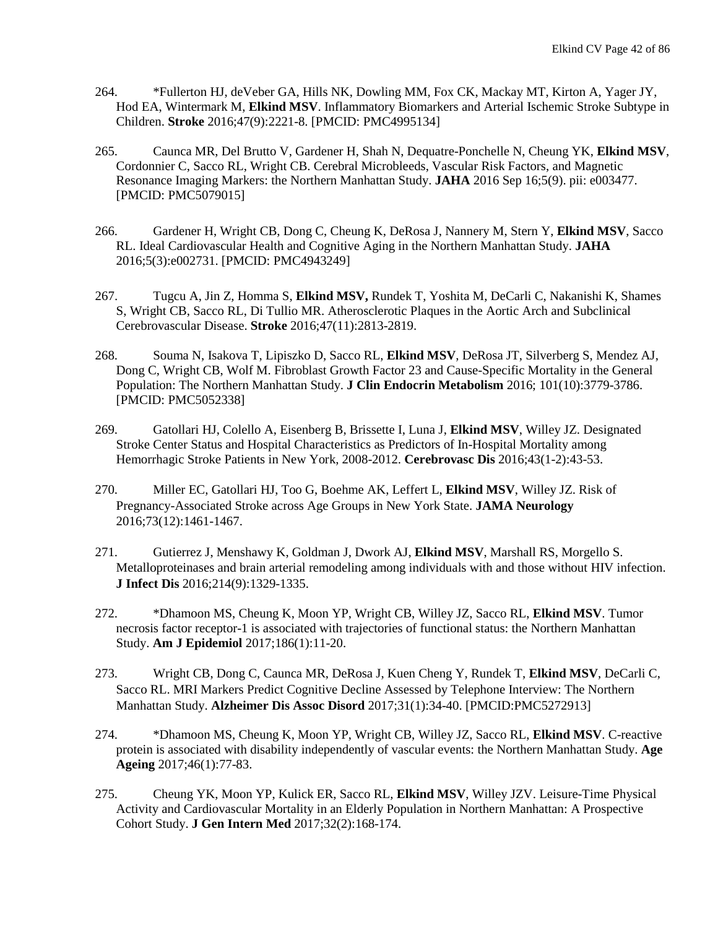- 264. \*Fullerton HJ, deVeber GA, Hills NK, Dowling MM, Fox CK, Mackay MT, Kirton A, Yager JY, Hod EA, Wintermark M, **Elkind MSV**. Inflammatory Biomarkers and Arterial Ischemic Stroke Subtype in Children. **Stroke** 2016;47(9):2221-8. [PMCID: PMC4995134]
- 265. Caunca MR, Del Brutto V, Gardener H, Shah N, Dequatre-Ponchelle N, Cheung YK, **Elkind MSV**, Cordonnier C, Sacco RL, Wright CB. Cerebral Microbleeds, Vascular Risk Factors, and Magnetic Resonance Imaging Markers: the Northern Manhattan Study. **JAHA** 2016 Sep 16;5(9). pii: e003477. [PMCID: [PMC5079015\]](https://www.ncbi.nlm.nih.gov/pmc/articles/PMC5079015/)
- 266. Gardener H, Wright CB, Dong C, Cheung K, DeRosa J, Nannery M, Stern Y, **Elkind MSV**, Sacco RL. [Ideal Cardiovascular Health and Cognitive Aging in the Northern Manhattan Study.](https://www.ncbi.nlm.nih.gov/pubmed/26984255) **JAHA** 2016;5(3):e002731. [PMCID: [PMC4943249\]](https://www.ncbi.nlm.nih.gov/pmc/articles/PMC5079015/)
- 267. Tugcu A, Jin Z, Homma S, **Elkind MSV,** Rundek T, Yoshita M, DeCarli C, Nakanishi K, Shames S, Wright CB, Sacco RL, Di Tullio MR. [Atherosclerotic Plaques in the Aortic Arch and Subclinical](https://www.ncbi.nlm.nih.gov/pubmed/27729581)  [Cerebrovascular Disease.](https://www.ncbi.nlm.nih.gov/pubmed/27729581) **Stroke** 2016;47(11):2813-2819.
- 268. Souma N, Isakova T, Lipiszko D, Sacco RL, **Elkind MSV**, DeRosa JT, Silverberg S, Mendez AJ, Dong C, Wright CB, Wolf M. Fibroblast Growth Factor 23 and Cause-Specific Mortality in the General Population: The Northern Manhattan Study. **J Clin Endocrin Metabolism** 2016; 101(10):3779-3786. [PMCID: [PMC5052338\]](https://www.ncbi.nlm.nih.gov/pmc/articles/PMC5052338/)
- 269. Gatollari HJ, Colello A, Eisenberg B, Brissette I, Luna J, **Elkind MSV**, Willey JZ. Designated Stroke Center Status and Hospital Characteristics as Predictors of In-Hospital Mortality among Hemorrhagic Stroke Patients in New York, 2008-2012. **Cerebrovasc Dis** 2016;43(1-2):43-53.
- 270. Miller EC, Gatollari HJ, Too G, Boehme AK, Leffert L, **Elkind MSV**, Willey JZ. Risk of Pregnancy-Associated Stroke across Age Groups in New York State. **JAMA Neurology** 2016;73(12):1461-1467.
- 271. Gutierrez J, Menshawy K, Goldman J, Dwork AJ, **Elkind MSV**, Marshall RS, Morgello S. [Metalloproteinases and brain arterial remodeling among individuals with and those without HIV infection.](http://www.ncbi.nlm.nih.gov/pubmed/27549585) **J Infect Dis** 2016;214(9):1329-1335.
- 272. \*Dhamoon MS, Cheung K, Moon YP, Wright CB, Willey JZ, Sacco RL, **Elkind MSV**. Tumor necrosis factor receptor-1 is associated with trajectories of functional status: the Northern Manhattan Study. **Am J Epidemiol** 2017;186(1):11-20.
- 273. Wright CB, Dong C, Caunca MR, DeRosa J, Kuen Cheng Y, Rundek T, **Elkind MSV**, DeCarli C, Sacco RL[. MRI Markers Predict Cognitive Decline Assessed by Telephone Interview: The Northern](http://www.ncbi.nlm.nih.gov/pubmed/27467026)  [Manhattan Study.](http://www.ncbi.nlm.nih.gov/pubmed/27467026) **Alzheimer Dis Assoc Disord** 2017;31(1):34-40. [PMCID[:PMC5272913\]](https://www.ncbi.nlm.nih.gov/pmc/articles/PMC5272913/)
- 274. \*Dhamoon MS, Cheung K, Moon YP, Wright CB, Willey JZ, Sacco RL, **Elkind MSV**. C-reactive protein is associated with disability independently of vascular events: the Northern Manhattan Study. **Age Ageing** 2017;46(1):77-83.
- 275. Cheung YK, Moon YP, Kulick ER, Sacco RL, **Elkind MSV**, Willey JZV. Leisure-Time Physical Activity and Cardiovascular Mortality in an Elderly Population in Northern Manhattan: A Prospective Cohort Study. **J Gen Intern Med** 2017;32(2):168-174.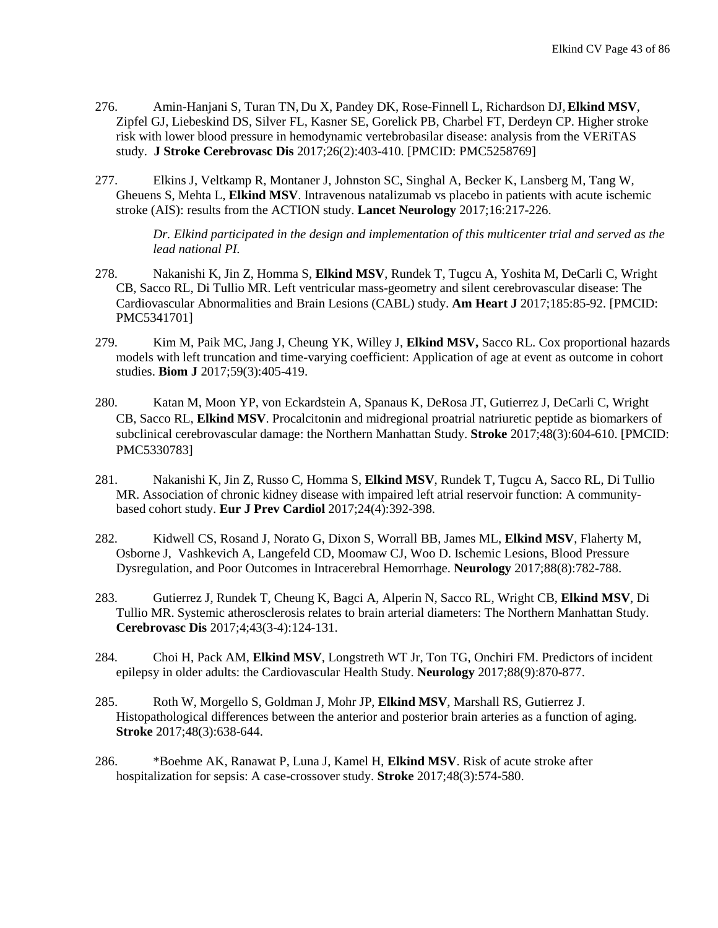- 276. Amin-Hanjani S, Turan TN, Du X, Pandey DK, Rose-Finnell L, Richardson DJ,**Elkind MSV**, Zipfel GJ, Liebeskind DS, Silver FL, Kasner SE, Gorelick PB, Charbel FT, Derdeyn CP. Higher stroke risk with lower blood pressure in hemodynamic vertebrobasilar disease: analysis from the VERiTAS study. **J Stroke Cerebrovasc Dis** 2017;26(2):403-410. [PMCID: [PMC5258769\]](https://www.ncbi.nlm.nih.gov/pmc/articles/PMC5258769/)
- 277. Elkins J, Veltkamp R, Montaner J, Johnston SC, Singhal A, Becker K, Lansberg M, Tang W, Gheuens S, Mehta L, **Elkind MSV**. Intravenous natalizumab vs placebo in patients with acute ischemic stroke (AIS): results from the ACTION study. **Lancet Neurology** 2017;16:217-226.

*Dr. Elkind participated in the design and implementation of this multicenter trial and served as the lead national PI.*

- 278. Nakanishi K, Jin Z, Homma S, **Elkind MSV**, Rundek T, Tugcu A, Yoshita M, DeCarli C, Wright CB, Sacco RL, Di Tullio MR. [Left ventricular mass-geometry and silent cerebrovascular disease: The](https://www.ncbi.nlm.nih.gov/pubmed/28267479)  [Cardiovascular Abnormalities and Brain Lesions \(CABL\) study.](https://www.ncbi.nlm.nih.gov/pubmed/28267479) **Am Heart J** 2017;185:85-92. [PMCID: PMC5341701]
- 279. Kim M, Paik MC, Jang J, Cheung YK, Willey J, **Elkind MSV,** Sacco RL. Cox proportional hazards models with left truncation and time-varying coefficient: Application of age at event as outcome in cohort studies. **Biom J** 2017;59(3):405-419.
- 280. Katan M, Moon YP, von Eckardstein A, Spanaus K, DeRosa JT, Gutierrez J, DeCarli C, Wright CB, Sacco RL, **Elkind MSV**. Procalcitonin and midregional proatrial natriuretic peptide as biomarkers of subclinical cerebrovascular damage: the Northern Manhattan Study. **Stroke** 2017;48(3):604-610. [PMCID: PMC5330783]
- 281. Nakanishi K, Jin Z, Russo C, Homma S, **Elkind MSV**, Rundek T, Tugcu A, Sacco RL, Di Tullio MR. Association of chronic kidney disease with impaired left atrial reservoir function: A communitybased cohort study. **Eur J Prev Cardiol** 2017;24(4):392-398.
- 282. Kidwell CS, Rosand J, Norato G, Dixon S, Worrall BB, James ML, **Elkind MSV**, Flaherty M, Osborne J, Vashkevich A, Langefeld CD, Moomaw CJ, Woo D. Ischemic Lesions, Blood Pressure Dysregulation, and Poor Outcomes in Intracerebral Hemorrhage. **Neurology** 2017;88(8):782-788.
- 283. Gutierrez J, Rundek T, Cheung K, Bagci A, Alperin N, Sacco RL, Wright CB, **Elkind MSV**, Di Tullio MR. Systemic atherosclerosis relates to brain arterial diameters: The Northern Manhattan Study. **Cerebrovasc Dis** 2017;4;43(3-4):124-131.
- 284. Choi H, Pack AM, **Elkind MSV**, Longstreth WT Jr, Ton TG, Onchiri FM. Predictors of incident epilepsy in older adults: the Cardiovascular Health Study. **Neurology** 2017;88(9):870-877.
- 285. Roth W, Morgello S, Goldman J, Mohr JP, **Elkind MSV**, Marshall RS, Gutierrez J. Histopathological differences between the anterior and posterior brain arteries as a function of aging. **Stroke** 2017;48(3):638-644.
- 286. \*Boehme AK, Ranawat P, Luna J, Kamel H, **Elkind MSV**. Risk of acute stroke after hospitalization for sepsis: A case-crossover study. **Stroke** 2017;48(3):574-580.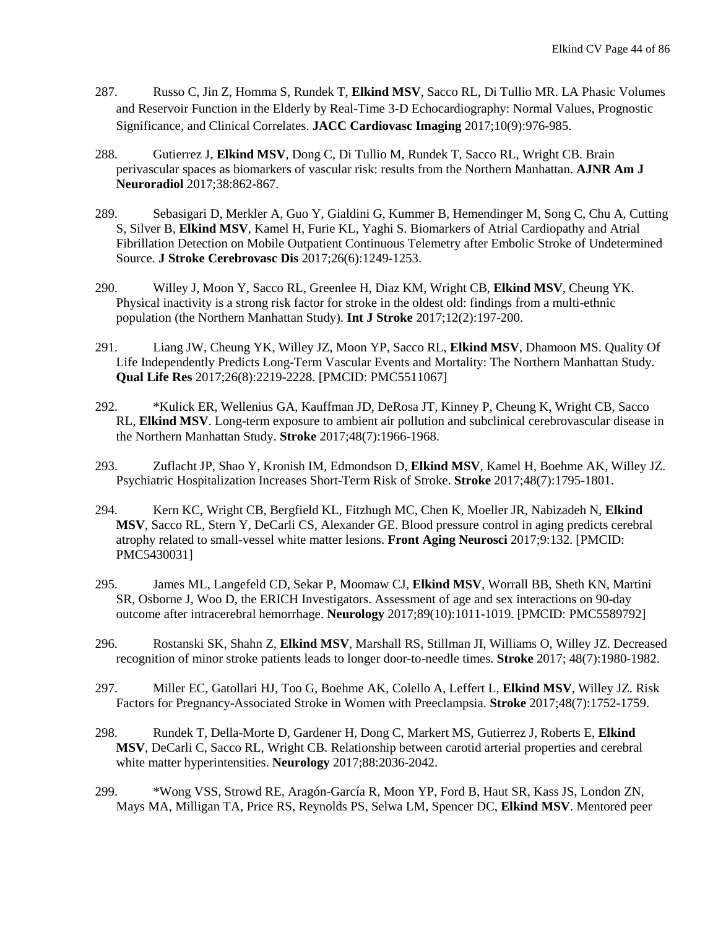- 287. Russo C, Jin Z, Homma S, Rundek T, **Elkind MSV**, Sacco RL, Di Tullio MR. LA Phasic Volumes and Reservoir Function in the Elderly by Real-Time 3-D Echocardiography: Normal Values, Prognostic Significance, and Clinical Correlates. **JACC Cardiovasc Imaging** 2017;10(9):976-985.
- 288. Gutierrez J, **Elkind MSV**, Dong C, Di Tullio M, Rundek T, Sacco RL, Wright CB. Brain perivascular spaces as biomarkers of vascular risk: results from the Northern Manhattan. **AJNR Am J Neuroradiol** 2017;38:862-867.
- 289. Sebasigari D, Merkler A, Guo Y, Gialdini G, Kummer B, Hemendinger M, Song C, Chu A, Cutting S, Silver B, **Elkind MSV**, Kamel H, Furie KL, Yaghi S. Biomarkers of Atrial Cardiopathy and Atrial Fibrillation Detection on Mobile Outpatient Continuous Telemetry after Embolic Stroke of Undetermined Source. **J Stroke Cerebrovasc Dis** 2017;26(6):1249-1253.
- 290. Willey J, Moon Y, Sacco RL, Greenlee H, Diaz KM, Wright CB, **Elkind MSV**, Cheung YK. Physical inactivity is a strong risk factor for stroke in the oldest old: findings from a multi-ethnic population (the Northern Manhattan Study). **Int J Stroke** 2017;12(2):197-200.
- 291. Liang JW, Cheung YK, Willey JZ, Moon YP, Sacco RL, **Elkind MSV**, Dhamoon MS. Quality Of Life Independently Predicts Long-Term Vascular Events and Mortality: The Northern Manhattan Study. **Qual Life Res** 2017;26(8):2219-2228. [PMCID: PMC5511067]
- 292. \*Kulick ER, Wellenius GA, Kauffman JD, DeRosa JT, Kinney P, Cheung K, Wright CB, Sacco RL, **Elkind MSV**. Long-term exposure to ambient air pollution and subclinical cerebrovascular disease in the Northern Manhattan Study. **Stroke** 2017;48(7):1966-1968.
- 293. Zuflacht JP, Shao Y, Kronish IM, Edmondson D, **Elkind MSV**, Kamel H, Boehme AK, Willey JZ. [Psychiatric Hospitalization Increases Short-Term Risk of Stroke.](https://www.ncbi.nlm.nih.gov/pubmed/28536168) **Stroke** 2017;48(7):1795-1801.
- 294. Kern KC, Wright CB, Bergfield KL, Fitzhugh MC, Chen K, Moeller JR, Nabizadeh N, **Elkind MSV**, Sacco RL, Stern Y, DeCarli CS, Alexander GE. Blood pressure control in aging predicts cerebral atrophy related to small-vessel white matter lesions. **Front Aging Neurosci** 2017;9:132. [PMCID: PMC5430031]
- 295. James ML, Langefeld CD, Sekar P, Moomaw CJ, **Elkind MSV**, Worrall BB, Sheth KN, Martini SR, Osborne J, Woo D, the ERICH Investigators. Assessment of age and sex interactions on 90-day outcome after intracerebral hemorrhage. **Neurology** 2017;89(10):1011-1019. [PMCID: [PMC5589792\]](https://www.ncbi.nlm.nih.gov/pmc/articles/PMC5589792/)
- 296. Rostanski SK, Shahn Z, **Elkind MSV**, Marshall RS, Stillman JI, Williams O, Willey JZ. Decreased recognition of minor stroke patients leads to longer door-to-needle times. **Stroke** 2017; 48(7):1980-1982.
- 297. Miller EC, Gatollari HJ, Too G, Boehme AK, Colello A, Leffert L, **Elkind MSV**, Willey JZ. Risk Factors for Pregnancy-Associated Stroke in Women with Preeclampsia. **Stroke** 2017;48(7):1752-1759.
- 298. Rundek T, Della-Morte D, Gardener H, Dong C, Markert MS, Gutierrez J, Roberts E, **Elkind MSV**, DeCarli C, Sacco RL, Wright CB. [Relationship between carotid arterial properties and cerebral](https://www.ncbi.nlm.nih.gov/pubmed/28446647)  [white matter hyperintensities.](https://www.ncbi.nlm.nih.gov/pubmed/28446647) **Neurology** 2017;88:2036-2042.
- 299. \*Wong VSS, Strowd RE, Aragón-García R, Moon YP, Ford B, Haut SR, Kass JS, London ZN, Mays MA, Milligan TA, Price RS, Reynolds PS, Selwa LM, Spencer DC, **Elkind MSV**. Mentored peer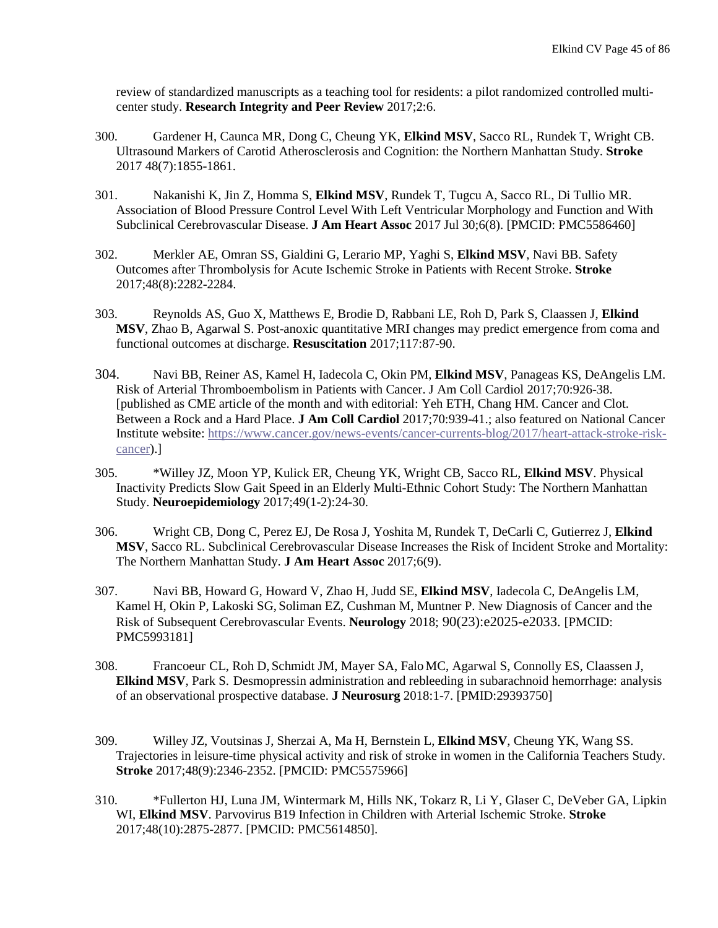review of standardized manuscripts as a teaching tool for residents: a pilot randomized controlled multicenter study. **Research Integrity and Peer Review** 2017;2:6.

- 300. Gardener H, Caunca MR, Dong C, Cheung YK, **Elkind MSV**, Sacco RL, Rundek T, Wright CB. Ultrasound Markers of Carotid Atherosclerosis and Cognition: the Northern Manhattan Study. **Stroke** 2017 48(7):1855-1861.
- 301. Nakanishi K, Jin Z, Homma S, **Elkind MSV**, Rundek T, Tugcu A, Sacco RL, Di Tullio MR. [Association of Blood Pressure Control Level With Left Ventricular Morphology and Function and With](https://www.ncbi.nlm.nih.gov/pubmed/28757483)  [Subclinical Cerebrovascular Disease.](https://www.ncbi.nlm.nih.gov/pubmed/28757483) **J Am Heart Assoc** 2017 Jul 30;6(8). [PMCID: PMC5586460]
- 302. Merkler AE, Omran SS, Gialdini G, Lerario MP, Yaghi S, **Elkind MSV**, Navi BB. Safety Outcomes after Thrombolysis for Acute Ischemic Stroke in Patients with Recent Stroke. **Stroke** 2017;48(8):2282-2284.
- 303. Reynolds AS, Guo X, Matthews E, Brodie D, Rabbani LE, Roh D, Park S, Claassen J, **Elkind MSV**, Zhao B, Agarwal S. Post-anoxic quantitative MRI changes may predict emergence from coma and functional outcomes at discharge. **Resuscitation** 2017;117:87-90.
- 304. Navi BB, Reiner AS, Kamel H, Iadecola C, Okin PM, **Elkind MSV**, Panageas KS, DeAngelis LM. Risk of Arterial Thromboembolism in Patients with Cancer. J Am Coll Cardiol 2017;70:926-38. [published as CME article of the month and with editorial: Yeh ETH, Chang HM. Cancer and Clot. Between a Rock and a Hard Place. **J Am Coll Cardiol** 2017;70:939-41.; also featured on National Cancer Institute website: [https://www.cancer.gov/news-events/cancer-currents-blog/2017/heart-attack-stroke-risk](https://www.cancer.gov/news-events/cancer-currents-blog/2017/heart-attack-stroke-risk-cancer)[cancer\)](https://www.cancer.gov/news-events/cancer-currents-blog/2017/heart-attack-stroke-risk-cancer).]
- 305. \*Willey JZ, Moon YP, Kulick ER, Cheung YK, Wright CB, Sacco RL, **Elkind MSV**. [Physical](https://www.ncbi.nlm.nih.gov/pubmed/28810247)  [Inactivity Predicts Slow Gait Speed in an Elderly Multi-Ethnic Cohort Study: The Northern Manhattan](https://www.ncbi.nlm.nih.gov/pubmed/28810247)  [Study.](https://www.ncbi.nlm.nih.gov/pubmed/28810247) **Neuroepidemiology** 2017;49(1-2):24-30.
- 306. Wright CB, Dong C, Perez EJ, De Rosa J, Yoshita M, Rundek T, DeCarli C, Gutierrez J, **Elkind MSV**, Sacco RL. [Subclinical Cerebrovascular Disease Increases the Risk of Incident Stroke and Mortality:](https://www.ncbi.nlm.nih.gov/pubmed/28847914)  [The Northern Manhattan Study.](https://www.ncbi.nlm.nih.gov/pubmed/28847914) **J Am Heart Assoc** 2017;6(9).
- 307. Navi BB, Howard G, Howard V, Zhao H, Judd SE, **Elkind MSV**, Iadecola C, DeAngelis LM, Kamel H, Okin P, Lakoski SG, Soliman EZ, Cushman M, Muntner P. New Diagnosis of Cancer and the Risk of Subsequent Cerebrovascular Events. **Neurology** 2018; 90(23):e2025-e2033. [PMCID: [PMC5993181\]](https://www.ncbi.nlm.nih.gov/pmc/articles/PMC5993181/)
- 308. Francoeur CL, Roh D, Schmidt JM, Mayer SA, Falo MC, Agarwal S, Connolly ES, Claassen J, **Elkind MSV**, Park S. Desmopressin administration and rebleeding in subarachnoid hemorrhage: analysis of an observational prospective database. **J Neurosurg** 2018:1-7. [PMID:29393750]
- 309. Willey JZ, Voutsinas J, Sherzai A, Ma H, Bernstein L, **Elkind MSV**, Cheung YK, Wang SS. Trajectories in leisure-time physical activity and risk of stroke in women in the California Teachers Study. **Stroke** 2017;48(9):2346-2352. [PMCID: [PMC5575966\]](https://www.ncbi.nlm.nih.gov/pmc/articles/PMC5575966/)
- 310. \*Fullerton HJ, Luna JM, Wintermark M, Hills NK, Tokarz R, Li Y, Glaser C, DeVeber GA, Lipkin WI, **Elkind MSV**. Parvovirus B19 Infection in Children with Arterial Ischemic Stroke. **Stroke** 2017;48(10):2875-2877. [PMCID: PMC5614850].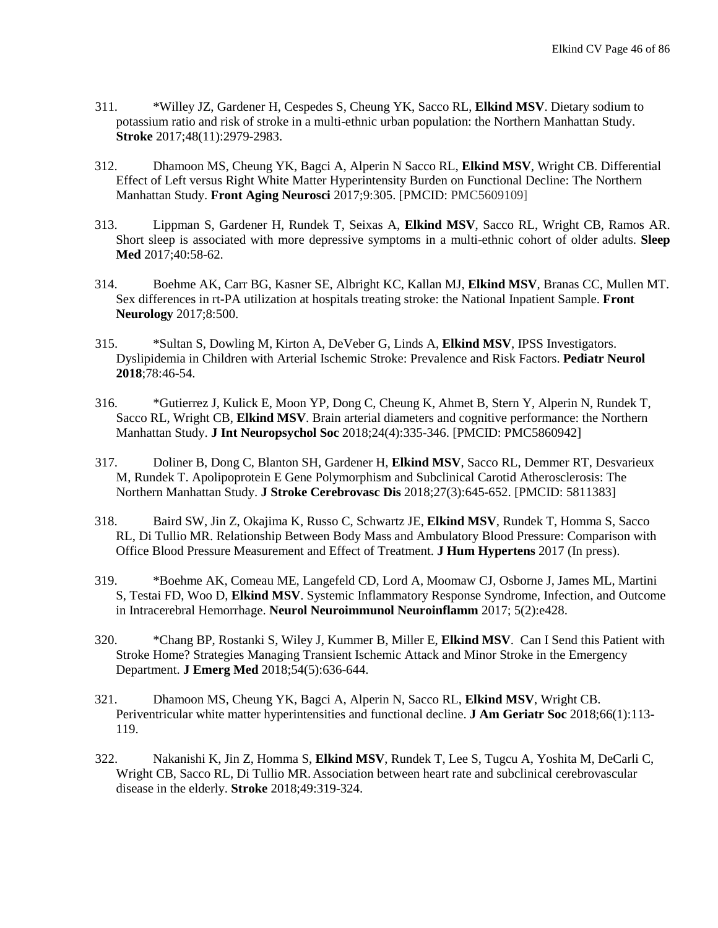- 311. \*Willey JZ, Gardener H, Cespedes S, Cheung YK, Sacco RL, **Elkind MSV**. Dietary sodium to potassium ratio and risk of stroke in a multi-ethnic urban population: the Northern Manhattan Study. **Stroke** 2017;48(11):2979-2983.
- 312. Dhamoon MS, Cheung YK, Bagci A, Alperin N Sacco RL, **Elkind MSV**, Wright CB. Differential Effect of Left versus Right White Matter Hyperintensity Burden on Functional Decline: The Northern Manhattan Study. **Front Aging Neurosci** 2017;9:305. [PMCID: [PMC5609109\]](https://www.ncbi.nlm.nih.gov/pmc/articles/PMC5609109/)
- 313. Lippman S, Gardener H, Rundek T, Seixas A, **Elkind MSV**, Sacco RL, Wright CB, Ramos AR. Short sleep is associated with more depressive symptoms in a multi-ethnic cohort of older adults. **Sleep Med** 2017;40:58-62.
- 314. Boehme AK, Carr BG, Kasner SE, Albright KC, Kallan MJ, **Elkind MSV**, Branas CC, Mullen MT. Sex differences in rt-PA utilization at hospitals treating stroke: the National Inpatient Sample. **Front Neurology** 2017;8:500.
- 315. \*Sultan S, Dowling M, Kirton A, DeVeber G, Linds A, **Elkind MSV**, IPSS Investigators. Dyslipidemia in Children with Arterial Ischemic Stroke: Prevalence and Risk Factors. **Pediatr Neurol 2018**;78:46-54.
- 316. \*Gutierrez J, Kulick E, Moon YP, Dong C, Cheung K, Ahmet B, Stern Y, Alperin N, Rundek T, Sacco RL, Wright CB, **Elkind MSV**. Brain arterial diameters and cognitive performance: the Northern Manhattan Study. **J Int Neuropsychol Soc** 2018;24(4):335-346. [PMCID: PMC5860942]
- 317. Doliner B, Dong C, Blanton SH, Gardener H, **Elkind MSV**, Sacco RL, Demmer RT, Desvarieux M, Rundek T. [Apolipoprotein E Gene Polymorphism and Subclinical Carotid Atherosclerosis: The](https://www.ncbi.nlm.nih.gov/pubmed/29103864)  [Northern Manhattan Study.](https://www.ncbi.nlm.nih.gov/pubmed/29103864) **J Stroke Cerebrovasc Dis** 2018;27(3):645-652. [PMCID: 5811383]
- 318. Baird SW, Jin Z, Okajima K, Russo C, Schwartz JE, **Elkind MSV**, Rundek T, Homma S, Sacco RL, Di Tullio MR. Relationship Between Body Mass and Ambulatory Blood Pressure: Comparison with Office Blood Pressure Measurement and Effect of Treatment. **J Hum Hypertens** 2017 (In press).
- 319. \*Boehme AK, Comeau ME, Langefeld CD, Lord A, Moomaw CJ, Osborne J, James ML, Martini S, Testai FD, Woo D, **Elkind MSV**. Systemic Inflammatory Response Syndrome, Infection, and Outcome in Intracerebral Hemorrhage. **Neurol Neuroimmunol Neuroinflamm** 2017; 5(2):e428.
- 320. \*Chang BP, Rostanki S, Wiley J, Kummer B, Miller E, **Elkind MSV**. Can I Send this Patient with Stroke Home? Strategies Managing Transient Ischemic Attack and Minor Stroke in the Emergency Department. **J Emerg Med** 2018;54(5):636-644.
- 321. Dhamoon MS, Cheung YK, Bagci A, Alperin N, Sacco RL, **Elkind MSV**, Wright CB. Periventricular white matter hyperintensities and functional decline. **J Am Geriatr Soc** 2018;66(1):113- 119.
- 322. Nakanishi K, Jin Z, Homma S, **Elkind MSV**, Rundek T, Lee S, Tugcu A, Yoshita M, DeCarli C, Wright CB, Sacco RL, Di Tullio MR.Association between heart rate and subclinical cerebrovascular disease in the elderly. **Stroke** 2018;49:319-324.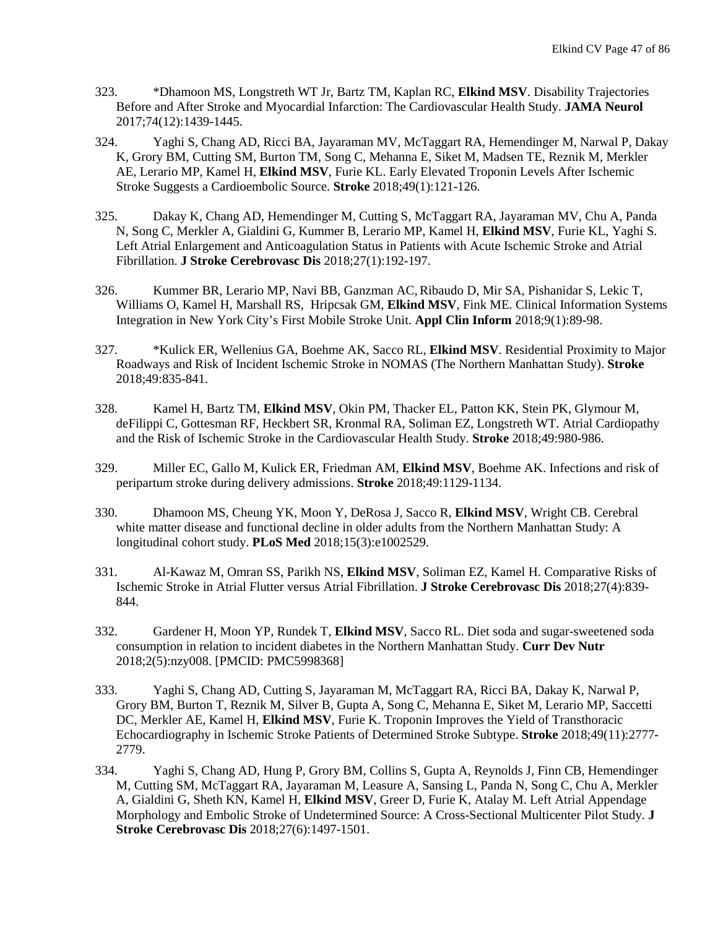- 323. \*Dhamoon MS, Longstreth WT Jr, Bartz TM, Kaplan RC, **Elkind MSV**. [Disability Trajectories](https://www.ncbi.nlm.nih.gov/pubmed/29059266)  [Before and After Stroke and Myocardial Infarction: The Cardiovascular Health Study.](https://www.ncbi.nlm.nih.gov/pubmed/29059266) **JAMA Neurol** 2017;74(12):1439-1445.
- 324. Yaghi S, Chang AD, Ricci BA, Jayaraman MV, McTaggart RA, Hemendinger M, Narwal P, Dakay K, Grory BM, Cutting SM, Burton TM, Song C, Mehanna E, Siket M, Madsen TE, Reznik M, Merkler AE, Lerario MP, Kamel H, **Elkind MSV**, Furie KL. [Early Elevated Troponin Levels After Ischemic](https://www.ncbi.nlm.nih.gov/pubmed/29167390)  [Stroke Suggests a Cardioembolic Source.](https://www.ncbi.nlm.nih.gov/pubmed/29167390) **Stroke** 2018;49(1):121-126.
- 325. Dakay K, Chang AD, Hemendinger M, Cutting S, McTaggart RA, Jayaraman MV, Chu A, Panda N, Song C, Merkler A, Gialdini G, Kummer B, Lerario MP, Kamel H, **Elkind MSV**, Furie KL, Yaghi S. [Left Atrial Enlargement and Anticoagulation Status in Patients with Acute Ischemic Stroke and Atrial](https://www.ncbi.nlm.nih.gov/pubmed/28918087)  [Fibrillation.](https://www.ncbi.nlm.nih.gov/pubmed/28918087) **J Stroke Cerebrovasc Dis** 2018;27(1):192-197.
- 326. Kummer BR, Lerario MP, Navi BB, Ganzman AC,Ribaudo D, Mir SA, Pishanidar S, Lekic T, Williams O, Kamel H, Marshall RS, Hripcsak GM, **Elkind MSV**, Fink ME. Clinical Information Systems Integration in New York City's First Mobile Stroke Unit. **Appl Clin Inform** 2018;9(1):89-98.
- 327. \*Kulick ER, Wellenius GA, Boehme AK, Sacco RL, **Elkind MSV**. [Residential Proximity to Major](https://www.ncbi.nlm.nih.gov/pubmed/29540609)  [Roadways and Risk of Incident Ischemic Stroke in NOMAS \(The Northern Manhattan Study\).](https://www.ncbi.nlm.nih.gov/pubmed/29540609) **Stroke** 2018;49:835-841.
- 328. Kamel H, Bartz TM, **Elkind MSV**, Okin PM, Thacker EL, Patton KK, Stein PK, Glymour M, deFilippi C, Gottesman RF, Heckbert SR, Kronmal RA, Soliman EZ, Longstreth WT. Atrial Cardiopathy and the Risk of Ischemic Stroke in the Cardiovascular Health Study. **Stroke** 2018;49:980-986.
- 329. Miller EC, Gallo M, Kulick ER, Friedman AM, **Elkind MSV**, Boehme AK. Infections and risk of peripartum stroke during delivery admissions. **Stroke** 2018;49:1129-1134.
- 330. Dhamoon MS, Cheung YK, Moon Y, DeRosa J, Sacco R, **Elkind MSV**, Wright CB. [Cerebral](https://www.ncbi.nlm.nih.gov/pubmed/29558467)  [white matter disease and functional decline in older adults from the Northern Manhattan Study: A](https://www.ncbi.nlm.nih.gov/pubmed/29558467)  [longitudinal cohort study.](https://www.ncbi.nlm.nih.gov/pubmed/29558467) **PLoS Med** 2018;15(3):e1002529.
- 331. Al-Kawaz M, Omran SS, Parikh NS, **Elkind MSV**[, Soliman EZ, Kamel H. Comparative Risks of](https://www.ncbi.nlm.nih.gov/pubmed/29223550)  [Ischemic Stroke in Atrial Flutter versus Atrial Fibrillation.](https://www.ncbi.nlm.nih.gov/pubmed/29223550) **J Stroke Cerebrovasc Dis** 2018;27(4):839- 844.
- 332. Gardener H, Moon YP, Rundek T, **Elkind MSV**, Sacco RL. Diet soda and sugar-sweetened soda consumption in relation to incident diabetes in the Northern Manhattan Study. **Curr Dev Nutr** 2018;2(5):nzy008. [PMCID: [PMC5998368\]](https://www.ncbi.nlm.nih.gov/pmc/articles/PMC5998368/)
- 333. Yaghi S, Chang AD, Cutting S, Jayaraman M, McTaggart RA, Ricci BA, Dakay K, Narwal P, Grory BM, Burton T, Reznik M, Silver B, Gupta A, Song C, Mehanna E, Siket M, Lerario MP, Saccetti DC, Merkler AE, Kamel H, **Elkind MSV**, Furie K[. Troponin Improves the Yield of Transthoracic](https://www.ncbi.nlm.nih.gov/pubmed/30355193)  [Echocardiography in Ischemic Stroke Patients of Determined Stroke Subtype.](https://www.ncbi.nlm.nih.gov/pubmed/30355193) **Stroke** 2018;49(11):2777- 2779.
- 334. Yaghi S, Chang AD, Hung P, Grory BM, Collins S, Gupta A, Reynolds J, Finn CB, Hemendinger M, Cutting SM, McTaggart RA, Jayaraman M, Leasure A, Sansing L, Panda N, Song C, Chu A, Merkler A, Gialdini G, Sheth KN, Kamel H, **Elkind MSV**, Greer D, Furie K, Atalay M. [Left Atrial Appendage](https://www.ncbi.nlm.nih.gov/pubmed/29398537)  [Morphology and Embolic Stroke of Undetermined Source: A Cross-Sectional Multicenter Pilot Study.](https://www.ncbi.nlm.nih.gov/pubmed/29398537) **J Stroke Cerebrovasc Dis** 2018;27(6):1497-1501.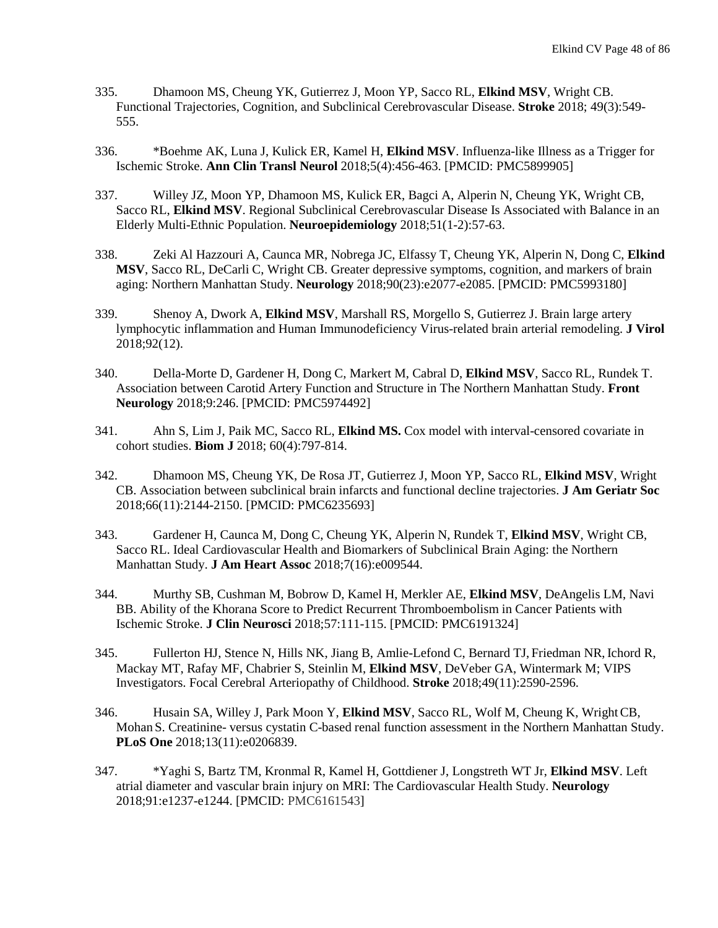- 335. Dhamoon MS, Cheung YK, Gutierrez J, Moon YP, Sacco RL, **Elkind MSV**, Wright CB. [Functional Trajectories, Cognition, and Subclinical Cerebrovascular Disease.](https://www.ncbi.nlm.nih.gov/pubmed/29374104) **Stroke** 2018; 49(3):549- 555.
- 336. \*Boehme AK, Luna J, Kulick ER, Kamel H, **Elkind MSV**. Influenza-like Illness as a Trigger for Ischemic Stroke. **Ann Clin Transl Neurol** 2018;5(4):456-463. [PMCID: PMC5899905]
- 337. Willey JZ, Moon YP, Dhamoon MS, Kulick ER, Bagci A, Alperin N, Cheung YK, Wright CB, Sacco RL, **Elkind MSV**. [Regional Subclinical Cerebrovascular Disease Is Associated](https://www.ncbi.nlm.nih.gov/pubmed/29953989) with Balance in an [Elderly Multi-Ethnic Population.](https://www.ncbi.nlm.nih.gov/pubmed/29953989) **Neuroepidemiology** 2018;51(1-2):57-63.
- 338. Zeki Al Hazzouri A, Caunca MR, Nobrega JC, Elfassy T, Cheung YK, Alperin N, Dong C, **Elkind MSV**, Sacco RL, DeCarli C, Wright CB. [Greater depressive symptoms, cognition, and markers of brain](https://www.ncbi.nlm.nih.gov/pubmed/29743209)  [aging: Northern Manhattan Study.](https://www.ncbi.nlm.nih.gov/pubmed/29743209) **Neurology** 2018;90(23):e2077-e2085. [PMCID: [PMC5993180\]](https://www.ncbi.nlm.nih.gov/pmc/articles/PMC5993180/)
- 339. Shenoy A, Dwork A, **Elkind MSV**, Marshall RS, Morgello S, Gutierrez J. Brain large artery lymphocytic inflammation and Human Immunodeficiency Virus-related brain arterial remodeling. **J Virol** 2018;92(12).
- 340. Della-Morte D, Gardener H, Dong C, Markert M, Cabral D, **Elkind MSV**, Sacco RL, Rundek T. Association between Carotid Artery Function and Structure in The Northern Manhattan Study. **Front Neurology** 2018;9:246. [PMCID: PMC5974492]
- 341. Ahn S, Lim J, Paik MC, Sacco RL, **Elkind MS.** Cox model with interval-censored covariate in cohort studies. **Biom J** 2018; 60(4):797-814.
- 342. Dhamoon MS, Cheung YK, De Rosa JT, Gutierrez J, Moon YP, Sacco RL, **Elkind MSV**, Wright CB. Association between subclinical brain infarcts and functional decline trajectories. **J Am Geriatr Soc** 2018;66(11):2144-2150. [PMCID: PMC6235693]
- 343. Gardener H, Caunca M, Dong C, Cheung YK, Alperin N, Rundek T, **Elkind MSV**, Wright CB, Sacco RL. Ideal Cardiovascular Health and Biomarkers of Subclinical Brain Aging: the Northern Manhattan Study. **J Am Heart Assoc** 2018;7(16):e009544.
- 344. Murthy SB, Cushman M, Bobrow D, Kamel H, Merkler AE, **Elkind MSV**, DeAngelis LM, Navi BB. Ability of the Khorana Score to Predict Recurrent Thromboembolism in Cancer Patients with Ischemic Stroke. **J Clin Neurosci** 2018;57:111-115. [PMCID: PMC6191324]
- 345. Fullerton HJ, Stence N, Hills NK, Jiang B, Amlie-Lefond C, Bernard TJ, Friedman NR,Ichord R, Mackay MT, Rafay MF, Chabrier S, Steinlin M, **Elkind MSV**, DeVeber GA, Wintermark M; VIPS Investigators. Focal Cerebral Arteriopathy of Childhood. **Stroke** 2018;49(11):2590-2596.
- 346. Husain SA, Willey J, Park Moon Y, **Elkind MSV**, Sacco RL, Wolf M, Cheung K, WrightCB, Mohan S. Creatinine- [versus cystatin C-based renal function assessment in the Northern Manhattan Study.](https://www.ncbi.nlm.nih.gov/pubmed/30427947) **PLoS One** 2018;13(11):e0206839.
- 347. \*Yaghi S, Bartz TM, Kronmal R, Kamel H, Gottdiener J, Longstreth WT Jr, **Elkind MSV**. [Left](https://www.ncbi.nlm.nih.gov/pubmed/30158157)  [atrial diameter and vascular brain injury on MRI: The Cardiovascular Health Study.](https://www.ncbi.nlm.nih.gov/pubmed/30158157) **Neurology** 2018;91:e1237-e1244. [PMCID: [PMC6161543\]](https://www.ncbi.nlm.nih.gov/pmc/articles/PMC6161543/)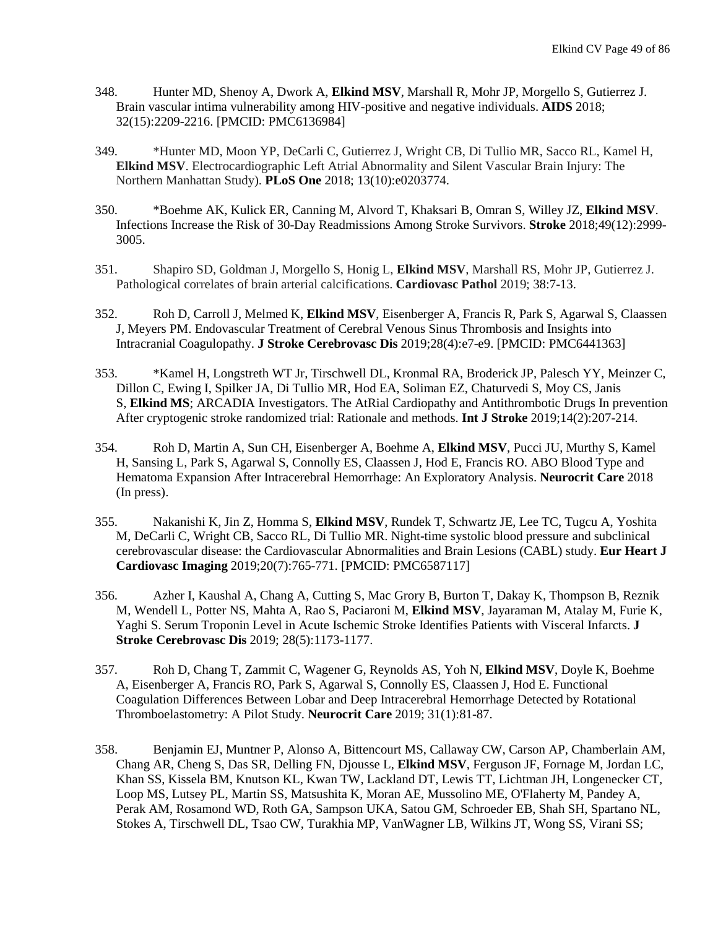- 348. Hunter MD, Shenoy A, Dwork A, **Elkind MSV**, Marshall R, Mohr JP, Morgello S, Gutierrez J. [Brain vascular intima vulnerability among HIV-positive and negative individuals.](https://www.ncbi.nlm.nih.gov/pubmed/30005012) **AIDS** 2018; 32(15):2209-2216. [PMCID: PMC6136984]
- 349. \*Hunter MD, Moon YP, DeCarli C, Gutierrez J, Wright CB, Di Tullio MR, Sacco RL, Kamel H, **Elkind MSV**. Electrocardiographic Left Atrial Abnormality and Silent Vascular Brain Injury: The Northern Manhattan Study). **PLoS One** 2018; 13(10):e0203774.
- 350. \*Boehme AK, Kulick ER, Canning M, Alvord T, Khaksari B, Omran S, Willey JZ, **Elkind MSV**. [Infections Increase the Risk of 30-Day Readmissions Among Stroke Survivors.](https://www.ncbi.nlm.nih.gov/pubmed/30571394) **Stroke** 2018;49(12):2999- 3005.
- 351. Shapiro SD, Goldman J, Morgello S, Honig L, **Elkind MSV**, Marshall RS, Mohr JP, Gutierrez J. Pathological correlates of brain arterial calcifications. **Cardiovasc Pathol** 2019; 38:7-13.
- 352. Roh D, Carroll J, Melmed K, **Elkind MSV**, Eisenberger A, Francis R, Park S, Agarwal S, Claassen J, Meyers PM. [Endovascular Treatment of Cerebral Venous Sinus Thrombosis and Insights into](https://www.ncbi.nlm.nih.gov/pubmed/30635218)  [Intracranial Coagulopathy.](https://www.ncbi.nlm.nih.gov/pubmed/30635218) **J Stroke Cerebrovasc Dis** 2019;28(4):e7-e9. [PMCID: PMC6441363]
- 353. \*Kamel H, Longstreth WT Jr, Tirschwell DL, Kronmal RA, Broderick JP, Palesch YY, Meinzer C, Dillon C, Ewing I, Spilker JA, Di Tullio MR, Hod EA, Soliman EZ, Chaturvedi S, Moy CS, Janis S, **Elkind MS**; ARCADIA Investigators[. The AtRial Cardiopathy and Antithrombotic Drugs In prevention](https://www.ncbi.nlm.nih.gov/pubmed/30196789)  [After cryptogenic stroke randomized trial: Rationale and methods.](https://www.ncbi.nlm.nih.gov/pubmed/30196789) **Int J Stroke** 2019;14(2):207-214.
- 354. Roh D, Martin A, Sun CH, Eisenberger A, Boehme A, **Elkind MSV**, Pucci JU, Murthy S, Kamel H, Sansing L, Park S, Agarwal S, Connolly ES, Claassen J, Hod E, Francis RO. [ABO Blood Type and](https://www.ncbi.nlm.nih.gov/pubmed/30547310)  [Hematoma Expansion After Intracerebral Hemorrhage: An Exploratory Analysis.](https://www.ncbi.nlm.nih.gov/pubmed/30547310) **Neurocrit Care** 2018 (In press).
- 355. Nakanishi K, Jin Z, Homma S, **Elkind MSV**, Rundek T, Schwartz JE, Lee TC, Tugcu A, Yoshita M, DeCarli C, Wright CB, Sacco RL, Di Tullio MR. [Night-time systolic blood pressure and subclinical](https://www.ncbi.nlm.nih.gov/pubmed/30649236)  [cerebrovascular disease: the Cardiovascular Abnormalities and Brain Lesions \(CABL\) study.](https://www.ncbi.nlm.nih.gov/pubmed/30649236) **Eur Heart J Cardiovasc Imaging** 2019;20(7):765-771. [PMCID: PMC6587117]
- 356. Azher I, Kaushal A, Chang A, Cutting S, Mac Grory B, Burton T, Dakay K, Thompson B, Reznik M, Wendell L, Potter NS, Mahta A, Rao S, Paciaroni M, **Elkind MSV**, Jayaraman M, Atalay M, Furie K, Yaghi S. [Serum Troponin Level in Acute Ischemic Stroke Identifies Patients with Visceral Infarcts.](https://www.ncbi.nlm.nih.gov/pubmed/30665837) **J Stroke Cerebrovasc Dis** 2019; 28(5):1173-1177.
- 357. Roh D, Chang T, Zammit C, Wagener G, Reynolds AS, Yoh N, **Elkind MSV**, Doyle K, Boehme A, Eisenberger A, Francis RO, Park S, Agarwal S, Connolly ES, Claassen J, Hod E. [Functional](https://www.ncbi.nlm.nih.gov/pubmed/30693412)  [Coagulation Differences Between Lobar and Deep Intracerebral Hemorrhage Detected by Rotational](https://www.ncbi.nlm.nih.gov/pubmed/30693412)  [Thromboelastometry: A Pilot Study.](https://www.ncbi.nlm.nih.gov/pubmed/30693412) **Neurocrit Care** 2019; 31(1):81-87.
- 358. Benjamin EJ, Muntner P, Alonso A, Bittencourt MS, Callaway CW, Carson AP, Chamberlain AM, Chang AR, Cheng S, Das SR, Delling FN, Djousse L, **Elkind MSV**, Ferguson JF, Fornage M, Jordan LC, Khan SS, Kissela BM, Knutson KL, Kwan TW, Lackland DT, Lewis TT, Lichtman JH, Longenecker CT, Loop MS, Lutsey PL, Martin SS, Matsushita K, Moran AE, Mussolino ME, O'Flaherty M, Pandey A, Perak AM, Rosamond WD, Roth GA, Sampson UKA, Satou GM, Schroeder EB, Shah SH, Spartano NL, Stokes A, Tirschwell DL, Tsao CW, Turakhia MP, VanWagner LB, Wilkins JT, Wong SS, Virani SS;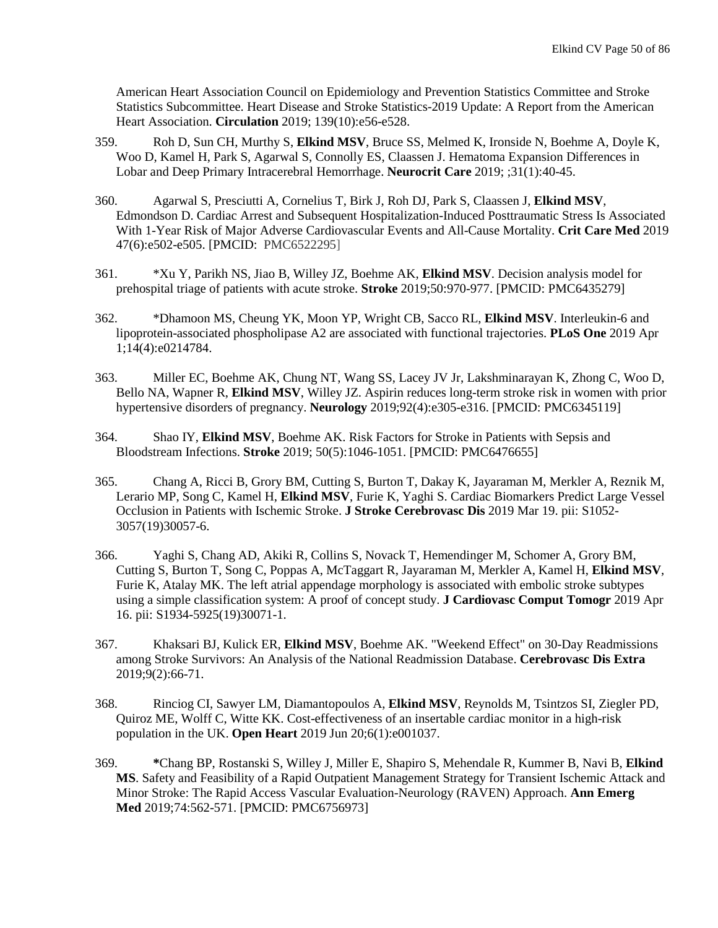American Heart Association Council on Epidemiology and Prevention Statistics Committee and Stroke Statistics Subcommittee. [Heart Disease and Stroke Statistics-2019 Update: A Report from the American](https://www.ncbi.nlm.nih.gov/pubmed/30700139)  [Heart Association.](https://www.ncbi.nlm.nih.gov/pubmed/30700139) **Circulation** 2019; 139(10):e56-e528.

- 359. Roh D, Sun CH, Murthy S, **Elkind MSV**, Bruce SS, Melmed K, Ironside N, Boehme A, Doyle K, Woo D, Kamel H, Park S, Agarwal S, Connolly ES, Claassen J[. Hematoma Expansion Differences in](https://www.ncbi.nlm.nih.gov/pubmed/30756318)  [Lobar and Deep Primary Intracerebral Hemorrhage.](https://www.ncbi.nlm.nih.gov/pubmed/30756318) **Neurocrit Care** 2019; ;31(1):40-45.
- 360. Agarwal S, Presciutti A, Cornelius T, Birk J, Roh DJ, Park S, Claassen J, **Elkind MSV**, Edmondson D. [Cardiac Arrest and Subsequent Hospitalization-Induced Posttraumatic Stress Is Associated](https://www.ncbi.nlm.nih.gov/pubmed/30889030)  [With 1-Year Risk of Major Adverse Cardiovascular Events and All-Cause Mortality.](https://www.ncbi.nlm.nih.gov/pubmed/30889030) **Crit Care Med** 2019 47(6):e502-e505. [PMCID: [PMC6522295\]](https://www.ncbi.nlm.nih.gov/pmc/articles/PMC6522295/)
- 361. \*Xu Y, Parikh NS, Jiao B, Willey JZ, Boehme AK, **Elkind MSV**. Decision analysis model for prehospital triage of patients with acute stroke. **Stroke** 2019;50:970-977. [PMCID: PMC6435279]
- 362. \*Dhamoon MS, Cheung YK, Moon YP, Wright CB, Sacco RL, **Elkind MSV**[. Interleukin-6 and](https://www.ncbi.nlm.nih.gov/pubmed/30934019)  [lipoprotein-associated phospholipase A2 are associated with functional trajectories.](https://www.ncbi.nlm.nih.gov/pubmed/30934019) **PLoS One** 2019 Apr 1;14(4):e0214784.
- 363. Miller EC, Boehme AK, Chung NT, Wang SS, Lacey JV Jr, Lakshminarayan K, Zhong C, Woo D, Bello NA, Wapner R, **Elkind MSV**, Willey JZ. [Aspirin reduces long-term stroke risk in women with prior](https://www.ncbi.nlm.nih.gov/pubmed/30587515)  [hypertensive disorders of pregnancy.](https://www.ncbi.nlm.nih.gov/pubmed/30587515) **Neurology** 2019;92(4):e305-e316. [PMCID: PMC6345119]
- 364. Shao IY, **Elkind MSV**, Boehme AK. [Risk Factors for Stroke in Patients with Sepsis and](https://www.ncbi.nlm.nih.gov/pubmed/30896327)  [Bloodstream Infections.](https://www.ncbi.nlm.nih.gov/pubmed/30896327) **Stroke** 2019; 50(5):1046-1051. [PMCID: PMC6476655]
- 365. Chang A, Ricci B, Grory BM, Cutting S, Burton T, Dakay K, Jayaraman M, Merkler A, Reznik M, Lerario MP, Song C, Kamel H, **Elkind MSV**, Furie K, Yaghi S. [Cardiac Biomarkers Predict Large Vessel](https://www.ncbi.nlm.nih.gov/pubmed/30898447)  [Occlusion in Patients with Ischemic Stroke.](https://www.ncbi.nlm.nih.gov/pubmed/30898447) **J Stroke Cerebrovasc Dis** 2019 Mar 19. pii: S1052- 3057(19)30057-6.
- 366. Yaghi S, Chang AD, Akiki R, Collins S, Novack T, Hemendinger M, Schomer A, Grory BM, Cutting S, Burton T, Song C, Poppas A, McTaggart R, Jayaraman M, Merkler A, Kamel H, **Elkind MSV**, Furie K, Atalay MK[. The left atrial appendage morphology is associated with embolic stroke subtypes](https://www.ncbi.nlm.nih.gov/pubmed/31023631)  [using a simple classification system: A proof of concept study.](https://www.ncbi.nlm.nih.gov/pubmed/31023631) **J Cardiovasc Comput Tomogr** 2019 Apr 16. pii: S1934-5925(19)30071-1.
- 367. Khaksari BJ, Kulick ER, **Elkind MSV**, Boehme AK[. "Weekend Effect" on 30-Day Readmissions](https://www.ncbi.nlm.nih.gov/pubmed/31234190)  [among Stroke Survivors: An Analysis of the National Readmission Database.](https://www.ncbi.nlm.nih.gov/pubmed/31234190) **Cerebrovasc Dis Extra** 2019;9(2):66-71.
- 368. Rinciog CI, Sawyer LM, Diamantopoulos A, **Elkind MSV**, Reynolds M, Tsintzos SI, Ziegler PD, Quiroz ME, Wolff C, Witte KK[. Cost-effectiveness of an insertable cardiac monitor in a high-risk](https://www.ncbi.nlm.nih.gov/pubmed/31297227)  [population in the UK.](https://www.ncbi.nlm.nih.gov/pubmed/31297227) **Open Heart** 2019 Jun 20;6(1):e001037.
- 369. **\***Chang BP, Rostanski S, Willey J, Miller E, Shapiro S, Mehendale R, Kummer B, Navi B, **Elkind MS**. Safety and Feasibility of a Rapid Outpatient Management Strategy for Transient Ischemic Attack and Minor Stroke: The Rapid Access Vascular Evaluation-Neurology (RAVEN) Approach. **Ann Emerg Med** 2019;74:562-571. [PMCID: PMC6756973]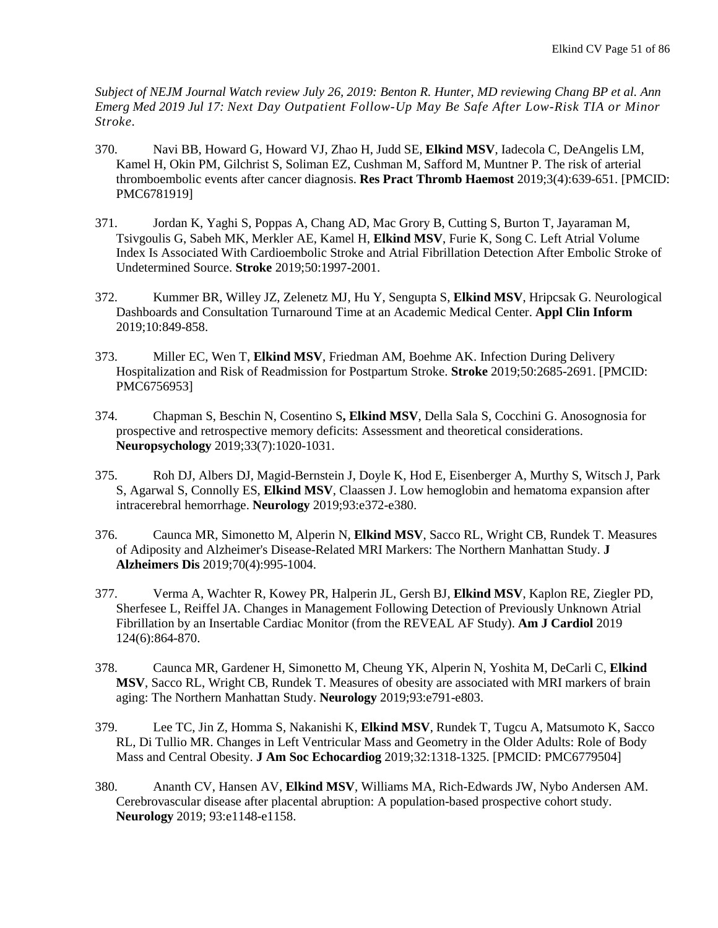*Subject of NEJM Journal Watch review July 26, 2019: [Benton R. Hunter, MD r](https://www.jwatch.org/editors/AU3338?editor=Benton%2520R.%2520Hunter%252C%2520MD)eviewing Chang BP et al. Ann Emerg Med 2019 Jul 17: Next Day Outpatient Follow-Up May Be Safe After Low-Risk TIA or Minor Stroke.*

- 370. Navi BB, Howard G, Howard VJ, Zhao H, Judd SE, **Elkind MSV**, Iadecola C, DeAngelis LM, Kamel H, Okin PM, Gilchrist S, Soliman EZ, Cushman M, Safford M, Muntner P[. The risk of arterial](https://www.ncbi.nlm.nih.gov/pubmed/31624783)  [thromboembolic events after cancer diagnosis.](https://www.ncbi.nlm.nih.gov/pubmed/31624783) **Res Pract Thromb Haemost** 2019;3(4):639-651. [PMCID: PMC6781919]
- 371. Jordan K, Yaghi S, Poppas A, Chang AD, Mac Grory B, Cutting S, Burton T, Jayaraman M, Tsivgoulis G, Sabeh MK, Merkler AE, Kamel H, **Elkind MSV**, Furie K, Song C. [Left Atrial Volume](https://www.ncbi.nlm.nih.gov/pubmed/31189435)  [Index Is Associated With Cardioembolic Stroke and Atrial Fibrillation Detection After Embolic Stroke of](https://www.ncbi.nlm.nih.gov/pubmed/31189435)  [Undetermined Source.](https://www.ncbi.nlm.nih.gov/pubmed/31189435) **Stroke** 2019;50:1997-2001.
- 372. Kummer BR, Willey JZ, Zelenetz MJ, Hu Y, Sengupta S, **Elkind MSV**, Hripcsak G. [Neurological](https://www.ncbi.nlm.nih.gov/pubmed/31694054)  [Dashboards and Consultation Turnaround Time at an Academic Medical Center.](https://www.ncbi.nlm.nih.gov/pubmed/31694054) **Appl Clin Inform** 2019;10:849-858.
- 373. Miller EC, Wen T, **Elkind MSV**, Friedman AM, Boehme AK. [Infection During Delivery](https://www.ncbi.nlm.nih.gov/pubmed/31412756)  [Hospitalization and Risk of Readmission for Postpartum Stroke.](https://www.ncbi.nlm.nih.gov/pubmed/31412756) **Stroke** 2019;50:2685-2691. [PMCID: PMC6756953]
- 374. Chapman S, Beschin N, Cosentino S**, Elkind MSV**, Della Sala S, Cocchini G. [Anosognosia for](https://www.ncbi.nlm.nih.gov/pubmed/31219295)  [prospective and retrospective memory deficits: Assessment and theoretical considerations.](https://www.ncbi.nlm.nih.gov/pubmed/31219295) **Neuropsychology** 2019;33(7):1020-1031.
- 375. Roh DJ, Albers DJ, Magid-Bernstein J, Doyle K, Hod E, Eisenberger A, Murthy S, Witsch J, Park S, Agarwal S, Connolly ES, **Elkind MSV**, Claassen J. [Low hemoglobin and hematoma expansion after](https://www.ncbi.nlm.nih.gov/pubmed/31209179)  [intracerebral hemorrhage.](https://www.ncbi.nlm.nih.gov/pubmed/31209179) **Neurology** 2019;93:e372-e380.
- 376. Caunca MR, Simonetto M, Alperin N, **Elkind MSV**, Sacco RL, Wright CB, Rundek T. [Measures](https://www.ncbi.nlm.nih.gov/pubmed/31306120)  [of Adiposity and Alzheimer's Disease-Related MRI Markers: The Northern Manhattan Study.](https://www.ncbi.nlm.nih.gov/pubmed/31306120) **J Alzheimers Dis** 2019;70(4):995-1004.
- 377. Verma A, Wachter R, Kowey PR, Halperin JL, Gersh BJ, **Elkind MSV**, Kaplon RE, Ziegler PD, Sherfesee L, Reiffel JA[. Changes in Management Following Detection of Previously Unknown Atrial](https://www.ncbi.nlm.nih.gov/pubmed/31303247)  [Fibrillation by an Insertable Cardiac Monitor \(from the REVEAL AF Study\).](https://www.ncbi.nlm.nih.gov/pubmed/31303247) **Am J Cardiol** 2019 124(6):864-870.
- 378. Caunca MR, Gardener H, Simonetto M, Cheung YK, Alperin N, Yoshita M, DeCarli C, **Elkind MSV**, Sacco RL, Wright CB, Rundek T. [Measures of obesity are associated with MRI markers of brain](https://www.ncbi.nlm.nih.gov/pubmed/31341005)  [aging: The Northern Manhattan Study.](https://www.ncbi.nlm.nih.gov/pubmed/31341005) **Neurology** 2019;93:e791-e803.
- 379. Lee TC, Jin Z, Homma S, Nakanishi K, **Elkind MSV**, Rundek T, Tugcu A, Matsumoto K, Sacco RL, Di Tullio MR[. Changes in Left Ventricular Mass and Geometry in the Older Adults: Role of Body](https://www.ncbi.nlm.nih.gov/pubmed/31311705)  [Mass and Central Obesity.](https://www.ncbi.nlm.nih.gov/pubmed/31311705) **J Am Soc Echocardiog** 2019;32:1318-1325. [PMCID: PMC6779504]
- 380. Ananth CV, Hansen AV, **Elkind MSV**, Williams MA, Rich-Edwards JW, Nybo Andersen AM. [Cerebrovascular disease after placental abruption: A population-based prospective cohort study.](https://www.ncbi.nlm.nih.gov/pubmed/31420459) **Neurology** 2019; 93:e1148-e1158.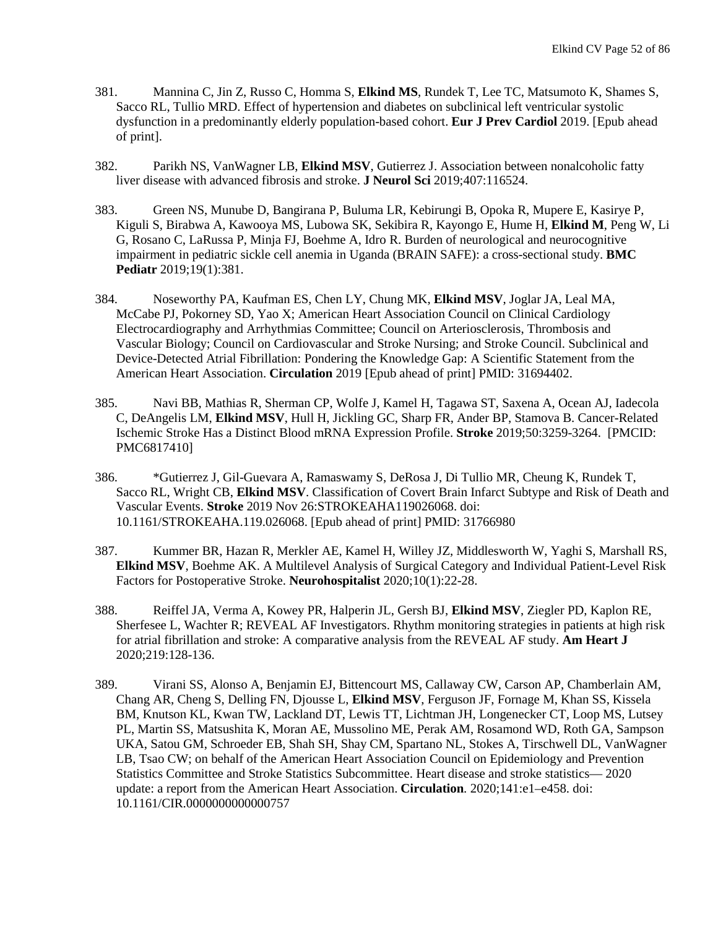- 381. Mannina C, Jin Z, Russo C, Homma S, **Elkind MS**, Rundek T, Lee TC, Matsumoto K, Shames S, Sacco RL, Tullio MRD. [Effect of hypertension and diabetes on subclinical left ventricular systolic](https://www.ncbi.nlm.nih.gov/pubmed/31446789)  [dysfunction in a predominantly elderly population-based cohort.](https://www.ncbi.nlm.nih.gov/pubmed/31446789) **Eur J Prev Cardiol** 2019. [Epub ahead of print].
- 382. Parikh NS, VanWagner LB, **Elkind MSV**, Gutierrez J. [Association between nonalcoholic fatty](https://www.ncbi.nlm.nih.gov/pubmed/31644993)  [liver disease with advanced fibrosis and stroke.](https://www.ncbi.nlm.nih.gov/pubmed/31644993) **J Neurol Sci** 2019;407:116524.
- 383. Green NS, Munube D, Bangirana P, Buluma LR, Kebirungi B, Opoka R, Mupere E, Kasirye P, Kiguli S, Birabwa A, Kawooya MS, Lubowa SK, Sekibira R, Kayongo E, Hume H, **Elkind M**, Peng W, Li G, Rosano C, LaRussa P, Minja FJ, Boehme A, Idro R. [Burden of neurological and neurocognitive](https://www.ncbi.nlm.nih.gov/pubmed/31651270)  [impairment in pediatric sickle cell anemia in Uganda \(BRAIN SAFE\): a cross-sectional study.](https://www.ncbi.nlm.nih.gov/pubmed/31651270) **BMC Pediatr** 2019;19(1):381.
- 384. Noseworthy PA, Kaufman ES, Chen LY, Chung MK, **Elkind MSV**, Joglar JA, Leal MA, McCabe PJ, Pokorney SD, Yao X; American Heart Association Council on Clinical Cardiology Electrocardiography and Arrhythmias Committee; Council on Arteriosclerosis, Thrombosis and Vascular Biology; Council on Cardiovascular and Stroke Nursing; and Stroke Council[. Subclinical and](https://www.ncbi.nlm.nih.gov/pubmed/31694402)  [Device-Detected Atrial Fibrillation: Pondering the Knowledge Gap: A Scientific Statement from the](https://www.ncbi.nlm.nih.gov/pubmed/31694402)  [American Heart Association.](https://www.ncbi.nlm.nih.gov/pubmed/31694402) **Circulation** 2019 [Epub ahead of print] PMID: 31694402.
- 385. Navi BB, Mathias R, Sherman CP, Wolfe J, Kamel H, Tagawa ST, Saxena A, Ocean AJ, Iadecola C, DeAngelis LM, **Elkind MSV**, Hull H, Jickling GC, Sharp FR, Ander BP, Stamova B. [Cancer-Related](https://www.ncbi.nlm.nih.gov/pubmed/31510897)  [Ischemic Stroke Has a Distinct Blood mRNA Expression Profile.](https://www.ncbi.nlm.nih.gov/pubmed/31510897) **Stroke** 2019;50:3259-3264. [PMCID: PMC6817410]
- 386. \*Gutierrez J, Gil-Guevara A, Ramaswamy S, DeRosa J, Di Tullio MR, Cheung K, Rundek T, Sacco RL, Wright CB, **Elkind MSV**. [Classification of Covert Brain Infarct Subtype and Risk of Death and](https://www.ncbi.nlm.nih.gov/pubmed/31766980)  [Vascular Events.](https://www.ncbi.nlm.nih.gov/pubmed/31766980) **Stroke** 2019 Nov 26:STROKEAHA119026068. doi: 10.1161/STROKEAHA.119.026068. [Epub ahead of print] PMID: 31766980
- 387. Kummer BR, Hazan R, Merkler AE, Kamel H, Willey JZ, Middlesworth W, Yaghi S, Marshall RS, **Elkind MSV**, Boehme AK. [A Multilevel Analysis of Surgical Category and Individual Patient-Level Risk](https://www.ncbi.nlm.nih.gov/pubmed/31839861)  [Factors for Postoperative Stroke.](https://www.ncbi.nlm.nih.gov/pubmed/31839861) **Neurohospitalist** 2020;10(1):22-28.
- 388. Reiffel JA, Verma A, Kowey PR, Halperin JL, Gersh BJ, **Elkind MSV**, Ziegler PD, Kaplon RE, Sherfesee L, Wachter R; REVEAL AF Investigators. [Rhythm monitoring strategies in patients at high risk](https://www.ncbi.nlm.nih.gov/pubmed/31862084)  [for atrial fibrillation and stroke: A comparative analysis from the REVEAL AF study.](https://www.ncbi.nlm.nih.gov/pubmed/31862084) **Am Heart J** 2020;219:128-136.
- 389. Virani SS, Alonso A, Benjamin EJ, Bittencourt MS, Callaway CW, Carson AP, Chamberlain AM, Chang AR, Cheng S, Delling FN, Djousse L, **Elkind MSV**, Ferguson JF, Fornage M, Khan SS, Kissela BM, Knutson KL, Kwan TW, Lackland DT, Lewis TT, Lichtman JH, Longenecker CT, Loop MS, Lutsey PL, Martin SS, Matsushita K, Moran AE, Mussolino ME, Perak AM, Rosamond WD, Roth GA, Sampson UKA, Satou GM, Schroeder EB, Shah SH, Shay CM, Spartano NL, Stokes A, Tirschwell DL, VanWagner LB, Tsao CW; on behalf of the American Heart Association Council on Epidemiology and Prevention Statistics Committee and Stroke Statistics Subcommittee. Heart disease and stroke statistics— 2020 update: a report from the American Heart Association. **Circulation***.* 2020;141:e1–e458. doi: 10.1161/CIR.0000000000000757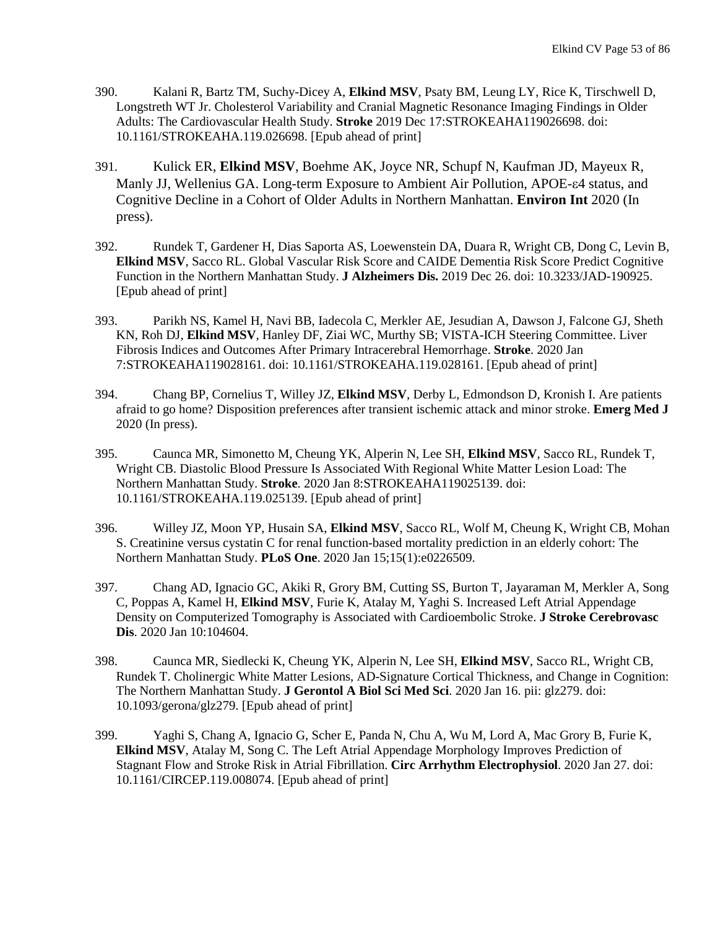- 390. Kalani R, Bartz TM, Suchy-Dicey A, **Elkind MSV**, Psaty BM, Leung LY, Rice K, Tirschwell D, Longstreth WT Jr[. Cholesterol Variability and Cranial Magnetic Resonance Imaging Findings in Older](https://www.ncbi.nlm.nih.gov/pubmed/31842691)  [Adults: The Cardiovascular Health Study.](https://www.ncbi.nlm.nih.gov/pubmed/31842691) **Stroke** 2019 Dec 17:STROKEAHA119026698. doi: 10.1161/STROKEAHA.119.026698. [Epub ahead of print]
- 391. Kulick ER, **Elkind MSV**, Boehme AK, Joyce NR, Schupf N, Kaufman JD, Mayeux R, Manly JJ, Wellenius GA. Long-term Exposure to Ambient Air Pollution, APOE-ε4 status, and Cognitive Decline in a Cohort of Older Adults in Northern Manhattan. **Environ Int** 2020 (In press).
- 392. Rundek T, Gardener H, Dias Saporta AS, Loewenstein DA, Duara R, Wright CB, Dong C, Levin B, **Elkind MSV**, Sacco RL. [Global Vascular Risk Score and CAIDE Dementia Risk Score Predict Cognitive](https://www.ncbi.nlm.nih.gov/pubmed/31884476)  [Function in the Northern Manhattan Study.](https://www.ncbi.nlm.nih.gov/pubmed/31884476) **J Alzheimers Dis.** 2019 Dec 26. doi: 10.3233/JAD-190925. [Epub ahead of print]
- 393. Parikh NS, Kamel H, Navi BB, Iadecola C, Merkler AE, Jesudian A, Dawson J, Falcone GJ, Sheth KN, Roh DJ, **Elkind MSV**, Hanley DF, Ziai WC, Murthy SB; VISTA-ICH Steering Committee. [Liver](https://www.ncbi.nlm.nih.gov/pubmed/31906832)  [Fibrosis Indices and Outcomes After Primary Intracerebral Hemorrhage.](https://www.ncbi.nlm.nih.gov/pubmed/31906832) **Stroke**. 2020 Jan 7:STROKEAHA119028161. doi: 10.1161/STROKEAHA.119.028161. [Epub ahead of print]
- 394. Chang BP, Cornelius T, Willey JZ, **Elkind MSV**, Derby L, Edmondson D, Kronish I. Are patients afraid to go home? Disposition preferences after transient ischemic attack and minor stroke. **Emerg Med J** 2020 (In press).
- 395. Caunca MR, Simonetto M, Cheung YK, Alperin N, Lee SH, **Elkind MSV**, Sacco RL, Rundek T, Wright CB. [Diastolic Blood Pressure Is Associated With Regional White Matter Lesion Load: The](https://www.ncbi.nlm.nih.gov/pubmed/31910743)  [Northern Manhattan Study.](https://www.ncbi.nlm.nih.gov/pubmed/31910743) **Stroke**. 2020 Jan 8:STROKEAHA119025139. doi: 10.1161/STROKEAHA.119.025139. [Epub ahead of print]
- 396. Willey JZ, Moon YP, Husain SA, **Elkind MSV**, Sacco RL, Wolf M, Cheung K, Wright CB, Mohan S. [Creatinine versus cystatin C for renal function-based mortality prediction in an elderly cohort: The](https://www.ncbi.nlm.nih.gov/pubmed/31940363)  [Northern Manhattan Study.](https://www.ncbi.nlm.nih.gov/pubmed/31940363) **PLoS One**. 2020 Jan 15;15(1):e0226509.
- 397. Chang AD, Ignacio GC, Akiki R, Grory BM, Cutting SS, Burton T, Jayaraman M, Merkler A, Song C, Poppas A, Kamel H, **Elkind MSV**, Furie K, Atalay M, Yaghi S. [Increased Left Atrial Appendage](https://www.ncbi.nlm.nih.gov/pubmed/31932211)  [Density on Computerized Tomography is Associated with Cardioembolic Stroke.](https://www.ncbi.nlm.nih.gov/pubmed/31932211) **J Stroke Cerebrovasc Dis**. 2020 Jan 10:104604.
- 398. Caunca MR, Siedlecki K, Cheung YK, Alperin N, Lee SH, **Elkind MSV**, Sacco RL, Wright CB, Rundek T. [Cholinergic White Matter Lesions, AD-Signature Cortical Thickness, and Change in Cognition:](https://www.ncbi.nlm.nih.gov/pubmed/31944231)  [The Northern Manhattan Study.](https://www.ncbi.nlm.nih.gov/pubmed/31944231) **J Gerontol A Biol Sci Med Sci**. 2020 Jan 16. pii: glz279. doi: 10.1093/gerona/glz279. [Epub ahead of print]
- 399. Yaghi S, Chang A, Ignacio G, Scher E, Panda N, Chu A, Wu M, Lord A, Mac Grory B, Furie K, **Elkind MSV**, Atalay M, Song C. [The Left Atrial Appendage Morphology Improves Prediction of](https://www.ncbi.nlm.nih.gov/pubmed/31986073)  [Stagnant Flow and Stroke Risk in Atrial Fibrillation.](https://www.ncbi.nlm.nih.gov/pubmed/31986073) **Circ Arrhythm Electrophysiol**. 2020 Jan 27. doi: 10.1161/CIRCEP.119.008074. [Epub ahead of print]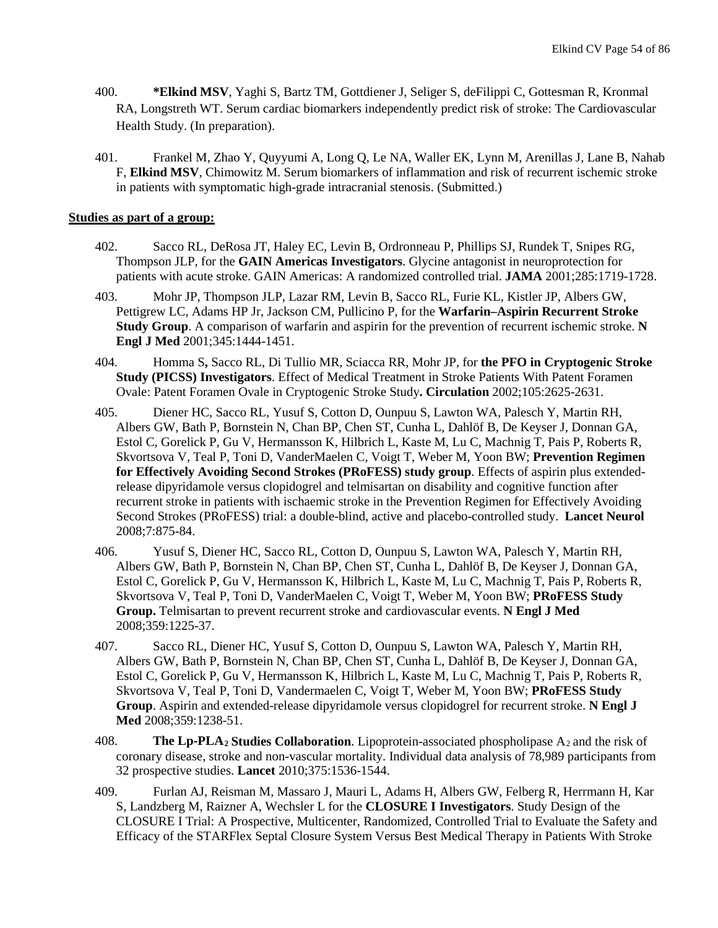- 400. **\*Elkind MSV**, Yaghi S, Bartz TM, Gottdiener J, Seliger S, deFilippi C, Gottesman R, Kronmal RA, Longstreth WT. Serum cardiac biomarkers independently predict risk of stroke: The Cardiovascular Health Study. (In preparation).
- 401. Frankel M, Zhao Y, Quyyumi A, Long Q, Le NA, Waller EK, Lynn M, Arenillas J, Lane B, Nahab F, **Elkind MSV**, Chimowitz M. Serum biomarkers of inflammation and risk of recurrent ischemic stroke in patients with symptomatic high-grade intracranial stenosis. (Submitted.)

#### **Studies as part of a group:**

- 402. Sacco RL, DeRosa JT, Haley EC, Levin B, Ordronneau P, Phillips SJ, Rundek T, Snipes RG, Thompson JLP, for the **GAIN Americas Investigators**. Glycine antagonist in neuroprotection for patients with acute stroke. GAIN Americas: A randomized controlled trial. **JAMA** 2001;285:1719-1728.
- 403. Mohr JP, Thompson JLP, Lazar RM, Levin B, Sacco RL, Furie KL, Kistler JP, Albers GW, Pettigrew LC, Adams HP Jr, Jackson CM, Pullicino P, for the **Warfarin–Aspirin Recurrent Stroke Study Group**. A comparison of warfarin and aspirin for the prevention of recurrent ischemic stroke. **N Engl J Med** 2001;345:1444-1451.
- 404. Homma S**,** Sacco RL, Di Tullio MR, Sciacca RR, Mohr JP, for **the PFO in Cryptogenic Stroke Study (PICSS) Investigators**. Effect of Medical Treatment in Stroke Patients With Patent Foramen Ovale: Patent Foramen Ovale in Cryptogenic Stroke Study**. Circulation** 2002;105:2625-2631.
- 405. Diener HC, Sacco RL, Yusuf S, Cotton D, Ounpuu S, Lawton WA, Palesch Y, Martin RH, Albers GW, Bath P, Bornstein N, Chan BP, Chen ST, Cunha L, Dahlöf B, De Keyser J, Donnan GA, Estol C, Gorelick P, Gu V, Hermansson K, Hilbrich L, Kaste M, Lu C, Machnig T, Pais P, Roberts R, Skvortsova V, Teal P, Toni D, VanderMaelen C, Voigt T, Weber M, Yoon BW; **Prevention Regimen for Effectively Avoiding Second Strokes (PRoFESS) study group**. Effects of aspirin plus extendedrelease dipyridamole versus clopidogrel and telmisartan on disability and cognitive function after recurrent stroke in patients with ischaemic stroke in the Prevention Regimen for Effectively Avoiding Second Strokes (PRoFESS) trial: a double-blind, active and placebo-controlled study. **Lancet Neurol** 2008;7:875-84.
- 406. Yusuf S, Diener HC, Sacco RL, Cotton D, Ounpuu S, Lawton WA, Palesch Y, Martin RH, Albers GW, Bath P, Bornstein N, Chan BP, Chen ST, Cunha L, Dahlöf B, De Keyser J, Donnan GA, Estol C, Gorelick P, Gu V, Hermansson K, Hilbrich L, Kaste M, Lu C, Machnig T, Pais P, Roberts R, Skvortsova V, Teal P, Toni D, VanderMaelen C, Voigt T, Weber M, Yoon BW; **PRoFESS Study Group.** Telmisartan to prevent recurrent stroke and cardiovascular events. **N Engl J Med** 2008;359:1225-37.
- 407. Sacco RL, Diener HC, Yusuf S, Cotton D, Ounpuu S, Lawton WA, Palesch Y, Martin RH, Albers GW, Bath P, Bornstein N, Chan BP, Chen ST, Cunha L, Dahlöf B, De Keyser J, Donnan GA, Estol C, Gorelick P, Gu V, Hermansson K, Hilbrich L, Kaste M, Lu C, Machnig T, Pais P, Roberts R, Skvortsova V, Teal P, Toni D, Vandermaelen C, Voigt T, Weber M, Yoon BW; **PRoFESS Study Group**. Aspirin and extended-release dipyridamole versus clopidogrel for recurrent stroke. **N Engl J Med** 2008;359:1238-51.
- 408. **The Lp-PLA2 Studies Collaboration**. Lipoprotein-associated phospholipase A2 and the risk of coronary disease, stroke and non-vascular mortality. Individual data analysis of 78,989 participants from 32 prospective studies. **Lancet** 2010;375:1536-1544.
- 409. Furlan AJ, Reisman M, Massaro J, Mauri L, Adams H, Albers GW, Felberg R, Herrmann H, Kar S, Landzberg M, Raizner A, Wechsler L for the **CLOSURE I Investigators**. Study Design of the CLOSURE I Trial: A Prospective, Multicenter, Randomized, Controlled Trial to Evaluate the Safety and Efficacy of the STARFlex Septal Closure System Versus Best Medical Therapy in Patients With Stroke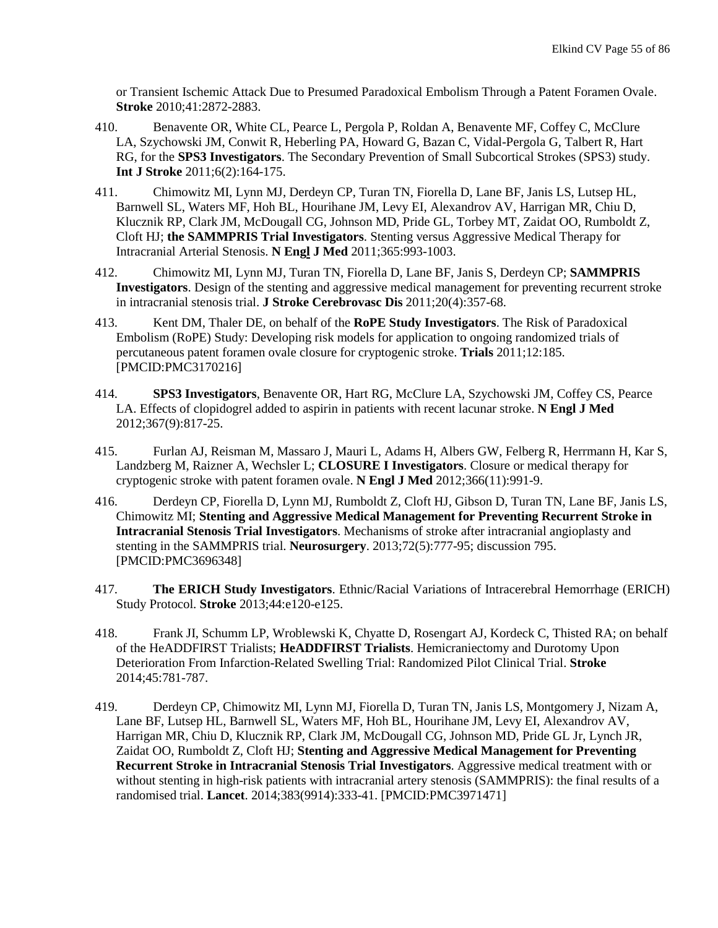or Transient Ischemic Attack Due to Presumed Paradoxical Embolism Through a Patent Foramen Ovale. **Stroke** 2010;41:2872-2883.

- 410. Benavente OR, White CL, Pearce L, Pergola P, Roldan A, Benavente MF, Coffey C, McClure LA, Szychowski JM, Conwit R, Heberling PA, Howard G, Bazan C, Vidal-Pergola G, Talbert R, Hart RG, for the **SPS3 Investigators**. [The Secondary Prevention of Small Subcortical Strokes \(SPS3\) study.](http://onlinelibrary.wiley.com/doi/10.1111/j.1747-4949.2010.00573.x/abstract) **Int J Stroke** 2011;6(2):164-175.
- 411. Chimowitz MI, Lynn MJ, Derdeyn CP, Turan TN, Fiorella D, Lane BF, Janis LS, Lutsep HL, Barnwell SL, Waters MF, Hoh BL, Hourihane JM, Levy EI, Alexandrov AV, Harrigan MR, Chiu D, Klucznik RP, Clark JM, McDougall CG, Johnson MD, Pride GL, Torbey MT, Zaidat OO, Rumboldt Z, Cloft HJ; **the SAMMPRIS Trial Investigators**[. Stenting versus Aggressive Medical Therapy for](http://www.ncbi.nlm.nih.gov/pubmed/21899409)  [Intracranial Arterial Stenosis.](http://www.ncbi.nlm.nih.gov/pubmed/21899409) **N Engl J Med** 2011;365:993-1003.
- 412. Chimowitz MI, Lynn MJ, Turan TN, Fiorella D, Lane BF, Janis S, Derdeyn CP; **SAMMPRIS Investigators**[. Design of the stenting and aggressive medical management for preventing recurrent stroke](http://www.ncbi.nlm.nih.gov/pubmed/21729789)  [in intracranial stenosis trial.](http://www.ncbi.nlm.nih.gov/pubmed/21729789) **J Stroke Cerebrovasc Dis** 2011;20(4):357-68.
- 413. Kent DM, Thaler DE, on behalf of the **RoPE Study Investigators**. The Risk of Paradoxical Embolism (RoPE) Study: Developing risk models for application to ongoing randomized trials of percutaneous patent foramen ovale closure for cryptogenic stroke. **Trials** 2011;12:185. [PMCID:PMC3170216]
- 414. **SPS3 Investigators**, Benavente OR, Hart RG, McClure LA, Szychowski JM, Coffey CS, Pearce LA. [Effects of clopidogrel added to aspirin in patients with recent lacunar stroke.](http://www.ncbi.nlm.nih.gov/pubmed/22931315) **N Engl J Med** 2012;367(9):817-25.
- 415. Furlan AJ, Reisman M, Massaro J, Mauri L, Adams H, Albers GW, Felberg R, Herrmann H, Kar S, Landzberg M, Raizner A, Wechsler L; **CLOSURE I Investigators**. [Closure or medical therapy for](http://www.ncbi.nlm.nih.gov.ezproxy.cul.columbia.edu/pubmed/22417252)  [cryptogenic stroke with patent foramen ovale.](http://www.ncbi.nlm.nih.gov.ezproxy.cul.columbia.edu/pubmed/22417252) **N Engl J Med** 2012;366(11):991-9.
- 416. Derdeyn CP, Fiorella D, Lynn MJ, Rumboldt Z, Cloft HJ, Gibson D, Turan TN, Lane BF, Janis LS, Chimowitz MI; **Stenting and Aggressive Medical Management for Preventing Recurrent Stroke in Intracranial Stenosis Trial Investigators**. [Mechanisms of stroke after intracranial angioplasty and](http://www.ncbi.nlm.nih.gov/pubmed/23328689)  [stenting in the SAMMPRIS trial.](http://www.ncbi.nlm.nih.gov/pubmed/23328689) **Neurosurgery**. 2013;72(5):777-95; discussion 795. [PMCID:PMC3696348]
- 417. **The ERICH Study Investigators**. Ethnic/Racial Variations of Intracerebral Hemorrhage (ERICH) Study Protocol. **Stroke** 2013;44:e120-e125.
- 418. Frank JI, Schumm LP, Wroblewski K, Chyatte D, Rosengart AJ, Kordeck C, Thisted RA; on behalf of the HeADDFIRST Trialists; **HeADDFIRST Trialists**. [Hemicraniectomy and Durotomy Upon](http://www.ncbi.nlm.nih.gov/pubmed/24425122)  [Deterioration From Infarction-Related Swelling Trial: Randomized Pilot Clinical Trial.](http://www.ncbi.nlm.nih.gov/pubmed/24425122) **Stroke** 2014;45:781-787.
- 419. Derdeyn CP, Chimowitz MI, Lynn MJ, Fiorella D, Turan TN, Janis LS, Montgomery J, Nizam A, Lane BF, Lutsep HL, Barnwell SL, Waters MF, Hoh BL, Hourihane JM, Levy EI, Alexandrov AV, Harrigan MR, Chiu D, Klucznik RP, Clark JM, McDougall CG, Johnson MD, Pride GL Jr, Lynch JR, Zaidat OO, Rumboldt Z, Cloft HJ; **Stenting and Aggressive Medical Management for Preventing Recurrent Stroke in Intracranial Stenosis Trial Investigators**. [Aggressive medical treatment with or](http://www.ncbi.nlm.nih.gov/pubmed/24168957)  [without stenting in high-risk patients with intracranial artery stenosis \(SAMMPRIS\): the final results of a](http://www.ncbi.nlm.nih.gov/pubmed/24168957)  [randomised trial.](http://www.ncbi.nlm.nih.gov/pubmed/24168957) **Lancet**. 2014;383(9914):333-41. [PMCID:PMC3971471]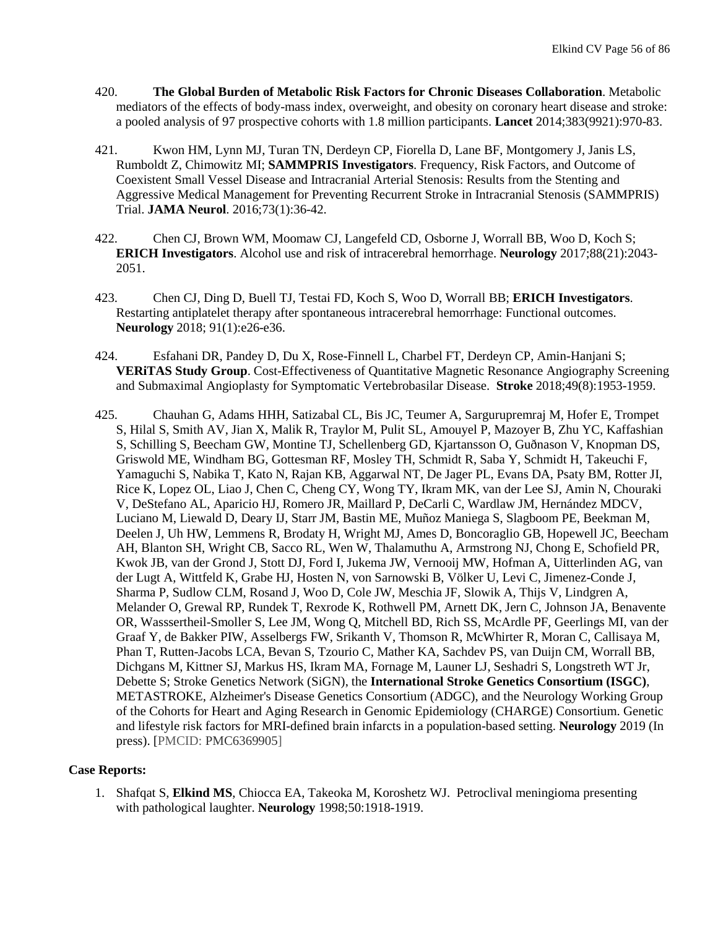- 420. **The Global Burden of Metabolic Risk Factors for Chronic Diseases Collaboration**. Metabolic mediators of the effects of body-mass index, overweight, and obesity on coronary heart disease and stroke: a pooled analysis of 97 prospective cohorts with 1.8 million participants. **Lancet** 2014;383(9921):970-83.
- 421. Kwon HM, Lynn MJ, Turan TN, Derdeyn CP, Fiorella D, Lane BF, Montgomery J, Janis LS, Rumboldt Z, Chimowitz MI; **SAMMPRIS Investigators**. [Frequency, Risk Factors, and Outcome of](https://www.ncbi.nlm.nih.gov/pubmed/26618534)  [Coexistent Small Vessel Disease and Intracranial Arterial](https://www.ncbi.nlm.nih.gov/pubmed/26618534) Stenosis: Results from the Stenting and [Aggressive Medical Management for Preventing Recurrent Stroke in Intracranial](https://www.ncbi.nlm.nih.gov/pubmed/26618534) Stenosis (SAMMPRIS) [Trial.](https://www.ncbi.nlm.nih.gov/pubmed/26618534) **JAMA Neurol**. 2016;73(1):36-42.
- 422. Chen CJ, Brown WM, Moomaw CJ, Langefeld CD, Osborne J, Worrall BB, Woo D, Koch S; **ERICH Investigators**. [Alcohol use and risk of intracerebral hemorrhage.](https://www.ncbi.nlm.nih.gov/pubmed/28446657) **Neurology** 2017;88(21):2043- 2051.
- 423. Chen CJ, Ding D, Buell TJ, Testai FD, Koch S, Woo D, Worrall BB; **ERICH Investigators**. [Restarting antiplatelet therapy after spontaneous intracerebral hemorrhage: Functional outcomes.](https://www.ncbi.nlm.nih.gov/pubmed/29848784) **Neurology** 2018; 91(1):e26-e36.
- 424. [Esfahani DR,](https://www.ncbi.nlm.nih.gov/pubmed/?term=Esfahani%20DR%5BAuthor%5D&cauthor=true&cauthor_uid=30012817) [Pandey D,](https://www.ncbi.nlm.nih.gov/pubmed/?term=Pandey%20D%5BAuthor%5D&cauthor=true&cauthor_uid=30012817) [Du X,](https://www.ncbi.nlm.nih.gov/pubmed/?term=Du%20X%5BAuthor%5D&cauthor=true&cauthor_uid=30012817) [Rose-Finnell L,](https://www.ncbi.nlm.nih.gov/pubmed/?term=Rose-Finnell%20L%5BAuthor%5D&cauthor=true&cauthor_uid=30012817) [Charbel FT,](https://www.ncbi.nlm.nih.gov/pubmed/?term=Charbel%20FT%5BAuthor%5D&cauthor=true&cauthor_uid=30012817) [Derdeyn CP,](https://www.ncbi.nlm.nih.gov/pubmed/?term=Derdeyn%20CP%5BAuthor%5D&cauthor=true&cauthor_uid=30012817) [Amin-Hanjani S;](https://www.ncbi.nlm.nih.gov/pubmed/?term=Amin-Hanjani%20S%5BAuthor%5D&cauthor=true&cauthor_uid=30012817) **[VERiTAS Study Group](https://www.ncbi.nlm.nih.gov/pubmed/?term=VERiTAS%20Study%20Group%5BCorporate%20Author%5D)**. Cost-Effectiveness of Quantitative Magnetic Resonance Angiography Screening and Submaximal Angioplasty for Symptomatic Vertebrobasilar Disease. **Stroke** 2018;49(8):1953-1959.
- 425. Chauhan G, Adams HHH, Satizabal CL, Bis JC, Teumer A, Sargurupremraj M, Hofer E, Trompet S, Hilal S, Smith AV, Jian X, Malik R, Traylor M, Pulit SL, Amouyel P, Mazoyer B, Zhu YC, Kaffashian S, Schilling S, Beecham GW, Montine TJ, Schellenberg GD, Kjartansson O, Guðnason V, Knopman DS, Griswold ME, Windham BG, Gottesman RF, Mosley TH, Schmidt R, Saba Y, Schmidt H, Takeuchi F, Yamaguchi S, Nabika T, Kato N, Rajan KB, Aggarwal NT, De Jager PL, Evans DA, Psaty BM, Rotter JI, Rice K, Lopez OL, Liao J, Chen C, Cheng CY, Wong TY, Ikram MK, van der Lee SJ, Amin N, Chouraki V, DeStefano AL, Aparicio HJ, Romero JR, Maillard P, DeCarli C, Wardlaw JM, Hernández MDCV, Luciano M, Liewald D, Deary IJ, Starr JM, Bastin ME, Muñoz Maniega S, Slagboom PE, Beekman M, Deelen J, Uh HW, Lemmens R, Brodaty H, Wright MJ, Ames D, Boncoraglio GB, Hopewell JC, Beecham AH, Blanton SH, Wright CB, Sacco RL, Wen W, Thalamuthu A, Armstrong NJ, Chong E, Schofield PR, Kwok JB, van der Grond J, Stott DJ, Ford I, Jukema JW, Vernooij MW, Hofman A, Uitterlinden AG, van der Lugt A, Wittfeld K, Grabe HJ, Hosten N, von Sarnowski B, Völker U, Levi C, Jimenez-Conde J, Sharma P, Sudlow CLM, Rosand J, Woo D, Cole JW, Meschia JF, Slowik A, Thijs V, Lindgren A, Melander O, Grewal RP, Rundek T, Rexrode K, Rothwell PM, Arnett DK, Jern C, Johnson JA, Benavente OR, Wasssertheil-Smoller S, Lee JM, Wong Q, Mitchell BD, Rich SS, McArdle PF, Geerlings MI, van der Graaf Y, de Bakker PIW, Asselbergs FW, Srikanth V, Thomson R, McWhirter R, Moran C, Callisaya M, Phan T, Rutten-Jacobs LCA, Bevan S, Tzourio C, Mather KA, Sachdev PS, van Duijn CM, Worrall BB, Dichgans M, Kittner SJ, Markus HS, Ikram MA, Fornage M, Launer LJ, Seshadri S, Longstreth WT Jr, Debette S; Stroke Genetics Network (SiGN), the **International Stroke Genetics Consortium (ISGC)**, METASTROKE, Alzheimer's Disease Genetics Consortium (ADGC), and the Neurology Working Group of the Cohorts for Heart and Aging Research in Genomic Epidemiology (CHARGE) Consortium. [Genetic](https://www.ncbi.nlm.nih.gov/pubmed/30651383)  [and lifestyle risk factors for MRI-defined brain infarcts in a population-based setting.](https://www.ncbi.nlm.nih.gov/pubmed/30651383) **Neurology** 2019 (In press). [PMCID: [PMC6369905\]](https://www.ncbi.nlm.nih.gov/pmc/articles/PMC6369905/)

#### **Case Reports:**

1. Shafqat S, **Elkind MS**, Chiocca EA, Takeoka M, Koroshetz WJ. Petroclival meningioma presenting with pathological laughter. **Neurology** 1998;50:1918-1919.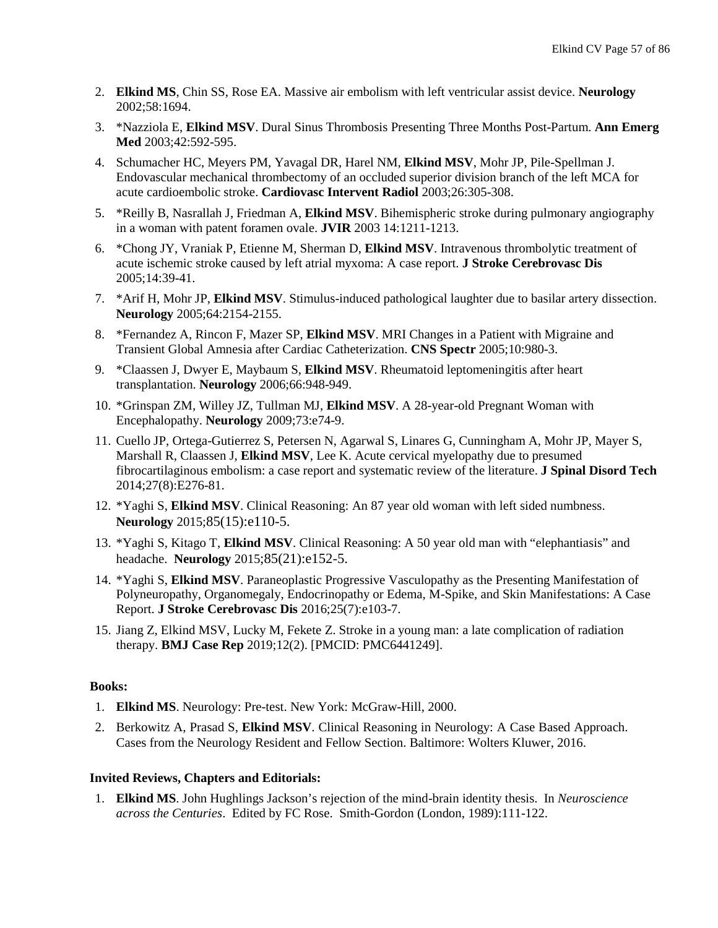- 2. **Elkind MS**, Chin SS, Rose EA. Massive air embolism with left ventricular assist device. **Neurology** 2002;58:1694.
- 3. \*Nazziola E, **Elkind MSV**. Dural Sinus Thrombosis Presenting Three Months Post-Partum. **Ann Emerg Med** 2003;42:592-595.
- 4. Schumacher HC, Meyers PM, Yavagal DR, Harel NM, **Elkind MSV**, Mohr JP, Pile-Spellman J. Endovascular mechanical thrombectomy of an occluded superior division branch of the left MCA for acute cardioembolic stroke. **Cardiovasc Intervent Radiol** 2003;26:305-308.
- 5. \*Reilly B, Nasrallah J, Friedman A, **Elkind MSV**. Bihemispheric stroke during pulmonary angiography in a woman with patent foramen ovale. **JVIR** 2003 14:1211-1213.
- 6. \*Chong JY, Vraniak P, Etienne M, Sherman D, **Elkind MSV**. Intravenous thrombolytic treatment of acute ischemic stroke caused by left atrial myxoma: A case report. **J Stroke Cerebrovasc Dis** 2005;14:39-41.
- 7. \*Arif H, Mohr JP, **Elkind MSV**. Stimulus-induced pathological laughter due to basilar artery dissection. **Neurology** 2005;64:2154-2155.
- 8. \*Fernandez A, Rincon F, Mazer SP, **Elkind MSV**. MRI Changes in a Patient with Migraine and Transient Global Amnesia after Cardiac Catheterization. **CNS Spectr** 2005;10:980-3.
- 9. \*Claassen J, Dwyer E, Maybaum S, **Elkind MSV**. Rheumatoid leptomeningitis after heart transplantation. **Neurology** 2006;66:948-949.
- 10. \*Grinspan ZM, Willey JZ, Tullman MJ, **Elkind MSV**. A 28-year-old Pregnant Woman with Encephalopathy. **Neurology** 2009;73:e74-9.
- 11. Cuello JP, Ortega-Gutierrez S, Petersen N, Agarwal S, Linares G, Cunningham A, Mohr JP, Mayer S, Marshall R, Claassen J, **Elkind MSV**, Lee K. Acute cervical myelopathy due to presumed fibrocartilaginous embolism: a case report and systematic review of the literature. **J Spinal Disord Tech** 2014;27(8):E276-81.
- 12. \*Yaghi S, **Elkind MSV**. Clinical Reasoning: An 87 year old woman with left sided numbness. **Neurology** 2015;85(15):e110-5.
- 13. \*Yaghi S, Kitago T, **Elkind MSV**. Clinical Reasoning: A 50 year old man with "elephantiasis" and headache. **Neurology** 2015;85(21):e152-5.
- 14. \*Yaghi S, **Elkind MSV**. Paraneoplastic Progressive Vasculopathy as the Presenting Manifestation of Polyneuropathy, Organomegaly, Endocrinopathy or Edema, M-Spike, and Skin Manifestations: A Case Report. **J Stroke Cerebrovasc Dis** 2016;25(7):e103-7.
- 15. Jiang Z, Elkind MSV, Lucky M, Fekete Z. Stroke in a young man: a late complication of radiation therapy. **BMJ Case Rep** 2019;12(2). [PMCID: PMC6441249].

## **Books:**

- 1. **Elkind MS**. Neurology: Pre-test. New York: McGraw-Hill, 2000.
- 2. Berkowitz A, Prasad S, **Elkind MSV**. Clinical Reasoning in Neurology: A Case Based Approach. Cases from the Neurology Resident and Fellow Section. Baltimore: Wolters Kluwer, 2016.

## **Invited Reviews, Chapters and Editorials:**

1. **Elkind MS**. John Hughlings Jackson's rejection of the mind-brain identity thesis. In *Neuroscience across the Centuries*. Edited by FC Rose. Smith-Gordon (London, 1989):111-122.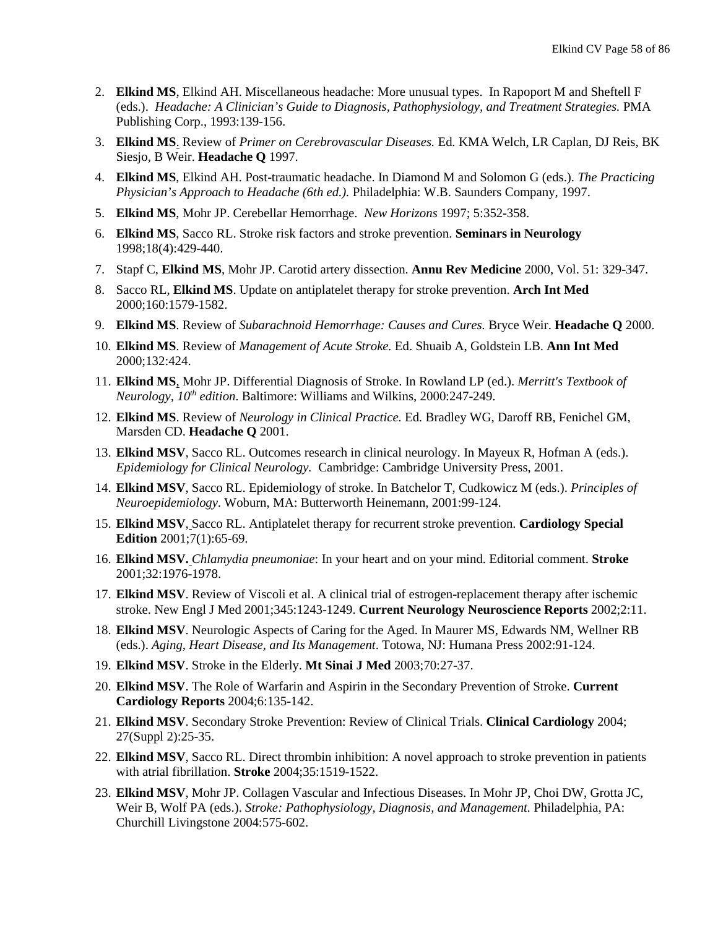- 2. **Elkind MS**, Elkind AH. Miscellaneous headache: More unusual types. In Rapoport M and Sheftell F (eds.). *Headache: A Clinician's Guide to Diagnosis, Pathophysiology, and Treatment Strategies.* PMA Publishing Corp., 1993:139-156.
- 3. **Elkind MS**. Review of *Primer on Cerebrovascular Diseases.* Ed*.* KMA Welch, LR Caplan, DJ Reis, BK Siesjo, B Weir. **Headache Q** 1997.
- 4. **Elkind MS**, Elkind AH. Post-traumatic headache. In Diamond M and Solomon G (eds.). *The Practicing Physician's Approach to Headache (6th ed.).* Philadelphia: W.B. Saunders Company, 1997.
- 5. **Elkind MS**, Mohr JP. Cerebellar Hemorrhage. *New Horizons* 1997; 5:352-358.
- 6. **Elkind MS**, Sacco RL. Stroke risk factors and stroke prevention. **Seminars in Neurology**  1998;18(4):429-440.
- 7. Stapf C, **Elkind MS**, Mohr JP. Carotid artery dissection. **Annu Rev Medicine** 2000, Vol. 51: 329-347.
- 8. Sacco RL, **Elkind MS**. Update on antiplatelet therapy for stroke prevention. **Arch Int Med** 2000;160:1579-1582.
- 9. **Elkind MS**. Review of *Subarachnoid Hemorrhage: Causes and Cures.* Bryce Weir. **Headache Q** 2000.
- 10. **Elkind MS**. Review of *Management of Acute Stroke.* Ed. Shuaib A, Goldstein LB. **Ann Int Med** 2000;132:424.
- 11. **Elkind MS**, Mohr JP. Differential Diagnosis of Stroke. In Rowland LP (ed.). *Merritt's Textbook of Neurology, 10<sup>th</sup> edition.* Baltimore: Williams and Wilkins, 2000:247-249.
- 12. **Elkind MS**. Review of *Neurology in Clinical Practice.* Ed*.* Bradley WG, Daroff RB, Fenichel GM, Marsden CD. **Headache Q** 2001.
- 13. **Elkind MSV**, Sacco RL. Outcomes research in clinical neurology. In Mayeux R, Hofman A (eds.). *Epidemiology for Clinical Neurology.* Cambridge: Cambridge University Press, 2001.
- 14. **Elkind MSV**, Sacco RL. Epidemiology of stroke. In Batchelor T, Cudkowicz M (eds.). *Principles of Neuroepidemiology.* Woburn, MA: Butterworth Heinemann, 2001:99-124.
- 15. **Elkind MSV**, Sacco RL. Antiplatelet therapy for recurrent stroke prevention. **Cardiology Special Edition** 2001;7(1):65-69.
- 16. **Elkind MSV.** *Chlamydia pneumoniae*: In your heart and on your mind. Editorial comment. **Stroke** 2001;32:1976-1978.
- 17. **Elkind MSV**. Review of Viscoli et al. A clinical trial of estrogen-replacement therapy after ischemic stroke. New Engl J Med 2001;345:1243-1249. **Current Neurology Neuroscience Reports** 2002;2:11.
- 18. **Elkind MSV**. Neurologic Aspects of Caring for the Aged. In Maurer MS, Edwards NM, Wellner RB (eds.). *Aging, Heart Disease, and Its Management*. Totowa, NJ: Humana Press 2002:91-124.
- 19. **Elkind MSV**. Stroke in the Elderly. **Mt Sinai J Med** 2003;70:27-37.
- 20. **Elkind MSV**. The Role of Warfarin and Aspirin in the Secondary Prevention of Stroke. **Current Cardiology Reports** 2004;6:135-142.
- 21. **Elkind MSV**. Secondary Stroke Prevention: Review of Clinical Trials. **Clinical Cardiology** 2004; 27(Suppl 2):25-35.
- 22. **Elkind MSV**, Sacco RL. Direct thrombin inhibition: A novel approach to stroke prevention in patients with atrial fibrillation. **Stroke** 2004;35:1519-1522.
- 23. **Elkind MSV**, Mohr JP. Collagen Vascular and Infectious Diseases. In Mohr JP, Choi DW, Grotta JC, Weir B, Wolf PA (eds.). *Stroke: Pathophysiology, Diagnosis, and Management.* Philadelphia, PA: Churchill Livingstone 2004:575-602.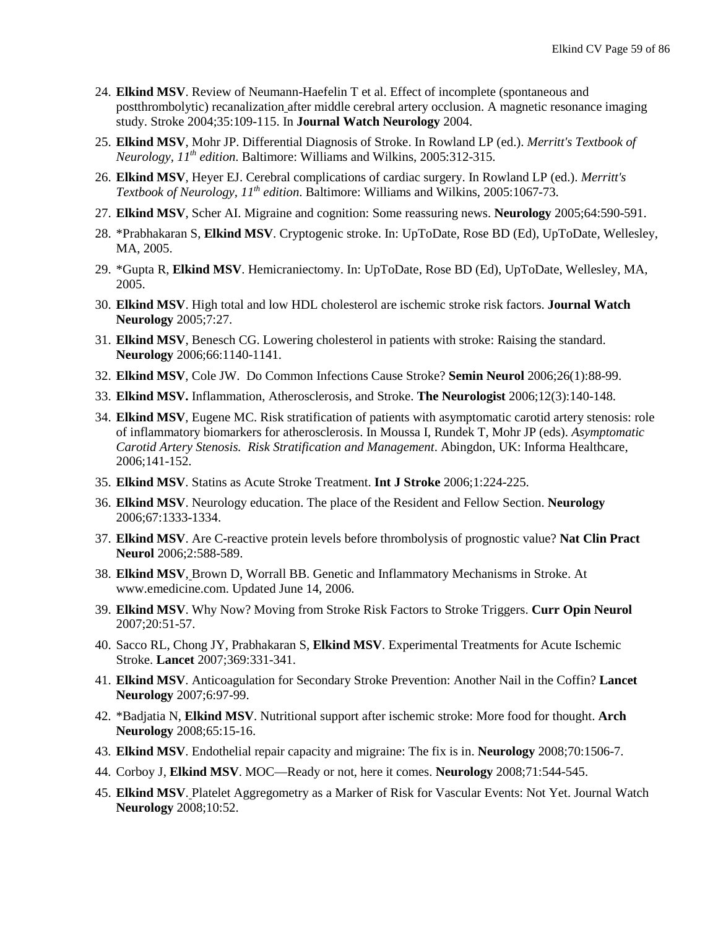- 24. **Elkind MSV**. Review of Neumann-Haefelin T et al. Effect of incomplete (spontaneous and postthrombolytic) recanalization after middle cerebral artery occlusion. A magnetic resonance imaging study. Stroke 2004;35:109-115. In **Journal Watch Neurology** 2004.
- 25. **Elkind MSV**, Mohr JP. Differential Diagnosis of Stroke. In Rowland LP (ed.). *Merritt's Textbook of Neurology, 11th edition*. Baltimore: Williams and Wilkins, 2005:312-315.
- 26. **Elkind MSV**, Heyer EJ. Cerebral complications of cardiac surgery. In Rowland LP (ed.). *Merritt's Textbook of Neurology, 11th edition*. Baltimore: Williams and Wilkins, 2005:1067-73.
- 27. **Elkind MSV**, Scher AI. Migraine and cognition: Some reassuring news. **Neurology** 2005;64:590-591.
- 28. \*Prabhakaran S, **Elkind MSV**. Cryptogenic stroke. In: UpToDate, Rose BD (Ed), UpToDate, Wellesley, MA, 2005.
- 29. \*Gupta R, **Elkind MSV**. Hemicraniectomy. In: UpToDate, Rose BD (Ed), UpToDate, Wellesley, MA, 2005.
- 30. **Elkind MSV**. High total and low HDL cholesterol are ischemic stroke risk factors. **Journal Watch Neurology** 2005;7:27.
- 31. **Elkind MSV**, Benesch CG. Lowering cholesterol in patients with stroke: Raising the standard. **Neurology** 2006;66:1140-1141.
- 32. **Elkind MSV**, Cole JW. Do Common Infections Cause Stroke? **Semin Neurol** 2006;26(1):88-99.
- 33. **Elkind MSV.** Inflammation, Atherosclerosis, and Stroke. **The Neurologist** 2006;12(3):140-148.
- 34. **Elkind MSV**, Eugene MC. Risk stratification of patients with asymptomatic carotid artery stenosis: role of inflammatory biomarkers for atherosclerosis. In Moussa I, Rundek T, Mohr JP (eds). *Asymptomatic Carotid Artery Stenosis. Risk Stratification and Management*. Abingdon, UK: Informa Healthcare, 2006;141-152.
- 35. **Elkind MSV**. Statins as Acute Stroke Treatment. **Int J Stroke** 2006;1:224-225.
- 36. **Elkind MSV**. Neurology education. The place of the Resident and Fellow Section. **Neurology** 2006;67:1333-1334.
- 37. **Elkind MSV**. Are C-reactive protein levels before thrombolysis of prognostic value? **Nat Clin Pract Neurol** 2006;2:588-589.
- 38. **Elkind MSV**, Brown D, Worrall BB. Genetic and Inflammatory Mechanisms in Stroke. At www.emedicine.com. Updated June 14, 2006.
- 39. **Elkind MSV**. Why Now? Moving from Stroke Risk Factors to Stroke Triggers. **Curr Opin Neurol** 2007;20:51-57.
- 40. Sacco RL, Chong JY, Prabhakaran S, **Elkind MSV**. Experimental Treatments for Acute Ischemic Stroke. **Lancet** 2007;369:331-341.
- 41. **Elkind MSV**. Anticoagulation for Secondary Stroke Prevention: Another Nail in the Coffin? **Lancet Neurology** 2007;6:97-99.
- 42. \*Badjatia N, **Elkind MSV**. Nutritional support after ischemic stroke: More food for thought. **Arch Neurology** 2008;65:15-16.
- 43. **Elkind MSV**. Endothelial repair capacity and migraine: The fix is in. **Neurology** 2008;70:1506-7.
- 44. Corboy J, **Elkind MSV**. MOC—Ready or not, here it comes. **Neurology** 2008;71:544-545.
- 45. **Elkind MSV**. Platelet Aggregometry as a Marker of Risk for Vascular Events: Not Yet. Journal Watch **Neurology** 2008;10:52.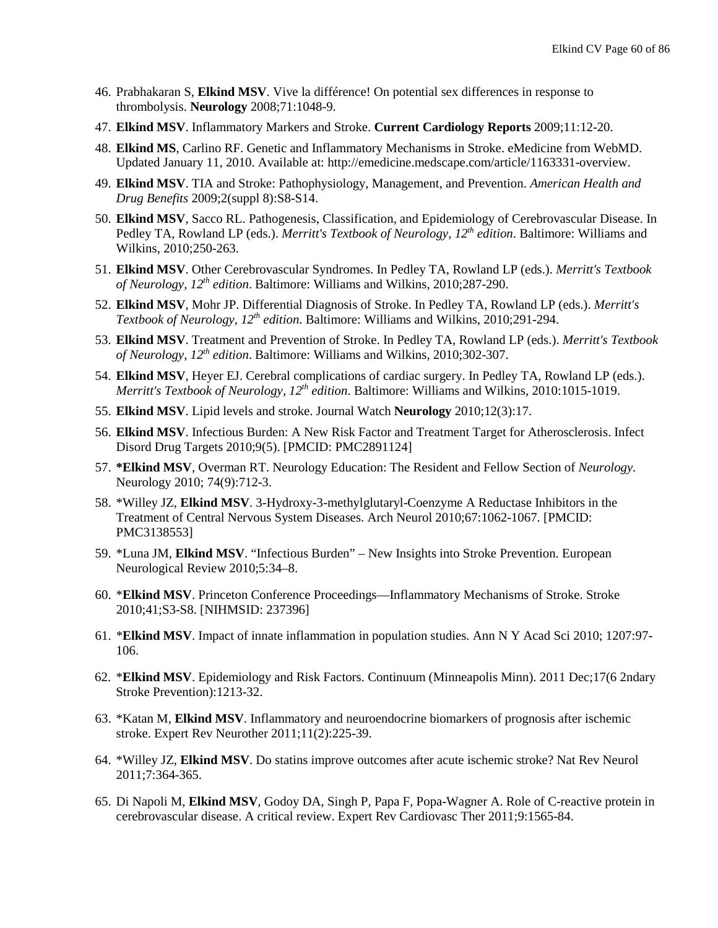- 46. [Prabhakaran S,](http://www.ncbi.nlm.nih.gov/pubmed/18824670?ordinalpos=1&itool=EntrezSystem2.PEntrez.Pubmed.Pubmed_ResultsPanel.Pubmed_DefaultReportPanel.Pubmed_RVDocSum) **Elkind MSV**. Vive la différence! On potential sex differences in response to thrombolysis. **Neurology** 2008;71:1048-9.
- 47. **Elkind MSV**. Inflammatory Markers and Stroke. **Current Cardiology Reports** 2009;11:12-20.
- 48. **Elkind MS**, Carlino RF. Genetic and Inflammatory Mechanisms in Stroke. eMedicine from WebMD. Updated January 11, 2010. Available at: http://emedicine.medscape.com/article/1163331-overview.
- 49. **Elkind MSV**. TIA and Stroke: Pathophysiology, Management, and Prevention. *American Health and Drug Benefits* 2009;2(suppl 8):S8-S14.
- 50. **Elkind MSV**, Sacco RL. Pathogenesis, Classification, and Epidemiology of Cerebrovascular Disease. In Pedley TA, Rowland LP (eds.). *Merritt's Textbook of Neurology, 12th edition*. Baltimore: Williams and Wilkins, 2010;250-263.
- 51. **Elkind MSV**. Other Cerebrovascular Syndromes. In Pedley TA, Rowland LP (eds.). *Merritt's Textbook of Neurology, 12th edition*. Baltimore: Williams and Wilkins, 2010;287-290.
- 52. **Elkind MSV**, Mohr JP. Differential Diagnosis of Stroke. In Pedley TA, Rowland LP (eds.). *Merritt's Textbook of Neurology, 12th edition*. Baltimore: Williams and Wilkins, 2010;291-294.
- 53. **Elkind MSV**. Treatment and Prevention of Stroke. In Pedley TA, Rowland LP (eds.). *Merritt's Textbook of Neurology, 12th edition*. Baltimore: Williams and Wilkins, 2010;302-307.
- 54. **Elkind MSV**, Heyer EJ. Cerebral complications of cardiac surgery. In Pedley TA, Rowland LP (eds.). *Merritt's Textbook of Neurology, 12th edition*. Baltimore: Williams and Wilkins, 2010:1015-1019.
- 55. **Elkind MSV**. Lipid levels and stroke. Journal Watch **Neurology** 2010;12(3):17.
- 56. **Elkind MSV**. [Infectious Burden: A New Risk Factor and Treatment Target for Atherosclerosis.](http://www.ncbi.nlm.nih.gov/pubmed/20166973?itool=EntrezSystem2.PEntrez.Pubmed.Pubmed_ResultsPanel.Pubmed_RVDocSum&ordinalpos=1) Infect Disord Drug Targets 2010;9(5). [PMCID: PMC2891124]
- 57. **\*Elkind MSV**, Overman RT. Neurology Education: The Resident and Fellow Section of *Neurology.*  Neurology 2010; 74(9):712-3.
- 58. \*Willey JZ, **Elkind MSV**. 3-Hydroxy-3-methylglutaryl-Coenzyme A Reductase Inhibitors in the Treatment of Central Nervous System Diseases. Arch Neurol 2010;67:1062-1067. [PMCID: PMC3138553]
- 59. \*Luna JM, **Elkind MSV**. "Infectious Burden" New Insights into Stroke Prevention. European Neurological Review 2010;5:34–8.
- 60. \***Elkind MSV**. Princeton Conference Proceedings—Inflammatory Mechanisms of Stroke. Stroke 2010;41;S3-S8. [NIHMSID: 237396]
- 61. \***Elkind MSV**. Impact of innate inflammation in population studies. Ann N Y Acad Sci 2010; 1207:97- 106.
- 62. \***Elkind MSV**. Epidemiology and Risk Factors. Continuum (Minneapolis Minn). 2011 Dec;17(6 2ndary Stroke Prevention):1213-32.
- 63. \*Katan M, **Elkind MSV**. Inflammatory and neuroendocrine biomarkers of prognosis after ischemic stroke. Expert Rev Neurother 2011;11(2):225-39.
- 64. \*Willey JZ, **Elkind MSV**. Do statins improve outcomes after acute ischemic stroke? Nat Rev Neurol 2011;7:364-365.
- 65. Di Napoli M, **Elkind MSV**, Godoy DA, Singh P, Papa F, Popa-Wagner A. Role of C-reactive protein in cerebrovascular disease. A critical review. Expert Rev Cardiovasc Ther 2011;9:1565-84.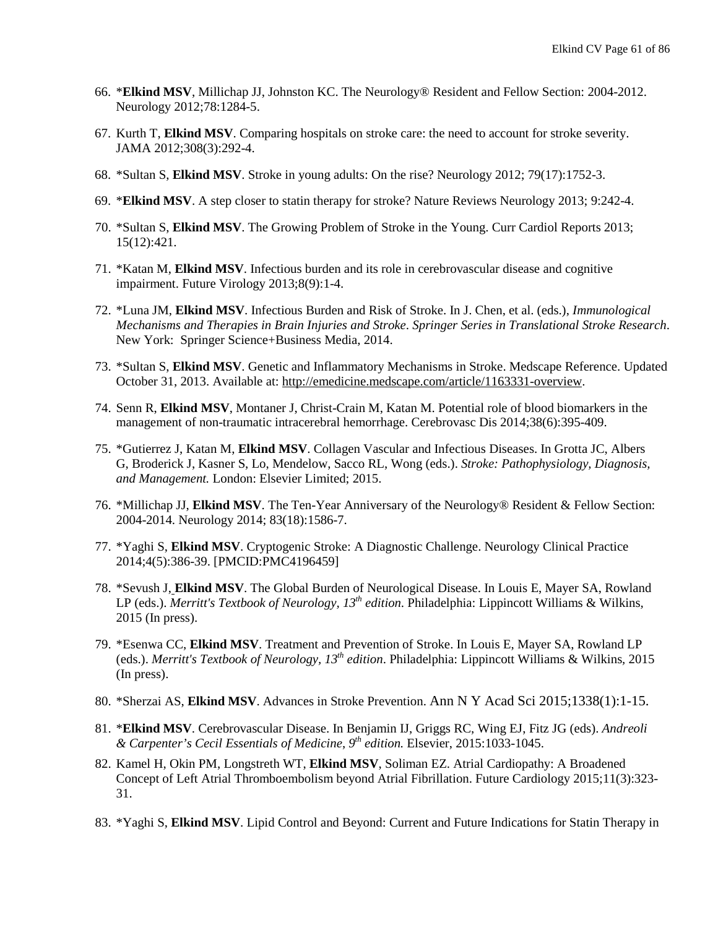- 66. \***Elkind MSV**, Millichap JJ, Johnston KC. The Neurology® Resident and Fellow Section: 2004-2012. Neurology 2012;78:1284-5.
- 67. Kurth T, **Elkind MSV**. Comparing hospitals on stroke care: the need to account for stroke severity. JAMA 2012;308(3):292-4.
- 68. \*Sultan S, **Elkind MSV**. Stroke in young adults: On the rise? Neurology 2012; 79(17):1752-3.
- 69. \***Elkind MSV**. A step closer to statin therapy for stroke? Nature Reviews Neurology 2013; 9:242-4.
- 70. \*Sultan S, **Elkind MSV**. The Growing Problem of Stroke in the Young. Curr Cardiol Reports 2013; 15(12):421.
- 71. \*Katan M, **Elkind MSV**. Infectious burden and its role in cerebrovascular disease and cognitive impairment. Future Virology 2013;8(9):1-4.
- 72. \*Luna JM, **Elkind MSV**. Infectious Burden and Risk of Stroke. In J. Chen, et al. (eds.), *Immunological Mechanisms and Therapies in Brain Injuries and Stroke*. *Springer Series in Translational Stroke Research*. New York: Springer Science+Business Media, 2014.
- 73. \*Sultan S, **Elkind MSV**. Genetic and Inflammatory Mechanisms in Stroke. Medscape Reference. Updated October 31, 2013. Available at: [http://emedicine.medscape.com/article/1163331-overview.](http://emedicine.medscape.com/article/1163331-overview)
- 74. Senn R, **Elkind MSV**, Montaner J, Christ-Crain M, Katan M. Potential role of blood biomarkers in the management of non-traumatic intracerebral hemorrhage. Cerebrovasc Dis 2014;38(6):395-409.
- 75. \*Gutierrez J, Katan M, **Elkind MSV**. Collagen Vascular and Infectious Diseases. In Grotta JC, Albers G, Broderick J, Kasner S, Lo, Mendelow, Sacco RL, Wong (eds.). *Stroke: Pathophysiology, Diagnosis, and Management.* London: Elsevier Limited; 2015.
- 76. \*Millichap JJ, **Elkind MSV**. The Ten-Year Anniversary of the Neurology® Resident & Fellow Section: 2004-2014. Neurology 2014; 83(18):1586-7.
- 77. \*Yaghi S, **Elkind MSV**. Cryptogenic Stroke: A Diagnostic Challenge. Neurology Clinical Practice 2014;4(5):386-39. [PMCID:PMC4196459]
- 78. \*Sevush J, **Elkind MSV**. The Global Burden of Neurological Disease. In Louis E, Mayer SA, Rowland LP (eds.). *Merritt's Textbook of Neurology, 13th edition*. Philadelphia: Lippincott Williams & Wilkins*,*  2015 (In press).
- 79. \*Esenwa CC, **Elkind MSV**. Treatment and Prevention of Stroke. In Louis E, Mayer SA, Rowland LP (eds.). *Merritt's Textbook of Neurology, 13th edition*. Philadelphia: Lippincott Williams & Wilkins*,* 2015 (In press).
- 80. \*Sherzai AS, **Elkind MSV**. Advances in Stroke Prevention. Ann N Y Acad Sci 2015;1338(1):1-15.
- 81. \***Elkind MSV**. Cerebrovascular Disease. In Benjamin IJ, Griggs RC, Wing EJ, Fitz JG (eds). *Andreoli & Carpenter's Cecil Essentials of Medicine*, *9th edition.* Elsevier, 2015:1033-1045.
- 82. Kamel H, Okin PM, Longstreth WT, **Elkind MSV**, Soliman EZ. Atrial Cardiopathy: A Broadened Concept of Left Atrial Thromboembolism beyond Atrial Fibrillation. Future Cardiology 2015;11(3):323- 31.
- 83. \*Yaghi S, **Elkind MSV**. Lipid Control and Beyond: Current and Future Indications for Statin Therapy in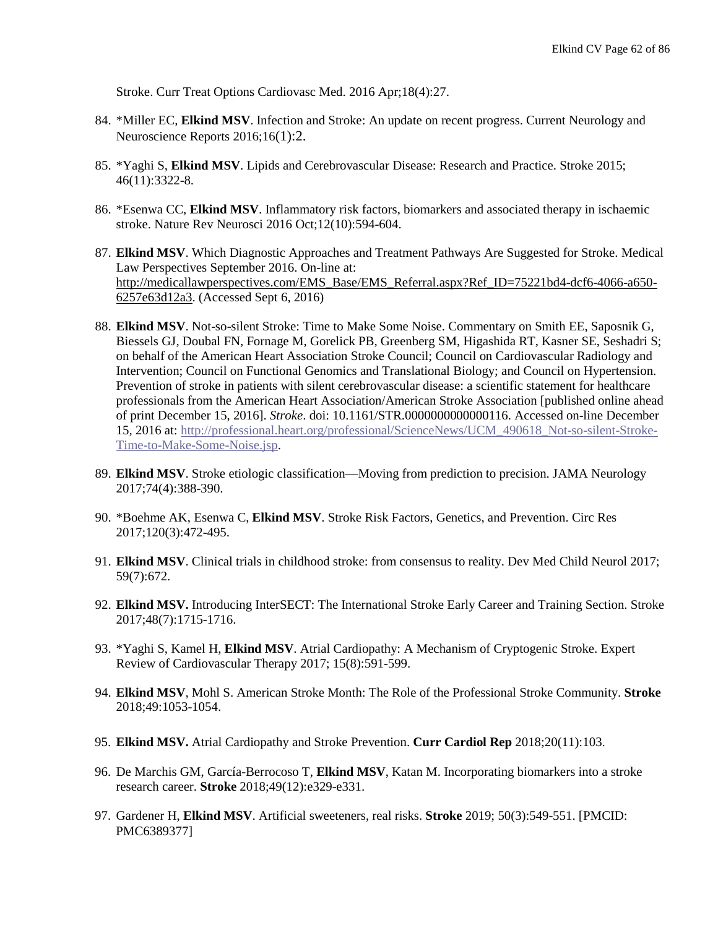Stroke. [Curr Treat Options Cardiovasc Med.](http://www.ncbi.nlm.nih.gov/pubmed/26920158) 2016 Apr;18(4):27.

- 84. \*Miller EC, **Elkind MSV**. Infection and Stroke: An update on recent progress. Current Neurology and Neuroscience Reports 2016;16(1):2.
- 85. \*Yaghi S, **Elkind MSV**. Lipids and Cerebrovascular Disease: Research and Practice. Stroke 2015; 46(11):3322-8.
- 86. \*Esenwa CC, **Elkind MSV**. Inflammatory risk factors, biomarkers and associated therapy in ischaemic stroke. Nature Rev Neurosci 2016 Oct;12(10):594-604.
- 87. **Elkind MSV**. Which Diagnostic Approaches and Treatment Pathways Are Suggested for Stroke. Medical Law Perspectives September 2016. On-line at: [http://medicallawperspectives.com/EMS\\_Base/EMS\\_Referral.aspx?Ref\\_ID=75221bd4-dcf6-4066-a650-](http://medicallawperspectives.com/EMS_Base/EMS_Referral.aspx?Ref_ID=75221bd4-dcf6-4066-a650-6257e63d12a3) [6257e63d12a3.](http://medicallawperspectives.com/EMS_Base/EMS_Referral.aspx?Ref_ID=75221bd4-dcf6-4066-a650-6257e63d12a3) (Accessed Sept 6, 2016)
- 88. **Elkind MSV**. Not-so-silent Stroke: Time to Make Some Noise. Commentary on Smith EE, Saposnik G, Biessels GJ, Doubal FN, Fornage M, Gorelick PB, Greenberg SM, Higashida RT, Kasner SE, Seshadri S; on behalf of the American Heart Association Stroke Council; Council on Cardiovascular Radiology and Intervention; Council on Functional Genomics and Translational Biology; and Council on Hypertension. Prevention of stroke in patients with silent cerebrovascular disease: a scientific statement for healthcare professionals from the American Heart Association/American Stroke Association [published online ahead of print December 15, 2016]. *Stroke*. doi: 10.1161/STR.0000000000000116. Accessed on-line December 15, 2016 at: [http://professional.heart.org/professional/ScienceNews/UCM\\_490618\\_Not-so-silent-Stroke-](http://professional.heart.org/professional/ScienceNews/UCM_490618_Not-so-silent-Stroke-Time-to-Make-Some-Noise.jsp)[Time-to-Make-Some-Noise.jsp.](http://professional.heart.org/professional/ScienceNews/UCM_490618_Not-so-silent-Stroke-Time-to-Make-Some-Noise.jsp)
- 89. **Elkind MSV**. Stroke etiologic classification—Moving from prediction to precision. JAMA Neurology 2017;74(4):388-390.
- 90. \*Boehme AK, Esenwa C, **Elkind MSV**. Stroke Risk Factors, Genetics, and Prevention. Circ Res 2017;120(3):472-495.
- 91. **Elkind MSV**. Clinical trials in childhood stroke: from consensus to reality. Dev Med Child Neurol 2017; 59(7):672.
- 92. **Elkind MSV.** Introducing InterSECT: The International Stroke Early Career and Training Section. Stroke 2017;48(7):1715-1716.
- 93. \*Yaghi S, Kamel H, **Elkind MSV**. Atrial Cardiopathy: A Mechanism of Cryptogenic Stroke. Expert Review of Cardiovascular Therapy 2017; 15(8):591-599.
- 94. **Elkind MSV**, Mohl S. American Stroke Month: The Role of the Professional Stroke Community. **Stroke** 2018;49:1053-1054.
- 95. **Elkind MSV.** Atrial Cardiopathy and Stroke Prevention. **Curr Cardiol Rep** 2018;20(11):103.
- 96. De Marchis GM, García-Berrocoso T, **Elkind MSV**, Katan M. Incorporating biomarkers into a stroke research career. **Stroke** 2018;49(12):e329-e331.
- 97. Gardener H, **Elkind MSV**. Artificial sweeteners, real risks. **Stroke** 2019; 50(3):549-551. [PMCID: PMC6389377]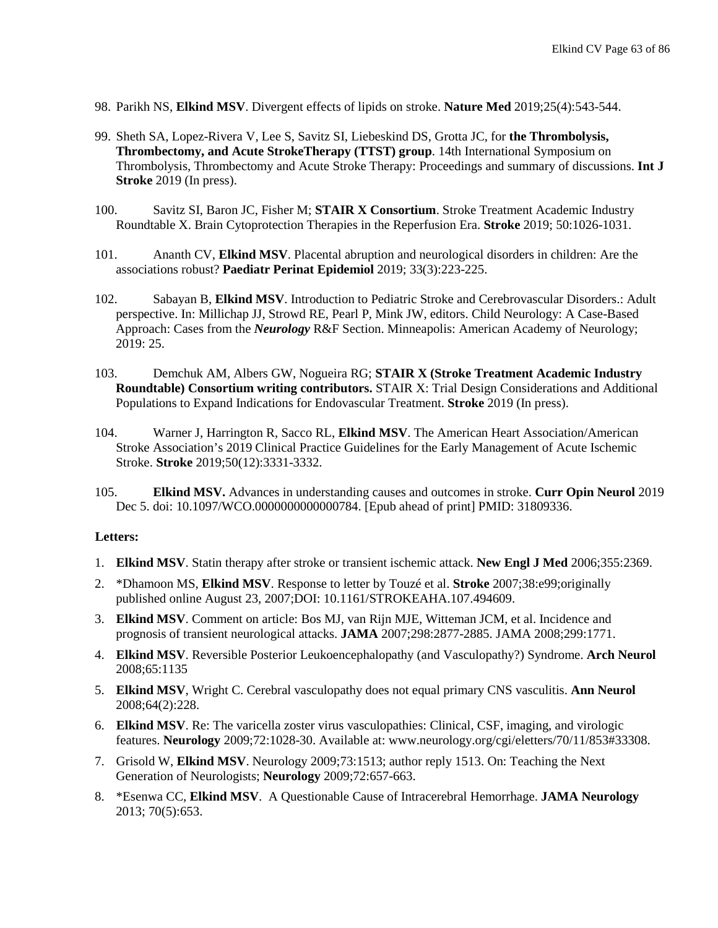- 98. Parikh NS, **Elkind MSV**. Divergent effects of lipids on stroke. **Nature Med** 2019;25(4):543-544.
- 99. Sheth SA, Lopez-Rivera V, Lee S, Savitz SI, Liebeskind DS, Grotta JC, for **the Thrombolysis, Thrombectomy, and Acute StrokeTherapy (TTST) group**. [14th International Symposium on](https://www.ncbi.nlm.nih.gov/pubmed/30920353)  [Thrombolysis, Thrombectomy and Acute Stroke Therapy: Proceedings and](https://www.ncbi.nlm.nih.gov/pubmed/30920353) summary of discussions. **Int J Stroke** 2019 (In press).
- 100. Savitz SI, Baron JC, Fisher M; **STAIR X Consortium**. Stroke Treatment Academic Industry Roundtable X. Brain Cytoprotection Therapies in the Reperfusion Era. **Stroke** 2019; 50:1026-1031.
- 101. Ananth CV, **Elkind MSV**. [Placental abruption and neurological disorders in children: Are the](https://www.ncbi.nlm.nih.gov/pubmed/31087683)  [associations robust?](https://www.ncbi.nlm.nih.gov/pubmed/31087683) **Paediatr Perinat Epidemiol** 2019; 33(3):223-225.
- 102. Sabayan B, **Elkind MSV**. Introduction to Pediatric Stroke and Cerebrovascular Disorders.: Adult perspective. In: Millichap JJ, Strowd RE, Pearl P, Mink JW, editors. Child Neurology: A Case-Based Approach: Cases from the *Neurology* R&F Section. Minneapolis: American Academy of Neurology; 2019: 25.
- 103. Demchuk AM, Albers GW, Nogueira RG; **STAIR X (Stroke Treatment Academic Industry Roundtable) Consortium writing contributors.** [STAIR X: Trial Design Considerations and Additional](https://www.ncbi.nlm.nih.gov/pubmed/31112484)  [Populations to Expand Indications for Endovascular Treatment.](https://www.ncbi.nlm.nih.gov/pubmed/31112484) **Stroke** 2019 (In press).
- 104. Warner J, Harrington R, Sacco RL, **Elkind MSV**. The American Heart Association/American Stroke Association's 2019 Clinical Practice Guidelines for the Early Management of Acute Ischemic Stroke. **Stroke** 2019;50(12):3331-3332.
- 105. **Elkind MSV.** [Advances in understanding causes and outcomes in stroke.](https://www.ncbi.nlm.nih.gov/pubmed/31809336) **Curr Opin Neurol** 2019 Dec 5. doi: 10.1097/WCO.0000000000000784. [Epub ahead of print] PMID: 31809336.

#### **Letters:**

- 1. **Elkind MSV**. Statin therapy after stroke or transient ischemic attack. **New Engl J Med** 2006;355:2369.
- 2. \*Dhamoon MS, **Elkind MSV**. Response to letter by Touzé et al. **Stroke** 2007;38:e99;originally published online August 23, 2007;DOI: 10.1161/STROKEAHA.107.494609.
- 3. **Elkind MSV**. Comment on article: Bos MJ, van Rijn MJE, Witteman JCM, et al. Incidence and prognosis of transient neurological attacks. **JAMA** 2007;298:2877-2885. JAMA 2008;299:1771.
- 4. **Elkind MSV**. Reversible Posterior Leukoencephalopathy (and Vasculopathy?) Syndrome. **Arch Neurol** 2008;65:1135
- 5. **Elkind MSV**, Wright C. Cerebral vasculopathy does not equal primary CNS vasculitis. **Ann Neurol** 2008;64(2):228.
- 6. **Elkind MSV**. Re: The varicella zoster virus vasculopathies: Clinical, CSF, imaging, and virologic features. **Neurology** 2009;72:1028-30. Available at: www.neurology.org/cgi/eletters/70/11/853#33308.
- 7. Grisold W, **Elkind MSV**. Neurology 2009;73:1513; author reply 1513. On: Teaching the Next Generation of Neurologists; **Neurology** 2009;72:657-663.
- 8. \*Esenwa CC, **Elkind MSV**. A Questionable Cause of Intracerebral Hemorrhage. **JAMA Neurology** 2013; 70(5):653.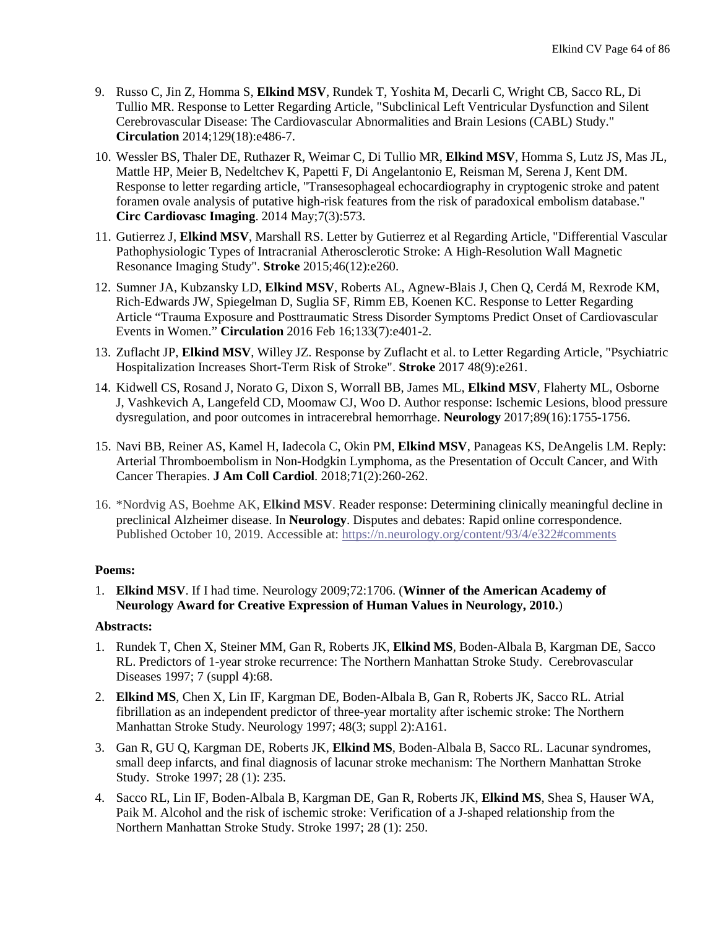- 9. Russo C, Jin Z, Homma S, **Elkind MSV**, Rundek T, Yoshita M, Decarli C, Wright CB, Sacco RL, Di Tullio MR. [Response to Letter Regarding Article, "Subclinical Left Ventricular Dysfunction and Silent](http://www.ncbi.nlm.nih.gov/pubmed/24799510)  [Cerebrovascular Disease: The Cardiovascular Abnormalities and Brain Lesions \(CABL\) Study."](http://www.ncbi.nlm.nih.gov/pubmed/24799510) **Circulation** 2014;129(18):e486-7.
- 10. Wessler BS, Thaler DE, Ruthazer R, Weimar C, Di Tullio MR, **Elkind MSV**, Homma S, Lutz JS, Mas JL, Mattle HP, Meier B, Nedeltchev K, Papetti F, Di Angelantonio E, Reisman M, Serena J, Kent DM. Response to letter regarding article, "Transesophageal echocardiography in cryptogenic stroke and patent foramen ovale analysis of putative high-risk features from the risk of paradoxical embolism database." **Circ Cardiovasc Imaging**. 2014 May;7(3):573.
- 11. Gutierrez J, **Elkind MSV**, Marshall RS. [Letter by Gutierrez et al Regarding Article, "Differential Vascular](http://www.ncbi.nlm.nih.gov/pubmed/26486864)  [Pathophysiologic Types of Intracranial Atherosclerotic Stroke: A High-Resolution Wall Magnetic](http://www.ncbi.nlm.nih.gov/pubmed/26486864)  [Resonance Imaging Study".](http://www.ncbi.nlm.nih.gov/pubmed/26486864) **Stroke** 2015;46(12):e260.
- 12. Sumner JA, Kubzansky LD, **Elkind MSV**, Roberts AL, Agnew-Blais J, Chen Q, Cerdá M, Rexrode KM, Rich-Edwards JW, Spiegelman D, Suglia SF, Rimm EB, Koenen KC. Response to Letter Regarding Article "Trauma Exposure and Posttraumatic Stress Disorder Symptoms Predict Onset of Cardiovascular Events in Women." **Circulation** 2016 Feb 16;133(7):e401-2.
- 13. [Zuflacht JP,](https://www.ncbi.nlm.nih.gov/pubmed/?term=Zuflacht%20JP%5BAuthor%5D&cauthor=true&cauthor_uid=28775142) **[Elkind MSV](https://www.ncbi.nlm.nih.gov/pubmed/?term=Elkind%20MSV%5BAuthor%5D&cauthor=true&cauthor_uid=28775142)**, [Willey JZ.](https://www.ncbi.nlm.nih.gov/pubmed/?term=Willey%20JZ%5BAuthor%5D&cauthor=true&cauthor_uid=28775142) Response by Zuflacht et al. to Letter Regarding Article, "Psychiatric Hospitalization Increases Short-Term Risk of Stroke". **[Stroke](https://www.ncbi.nlm.nih.gov/pubmed/28775142)** 2017 48(9):e261.
- 14. Kidwell CS, Rosand J, Norato G, Dixon S, Worrall BB, James ML, **Elkind MSV**, Flaherty ML, Osborne J, Vashkevich A, Langefeld CD, Moomaw CJ, Woo D. [Author response: Ischemic Lesions, blood pressure](https://www.ncbi.nlm.nih.gov/pubmed/29038137)  [dysregulation, and poor outcomes in intracerebral hemorrhage.](https://www.ncbi.nlm.nih.gov/pubmed/29038137) **Neurology** 2017;89(16):1755-1756.
- 15. Navi BB, Reiner AS, Kamel H, Iadecola C, Okin PM, **Elkind MSV**, Panageas KS, DeAngelis LM. [Reply:](https://www.ncbi.nlm.nih.gov/pubmed/29325653)  [Arterial Thromboembolism in Non-Hodgkin Lymphoma, as the Presentation of Occult Cancer, and With](https://www.ncbi.nlm.nih.gov/pubmed/29325653)  Cancer [Therapies.](https://www.ncbi.nlm.nih.gov/pubmed/29325653) **J Am Coll Cardiol**. 2018;71(2):260-262.
- 16. \*Nordvig AS, Boehme AK, **Elkind MSV**. [Reader response: Determining clinically meaningful decline in](https://n.neurology.org/content/reader-response-determining-clinically-meaningful-decline-preclinical-alzheimer-disease) [preclinical Alzheimer disease.](https://n.neurology.org/content/reader-response-determining-clinically-meaningful-decline-preclinical-alzheimer-disease) In **Neurology**. Disputes and debates: Rapid online correspondence. Published October 10, 2019. Accessible at:<https://n.neurology.org/content/93/4/e322#comments>

## **Poems:**

1. **Elkind MSV**. If I had time. Neurology 2009;72:1706. (**Winner of the American Academy of Neurology Award for Creative Expression of Human Values in Neurology, 2010.**)

# **Abstracts:**

- 1. Rundek T, Chen X, Steiner MM, Gan R, Roberts JK, **Elkind MS**, Boden-Albala B, Kargman DE, Sacco RL. Predictors of 1-year stroke recurrence: The Northern Manhattan Stroke Study. Cerebrovascular Diseases 1997; 7 (suppl 4):68.
- 2. **Elkind MS**, Chen X, Lin IF, Kargman DE, Boden-Albala B, Gan R, Roberts JK, Sacco RL. Atrial fibrillation as an independent predictor of three-year mortality after ischemic stroke: The Northern Manhattan Stroke Study. Neurology 1997; 48(3; suppl 2):A161.
- 3. Gan R, GU Q, Kargman DE, Roberts JK, **Elkind MS**, Boden-Albala B, Sacco RL. Lacunar syndromes, small deep infarcts, and final diagnosis of lacunar stroke mechanism: The Northern Manhattan Stroke Study. Stroke 1997; 28 (1): 235.
- 4. Sacco RL, Lin IF, Boden-Albala B, Kargman DE, Gan R, Roberts JK, **Elkind MS**, Shea S, Hauser WA, Paik M. Alcohol and the risk of ischemic stroke: Verification of a J-shaped relationship from the Northern Manhattan Stroke Study. Stroke 1997; 28 (1): 250.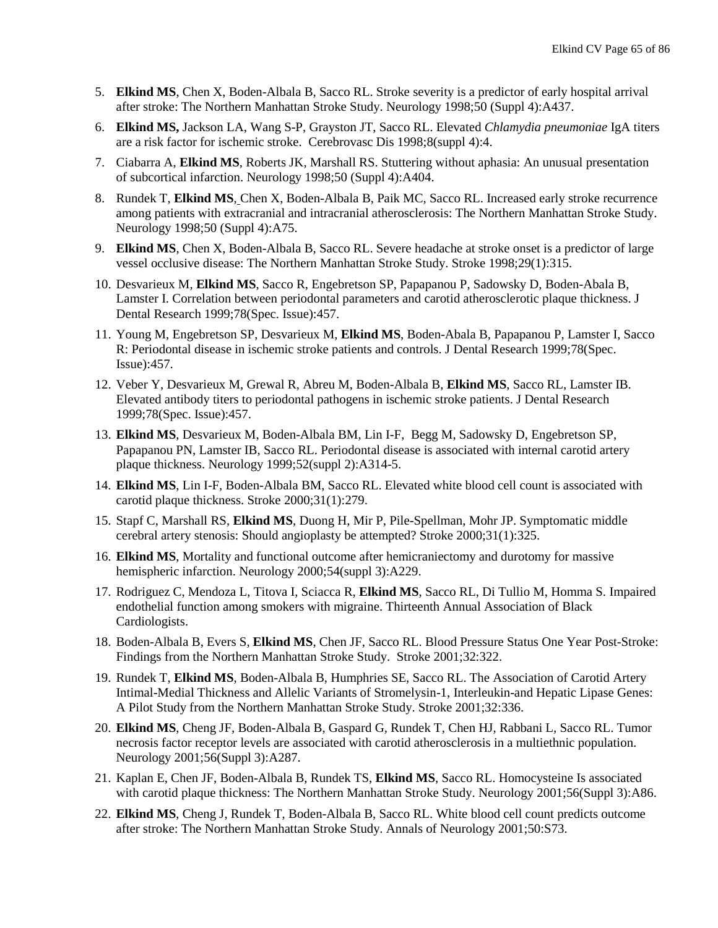- 5. **Elkind MS**, Chen X, Boden-Albala B, Sacco RL. Stroke severity is a predictor of early hospital arrival after stroke: The Northern Manhattan Stroke Study. Neurology 1998;50 (Suppl 4):A437.
- 6. **Elkind MS,** Jackson LA, Wang S-P, Grayston JT, Sacco RL. Elevated *Chlamydia pneumoniae* IgA titers are a risk factor for ischemic stroke. Cerebrovasc Dis 1998;8(suppl 4):4.
- 7. Ciabarra A, **Elkind MS**, Roberts JK, Marshall RS. Stuttering without aphasia: An unusual presentation of subcortical infarction. Neurology 1998;50 (Suppl 4):A404.
- 8. Rundek T, **Elkind MS**, Chen X, Boden-Albala B, Paik MC, Sacco RL. Increased early stroke recurrence among patients with extracranial and intracranial atherosclerosis: The Northern Manhattan Stroke Study. Neurology 1998;50 (Suppl 4):A75.
- 9. **Elkind MS**, Chen X, Boden-Albala B, Sacco RL. Severe headache at stroke onset is a predictor of large vessel occlusive disease: The Northern Manhattan Stroke Study. Stroke 1998;29(1):315.
- 10. Desvarieux M, **Elkind MS**, Sacco R, Engebretson SP, Papapanou P, Sadowsky D, Boden-Abala B, Lamster I. Correlation between periodontal parameters and carotid atherosclerotic plaque thickness. J Dental Research 1999;78(Spec. Issue):457.
- 11. Young M, Engebretson SP, Desvarieux M, **Elkind MS**, Boden-Abala B, Papapanou P, Lamster I, Sacco R: Periodontal disease in ischemic stroke patients and controls. J Dental Research 1999;78(Spec. Issue):457.
- 12. Veber Y, Desvarieux M, Grewal R, Abreu M, Boden-Albala B, **Elkind MS**, Sacco RL, Lamster IB. Elevated antibody titers to periodontal pathogens in ischemic stroke patients. J Dental Research 1999;78(Spec. Issue):457.
- 13. **Elkind MS**, Desvarieux M, Boden-Albala BM, Lin I-F, Begg M, Sadowsky D, Engebretson SP, Papapanou PN, Lamster IB, Sacco RL. Periodontal disease is associated with internal carotid artery plaque thickness. Neurology 1999;52(suppl 2):A314-5.
- 14. **Elkind MS**, Lin I-F, Boden-Albala BM, Sacco RL. Elevated white blood cell count is associated with carotid plaque thickness. Stroke 2000;31(1):279.
- 15. Stapf C, Marshall RS, **Elkind MS**, Duong H, Mir P, Pile-Spellman, Mohr JP. Symptomatic middle cerebral artery stenosis: Should angioplasty be attempted? Stroke 2000;31(1):325.
- 16. **Elkind MS**, Mortality and functional outcome after hemicraniectomy and durotomy for massive hemispheric infarction. Neurology 2000;54(suppl 3):A229.
- 17. Rodriguez C, Mendoza L, Titova I, Sciacca R, **Elkind MS**, Sacco RL, Di Tullio M, Homma S. Impaired endothelial function among smokers with migraine. Thirteenth Annual Association of Black Cardiologists.
- 18. Boden-Albala B, Evers S, **Elkind MS**, Chen JF, Sacco RL. Blood Pressure Status One Year Post-Stroke: Findings from the Northern Manhattan Stroke Study. Stroke 2001;32:322.
- 19. Rundek T, **Elkind MS**, Boden-Albala B, Humphries SE, Sacco RL. The Association of Carotid Artery Intimal-Medial Thickness and Allelic Variants of Stromelysin-1, Interleukin-and Hepatic Lipase Genes: A Pilot Study from the Northern Manhattan Stroke Study. Stroke 2001;32:336.
- 20. **Elkind MS**, Cheng JF, Boden-Albala B, Gaspard G, Rundek T, Chen HJ, Rabbani L, Sacco RL. Tumor necrosis factor receptor levels are associated with carotid atherosclerosis in a multiethnic population. Neurology 2001;56(Suppl 3):A287.
- 21. Kaplan E, Chen JF, Boden-Albala B, Rundek TS, **Elkind MS**, Sacco RL. Homocysteine Is associated with carotid plaque thickness: The Northern Manhattan Stroke Study. Neurology 2001;56(Suppl 3):A86.
- 22. **Elkind MS**, Cheng J, Rundek T, Boden-Albala B, Sacco RL. White blood cell count predicts outcome after stroke: The Northern Manhattan Stroke Study. Annals of Neurology 2001;50:S73.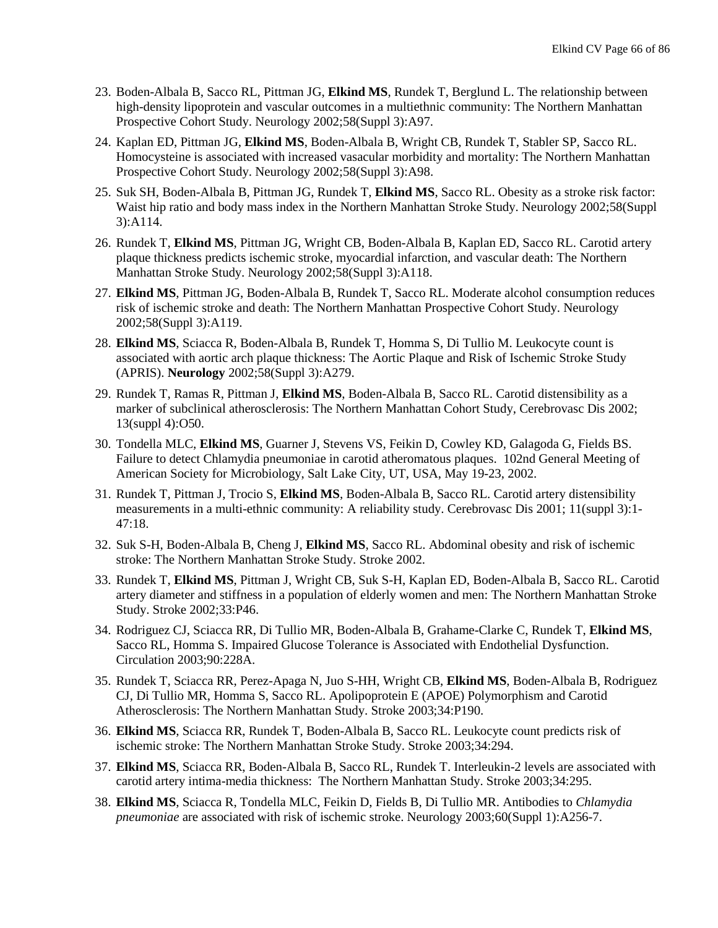- 23. Boden-Albala B, Sacco RL, Pittman JG, **Elkind MS**, Rundek T, Berglund L. The relationship between high-density lipoprotein and vascular outcomes in a multiethnic community: The Northern Manhattan Prospective Cohort Study. Neurology 2002;58(Suppl 3):A97.
- 24. Kaplan ED, Pittman JG, **Elkind MS**, Boden-Albala B, Wright CB, Rundek T, Stabler SP, Sacco RL. Homocysteine is associated with increased vasacular morbidity and mortality: The Northern Manhattan Prospective Cohort Study. Neurology 2002;58(Suppl 3):A98.
- 25. Suk SH, Boden-Albala B, Pittman JG, Rundek T, **Elkind MS**, Sacco RL. Obesity as a stroke risk factor: Waist hip ratio and body mass index in the Northern Manhattan Stroke Study. Neurology 2002;58(Suppl 3):A114.
- 26. Rundek T, **Elkind MS**, Pittman JG, Wright CB, Boden-Albala B, Kaplan ED, Sacco RL. Carotid artery plaque thickness predicts ischemic stroke, myocardial infarction, and vascular death: The Northern Manhattan Stroke Study. Neurology 2002;58(Suppl 3):A118.
- 27. **Elkind MS**, Pittman JG, Boden-Albala B, Rundek T, Sacco RL. Moderate alcohol consumption reduces risk of ischemic stroke and death: The Northern Manhattan Prospective Cohort Study. Neurology 2002;58(Suppl 3):A119.
- 28. **Elkind MS**, Sciacca R, Boden-Albala B, Rundek T, Homma S, Di Tullio M. Leukocyte count is associated with aortic arch plaque thickness: The Aortic Plaque and Risk of Ischemic Stroke Study (APRIS). **Neurology** 2002;58(Suppl 3):A279.
- 29. Rundek T, Ramas R, Pittman J, **Elkind MS**, Boden-Albala B, Sacco RL. Carotid distensibility as a marker of subclinical atherosclerosis: The Northern Manhattan Cohort Study, Cerebrovasc Dis 2002; 13(suppl 4):O50.
- 30. Tondella MLC, **Elkind MS**, Guarner J, Stevens VS, Feikin D, Cowley KD, Galagoda G, Fields BS. Failure to detect Chlamydia pneumoniae in carotid atheromatous plaques. 102nd General Meeting of American Society for Microbiology, Salt Lake City, UT, USA, May 19-23, 2002.
- 31. Rundek T, Pittman J, Trocio S, **Elkind MS**, Boden-Albala B, Sacco RL. Carotid artery distensibility measurements in a multi-ethnic community: A reliability study. Cerebrovasc Dis 2001; 11(suppl 3):1- 47:18.
- 32. Suk S-H, Boden-Albala B, Cheng J, **Elkind MS**, Sacco RL. Abdominal obesity and risk of ischemic stroke: The Northern Manhattan Stroke Study. Stroke 2002.
- 33. Rundek T, **Elkind MS**, Pittman J, Wright CB, Suk S-H, Kaplan ED, Boden-Albala B, Sacco RL. Carotid artery diameter and stiffness in a population of elderly women and men: The Northern Manhattan Stroke Study. Stroke 2002;33:P46.
- 34. Rodriguez CJ, Sciacca RR, Di Tullio MR, Boden-Albala B, Grahame-Clarke C, Rundek T, **Elkind MS**, Sacco RL, Homma S. Impaired Glucose Tolerance is Associated with Endothelial Dysfunction. Circulation 2003;90:228A.
- 35. Rundek T, Sciacca RR, Perez-Apaga N, Juo S-HH, Wright CB, **Elkind MS**, Boden-Albala B, Rodriguez CJ, Di Tullio MR, Homma S, Sacco RL. Apolipoprotein E (APOE) Polymorphism and Carotid Atherosclerosis: The Northern Manhattan Study. Stroke 2003;34:P190.
- 36. **Elkind MS**, Sciacca RR, Rundek T, Boden-Albala B, Sacco RL. Leukocyte count predicts risk of ischemic stroke: The Northern Manhattan Stroke Study. Stroke 2003;34:294.
- 37. **Elkind MS**, Sciacca RR, Boden-Albala B, Sacco RL, Rundek T. Interleukin-2 levels are associated with carotid artery intima-media thickness: The Northern Manhattan Study. Stroke 2003;34:295.
- 38. **Elkind MS**, Sciacca R, Tondella MLC, Feikin D, Fields B, Di Tullio MR. Antibodies to *Chlamydia pneumoniae* are associated with risk of ischemic stroke. Neurology 2003;60(Suppl 1):A256-7.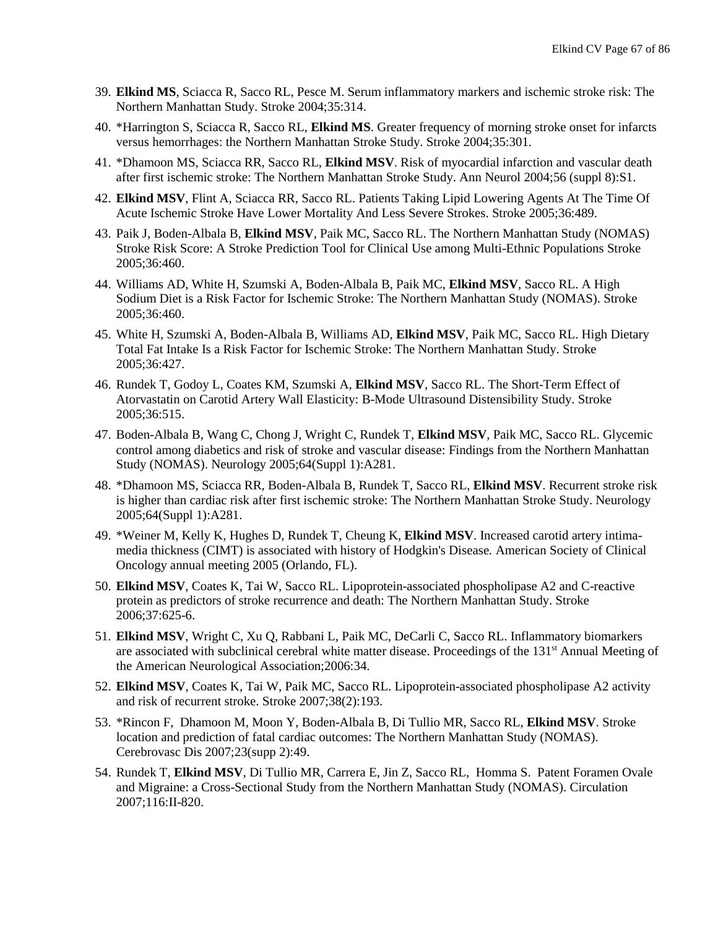- 39. **Elkind MS**, Sciacca R, Sacco RL, Pesce M. Serum inflammatory markers and ischemic stroke risk: The Northern Manhattan Study. Stroke 2004;35:314.
- 40. \*Harrington S, Sciacca R, Sacco RL, **Elkind MS**. Greater frequency of morning stroke onset for infarcts versus hemorrhages: the Northern Manhattan Stroke Study. Stroke 2004;35:301.
- 41. \*Dhamoon MS, Sciacca RR, Sacco RL, **Elkind MSV**. Risk of myocardial infarction and vascular death after first ischemic stroke: The Northern Manhattan Stroke Study. Ann Neurol 2004;56 (suppl 8):S1.
- 42. **Elkind MSV**, Flint A, Sciacca RR, Sacco RL. Patients Taking Lipid Lowering Agents At The Time Of Acute Ischemic Stroke Have Lower Mortality And Less Severe Strokes. Stroke 2005;36:489.
- 43. Paik J, Boden-Albala B, **Elkind MSV**, Paik MC, Sacco RL. The Northern Manhattan Study (NOMAS) Stroke Risk Score: A Stroke Prediction Tool for Clinical Use among Multi-Ethnic Populations Stroke 2005;36:460.
- 44. Williams AD, White H, Szumski A, Boden-Albala B, Paik MC, **Elkind MSV**, Sacco RL. A High Sodium Diet is a Risk Factor for Ischemic Stroke: The Northern Manhattan Study (NOMAS). Stroke 2005;36:460.
- 45. White H, Szumski A, Boden-Albala B, Williams AD, **Elkind MSV**, Paik MC, Sacco RL. [High Dietary](javascript:openPopupWindow()  [Total Fat Intake Is a Risk Factor for Ischemic Stroke: The Northern Manhattan Study. Stroke](javascript:openPopupWindow()  [2005;36:427.](javascript:openPopupWindow()
- 46. Rundek T, Godoy L, Coates KM, Szumski A, **Elkind MSV**, Sacco RL. The Short-Term Effect of Atorvastatin on Carotid Artery Wall Elasticity: B-Mode Ultrasound Distensibility Study. Stroke 2005;36:515.
- 47. Boden-Albala B, Wang C, Chong J, Wright C, Rundek T, **Elkind MSV**, Paik MC, Sacco RL. Glycemic control among diabetics and risk of stroke and vascular disease: Findings from the Northern Manhattan Study (NOMAS). Neurology 2005;64(Suppl 1):A281.
- 48. \*Dhamoon MS, Sciacca RR, Boden-Albala B, Rundek T, Sacco RL, **Elkind MSV**. Recurrent stroke risk is higher than cardiac risk after first ischemic stroke: The Northern Manhattan Stroke Study. Neurology 2005;64(Suppl 1):A281.
- 49. \*Weiner M, Kelly K, Hughes D, Rundek T, Cheung K, **Elkind MSV**. Increased carotid artery intimamedia thickness (CIMT) is associated with history of Hodgkin's Disease*.* American Society of Clinical Oncology annual meeting 2005 (Orlando, FL).
- 50. **Elkind MSV**, Coates K, Tai W, Sacco RL. Lipoprotein-associated phospholipase A2 and C-reactive protein as predictors of stroke recurrence and death: The Northern Manhattan Study. Stroke 2006;37:625-6.
- 51. **Elkind MSV**, Wright C, Xu Q, Rabbani L, Paik MC, DeCarli C, Sacco RL. Inflammatory biomarkers are associated with subclinical cerebral white matter disease. Proceedings of the 131<sup>st</sup> Annual Meeting of the American Neurological Association;2006:34.
- 52. **Elkind MSV**, Coates K, Tai W, Paik MC, Sacco RL. Lipoprotein-associated phospholipase A2 activity and risk of recurrent stroke. Stroke 2007;38(2):193.
- 53. \*Rincon F, Dhamoon M, Moon Y, Boden-Albala B, Di Tullio MR, Sacco RL, **Elkind MSV**. Stroke location and prediction of fatal cardiac outcomes: The Northern Manhattan Study (NOMAS). Cerebrovasc Dis 2007;23(supp 2):49.
- 54. Rundek T, **Elkind MSV**, Di Tullio MR, Carrera E, Jin Z, Sacco RL, Homma S. Patent Foramen Ovale and Migraine: a Cross-Sectional Study from the Northern Manhattan Study (NOMAS). Circulation 2007;116:II-820.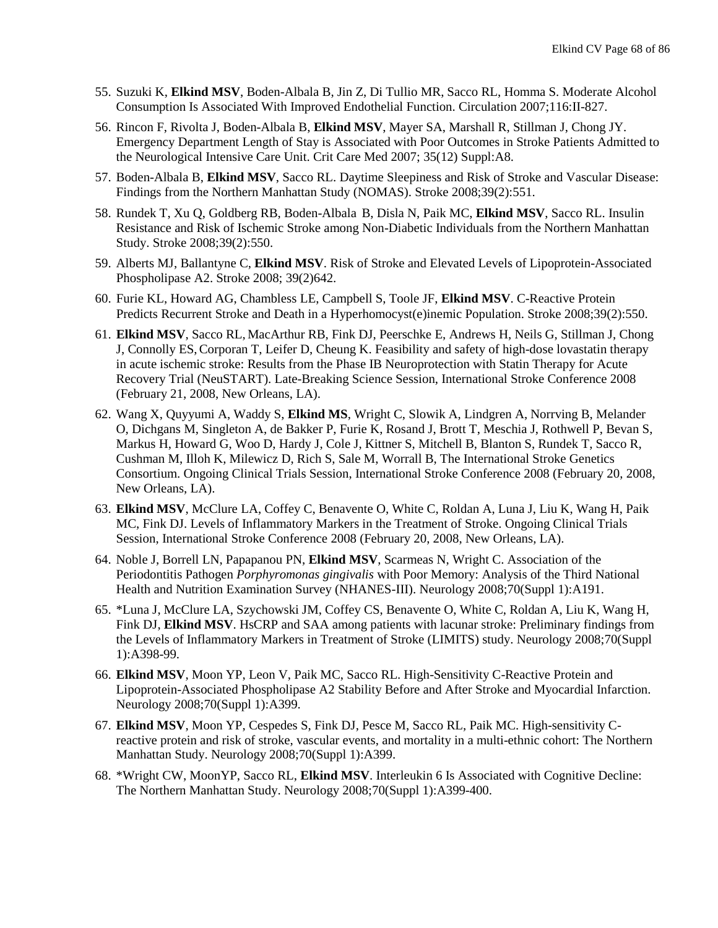- 55. Suzuki K, **Elkind MSV**, Boden-Albala B, Jin Z, Di Tullio MR, Sacco RL, Homma S. Moderate Alcohol Consumption Is Associated With Improved Endothelial Function. Circulation 2007;116:II-827.
- 56. Rincon F, Rivolta J, Boden-Albala B, **Elkind MSV**, Mayer SA, Marshall R, Stillman J, Chong JY. Emergency Department Length of Stay is Associated with Poor Outcomes in Stroke Patients Admitted to the Neurological Intensive Care Unit. Crit Care Med 2007; 35(12) Suppl:A8.
- 57. Boden-Albala B, **Elkind MSV**, Sacco RL. Daytime Sleepiness and Risk of Stroke and Vascular Disease: Findings from the Northern Manhattan Study (NOMAS). Stroke 2008;39(2):551.
- 58. Rundek T, Xu Q, Goldberg RB, Boden-Albala B, Disla N, Paik MC, **Elkind MSV**, Sacco RL. Insulin Resistance and Risk of Ischemic Stroke among Non-Diabetic Individuals from the Northern Manhattan Study. Stroke 2008;39(2):550.
- 59. Alberts MJ, Ballantyne C, **Elkind MSV**. Risk of Stroke and Elevated Levels of Lipoprotein-Associated Phospholipase A2. Stroke 2008; 39(2)642.
- 60. Furie KL, Howard AG, Chambless LE, Campbell S, Toole JF, **Elkind MSV**. C-Reactive Protein Predicts Recurrent Stroke and Death in a Hyperhomocyst(e)inemic Population. Stroke 2008;39(2):550.
- 61. **Elkind MSV**, Sacco RL, MacArthur RB, Fink DJ, Peerschke E, Andrews H, Neils G, Stillman J, Chong J, Connolly ES,Corporan T, Leifer D, Cheung K. Feasibility and safety of high-dose lovastatin therapy in acute ischemic stroke: Results from the Phase IB Neuroprotection with Statin Therapy for Acute Recovery Trial (NeuSTART). Late-Breaking Science Session, International Stroke Conference 2008 (February 21, 2008, New Orleans, LA).
- 62. Wang X, Quyyumi A, Waddy S, **Elkind MS**, Wright C, Slowik A, Lindgren A, Norrving B, Melander O, Dichgans M, Singleton A, de Bakker P, Furie K, Rosand J, Brott T, Meschia J, Rothwell P, Bevan S, Markus H, Howard G, Woo D, Hardy J, Cole J, Kittner S, Mitchell B, Blanton S, Rundek T, Sacco R, Cushman M, Illoh K, Milewicz D, Rich S, Sale M, Worrall B, The International Stroke Genetics Consortium. Ongoing Clinical Trials Session, International Stroke Conference 2008 (February 20, 2008, New Orleans, LA).
- 63. **Elkind MSV**, McClure LA, Coffey C, Benavente O, White C, Roldan A, Luna J, Liu K, Wang H, Paik MC, Fink DJ. Levels of Inflammatory Markers in the Treatment of Stroke. Ongoing Clinical Trials Session, International Stroke Conference 2008 (February 20, 2008, New Orleans, LA).
- 64. Noble J, Borrell LN, Papapanou PN, **Elkind MSV**, Scarmeas N, Wright C. Association of the Periodontitis Pathogen *Porphyromonas gingivalis* with Poor Memory: Analysis of the Third National Health and Nutrition Examination Survey (NHANES-III). Neurology 2008;70(Suppl 1):A191.
- 65. \*Luna J, McClure LA, Szychowski JM, Coffey CS, Benavente O, White C, Roldan A, Liu K, Wang H, Fink DJ, **Elkind MSV**. HsCRP and SAA among patients with lacunar stroke: Preliminary findings from the Levels of Inflammatory Markers in Treatment of Stroke (LIMITS) study. Neurology 2008;70(Suppl 1):A398-99.
- 66. **Elkind MSV**, Moon YP, Leon V, Paik MC, Sacco RL. High-Sensitivity C-Reactive Protein and Lipoprotein-Associated Phospholipase A2 Stability Before and After Stroke and Myocardial Infarction. Neurology 2008;70(Suppl 1):A399.
- 67. **Elkind MSV**, Moon YP, Cespedes S, Fink DJ, Pesce M, Sacco RL, Paik MC. High-sensitivity Creactive protein and risk of stroke, vascular events, and mortality in a multi-ethnic cohort: The Northern Manhattan Study. Neurology 2008;70(Suppl 1):A399.
- 68. \*Wright CW, MoonYP, Sacco RL, **Elkind MSV**. Interleukin 6 Is Associated with Cognitive Decline: The Northern Manhattan Study. Neurology 2008;70(Suppl 1):A399-400.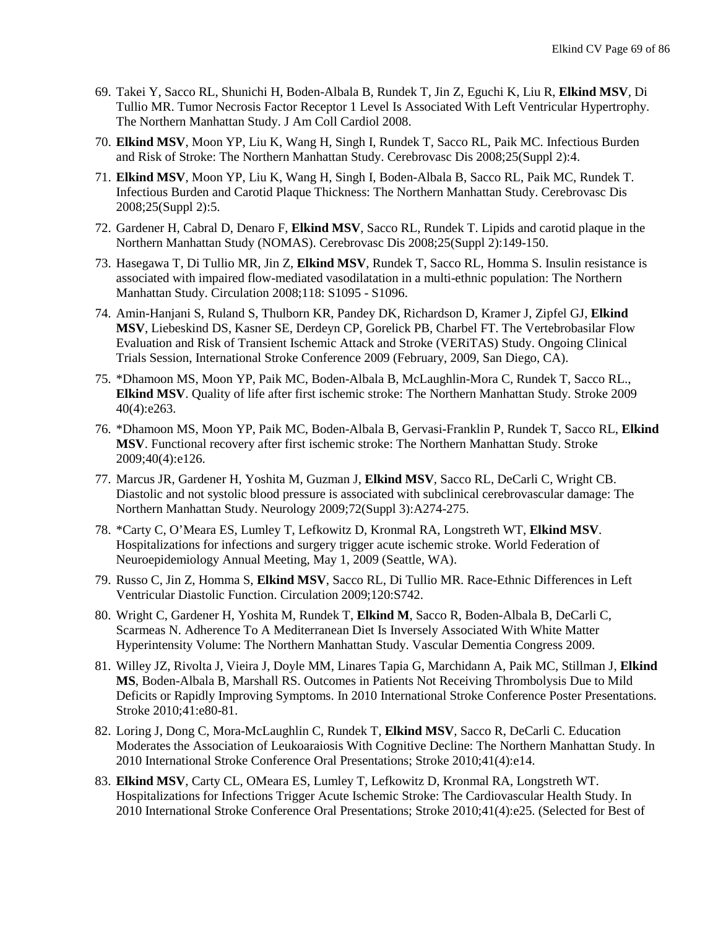- 69. Takei Y, Sacco RL, Shunichi H, Boden-Albala B, Rundek T, Jin Z, Eguchi K, Liu R, **Elkind MSV**, Di Tullio MR. Tumor Necrosis Factor Receptor 1 Level Is Associated With Left Ventricular Hypertrophy. The Northern Manhattan Study. J Am Coll Cardiol 2008.
- 70. **Elkind MSV**, Moon YP, Liu K, Wang H, Singh I, Rundek T, Sacco RL, Paik MC. Infectious Burden and Risk of Stroke: The Northern Manhattan Study. Cerebrovasc Dis 2008;25(Suppl 2):4.
- 71. **Elkind MSV**, Moon YP, Liu K, Wang H, Singh I, Boden-Albala B, Sacco RL, Paik MC, Rundek T. Infectious Burden and Carotid Plaque Thickness: The Northern Manhattan Study. Cerebrovasc Dis 2008;25(Suppl 2):5.
- 72. Gardener H, Cabral D, Denaro F, **Elkind MSV**, Sacco RL, Rundek T. Lipids and carotid plaque in the Northern Manhattan Study (NOMAS). Cerebrovasc Dis 2008;25(Suppl 2):149-150.
- 73. Hasegawa T, Di Tullio MR, Jin Z, **Elkind MSV**, Rundek T, Sacco RL, Homma S. Insulin resistance is associated with impaired flow-mediated vasodilatation in a multi-ethnic population: The Northern Manhattan Study. Circulation 2008;118: S1095 - S1096.
- 74. Amin-Hanjani S, Ruland S, Thulborn KR, Pandey DK, Richardson D, Kramer J, Zipfel GJ, **Elkind MSV**, Liebeskind DS, Kasner SE, Derdeyn CP, Gorelick PB, Charbel FT. The Vertebrobasilar Flow Evaluation and Risk of Transient Ischemic Attack and Stroke (VERiTAS) Study. Ongoing Clinical Trials Session, International Stroke Conference 2009 (February, 2009, San Diego, CA).
- 75. \*Dhamoon MS, Moon YP, Paik MC, Boden-Albala B, McLaughlin-Mora C, Rundek T, Sacco RL., **Elkind MSV**. Quality of life after first ischemic stroke: The Northern Manhattan Study. Stroke 2009 40(4):e263.
- 76. \*Dhamoon MS, Moon YP, Paik MC, Boden-Albala B, Gervasi-Franklin P, Rundek T, Sacco RL, **Elkind MSV**. Functional recovery after first ischemic stroke: The Northern Manhattan Study. Stroke 2009;40(4):e126.
- 77. Marcus JR, Gardener H, Yoshita M, Guzman J, **Elkind MSV**, Sacco RL, DeCarli C, Wright CB. Diastolic and not systolic blood pressure is associated with subclinical cerebrovascular damage: The Northern Manhattan Study. Neurology 2009;72(Suppl 3):A274-275.
- 78. \*Carty C, O'Meara ES, Lumley T, Lefkowitz D, Kronmal RA, Longstreth WT, **Elkind MSV**. Hospitalizations for infections and surgery trigger acute ischemic stroke. World Federation of Neuroepidemiology Annual Meeting, May 1, 2009 (Seattle, WA).
- 79. Russo C, Jin Z, Homma S, **Elkind MSV**, Sacco RL, Di Tullio MR. Race-Ethnic Differences in Left Ventricular Diastolic Function. Circulation 2009;120:S742.
- 80. Wright C, Gardener H, Yoshita M, Rundek T, **Elkind M**, Sacco R, Boden-Albala B, DeCarli C, Scarmeas N. Adherence To A Mediterranean Diet Is Inversely Associated With White Matter Hyperintensity Volume: The Northern Manhattan Study. Vascular Dementia Congress 2009.
- 81. Willey JZ, Rivolta J, Vieira J, Doyle MM, Linares Tapia G, Marchidann A, Paik MC, Stillman J, **Elkind MS**, Boden-Albala B, Marshall RS. Outcomes in Patients Not Receiving Thrombolysis Due to Mild Deficits or Rapidly Improving Symptoms. In 2010 International Stroke Conference Poster Presentations. Stroke 2010;41:e80-81.
- 82. Loring J, Dong C, Mora-McLaughlin C, Rundek T, **Elkind MSV**, Sacco R, DeCarli C. Education Moderates the Association of Leukoaraiosis With Cognitive Decline: The Northern Manhattan Study. In 2010 International Stroke Conference Oral Presentations; Stroke 2010;41(4):e14.
- 83. **Elkind MSV**, Carty CL, OMeara ES, Lumley T, Lefkowitz D, Kronmal RA, Longstreth WT. Hospitalizations for Infections Trigger Acute Ischemic Stroke: The Cardiovascular Health Study. In 2010 International Stroke Conference Oral Presentations; Stroke 2010;41(4):e25. (Selected for Best of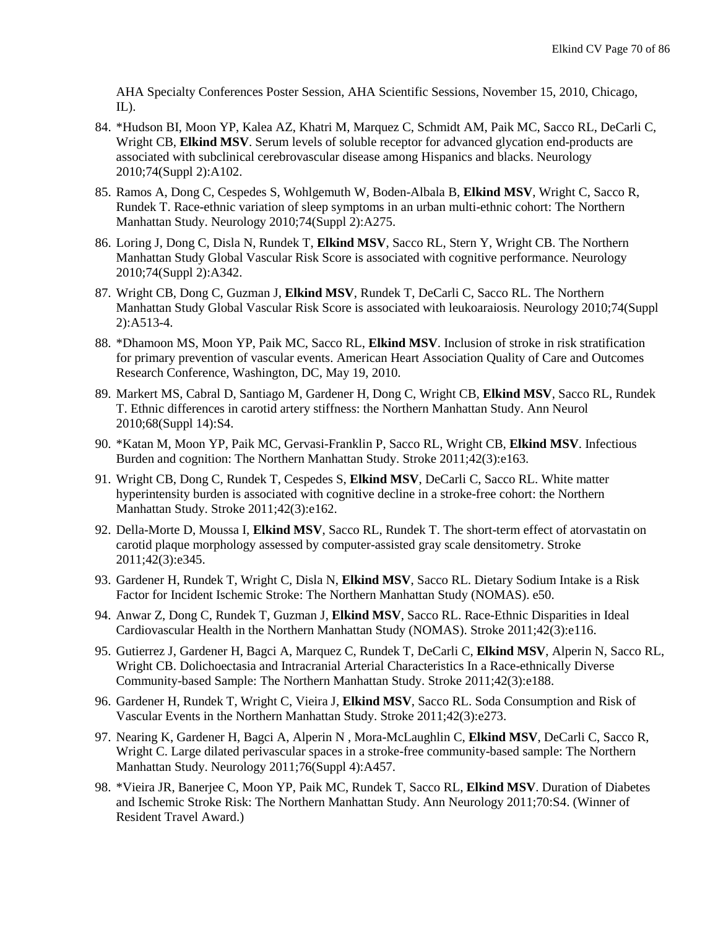AHA Specialty Conferences Poster Session, AHA Scientific Sessions, November 15, 2010, Chicago,  $IL$ ).

- 84. \*Hudson BI, Moon YP, Kalea AZ, Khatri M, Marquez C, Schmidt AM, Paik MC, Sacco RL, DeCarli C, Wright CB, **Elkind MSV**. Serum levels of soluble receptor for advanced glycation end-products are associated with subclinical cerebrovascular disease among Hispanics and blacks. Neurology 2010;74(Suppl 2):A102.
- 85. Ramos A, Dong C, Cespedes S, Wohlgemuth W, Boden-Albala B, **Elkind MSV**, Wright C, Sacco R, Rundek T. Race-ethnic variation of sleep symptoms in an urban multi-ethnic cohort: The Northern Manhattan Study. Neurology 2010;74(Suppl 2):A275.
- 86. Loring J, Dong C, Disla N, Rundek T, **Elkind MSV**, Sacco RL, Stern Y, Wright CB. The Northern Manhattan Study Global Vascular Risk Score is associated with cognitive performance. Neurology 2010;74(Suppl 2):A342.
- 87. Wright CB, Dong C, Guzman J, **Elkind MSV**, Rundek T, DeCarli C, Sacco RL. The Northern Manhattan Study Global Vascular Risk Score is associated with leukoaraiosis. Neurology 2010;74(Suppl 2):A513-4.
- 88. \*Dhamoon MS, Moon YP, Paik MC, Sacco RL, **Elkind MSV**. Inclusion of stroke in risk stratification for primary prevention of vascular events. American Heart Association Quality of Care and Outcomes Research Conference, Washington, DC, May 19, 2010.
- 89. Markert MS, Cabral D, Santiago M, Gardener H, Dong C, Wright CB, **Elkind MSV**, Sacco RL, Rundek T. Ethnic differences in carotid artery stiffness: the Northern Manhattan Study. Ann Neurol 2010;68(Suppl 14):S4.
- 90. \*Katan M, Moon YP, Paik MC, Gervasi-Franklin P, Sacco RL, Wright CB, **Elkind MSV**. Infectious Burden and cognition: The Northern Manhattan Study. Stroke 2011;42(3):e163.
- 91. Wright CB, Dong C, Rundek T, Cespedes S, **Elkind MSV**, DeCarli C, Sacco RL. White matter hyperintensity burden is associated with cognitive decline in a stroke-free cohort: the Northern Manhattan Study. Stroke 2011;42(3):e162.
- 92. Della-Morte D, Moussa I, **Elkind MSV**, Sacco RL, Rundek T. The short-term effect of atorvastatin on carotid plaque morphology assessed by computer-assisted gray scale densitometry. Stroke 2011;42(3):e345.
- 93. Gardener H, Rundek T, Wright C, Disla N, **Elkind MSV**, Sacco RL. Dietary Sodium Intake is a Risk Factor for Incident Ischemic Stroke: The Northern Manhattan Study (NOMAS). e50.
- 94. Anwar Z, Dong C, Rundek T, Guzman J, **Elkind MSV**, Sacco RL. Race-Ethnic Disparities in Ideal Cardiovascular Health in the Northern Manhattan Study (NOMAS). Stroke 2011;42(3):e116.
- 95. Gutierrez J, Gardener H, Bagci A, Marquez C, Rundek T, DeCarli C, **Elkind MSV**, Alperin N, Sacco RL, Wright CB. Dolichoectasia and Intracranial Arterial Characteristics In a Race-ethnically Diverse Community-based Sample: The Northern Manhattan Study. Stroke 2011;42(3):e188.
- 96. Gardener H, Rundek T, Wright C, Vieira J, **Elkind MSV**, Sacco RL. Soda Consumption and Risk of Vascular Events in the Northern Manhattan Study. Stroke 2011;42(3):e273.
- 97. Nearing K, Gardener H, Bagci A, Alperin N , Mora-McLaughlin C, **Elkind MSV**, DeCarli C, Sacco R, Wright C. Large dilated perivascular spaces in a stroke-free community-based sample: The Northern Manhattan Study. Neurology 2011;76(Suppl 4):A457.
- 98. \*Vieira JR, Banerjee C, Moon YP, Paik MC, Rundek T, Sacco RL, **Elkind MSV**. Duration of Diabetes and Ischemic Stroke Risk: The Northern Manhattan Study. Ann Neurology 2011;70:S4. (Winner of Resident Travel Award.)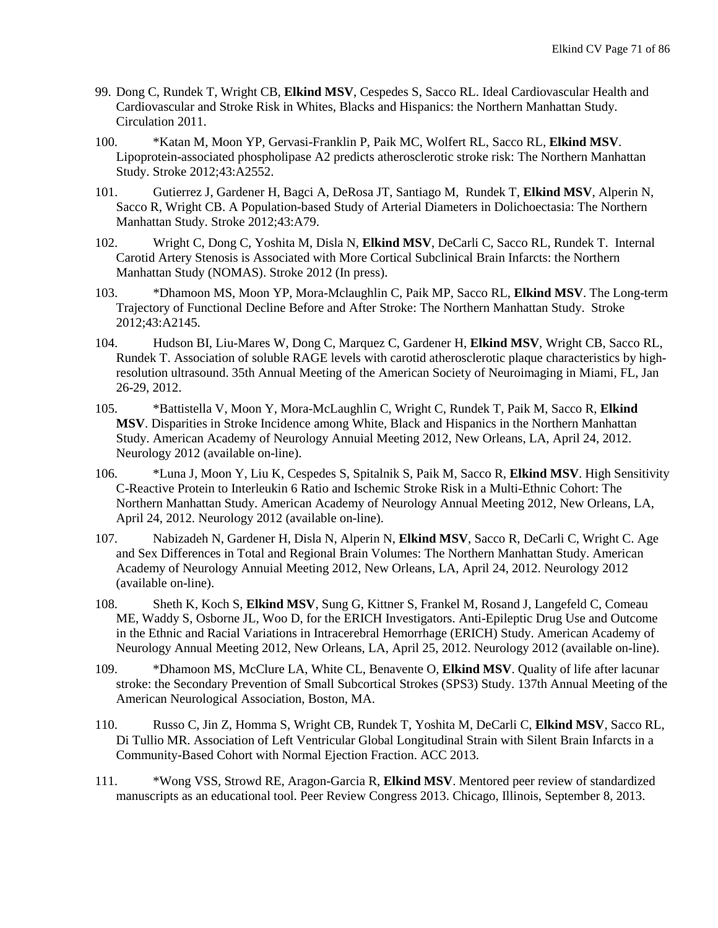- 99. Dong C, Rundek T, Wright CB, **Elkind MSV**, Cespedes S, Sacco RL. Ideal Cardiovascular Health and Cardiovascular and Stroke Risk in Whites, Blacks and Hispanics: the Northern Manhattan Study. Circulation 2011.
- 100. \*Katan M, Moon YP, Gervasi-Franklin P, Paik MC, Wolfert RL, Sacco RL, **Elkind MSV**. Lipoprotein-associated phospholipase A2 predicts atherosclerotic stroke risk: The Northern Manhattan Study. Stroke 2012;43:A2552.
- 101. Gutierrez J, Gardener H, Bagci A, DeRosa JT, Santiago M, Rundek T, **Elkind MSV**, Alperin N, Sacco R, Wright CB. A Population-based Study of Arterial Diameters in Dolichoectasia: The Northern Manhattan Study. Stroke 2012;43:A79.
- 102. Wright C, Dong C, Yoshita M, Disla N, **Elkind MSV**, DeCarli C, Sacco RL, Rundek T. Internal Carotid Artery Stenosis is Associated with More Cortical Subclinical Brain Infarcts: the Northern Manhattan Study (NOMAS). Stroke 2012 (In press).
- 103. \*Dhamoon MS, Moon YP, Mora-Mclaughlin C, Paik MP, Sacco RL, **Elkind MSV**. The Long-term Trajectory of Functional Decline Before and After Stroke: The Northern Manhattan Study. Stroke 2012;43:A2145.
- 104. Hudson BI, Liu-Mares W, Dong C, Marquez C, Gardener H, **Elkind MSV**, Wright CB, Sacco RL, Rundek T. Association of soluble RAGE levels with carotid atherosclerotic plaque characteristics by highresolution ultrasound. 35th Annual Meeting of the American Society of Neuroimaging in Miami, FL, Jan 26-29, 2012.
- 105. \*Battistella V, Moon Y, Mora-McLaughlin C, Wright C, Rundek T, Paik M, Sacco R, **Elkind MSV**. [Disparities in Stroke Incidence among White, Black and Hispanics in the Northern Manhattan](http://www.abstracts2view.com/aan/view.php?nu=AAN12L_IN2-1_003)  [Study.](http://www.abstracts2view.com/aan/view.php?nu=AAN12L_IN2-1_003) American Academy of Neurology Annuial Meeting 2012, New Orleans, LA, April 24, 2012. Neurology 2012 (available on-line).
- 106. \*Luna J, Moon Y, Liu K, Cespedes S, Spitalnik S, Paik M, Sacco R, **Elkind MSV**. [High Sensitivity](http://www.abstracts2view.com/aan/view.php?nu=AAN12L_S13_003)  [C-Reactive Protein to Interleukin 6 Ratio and Ischemic Stroke Risk in a Multi-Ethnic Cohort: The](http://www.abstracts2view.com/aan/view.php?nu=AAN12L_S13_003)  [Northern Manhattan Study.](http://www.abstracts2view.com/aan/view.php?nu=AAN12L_S13_003) American Academy of Neurology Annual Meeting 2012, New Orleans, LA, April 24, 2012. Neurology 2012 (available on-line).
- 107. Nabizadeh N, Gardener H, Disla N, Alperin N, **Elkind MSV**, Sacco R, DeCarli C, Wright C. [Age](http://www.abstracts2view.com/aan/view.php?nu=AAN12L_P03_107)  [and Sex Differences in Total and Regional Brain Volumes: The Northern Manhattan Study.](http://www.abstracts2view.com/aan/view.php?nu=AAN12L_P03_107) American Academy of Neurology Annuial Meeting 2012, New Orleans, LA, April 24, 2012. Neurology 2012 (available on-line).
- 108. Sheth K, Koch S, **Elkind MSV**, Sung G, Kittner S, Frankel M, Rosand J, Langefeld C, Comeau ME, Waddy S, Osborne JL, Woo D, for the ERICH Investigators. [Anti-Epileptic Drug Use and Outcome](http://www.abstracts2view.com/aan/view.php?nu=AAN12L_S23_005)  [in the Ethnic and Racial Variations in Intracerebral Hemorrhage \(ERICH\) Study.](http://www.abstracts2view.com/aan/view.php?nu=AAN12L_S23_005) American Academy of Neurology Annual Meeting 2012, New Orleans, LA, April 25, 2012. Neurology 2012 (available on-line).
- 109. \*Dhamoon MS, McClure LA, White CL, Benavente O, **Elkind MSV**. Quality of life after lacunar stroke: the Secondary Prevention of Small Subcortical Strokes (SPS3) Study. 137th Annual Meeting of the American Neurological Association, Boston, MA.
- 110. Russo C, Jin Z, Homma S, Wright CB, Rundek T, Yoshita M, DeCarli C, **Elkind MSV**, Sacco RL, Di Tullio MR. Association of Left Ventricular Global Longitudinal Strain with Silent Brain Infarcts in a Community-Based Cohort with Normal Ejection Fraction. ACC 2013.
- 111. \*Wong VSS, Strowd RE, Aragon-Garcia R, **Elkind MSV**. Mentored peer review of standardized manuscripts as an educational tool. Peer Review Congress 2013. Chicago, Illinois, September 8, 2013.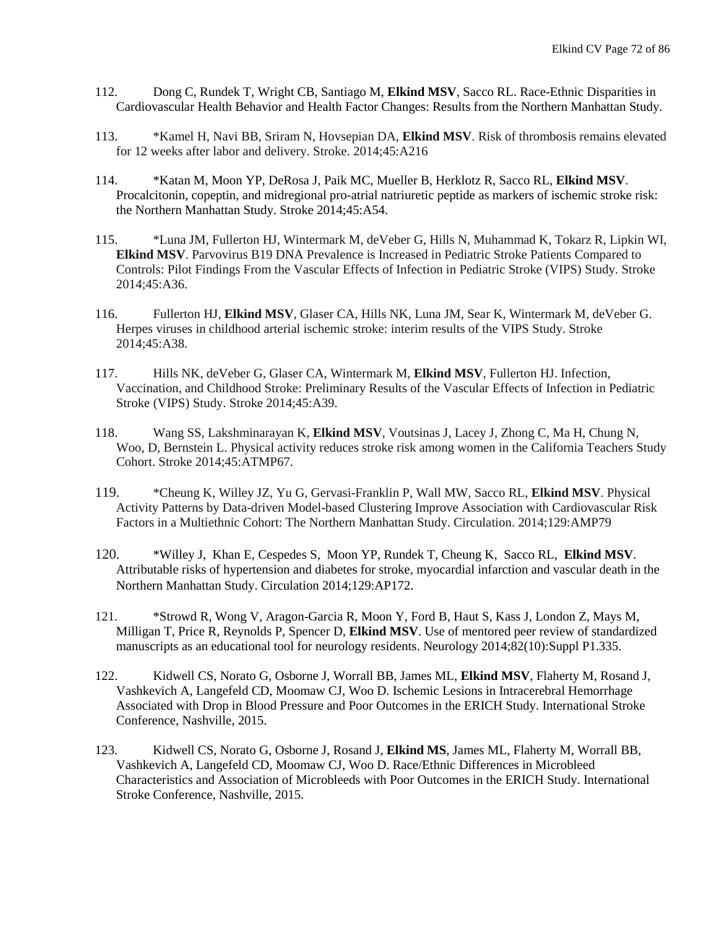- 112. Dong C, Rundek T, Wright CB, Santiago M, **Elkind MSV**, Sacco RL. Race-Ethnic Disparities in Cardiovascular Health Behavior and Health Factor Changes: Results from the Northern Manhattan Study.
- 113. \*Kamel H, Navi BB, Sriram N, Hovsepian DA, **Elkind MSV**. Risk of thrombosis remains elevated for 12 weeks after labor and delivery. Stroke. 2014;45:A216
- 114. \*Katan M, Moon YP, DeRosa J, Paik MC, Mueller B, Herklotz R, Sacco RL, **Elkind MSV**. Procalcitonin, copeptin, and midregional pro-atrial natriuretic peptide as markers of ischemic stroke risk: the Northern Manhattan Study. Stroke 2014;45:A54.
- 115. \*Luna JM, Fullerton HJ, Wintermark M, deVeber G, Hills N, Muhammad K, Tokarz R, Lipkin WI, **Elkind MSV**. Parvovirus B19 DNA Prevalence is Increased in Pediatric Stroke Patients Compared to Controls: Pilot Findings From the Vascular Effects of Infection in Pediatric Stroke (VIPS) Study. Stroke 2014;45:A36.
- 116. Fullerton HJ, **Elkind MSV**, Glaser CA, Hills NK, Luna JM, Sear K, Wintermark M, deVeber G. Herpes viruses in childhood arterial ischemic stroke: interim results of the VIPS Study. Stroke 2014;45:A38.
- 117. Hills NK, deVeber G, Glaser CA, Wintermark M, **Elkind MSV**, Fullerton HJ. Infection, Vaccination, and Childhood Stroke: Preliminary Results of the Vascular Effects of Infection in Pediatric Stroke (VIPS) Study. Stroke 2014;45:A39.
- 118. Wang SS, Lakshminarayan K, **Elkind MSV**, Voutsinas J, Lacey J, Zhong C, Ma H, Chung N, Woo, D, Bernstein L. Physical activity reduces stroke risk among women in the California Teachers Study Cohort. Stroke 2014;45:ATMP67.
- 119. \*Cheung K, Willey JZ, Yu G, Gervasi-Franklin P, Wall MW, Sacco RL, **Elkind MSV**. Physical Activity Patterns by Data-driven Model-based Clustering Improve Association with Cardiovascular Risk Factors in a Multiethnic Cohort: The Northern Manhattan Study. Circulation. 2014;129:AMP79
- 120. [\\*Willey](http://circ.ahajournals.org/search?author1=Joshua+Willey&sortspec=date&submit=Submit) J, [Khan](http://circ.ahajournals.org/search?author1=Emily+Khan&sortspec=date&submit=Submit) E, [Cespedes](http://circ.ahajournals.org/search?author1=Sandino+Cespedes&sortspec=date&submit=Submit) S, [Moon](http://circ.ahajournals.org/search?author1=Yeseon+P+Moon&sortspec=date&submit=Submit) YP, [Rundek](http://circ.ahajournals.org/search?author1=Tatjana+Rundek&sortspec=date&submit=Submit) T, [Cheung](http://circ.ahajournals.org/search?author1=Ken+Cheung&sortspec=date&submit=Submit) K, [Sacco](http://circ.ahajournals.org/search?author1=Ralph+L+Sacco&sortspec=date&submit=Submit) RL, **[Elkind](http://circ.ahajournals.org/search?author1=Mitchell+S+Elkind&sortspec=date&submit=Submit) MSV**. Attributable risks of hypertension and diabetes for stroke, myocardial infarction and vascular death in the Northern Manhattan Study. Circulation 2014;129:AP172.
- 121. \*Strowd R, Wong V, Aragon-Garcia R, Moon Y, Ford B, Haut S, Kass J, London Z, Mays M, Milligan T, Price R, Reynolds P, Spencer D, **Elkind MSV**. Use of mentored peer review of standardized manuscripts as an educational tool for neurology residents. Neurology 2014;82(10):Suppl P1.335.
- 122. Kidwell CS, Norato G, Osborne J, Worrall BB, James ML, **Elkind MSV**, Flaherty M, Rosand J, Vashkevich A, Langefeld CD, Moomaw CJ, Woo D. Ischemic Lesions in Intracerebral Hemorrhage Associated with Drop in Blood Pressure and Poor Outcomes in the ERICH Study. International Stroke Conference, Nashville, 2015.
- 123. Kidwell CS, Norato G, Osborne J, Rosand J, **Elkind MS**, James ML, Flaherty M, Worrall BB, Vashkevich A, Langefeld CD, Moomaw CJ, Woo D. Race/Ethnic Differences in Microbleed Characteristics and Association of Microbleeds with Poor Outcomes in the ERICH Study. International Stroke Conference, Nashville, 2015.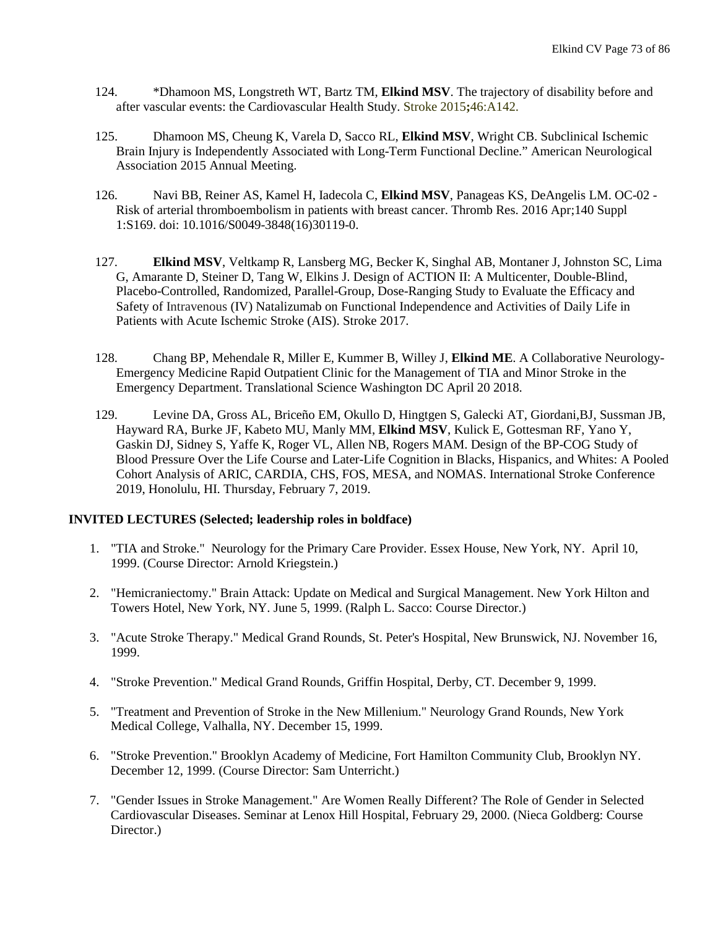- 124. \*Dhamoon MS, Longstreth WT, Bartz TM, **Elkind MSV**. The trajectory of disability before and after vascular events: the Cardiovascular Health Study. Stroke 2015**;**46:A142.
- 125. Dhamoon MS, Cheung K, Varela D, Sacco RL, **Elkind MSV**, Wright CB. Subclinical Ischemic Brain Injury is Independently Associated with Long-Term Functional Decline." American Neurological Association 2015 Annual Meeting.
- 126. Navi BB, Reiner AS, Kamel H, Iadecola C, **Elkind MSV**, Panageas KS, DeAngelis LM. [OC-02 -](http://www.ncbi.nlm.nih.gov/pubmed/27161674) [Risk of arterial thromboembolism in patients with breast cancer.](http://www.ncbi.nlm.nih.gov/pubmed/27161674) Thromb Res. 2016 Apr;140 Suppl 1:S169. doi: 10.1016/S0049-3848(16)30119-0.
- 127. **Elkind MSV**, Veltkamp R, Lansberg MG, Becker K, Singhal AB, Montaner J, Johnston SC, Lima G, Amarante D, Steiner D, Tang W, Elkins J. Design of ACTION II: A Multicenter, Double-Blind, Placebo-Controlled, Randomized, Parallel-Group, Dose-Ranging Study to Evaluate the Efficacy and Safety of Intravenous (IV) Natalizumab on Functional Independence and Activities of Daily Life in Patients with Acute Ischemic Stroke (AIS). Stroke 2017.
- 128. Chang BP, Mehendale R, Miller E, Kummer B, Willey J, **Elkind ME**. A Collaborative Neurology-Emergency Medicine Rapid Outpatient Clinic for the Management of TIA and Minor Stroke in the Emergency Department. Translational Science Washington DC April 20 2018.
- 129. Levine DA, Gross AL, Briceño EM, Okullo D, Hingtgen S, Galecki AT, Giordani,BJ, Sussman JB, Hayward RA, Burke JF, Kabeto MU, Manly MM, **Elkind MSV**, Kulick E, Gottesman RF, Yano Y, Gaskin DJ, Sidney S, Yaffe K, Roger VL, Allen NB, Rogers MAM. Design of the BP-COG Study of Blood Pressure Over the Life Course and Later-Life Cognition in Blacks, Hispanics, and Whites: A Pooled Cohort Analysis of ARIC, CARDIA, CHS, FOS, MESA, and NOMAS. International Stroke Conference 2019, Honolulu, HI. Thursday, February 7, 2019.

## **INVITED LECTURES (Selected; leadership roles in boldface)**

- 1. "TIA and Stroke." Neurology for the Primary Care Provider. Essex House, New York, NY. April 10, 1999. (Course Director: Arnold Kriegstein.)
- 2. "Hemicraniectomy." Brain Attack: Update on Medical and Surgical Management. New York Hilton and Towers Hotel, New York, NY. June 5, 1999. (Ralph L. Sacco: Course Director.)
- 3. "Acute Stroke Therapy." Medical Grand Rounds, St. Peter's Hospital, New Brunswick, NJ. November 16, 1999.
- 4. "Stroke Prevention." Medical Grand Rounds, Griffin Hospital, Derby, CT. December 9, 1999.
- 5. "Treatment and Prevention of Stroke in the New Millenium." Neurology Grand Rounds, New York Medical College, Valhalla, NY. December 15, 1999.
- 6. "Stroke Prevention." Brooklyn Academy of Medicine, Fort Hamilton Community Club, Brooklyn NY. December 12, 1999. (Course Director: Sam Unterricht.)
- 7. "Gender Issues in Stroke Management." Are Women Really Different? The Role of Gender in Selected Cardiovascular Diseases. Seminar at Lenox Hill Hospital, February 29, 2000. (Nieca Goldberg: Course Director.)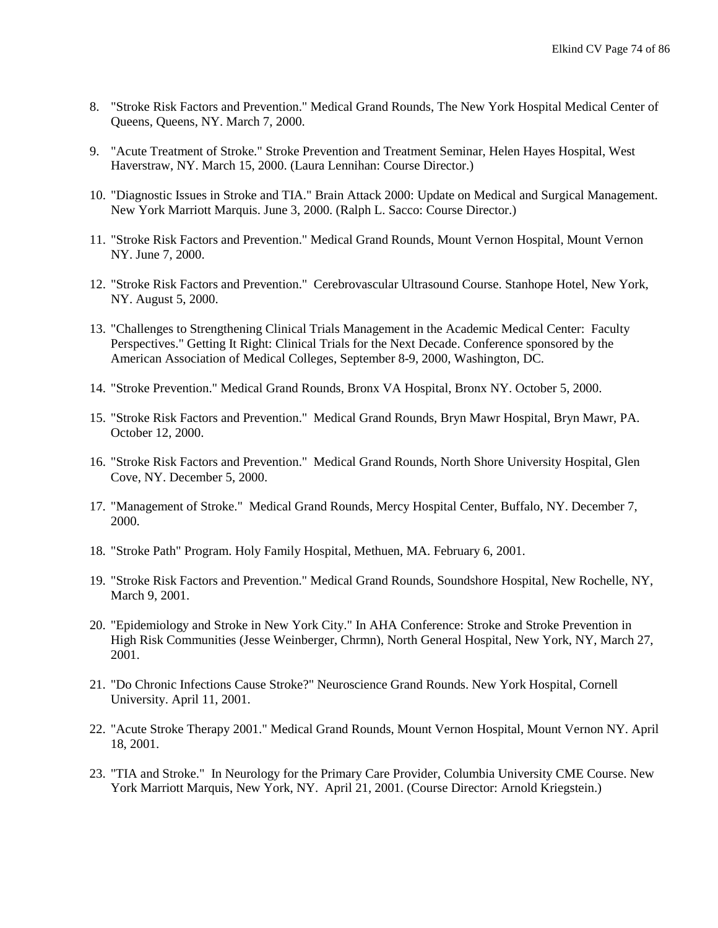- 8. "Stroke Risk Factors and Prevention." Medical Grand Rounds, The New York Hospital Medical Center of Queens, Queens, NY. March 7, 2000.
- 9. "Acute Treatment of Stroke." Stroke Prevention and Treatment Seminar, Helen Hayes Hospital, West Haverstraw, NY. March 15, 2000. (Laura Lennihan: Course Director.)
- 10. "Diagnostic Issues in Stroke and TIA." Brain Attack 2000: Update on Medical and Surgical Management. New York Marriott Marquis. June 3, 2000. (Ralph L. Sacco: Course Director.)
- 11. "Stroke Risk Factors and Prevention." Medical Grand Rounds, Mount Vernon Hospital, Mount Vernon NY. June 7, 2000.
- 12. "Stroke Risk Factors and Prevention." Cerebrovascular Ultrasound Course. Stanhope Hotel, New York, NY. August 5, 2000.
- 13. "Challenges to Strengthening Clinical Trials Management in the Academic Medical Center: Faculty Perspectives." Getting It Right: Clinical Trials for the Next Decade. Conference sponsored by the American Association of Medical Colleges, September 8-9, 2000, Washington, DC.
- 14. "Stroke Prevention." Medical Grand Rounds, Bronx VA Hospital, Bronx NY. October 5, 2000.
- 15. "Stroke Risk Factors and Prevention." Medical Grand Rounds, Bryn Mawr Hospital, Bryn Mawr, PA. October 12, 2000.
- 16. "Stroke Risk Factors and Prevention." Medical Grand Rounds, North Shore University Hospital, Glen Cove, NY. December 5, 2000.
- 17. "Management of Stroke." Medical Grand Rounds, Mercy Hospital Center, Buffalo, NY. December 7, 2000.
- 18. "Stroke Path" Program. Holy Family Hospital, Methuen, MA. February 6, 2001.
- 19. "Stroke Risk Factors and Prevention." Medical Grand Rounds, Soundshore Hospital, New Rochelle, NY, March 9, 2001.
- 20. "Epidemiology and Stroke in New York City." In AHA Conference: Stroke and Stroke Prevention in High Risk Communities (Jesse Weinberger, Chrmn), North General Hospital, New York, NY, March 27, 2001.
- 21. "Do Chronic Infections Cause Stroke?" Neuroscience Grand Rounds. New York Hospital, Cornell University. April 11, 2001.
- 22. "Acute Stroke Therapy 2001." Medical Grand Rounds, Mount Vernon Hospital, Mount Vernon NY. April 18, 2001.
- 23. "TIA and Stroke." In Neurology for the Primary Care Provider, Columbia University CME Course. New York Marriott Marquis, New York, NY. April 21, 2001. (Course Director: Arnold Kriegstein.)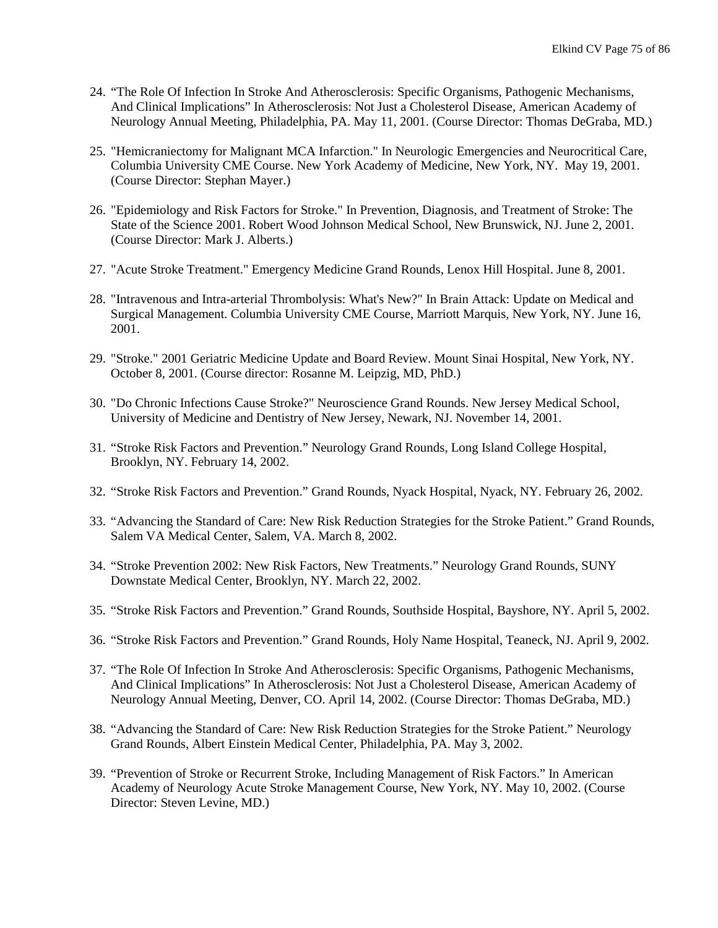- 24. "The Role Of Infection In Stroke And Atherosclerosis: Specific Organisms, Pathogenic Mechanisms, And Clinical Implications" In Atherosclerosis: Not Just a Cholesterol Disease, American Academy of Neurology Annual Meeting, Philadelphia, PA. May 11, 2001. (Course Director: Thomas DeGraba, MD.)
- 25. "Hemicraniectomy for Malignant MCA Infarction." In Neurologic Emergencies and Neurocritical Care, Columbia University CME Course. New York Academy of Medicine, New York, NY. May 19, 2001. (Course Director: Stephan Mayer.)
- 26. "Epidemiology and Risk Factors for Stroke." In Prevention, Diagnosis, and Treatment of Stroke: The State of the Science 2001. Robert Wood Johnson Medical School, New Brunswick, NJ. June 2, 2001. (Course Director: Mark J. Alberts.)
- 27. "Acute Stroke Treatment." Emergency Medicine Grand Rounds, Lenox Hill Hospital. June 8, 2001.
- 28. "Intravenous and Intra-arterial Thrombolysis: What's New?" In Brain Attack: Update on Medical and Surgical Management. Columbia University CME Course, Marriott Marquis, New York, NY. June 16, 2001.
- 29. "Stroke." 2001 Geriatric Medicine Update and Board Review. Mount Sinai Hospital, New York, NY. October 8, 2001. (Course director: Rosanne M. Leipzig, MD, PhD.)
- 30. "Do Chronic Infections Cause Stroke?" Neuroscience Grand Rounds. New Jersey Medical School, University of Medicine and Dentistry of New Jersey, Newark, NJ. November 14, 2001.
- 31. "Stroke Risk Factors and Prevention." Neurology Grand Rounds, Long Island College Hospital, Brooklyn, NY. February 14, 2002.
- 32. "Stroke Risk Factors and Prevention." Grand Rounds, Nyack Hospital, Nyack, NY. February 26, 2002.
- 33. "Advancing the Standard of Care: New Risk Reduction Strategies for the Stroke Patient." Grand Rounds, Salem VA Medical Center, Salem, VA. March 8, 2002.
- 34. "Stroke Prevention 2002: New Risk Factors, New Treatments." Neurology Grand Rounds, SUNY Downstate Medical Center, Brooklyn, NY. March 22, 2002.
- 35. "Stroke Risk Factors and Prevention." Grand Rounds, Southside Hospital, Bayshore, NY. April 5, 2002.
- 36. "Stroke Risk Factors and Prevention." Grand Rounds, Holy Name Hospital, Teaneck, NJ. April 9, 2002.
- 37. "The Role Of Infection In Stroke And Atherosclerosis: Specific Organisms, Pathogenic Mechanisms, And Clinical Implications" In Atherosclerosis: Not Just a Cholesterol Disease, American Academy of Neurology Annual Meeting, Denver, CO. April 14, 2002. (Course Director: Thomas DeGraba, MD.)
- 38. "Advancing the Standard of Care: New Risk Reduction Strategies for the Stroke Patient." Neurology Grand Rounds, Albert Einstein Medical Center, Philadelphia, PA. May 3, 2002.
- 39. "Prevention of Stroke or Recurrent Stroke, Including Management of Risk Factors." In American Academy of Neurology Acute Stroke Management Course, New York, NY. May 10, 2002. (Course Director: Steven Levine, MD.)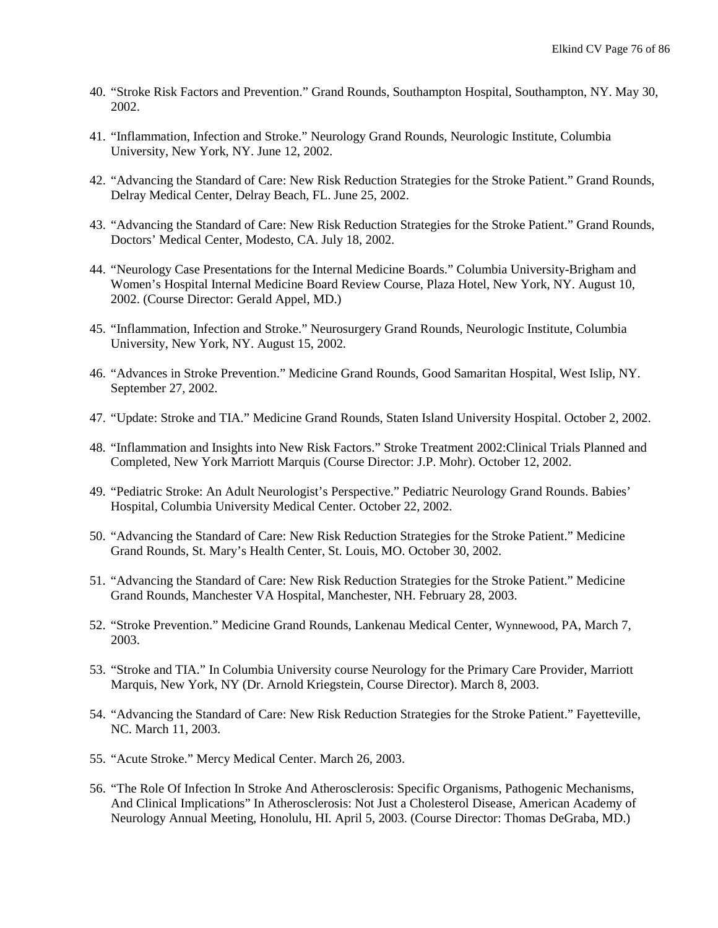- 40. "Stroke Risk Factors and Prevention." Grand Rounds, Southampton Hospital, Southampton, NY. May 30, 2002.
- 41. "Inflammation, Infection and Stroke." Neurology Grand Rounds, Neurologic Institute, Columbia University, New York, NY. June 12, 2002.
- 42. "Advancing the Standard of Care: New Risk Reduction Strategies for the Stroke Patient." Grand Rounds, Delray Medical Center, Delray Beach, FL. June 25, 2002.
- 43. "Advancing the Standard of Care: New Risk Reduction Strategies for the Stroke Patient." Grand Rounds, Doctors' Medical Center, Modesto, CA. July 18, 2002.
- 44. "Neurology Case Presentations for the Internal Medicine Boards." Columbia University-Brigham and Women's Hospital Internal Medicine Board Review Course, Plaza Hotel, New York, NY. August 10, 2002. (Course Director: Gerald Appel, MD.)
- 45. "Inflammation, Infection and Stroke." Neurosurgery Grand Rounds, Neurologic Institute, Columbia University, New York, NY. August 15, 2002.
- 46. "Advances in Stroke Prevention." Medicine Grand Rounds, Good Samaritan Hospital, West Islip, NY. September 27, 2002.
- 47. "Update: Stroke and TIA." Medicine Grand Rounds, Staten Island University Hospital. October 2, 2002.
- 48. "Inflammation and Insights into New Risk Factors." Stroke Treatment 2002:Clinical Trials Planned and Completed, New York Marriott Marquis (Course Director: J.P. Mohr). October 12, 2002.
- 49. "Pediatric Stroke: An Adult Neurologist's Perspective." Pediatric Neurology Grand Rounds. Babies' Hospital, Columbia University Medical Center. October 22, 2002.
- 50. "Advancing the Standard of Care: New Risk Reduction Strategies for the Stroke Patient." Medicine Grand Rounds, St. Mary's Health Center, St. Louis, MO. October 30, 2002.
- 51. "Advancing the Standard of Care: New Risk Reduction Strategies for the Stroke Patient." Medicine Grand Rounds, Manchester VA Hospital, Manchester, NH. February 28, 2003.
- 52. "Stroke Prevention." Medicine Grand Rounds, Lankenau Medical Center, Wynnewood, PA, March 7, 2003.
- 53. "Stroke and TIA." In Columbia University course Neurology for the Primary Care Provider, Marriott Marquis, New York, NY (Dr. Arnold Kriegstein, Course Director). March 8, 2003.
- 54. "Advancing the Standard of Care: New Risk Reduction Strategies for the Stroke Patient." Fayetteville, NC. March 11, 2003.
- 55. "Acute Stroke." Mercy Medical Center. March 26, 2003.
- 56. "The Role Of Infection In Stroke And Atherosclerosis: Specific Organisms, Pathogenic Mechanisms, And Clinical Implications" In Atherosclerosis: Not Just a Cholesterol Disease, American Academy of Neurology Annual Meeting, Honolulu, HI. April 5, 2003. (Course Director: Thomas DeGraba, MD.)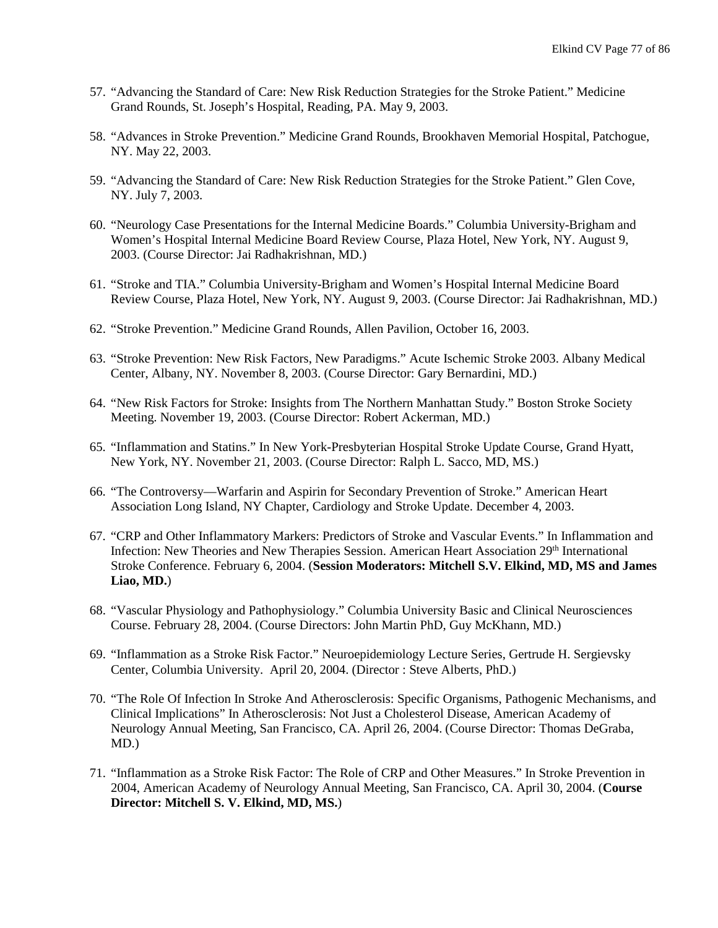- 57. "Advancing the Standard of Care: New Risk Reduction Strategies for the Stroke Patient." Medicine Grand Rounds, St. Joseph's Hospital, Reading, PA. May 9, 2003.
- 58. "Advances in Stroke Prevention." Medicine Grand Rounds, Brookhaven Memorial Hospital, Patchogue, NY. May 22, 2003.
- 59. "Advancing the Standard of Care: New Risk Reduction Strategies for the Stroke Patient." Glen Cove, NY. July 7, 2003.
- 60. "Neurology Case Presentations for the Internal Medicine Boards." Columbia University-Brigham and Women's Hospital Internal Medicine Board Review Course, Plaza Hotel, New York, NY. August 9, 2003. (Course Director: Jai Radhakrishnan, MD.)
- 61. "Stroke and TIA." Columbia University-Brigham and Women's Hospital Internal Medicine Board Review Course, Plaza Hotel, New York, NY. August 9, 2003. (Course Director: Jai Radhakrishnan, MD.)
- 62. "Stroke Prevention." Medicine Grand Rounds, Allen Pavilion, October 16, 2003.
- 63. "Stroke Prevention: New Risk Factors, New Paradigms." Acute Ischemic Stroke 2003. Albany Medical Center, Albany, NY. November 8, 2003. (Course Director: Gary Bernardini, MD.)
- 64. "New Risk Factors for Stroke: Insights from The Northern Manhattan Study." Boston Stroke Society Meeting. November 19, 2003. (Course Director: Robert Ackerman, MD.)
- 65. "Inflammation and Statins." In New York-Presbyterian Hospital Stroke Update Course, Grand Hyatt, New York, NY. November 21, 2003. (Course Director: Ralph L. Sacco, MD, MS.)
- 66. "The Controversy—Warfarin and Aspirin for Secondary Prevention of Stroke." American Heart Association Long Island, NY Chapter, Cardiology and Stroke Update. December 4, 2003.
- 67. "CRP and Other Inflammatory Markers: Predictors of Stroke and Vascular Events." In Inflammation and Infection: New Theories and New Therapies Session. American Heart Association 29th International Stroke Conference. February 6, 2004. (**Session Moderators: Mitchell S.V. Elkind, MD, MS and James Liao, MD.**)
- 68. "Vascular Physiology and Pathophysiology." Columbia University Basic and Clinical Neurosciences Course. February 28, 2004. (Course Directors: John Martin PhD, Guy McKhann, MD.)
- 69. "Inflammation as a Stroke Risk Factor." Neuroepidemiology Lecture Series, Gertrude H. Sergievsky Center, Columbia University. April 20, 2004. (Director : Steve Alberts, PhD.)
- 70. "The Role Of Infection In Stroke And Atherosclerosis: Specific Organisms, Pathogenic Mechanisms, and Clinical Implications" In Atherosclerosis: Not Just a Cholesterol Disease, American Academy of Neurology Annual Meeting, San Francisco, CA. April 26, 2004. (Course Director: Thomas DeGraba, MD.)
- 71. "Inflammation as a Stroke Risk Factor: The Role of CRP and Other Measures." In Stroke Prevention in 2004, American Academy of Neurology Annual Meeting, San Francisco, CA. April 30, 2004. (**Course Director: Mitchell S. V. Elkind, MD, MS.**)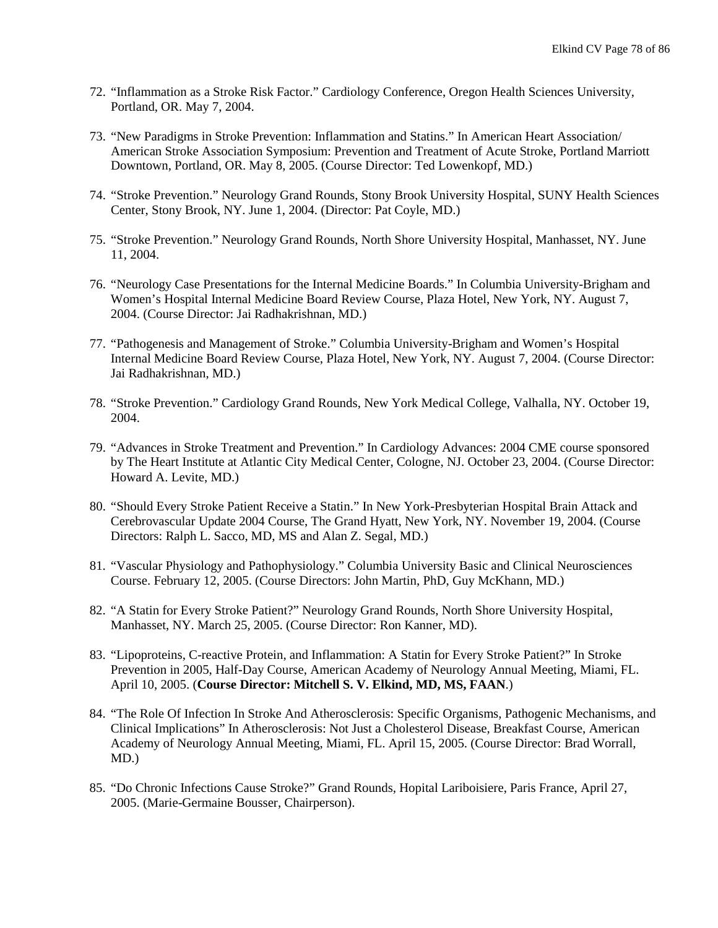- 72. "Inflammation as a Stroke Risk Factor." Cardiology Conference, Oregon Health Sciences University, Portland, OR. May 7, 2004.
- 73. "New Paradigms in Stroke Prevention: Inflammation and Statins." In American Heart Association/ American Stroke Association Symposium: Prevention and Treatment of Acute Stroke, Portland Marriott Downtown, Portland, OR. May 8, 2005. (Course Director: Ted Lowenkopf, MD.)
- 74. "Stroke Prevention." Neurology Grand Rounds, Stony Brook University Hospital, SUNY Health Sciences Center, Stony Brook, NY. June 1, 2004. (Director: Pat Coyle, MD.)
- 75. "Stroke Prevention." Neurology Grand Rounds, North Shore University Hospital, Manhasset, NY. June 11, 2004.
- 76. "Neurology Case Presentations for the Internal Medicine Boards." In Columbia University-Brigham and Women's Hospital Internal Medicine Board Review Course, Plaza Hotel, New York, NY. August 7, 2004. (Course Director: Jai Radhakrishnan, MD.)
- 77. "Pathogenesis and Management of Stroke." Columbia University-Brigham and Women's Hospital Internal Medicine Board Review Course, Plaza Hotel, New York, NY. August 7, 2004. (Course Director: Jai Radhakrishnan, MD.)
- 78. "Stroke Prevention." Cardiology Grand Rounds, New York Medical College, Valhalla, NY. October 19, 2004.
- 79. "Advances in Stroke Treatment and Prevention." In Cardiology Advances: 2004 CME course sponsored by The Heart Institute at Atlantic City Medical Center, Cologne, NJ. October 23, 2004. (Course Director: Howard A. Levite, MD.)
- 80. "Should Every Stroke Patient Receive a Statin." In New York-Presbyterian Hospital Brain Attack and Cerebrovascular Update 2004 Course, The Grand Hyatt, New York, NY. November 19, 2004. (Course Directors: Ralph L. Sacco, MD, MS and Alan Z. Segal, MD.)
- 81. "Vascular Physiology and Pathophysiology." Columbia University Basic and Clinical Neurosciences Course. February 12, 2005. (Course Directors: John Martin, PhD, Guy McKhann, MD.)
- 82. "A Statin for Every Stroke Patient?" Neurology Grand Rounds, North Shore University Hospital, Manhasset, NY. March 25, 2005. (Course Director: Ron Kanner, MD).
- 83. "Lipoproteins, C-reactive Protein, and Inflammation: A Statin for Every Stroke Patient?" In Stroke Prevention in 2005, Half-Day Course, American Academy of Neurology Annual Meeting, Miami, FL. April 10, 2005. (**Course Director: Mitchell S. V. Elkind, MD, MS, FAAN**.)
- 84. "The Role Of Infection In Stroke And Atherosclerosis: Specific Organisms, Pathogenic Mechanisms, and Clinical Implications" In Atherosclerosis: Not Just a Cholesterol Disease, Breakfast Course, American Academy of Neurology Annual Meeting, Miami, FL. April 15, 2005. (Course Director: Brad Worrall, MD.)
- 85. "Do Chronic Infections Cause Stroke?" Grand Rounds, Hopital Lariboisiere, Paris France, April 27, 2005. (Marie-Germaine Bousser, Chairperson).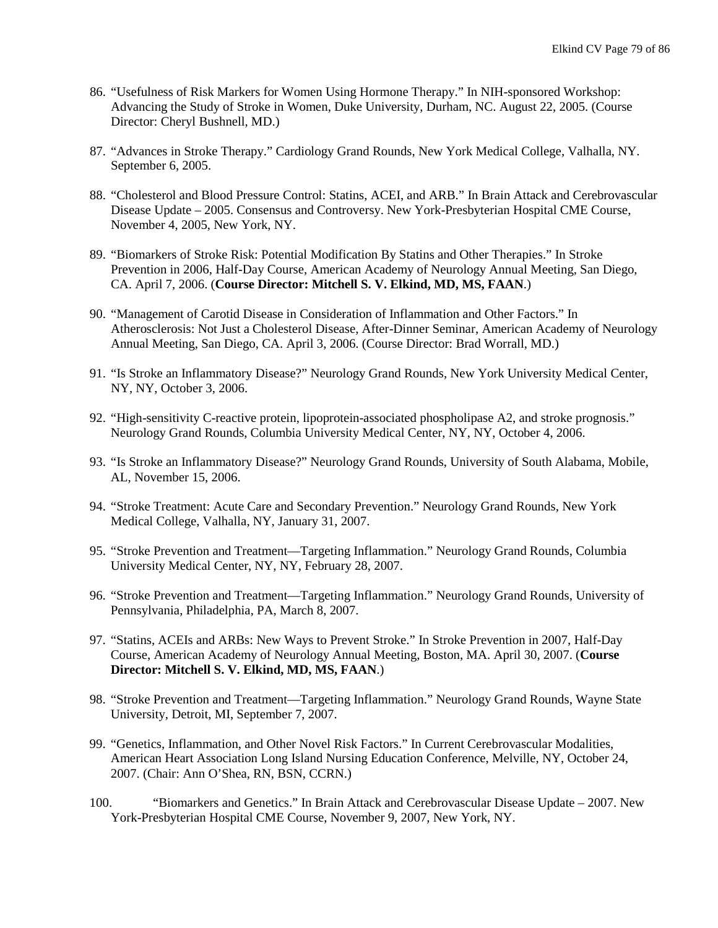- 86. "Usefulness of Risk Markers for Women Using Hormone Therapy." In NIH-sponsored Workshop: Advancing the Study of Stroke in Women, Duke University, Durham, NC. August 22, 2005. (Course Director: Cheryl Bushnell, MD.)
- 87. "Advances in Stroke Therapy." Cardiology Grand Rounds, New York Medical College, Valhalla, NY. September 6, 2005.
- 88. "Cholesterol and Blood Pressure Control: Statins, ACEI, and ARB." In Brain Attack and Cerebrovascular Disease Update – 2005. Consensus and Controversy. New York-Presbyterian Hospital CME Course, November 4, 2005, New York, NY.
- 89. "Biomarkers of Stroke Risk: Potential Modification By Statins and Other Therapies." In Stroke Prevention in 2006, Half-Day Course, American Academy of Neurology Annual Meeting, San Diego, CA. April 7, 2006. (**Course Director: Mitchell S. V. Elkind, MD, MS, FAAN**.)
- 90. "Management of Carotid Disease in Consideration of Inflammation and Other Factors." In Atherosclerosis: Not Just a Cholesterol Disease, After-Dinner Seminar, American Academy of Neurology Annual Meeting, San Diego, CA. April 3, 2006. (Course Director: Brad Worrall, MD.)
- 91. "Is Stroke an Inflammatory Disease?" Neurology Grand Rounds, New York University Medical Center, NY, NY, October 3, 2006.
- 92. "High-sensitivity C-reactive protein, lipoprotein-associated phospholipase A2, and stroke prognosis." Neurology Grand Rounds, Columbia University Medical Center, NY, NY, October 4, 2006.
- 93. "Is Stroke an Inflammatory Disease?" Neurology Grand Rounds, University of South Alabama, Mobile, AL, November 15, 2006.
- 94. "Stroke Treatment: Acute Care and Secondary Prevention." Neurology Grand Rounds, New York Medical College, Valhalla, NY, January 31, 2007.
- 95. "Stroke Prevention and Treatment—Targeting Inflammation." Neurology Grand Rounds, Columbia University Medical Center, NY, NY, February 28, 2007.
- 96. "Stroke Prevention and Treatment—Targeting Inflammation." Neurology Grand Rounds, University of Pennsylvania, Philadelphia, PA, March 8, 2007.
- 97. "Statins, ACEIs and ARBs: New Ways to Prevent Stroke." In Stroke Prevention in 2007, Half-Day Course, American Academy of Neurology Annual Meeting, Boston, MA. April 30, 2007. (**Course Director: Mitchell S. V. Elkind, MD, MS, FAAN**.)
- 98. "Stroke Prevention and Treatment—Targeting Inflammation." Neurology Grand Rounds, Wayne State University, Detroit, MI, September 7, 2007.
- 99. "Genetics, Inflammation, and Other Novel Risk Factors." In Current Cerebrovascular Modalities, American Heart Association Long Island Nursing Education Conference, Melville, NY, October 24, 2007. (Chair: Ann O'Shea, RN, BSN, CCRN.)
- 100. "Biomarkers and Genetics." In Brain Attack and Cerebrovascular Disease Update 2007. New York-Presbyterian Hospital CME Course, November 9, 2007, New York, NY.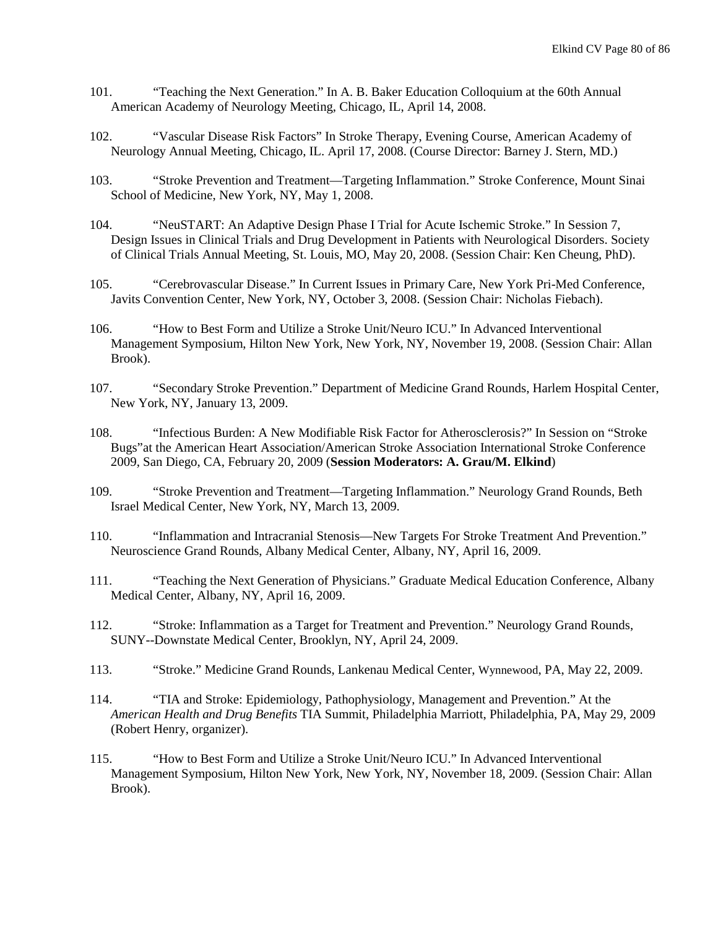- 101. "Teaching the Next Generation." In A. B. Baker Education Colloquium at the 60th Annual American Academy of Neurology Meeting, Chicago, IL, April 14, 2008.
- 102. "Vascular Disease Risk Factors" In Stroke Therapy, Evening Course, American Academy of Neurology Annual Meeting, Chicago, IL. April 17, 2008. (Course Director: Barney J. Stern, MD.)
- 103. "Stroke Prevention and Treatment—Targeting Inflammation." Stroke Conference, Mount Sinai School of Medicine, New York, NY, May 1, 2008.
- 104. "NeuSTART: An Adaptive Design Phase I Trial for Acute Ischemic Stroke." In Session 7, Design Issues in Clinical Trials and Drug Development in Patients with Neurological Disorders. Society of Clinical Trials Annual Meeting, St. Louis, MO, May 20, 2008. (Session Chair: Ken Cheung, PhD).
- 105. "Cerebrovascular Disease." In Current Issues in Primary Care, New York Pri-Med Conference, Javits Convention Center, New York, NY, October 3, 2008. (Session Chair: Nicholas Fiebach).
- 106. "How to Best Form and Utilize a Stroke Unit/Neuro ICU." In Advanced Interventional Management Symposium, Hilton New York, New York, NY, November 19, 2008. (Session Chair: Allan Brook).
- 107. "Secondary Stroke Prevention." Department of Medicine Grand Rounds, Harlem Hospital Center, New York, NY, January 13, 2009.
- 108. "Infectious Burden: A New Modifiable Risk Factor for Atherosclerosis?" In Session on "Stroke Bugs"at the American Heart Association/American Stroke Association International Stroke Conference 2009, San Diego, CA, February 20, 2009 (**Session Moderators: A. Grau/M. Elkind**)
- 109. "Stroke Prevention and Treatment—Targeting Inflammation." Neurology Grand Rounds, Beth Israel Medical Center, New York, NY, March 13, 2009.
- 110. "Inflammation and Intracranial Stenosis—New Targets For Stroke Treatment And Prevention." Neuroscience Grand Rounds, Albany Medical Center, Albany, NY, April 16, 2009.
- 111. "Teaching the Next Generation of Physicians." Graduate Medical Education Conference, Albany Medical Center, Albany, NY, April 16, 2009.
- 112. "Stroke: Inflammation as a Target for Treatment and Prevention." Neurology Grand Rounds, SUNY--Downstate Medical Center, Brooklyn, NY, April 24, 2009.
- 113. "Stroke." Medicine Grand Rounds, Lankenau Medical Center, Wynnewood, PA, May 22, 2009.
- 114. "TIA and Stroke: Epidemiology, Pathophysiology, Management and Prevention." At the *American Health and Drug Benefits* TIA Summit, Philadelphia Marriott, Philadelphia, PA, May 29, 2009 (Robert Henry, organizer).
- 115. "How to Best Form and Utilize a Stroke Unit/Neuro ICU." In Advanced Interventional Management Symposium, Hilton New York, New York, NY, November 18, 2009. (Session Chair: Allan Brook).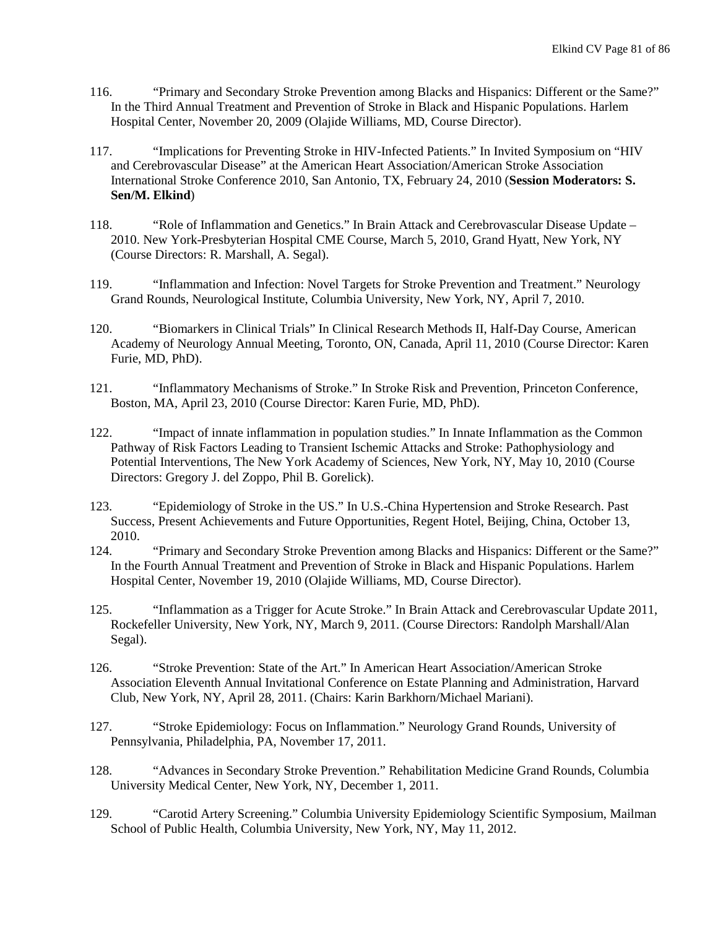- 116. "Primary and Secondary Stroke Prevention among Blacks and Hispanics: Different or the Same?" In the Third Annual Treatment and Prevention of Stroke in Black and Hispanic Populations. Harlem Hospital Center, November 20, 2009 (Olajide Williams, MD, Course Director).
- 117. "Implications for Preventing Stroke in HIV-Infected Patients." In Invited Symposium on "HIV and Cerebrovascular Disease" at the American Heart Association/American Stroke Association International Stroke Conference 2010, San Antonio, TX, February 24, 2010 (**Session Moderators: S. Sen/M. Elkind**)
- 118. "Role of Inflammation and Genetics." In Brain Attack and Cerebrovascular Disease Update 2010. New York-Presbyterian Hospital CME Course, March 5, 2010, Grand Hyatt, New York, NY (Course Directors: R. Marshall, A. Segal).
- 119. "Inflammation and Infection: Novel Targets for Stroke Prevention and Treatment." Neurology Grand Rounds, Neurological Institute, Columbia University, New York, NY, April 7, 2010.
- 120. "Biomarkers in Clinical Trials" In Clinical Research Methods II, Half-Day Course, American Academy of Neurology Annual Meeting, Toronto, ON, Canada, April 11, 2010 (Course Director: Karen Furie, MD, PhD).
- 121. "Inflammatory Mechanisms of Stroke." In Stroke Risk and Prevention, Princeton Conference, Boston, MA, April 23, 2010 (Course Director: Karen Furie, MD, PhD).
- 122. "Impact of innate inflammation in population studies." In Innate Inflammation as the Common Pathway of Risk Factors Leading to Transient Ischemic Attacks and Stroke: Pathophysiology and Potential Interventions, The New York Academy of Sciences, New York, NY, May 10, 2010 (Course Directors: Gregory J. del Zoppo, Phil B. Gorelick).
- 123. "Epidemiology of Stroke in the US." In U.S.-China Hypertension and Stroke Research. Past Success, Present Achievements and Future Opportunities, Regent Hotel, Beijing, China, October 13, 2010.
- 124. "Primary and Secondary Stroke Prevention among Blacks and Hispanics: Different or the Same?" In the Fourth Annual Treatment and Prevention of Stroke in Black and Hispanic Populations. Harlem Hospital Center, November 19, 2010 (Olajide Williams, MD, Course Director).
- 125. "Inflammation as a Trigger for Acute Stroke." In Brain Attack and Cerebrovascular Update 2011, Rockefeller University, New York, NY, March 9, 2011. (Course Directors: Randolph Marshall/Alan Segal).
- 126. "Stroke Prevention: State of the Art." In American Heart Association/American Stroke Association Eleventh Annual Invitational Conference on Estate Planning and Administration, Harvard Club, New York, NY, April 28, 2011. (Chairs: Karin Barkhorn/Michael Mariani).
- 127. "Stroke Epidemiology: Focus on Inflammation." Neurology Grand Rounds, University of Pennsylvania, Philadelphia, PA, November 17, 2011.
- 128. "Advances in Secondary Stroke Prevention." Rehabilitation Medicine Grand Rounds, Columbia University Medical Center, New York, NY, December 1, 2011.
- 129. "Carotid Artery Screening." Columbia University Epidemiology Scientific Symposium, Mailman School of Public Health, Columbia University, New York, NY, May 11, 2012.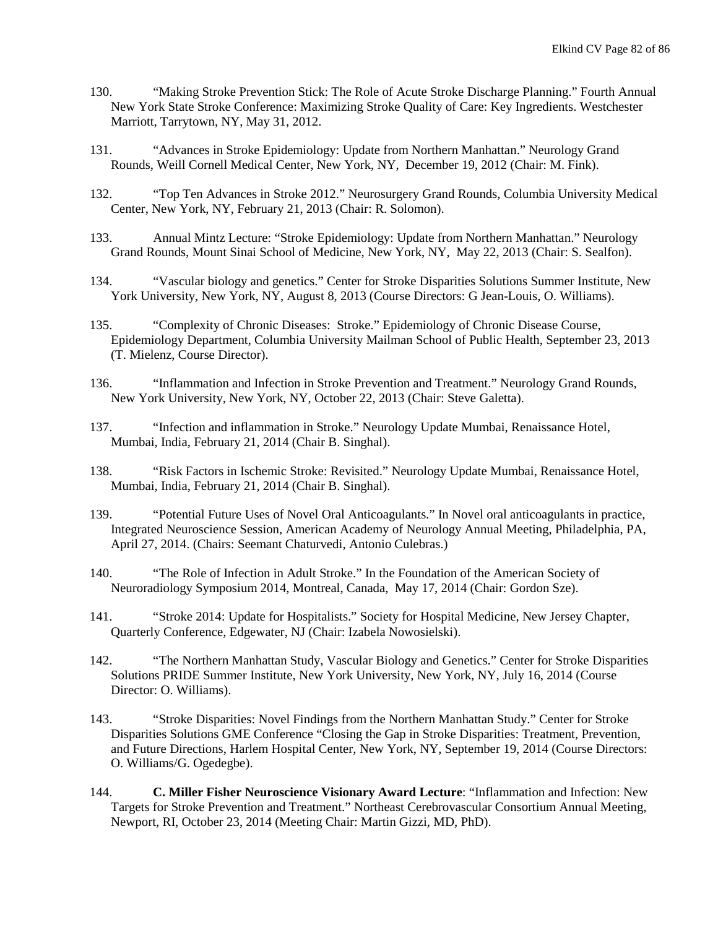- 130. "Making Stroke Prevention Stick: The Role of Acute Stroke Discharge Planning." Fourth Annual New York State Stroke Conference: Maximizing Stroke Quality of Care: Key Ingredients. Westchester Marriott, Tarrytown, NY, May 31, 2012.
- 131. "Advances in Stroke Epidemiology: Update from Northern Manhattan." Neurology Grand Rounds, Weill Cornell Medical Center, New York, NY, December 19, 2012 (Chair: M. Fink).
- 132. "Top Ten Advances in Stroke 2012." Neurosurgery Grand Rounds, Columbia University Medical Center, New York, NY, February 21, 2013 (Chair: R. Solomon).
- 133. Annual Mintz Lecture: "Stroke Epidemiology: Update from Northern Manhattan." Neurology Grand Rounds, Mount Sinai School of Medicine, New York, NY, May 22, 2013 (Chair: S. Sealfon).
- 134. "Vascular biology and genetics." Center for Stroke Disparities Solutions Summer Institute, New York University, New York, NY, August 8, 2013 (Course Directors: G Jean-Louis, O. Williams).
- 135. "Complexity of Chronic Diseases: Stroke." Epidemiology of Chronic Disease Course, Epidemiology Department, Columbia University Mailman School of Public Health, September 23, 2013 (T. Mielenz, Course Director).
- 136. "Inflammation and Infection in Stroke Prevention and Treatment." Neurology Grand Rounds, New York University, New York, NY, October 22, 2013 (Chair: Steve Galetta).
- 137. "Infection and inflammation in Stroke." Neurology Update Mumbai, Renaissance Hotel, Mumbai, India, February 21, 2014 (Chair B. Singhal).
- 138. "Risk Factors in Ischemic Stroke: Revisited." Neurology Update Mumbai, Renaissance Hotel, Mumbai, India, February 21, 2014 (Chair B. Singhal).
- 139. "Potential Future Uses of Novel Oral Anticoagulants." In Novel oral anticoagulants in practice, Integrated Neuroscience Session, American Academy of Neurology Annual Meeting, Philadelphia, PA, April 27, 2014. (Chairs: Seemant Chaturvedi, Antonio Culebras.)
- 140. "The Role of Infection in Adult Stroke." In the Foundation of the American Society of Neuroradiology Symposium 2014, Montreal, Canada, May 17, 2014 (Chair: Gordon Sze).
- 141. "Stroke 2014: Update for Hospitalists." Society for Hospital Medicine, New Jersey Chapter, Quarterly Conference, Edgewater, NJ (Chair: Izabela Nowosielski).
- 142. "The Northern Manhattan Study, Vascular Biology and Genetics." Center for Stroke Disparities Solutions PRIDE Summer Institute, New York University, New York, NY, July 16, 2014 (Course Director: O. Williams).
- 143. "Stroke Disparities: Novel Findings from the Northern Manhattan Study." Center for Stroke Disparities Solutions GME Conference "Closing the Gap in Stroke Disparities: Treatment, Prevention, and Future Directions, Harlem Hospital Center, New York, NY, September 19, 2014 (Course Directors: O. Williams/G. Ogedegbe).
- 144. **C. Miller Fisher Neuroscience Visionary Award Lecture**: "Inflammation and Infection: New Targets for Stroke Prevention and Treatment." Northeast Cerebrovascular Consortium Annual Meeting, Newport, RI, October 23, 2014 (Meeting Chair: Martin Gizzi, MD, PhD).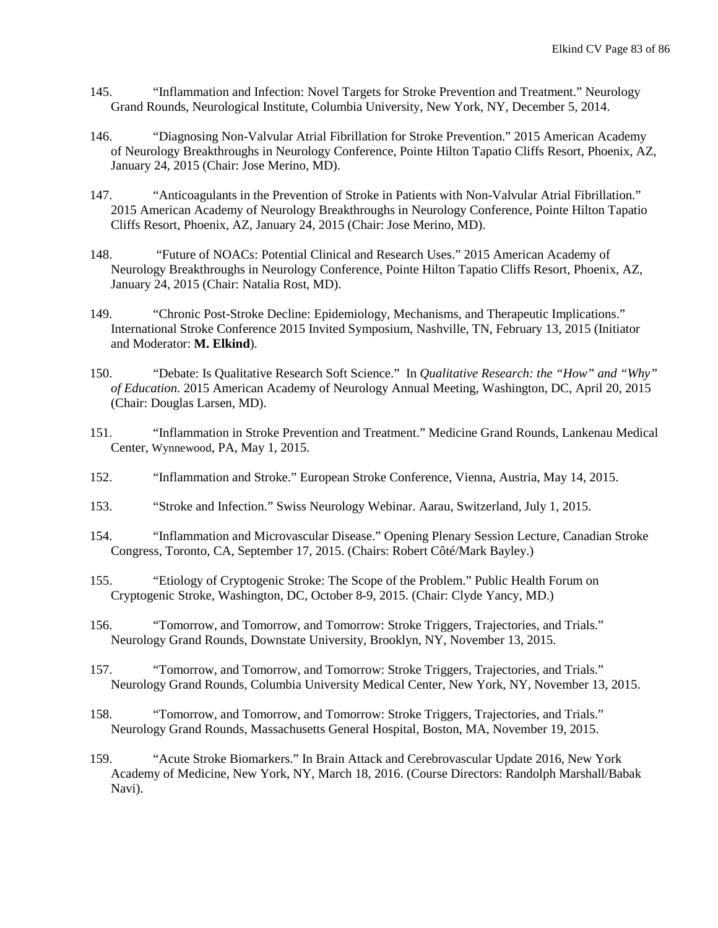- 145. "Inflammation and Infection: Novel Targets for Stroke Prevention and Treatment." Neurology Grand Rounds, Neurological Institute, Columbia University, New York, NY, December 5, 2014.
- 146. "Diagnosing Non-Valvular Atrial Fibrillation for Stroke Prevention." 2015 American Academy of Neurology Breakthroughs in Neurology Conference, Pointe Hilton Tapatio Cliffs Resort, Phoenix, AZ, January 24, 2015 (Chair: Jose Merino, MD).
- 147. "Anticoagulants in the Prevention of Stroke in Patients with Non-Valvular Atrial Fibrillation." 2015 American Academy of Neurology Breakthroughs in Neurology Conference, Pointe Hilton Tapatio Cliffs Resort, Phoenix, AZ, January 24, 2015 (Chair: Jose Merino, MD).
- 148. "Future of NOACs: Potential Clinical and Research Uses." 2015 American Academy of Neurology Breakthroughs in Neurology Conference, Pointe Hilton Tapatio Cliffs Resort, Phoenix, AZ, January 24, 2015 (Chair: Natalia Rost, MD).
- 149. "Chronic Post-Stroke Decline: Epidemiology, Mechanisms, and Therapeutic Implications." International Stroke Conference 2015 Invited Symposium, Nashville, TN, February 13, 2015 (Initiator and Moderator: **M. Elkind**).
- 150. "Debate: Is Qualitative Research Soft Science." In *Qualitative Research: the "How" and "Why" of Education.* 2015 American Academy of Neurology Annual Meeting, Washington, DC, April 20, 2015 (Chair: Douglas Larsen, MD).
- 151. "Inflammation in Stroke Prevention and Treatment." Medicine Grand Rounds, Lankenau Medical Center, Wynnewood, PA, May 1, 2015.
- 152. "Inflammation and Stroke." European Stroke Conference, Vienna, Austria, May 14, 2015.
- 153. "Stroke and Infection." Swiss Neurology Webinar. Aarau, Switzerland, July 1, 2015.
- 154. "Inflammation and Microvascular Disease." Opening Plenary Session Lecture, Canadian Stroke Congress, Toronto, CA, September 17, 2015. (Chairs: Robert Côté/Mark Bayley.)
- 155. "Etiology of Cryptogenic Stroke: The Scope of the Problem." Public Health Forum on Cryptogenic Stroke, Washington, DC, October 8-9, 2015. (Chair: Clyde Yancy, MD.)
- 156. "Tomorrow, and Tomorrow, and Tomorrow: Stroke Triggers, Trajectories, and Trials." Neurology Grand Rounds, Downstate University, Brooklyn, NY, November 13, 2015.
- 157. "Tomorrow, and Tomorrow, and Tomorrow: Stroke Triggers, Trajectories, and Trials." Neurology Grand Rounds, Columbia University Medical Center, New York, NY, November 13, 2015.
- 158. "Tomorrow, and Tomorrow, and Tomorrow: Stroke Triggers, Trajectories, and Trials." Neurology Grand Rounds, Massachusetts General Hospital, Boston, MA, November 19, 2015.
- 159. "Acute Stroke Biomarkers." In Brain Attack and Cerebrovascular Update 2016, New York Academy of Medicine, New York, NY, March 18, 2016. (Course Directors: Randolph Marshall/Babak Navi).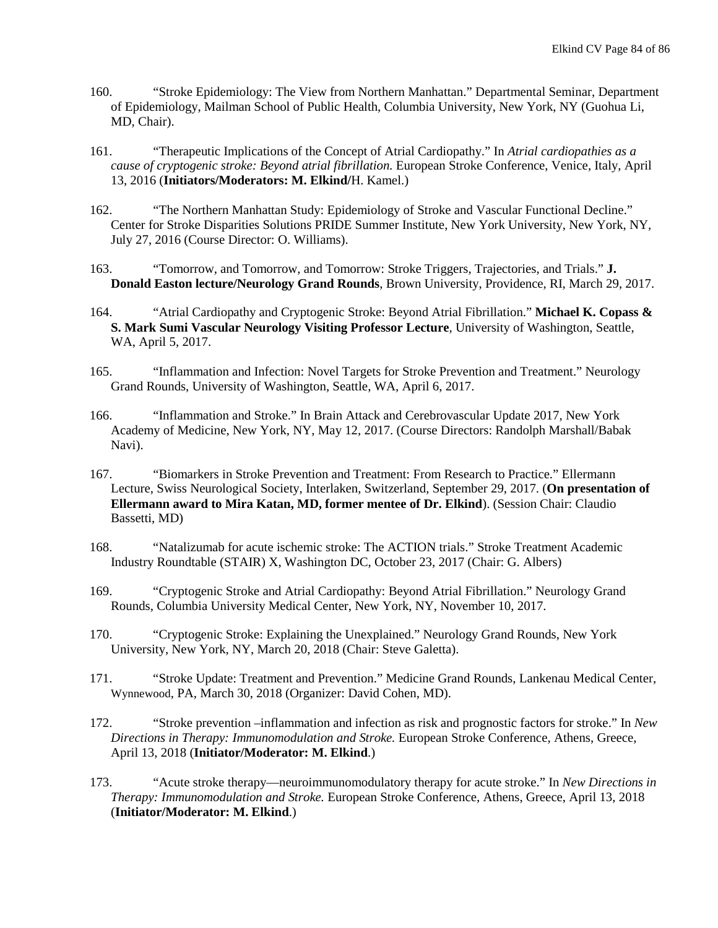- 160. "Stroke Epidemiology: The View from Northern Manhattan." Departmental Seminar, Department of Epidemiology, Mailman School of Public Health, Columbia University, New York, NY (Guohua Li, MD, Chair).
- 161. "Therapeutic Implications of the Concept of Atrial Cardiopathy." In *Atrial cardiopathies as a cause of cryptogenic stroke: Beyond atrial fibrillation.* European Stroke Conference, Venice, Italy, April 13, 2016 (**Initiators/Moderators: M. Elkind/**H. Kamel.)
- 162. "The Northern Manhattan Study: Epidemiology of Stroke and Vascular Functional Decline." Center for Stroke Disparities Solutions PRIDE Summer Institute, New York University, New York, NY, July 27, 2016 (Course Director: O. Williams).
- 163. "Tomorrow, and Tomorrow, and Tomorrow: Stroke Triggers, Trajectories, and Trials." **J. Donald Easton lecture/Neurology Grand Rounds**, Brown University, Providence, RI, March 29, 2017.
- 164. "Atrial Cardiopathy and Cryptogenic Stroke: Beyond Atrial Fibrillation." **Michael K. Copass & S. Mark Sumi Vascular Neurology Visiting Professor Lecture**, University of Washington, Seattle, WA, April 5, 2017.
- 165. "Inflammation and Infection: Novel Targets for Stroke Prevention and Treatment." Neurology Grand Rounds, University of Washington, Seattle, WA, April 6, 2017.
- 166. "Inflammation and Stroke." In Brain Attack and Cerebrovascular Update 2017, New York Academy of Medicine, New York, NY, May 12, 2017. (Course Directors: Randolph Marshall/Babak Navi).
- 167. "Biomarkers in Stroke Prevention and Treatment: From Research to Practice." Ellermann Lecture, Swiss Neurological Society, Interlaken, Switzerland, September 29, 2017. (**On presentation of Ellermann award to Mira Katan, MD, former mentee of Dr. Elkind**). (Session Chair: Claudio Bassetti, MD)
- 168. "Natalizumab for acute ischemic stroke: The ACTION trials." Stroke Treatment Academic Industry Roundtable (STAIR) X, Washington DC, October 23, 2017 (Chair: G. Albers)
- 169. "Cryptogenic Stroke and Atrial Cardiopathy: Beyond Atrial Fibrillation." Neurology Grand Rounds, Columbia University Medical Center, New York, NY, November 10, 2017.
- 170. "Cryptogenic Stroke: Explaining the Unexplained." Neurology Grand Rounds, New York University, New York, NY, March 20, 2018 (Chair: Steve Galetta).
- 171. "Stroke Update: Treatment and Prevention." Medicine Grand Rounds, Lankenau Medical Center, Wynnewood, PA, March 30, 2018 (Organizer: David Cohen, MD).
- 172. "Stroke prevention –inflammation and infection as risk and prognostic factors for stroke." In *New Directions in Therapy: Immunomodulation and Stroke.* European Stroke Conference, Athens, Greece, April 13, 2018 (**Initiator/Moderator: M. Elkind**.)
- 173. "Acute stroke therapy—neuroimmunomodulatory therapy for acute stroke." In *New Directions in Therapy: Immunomodulation and Stroke.* European Stroke Conference, Athens, Greece, April 13, 2018 (**Initiator/Moderator: M. Elkind**.)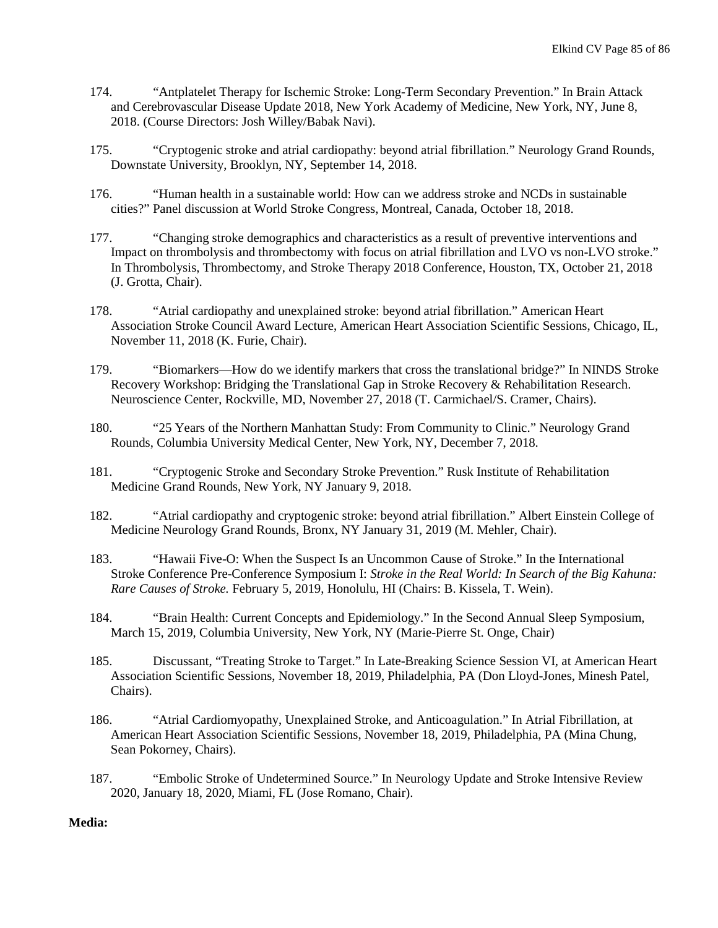- 174. "Antplatelet Therapy for Ischemic Stroke: Long-Term Secondary Prevention." In Brain Attack and Cerebrovascular Disease Update 2018, New York Academy of Medicine, New York, NY, June 8, 2018. (Course Directors: Josh Willey/Babak Navi).
- 175. "Cryptogenic stroke and atrial cardiopathy: beyond atrial fibrillation." Neurology Grand Rounds, Downstate University, Brooklyn, NY, September 14, 2018.
- 176. "Human health in a sustainable world: How can we address stroke and NCDs in sustainable cities?" Panel discussion at World Stroke Congress, Montreal, Canada, October 18, 2018.
- 177. "Changing stroke demographics and characteristics as a result of preventive interventions and Impact on thrombolysis and thrombectomy with focus on atrial fibrillation and LVO vs non-LVO stroke." In Thrombolysis, Thrombectomy, and Stroke Therapy 2018 Conference, Houston, TX, October 21, 2018 (J. Grotta, Chair).
- 178. "Atrial cardiopathy and unexplained stroke: beyond atrial fibrillation." American Heart Association Stroke Council Award Lecture, American Heart Association Scientific Sessions, Chicago, IL, November 11, 2018 (K. Furie, Chair).
- 179. "Biomarkers—How do we identify markers that cross the translational bridge?" In NINDS Stroke Recovery Workshop: Bridging the Translational Gap in Stroke Recovery & Rehabilitation Research. Neuroscience Center, Rockville, MD, November 27, 2018 (T. Carmichael/S. Cramer, Chairs).
- 180. "25 Years of the Northern Manhattan Study: From Community to Clinic." Neurology Grand Rounds, Columbia University Medical Center, New York, NY, December 7, 2018.
- 181. "Cryptogenic Stroke and Secondary Stroke Prevention." Rusk Institute of Rehabilitation Medicine Grand Rounds, New York, NY January 9, 2018.
- 182. "Atrial cardiopathy and cryptogenic stroke: beyond atrial fibrillation." Albert Einstein College of Medicine Neurology Grand Rounds, Bronx, NY January 31, 2019 (M. Mehler, Chair).
- 183. "Hawaii Five-O: When the Suspect Is an Uncommon Cause of Stroke." In the International Stroke Conference Pre-Conference Symposium I: *Stroke in the Real World: In Search of the Big Kahuna: Rare Causes of Stroke.* February 5, 2019, Honolulu, HI (Chairs: B. Kissela, T. Wein).
- 184. "Brain Health: Current Concepts and Epidemiology." In the Second Annual Sleep Symposium, March 15, 2019, Columbia University, New York, NY (Marie-Pierre St. Onge, Chair)
- 185. Discussant, "Treating Stroke to Target." In Late-Breaking Science Session VI, at American Heart Association Scientific Sessions, November 18, 2019, Philadelphia, PA (Don Lloyd-Jones, Minesh Patel, Chairs).
- 186. "Atrial Cardiomyopathy, Unexplained Stroke, and Anticoagulation." In Atrial Fibrillation, at American Heart Association Scientific Sessions, November 18, 2019, Philadelphia, PA (Mina Chung, Sean Pokorney, Chairs).
- 187. "Embolic Stroke of Undetermined Source." In Neurology Update and Stroke Intensive Review 2020, January 18, 2020, Miami, FL (Jose Romano, Chair).

## **Media:**